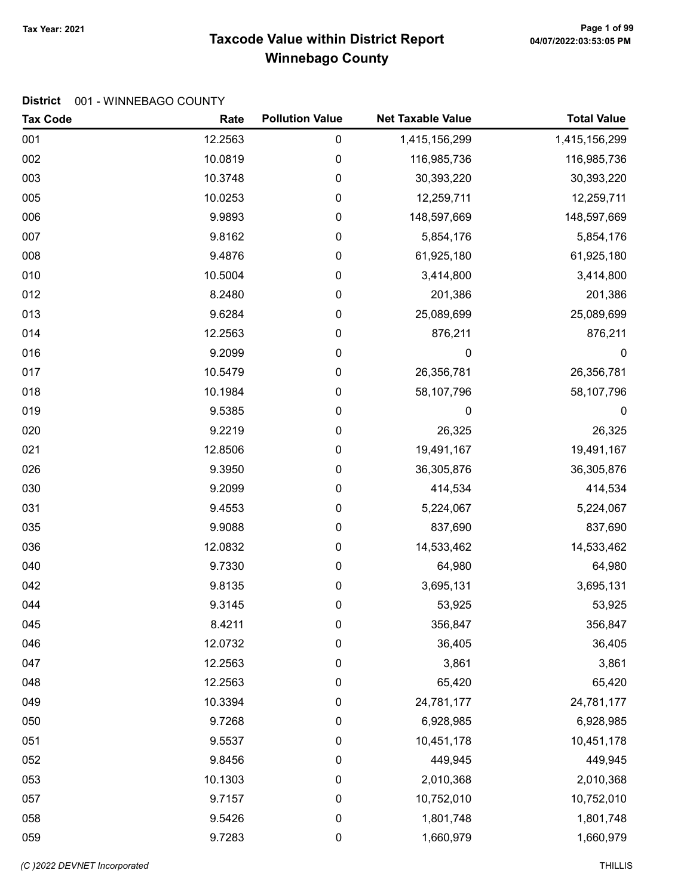# Taxcode Value within District Report Tax Year: 2021 Page 1 of 99 Winnebago County

| <b>Tax Code</b> | Rate    | <b>Pollution Value</b> | <b>Net Taxable Value</b> | <b>Total Value</b> |
|-----------------|---------|------------------------|--------------------------|--------------------|
| 001             | 12.2563 | $\pmb{0}$              | 1,415,156,299            | 1,415,156,299      |
| 002             | 10.0819 | 0                      | 116,985,736              | 116,985,736        |
| 003             | 10.3748 | $\pmb{0}$              | 30,393,220               | 30,393,220         |
| 005             | 10.0253 | 0                      | 12,259,711               | 12,259,711         |
| 006             | 9.9893  | 0                      | 148,597,669              | 148,597,669        |
| 007             | 9.8162  | $\pmb{0}$              | 5,854,176                | 5,854,176          |
| 008             | 9.4876  | $\pmb{0}$              | 61,925,180               | 61,925,180         |
| 010             | 10.5004 | $\pmb{0}$              | 3,414,800                | 3,414,800          |
| 012             | 8.2480  | 0                      | 201,386                  | 201,386            |
| 013             | 9.6284  | $\pmb{0}$              | 25,089,699               | 25,089,699         |
| 014             | 12.2563 | $\pmb{0}$              | 876,211                  | 876,211            |
| 016             | 9.2099  | 0                      | $\mathbf 0$              | $\boldsymbol{0}$   |
| 017             | 10.5479 | $\boldsymbol{0}$       | 26,356,781               | 26,356,781         |
| 018             | 10.1984 | $\pmb{0}$              | 58,107,796               | 58,107,796         |
| 019             | 9.5385  | $\pmb{0}$              | 0                        | $\boldsymbol{0}$   |
| 020             | 9.2219  | 0                      | 26,325                   | 26,325             |
| 021             | 12.8506 | $\pmb{0}$              | 19,491,167               | 19,491,167         |
| 026             | 9.3950  | $\pmb{0}$              | 36,305,876               | 36,305,876         |
| 030             | 9.2099  | 0                      | 414,534                  | 414,534            |
| 031             | 9.4553  | $\boldsymbol{0}$       | 5,224,067                | 5,224,067          |
| 035             | 9.9088  | $\boldsymbol{0}$       | 837,690                  | 837,690            |
| 036             | 12.0832 | $\pmb{0}$              | 14,533,462               | 14,533,462         |
| 040             | 9.7330  | 0                      | 64,980                   | 64,980             |
| 042             | 9.8135  | $\pmb{0}$              | 3,695,131                | 3,695,131          |
| 044             | 9.3145  | $\pmb{0}$              | 53,925                   | 53,925             |
| 045             | 8.4211  | 0                      | 356,847                  | 356,847            |
| 046             | 12.0732 | $\pmb{0}$              | 36,405                   | 36,405             |
| 047             | 12.2563 | $\pmb{0}$              | 3,861                    | 3,861              |
| 048             | 12.2563 | $\boldsymbol{0}$       | 65,420                   | 65,420             |
| 049             | 10.3394 | $\mathbf 0$            | 24,781,177               | 24,781,177         |
| 050             | 9.7268  | $\boldsymbol{0}$       | 6,928,985                | 6,928,985          |
| 051             | 9.5537  | $\pmb{0}$              | 10,451,178               | 10,451,178         |
| 052             | 9.8456  | $\pmb{0}$              | 449,945                  | 449,945            |
| 053             | 10.1303 | $\pmb{0}$              | 2,010,368                | 2,010,368          |
| 057             | 9.7157  | $\boldsymbol{0}$       | 10,752,010               | 10,752,010         |
| 058             | 9.5426  | $\boldsymbol{0}$       | 1,801,748                | 1,801,748          |
| 059             | 9.7283  | $\pmb{0}$              | 1,660,979                | 1,660,979          |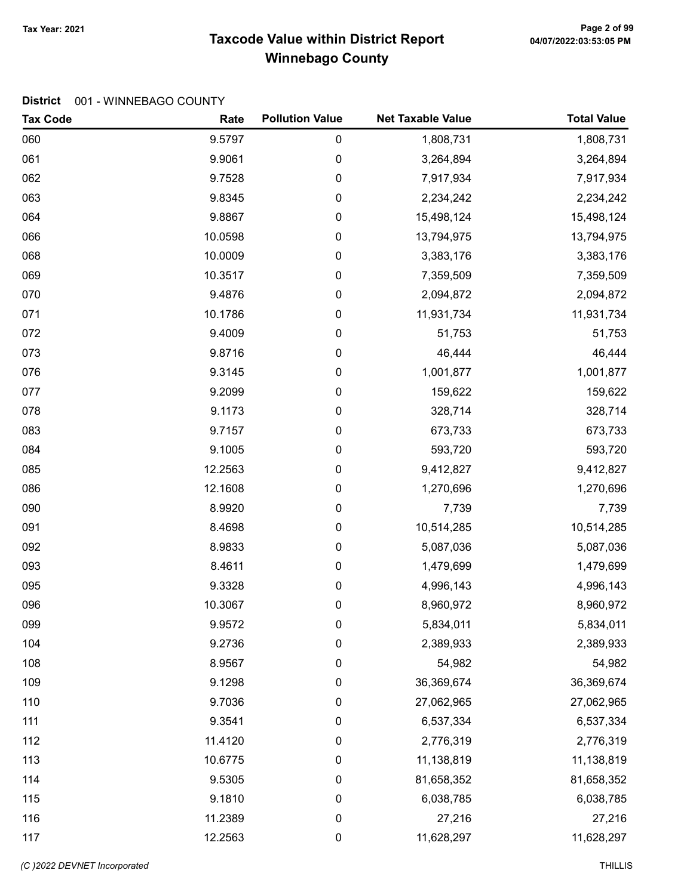# Taxcode Value within District Report Tax Year: 2021 Page 2 of 99 Winnebago County

| <b>Tax Code</b> | Rate    | <b>Pollution Value</b> | <b>Net Taxable Value</b> | <b>Total Value</b> |
|-----------------|---------|------------------------|--------------------------|--------------------|
| 060             | 9.5797  | 0                      | 1,808,731                | 1,808,731          |
| 061             | 9.9061  | 0                      | 3,264,894                | 3,264,894          |
| 062             | 9.7528  | 0                      | 7,917,934                | 7,917,934          |
| 063             | 9.8345  | 0                      | 2,234,242                | 2,234,242          |
| 064             | 9.8867  | 0                      | 15,498,124               | 15,498,124         |
| 066             | 10.0598 | 0                      | 13,794,975               | 13,794,975         |
| 068             | 10.0009 | 0                      | 3,383,176                | 3,383,176          |
| 069             | 10.3517 | 0                      | 7,359,509                | 7,359,509          |
| 070             | 9.4876  | 0                      | 2,094,872                | 2,094,872          |
| 071             | 10.1786 | 0                      | 11,931,734               | 11,931,734         |
| 072             | 9.4009  | 0                      | 51,753                   | 51,753             |
| 073             | 9.8716  | 0                      | 46,444                   | 46,444             |
| 076             | 9.3145  | 0                      | 1,001,877                | 1,001,877          |
| 077             | 9.2099  | 0                      | 159,622                  | 159,622            |
| 078             | 9.1173  | 0                      | 328,714                  | 328,714            |
| 083             | 9.7157  | 0                      | 673,733                  | 673,733            |
| 084             | 9.1005  | 0                      | 593,720                  | 593,720            |
| 085             | 12.2563 | 0                      | 9,412,827                | 9,412,827          |
| 086             | 12.1608 | 0                      | 1,270,696                | 1,270,696          |
| 090             | 8.9920  | 0                      | 7,739                    | 7,739              |
| 091             | 8.4698  | 0                      | 10,514,285               | 10,514,285         |
| 092             | 8.9833  | 0                      | 5,087,036                | 5,087,036          |
| 093             | 8.4611  | 0                      | 1,479,699                | 1,479,699          |
| 095             | 9.3328  | 0                      | 4,996,143                | 4,996,143          |
| 096             | 10.3067 | 0                      | 8,960,972                | 8,960,972          |
| 099             | 9.9572  | 0                      | 5,834,011                | 5,834,011          |
| 104             | 9.2736  | 0                      | 2,389,933                | 2,389,933          |
| 108             | 8.9567  | 0                      | 54,982                   | 54,982             |
| 109             | 9.1298  | 0                      | 36,369,674               | 36,369,674         |
| 110             | 9.7036  | 0                      | 27,062,965               | 27,062,965         |
| 111             | 9.3541  | 0                      | 6,537,334                | 6,537,334          |
| 112             | 11.4120 | 0                      | 2,776,319                | 2,776,319          |
| 113             | 10.6775 | 0                      | 11,138,819               | 11,138,819         |
| 114             | 9.5305  | 0                      | 81,658,352               | 81,658,352         |
| 115             | 9.1810  | 0                      | 6,038,785                | 6,038,785          |
| 116             | 11.2389 | 0                      | 27,216                   | 27,216             |
| 117             | 12.2563 | 0                      | 11,628,297               | 11,628,297         |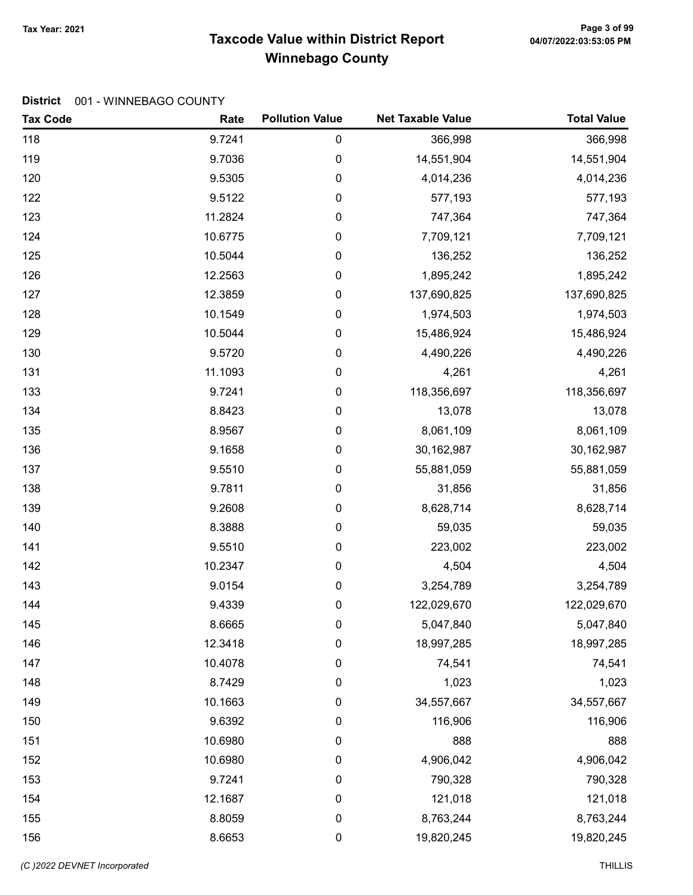# Taxcode Value within District Report Tax Year: 2021 Page 3 of 99 Winnebago County

| <b>Tax Code</b> | Rate    | <b>Pollution Value</b> | <b>Net Taxable Value</b> | <b>Total Value</b> |
|-----------------|---------|------------------------|--------------------------|--------------------|
| 118             | 9.7241  | 0                      | 366,998                  | 366,998            |
| 119             | 9.7036  | 0                      | 14,551,904               | 14,551,904         |
| 120             | 9.5305  | 0                      | 4,014,236                | 4,014,236          |
| 122             | 9.5122  | 0                      | 577,193                  | 577,193            |
| 123             | 11.2824 | 0                      | 747,364                  | 747,364            |
| 124             | 10.6775 | $\boldsymbol{0}$       | 7,709,121                | 7,709,121          |
| 125             | 10.5044 | $\pmb{0}$              | 136,252                  | 136,252            |
| 126             | 12.2563 | $\boldsymbol{0}$       | 1,895,242                | 1,895,242          |
| 127             | 12.3859 | $\pmb{0}$              | 137,690,825              | 137,690,825        |
| 128             | 10.1549 | $\pmb{0}$              | 1,974,503                | 1,974,503          |
| 129             | 10.5044 | 0                      | 15,486,924               | 15,486,924         |
| 130             | 9.5720  | 0                      | 4,490,226                | 4,490,226          |
| 131             | 11.1093 | $\boldsymbol{0}$       | 4,261                    | 4,261              |
| 133             | 9.7241  | $\pmb{0}$              | 118,356,697              | 118,356,697        |
| 134             | 8.8423  | $\boldsymbol{0}$       | 13,078                   | 13,078             |
| 135             | 8.9567  | 0                      | 8,061,109                | 8,061,109          |
| 136             | 9.1658  | 0                      | 30,162,987               | 30,162,987         |
| 137             | 9.5510  | 0                      | 55,881,059               | 55,881,059         |
| 138             | 9.7811  | 0                      | 31,856                   | 31,856             |
| 139             | 9.2608  | $\pmb{0}$              | 8,628,714                | 8,628,714          |
| 140             | 8.3888  | $\boldsymbol{0}$       | 59,035                   | 59,035             |
| 141             | 9.5510  | $\boldsymbol{0}$       | 223,002                  | 223,002            |
| 142             | 10.2347 | 0                      | 4,504                    | 4,504              |
| 143             | 9.0154  | $\pmb{0}$              | 3,254,789                | 3,254,789          |
| 144             | 9.4339  | 0                      | 122,029,670              | 122,029,670        |
| 145             | 8.6665  | 0                      | 5,047,840                | 5,047,840          |
| 146             | 12.3418 | 0                      | 18,997,285               | 18,997,285         |
| 147             | 10.4078 | $\boldsymbol{0}$       | 74,541                   | 74,541             |
| 148             | 8.7429  | 0                      | 1,023                    | 1,023              |
| 149             | 10.1663 | 0                      | 34,557,667               | 34,557,667         |
| 150             | 9.6392  | $\boldsymbol{0}$       | 116,906                  | 116,906            |
| 151             | 10.6980 | $\pmb{0}$              | 888                      | 888                |
| 152             | 10.6980 | $\pmb{0}$              | 4,906,042                | 4,906,042          |
| 153             | 9.7241  | 0                      | 790,328                  | 790,328            |
| 154             | 12.1687 | 0                      | 121,018                  | 121,018            |
| 155             | 8.8059  | $\boldsymbol{0}$       | 8,763,244                | 8,763,244          |
| 156             | 8.6653  | $\boldsymbol{0}$       | 19,820,245               | 19,820,245         |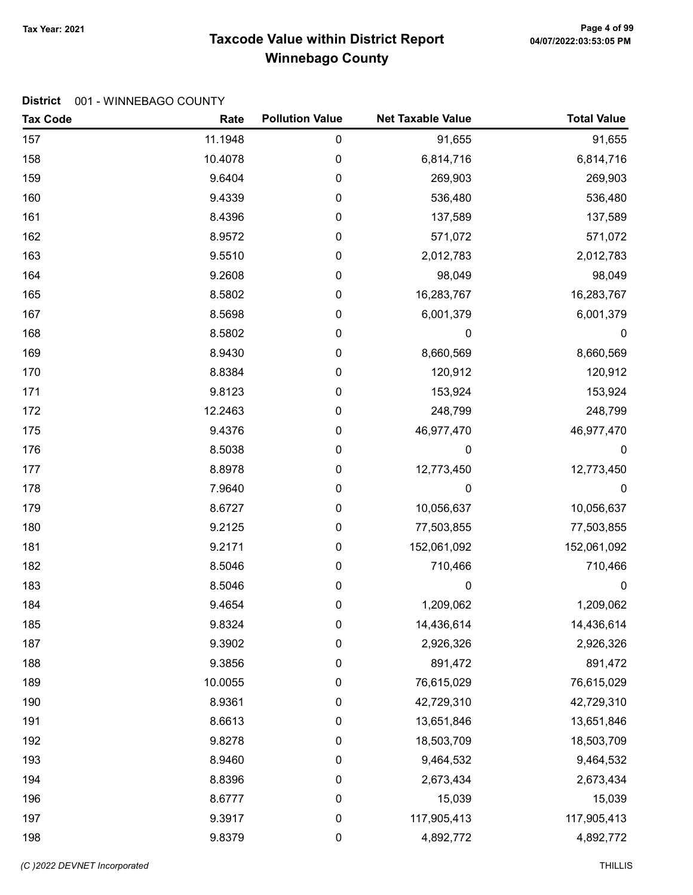# Taxcode Value within District Report Tax Year: 2021 Page 4 of 99 Winnebago County

| <b>Tax Code</b> | Rate    | <b>Pollution Value</b> | <b>Net Taxable Value</b> | <b>Total Value</b> |
|-----------------|---------|------------------------|--------------------------|--------------------|
| 157             | 11.1948 | $\pmb{0}$              | 91,655                   | 91,655             |
| 158             | 10.4078 | 0                      | 6,814,716                | 6,814,716          |
| 159             | 9.6404  | 0                      | 269,903                  | 269,903            |
| 160             | 9.4339  | 0                      | 536,480                  | 536,480            |
| 161             | 8.4396  | 0                      | 137,589                  | 137,589            |
| 162             | 8.9572  | 0                      | 571,072                  | 571,072            |
| 163             | 9.5510  | 0                      | 2,012,783                | 2,012,783          |
| 164             | 9.2608  | 0                      | 98,049                   | 98,049             |
| 165             | 8.5802  | 0                      | 16,283,767               | 16,283,767         |
| 167             | 8.5698  | $\pmb{0}$              | 6,001,379                | 6,001,379          |
| 168             | 8.5802  | 0                      | 0                        | 0                  |
| 169             | 8.9430  | 0                      | 8,660,569                | 8,660,569          |
| 170             | 8.8384  | 0                      | 120,912                  | 120,912            |
| 171             | 9.8123  | 0                      | 153,924                  | 153,924            |
| 172             | 12.2463 | 0                      | 248,799                  | 248,799            |
| 175             | 9.4376  | 0                      | 46,977,470               | 46,977,470         |
| 176             | 8.5038  | $\pmb{0}$              | $\boldsymbol{0}$         | $\boldsymbol{0}$   |
| 177             | 8.8978  | 0                      | 12,773,450               | 12,773,450         |
| 178             | 7.9640  | 0                      | 0                        | $\pmb{0}$          |
| 179             | 8.6727  | 0                      | 10,056,637               | 10,056,637         |
| 180             | 9.2125  | 0                      | 77,503,855               | 77,503,855         |
| 181             | 9.2171  | 0                      | 152,061,092              | 152,061,092        |
| 182             | 8.5046  | 0                      | 710,466                  | 710,466            |
| 183             | 8.5046  | 0                      | $\mathbf 0$              | $\pmb{0}$          |
| 184             | 9.4654  | 0                      | 1,209,062                | 1,209,062          |
| 185             | 9.8324  | 0                      | 14,436,614               | 14,436,614         |
| 187             | 9.3902  | 0                      | 2,926,326                | 2,926,326          |
| 188             | 9.3856  | $\mathbf 0$            | 891,472                  | 891,472            |
| 189             | 10.0055 | 0                      | 76,615,029               | 76,615,029         |
| 190             | 8.9361  | 0                      | 42,729,310               | 42,729,310         |
| 191             | 8.6613  | 0                      | 13,651,846               | 13,651,846         |
| 192             | 9.8278  | 0                      | 18,503,709               | 18,503,709         |
| 193             | 8.9460  | 0                      | 9,464,532                | 9,464,532          |
| 194             | 8.8396  | 0                      | 2,673,434                | 2,673,434          |
| 196             | 8.6777  | $\boldsymbol{0}$       | 15,039                   | 15,039             |
| 197             | 9.3917  | $\pmb{0}$              | 117,905,413              | 117,905,413        |
| 198             | 9.8379  | 0                      | 4,892,772                | 4,892,772          |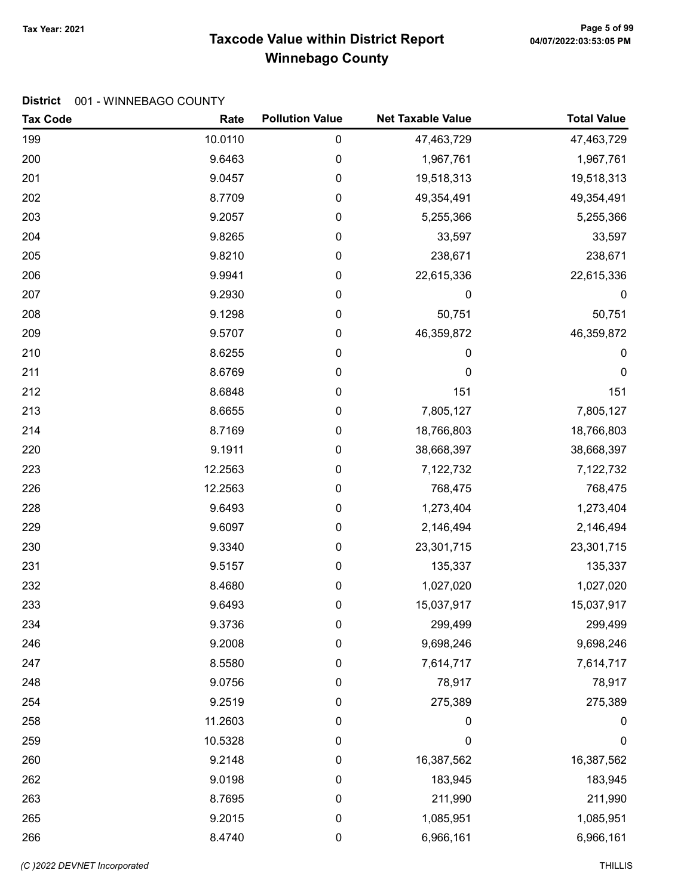# Taxcode Value within District Report Tax Year: 2021 Page 5 of 99 Winnebago County

| <b>Tax Code</b> | Rate    | <b>Pollution Value</b> | <b>Net Taxable Value</b> | <b>Total Value</b> |
|-----------------|---------|------------------------|--------------------------|--------------------|
| 199             | 10.0110 | 0                      | 47,463,729               | 47,463,729         |
| 200             | 9.6463  | 0                      | 1,967,761                | 1,967,761          |
| 201             | 9.0457  | 0                      | 19,518,313               | 19,518,313         |
| 202             | 8.7709  | 0                      | 49,354,491               | 49,354,491         |
| 203             | 9.2057  | 0                      | 5,255,366                | 5,255,366          |
| 204             | 9.8265  | 0                      | 33,597                   | 33,597             |
| 205             | 9.8210  | 0                      | 238,671                  | 238,671            |
| 206             | 9.9941  | 0                      | 22,615,336               | 22,615,336         |
| 207             | 9.2930  | 0                      | 0                        | 0                  |
| 208             | 9.1298  | 0                      | 50,751                   | 50,751             |
| 209             | 9.5707  | 0                      | 46,359,872               | 46,359,872         |
| 210             | 8.6255  | 0                      | 0                        | 0                  |
| 211             | 8.6769  | 0                      | 0                        | 0                  |
| 212             | 8.6848  | 0                      | 151                      | 151                |
| 213             | 8.6655  | 0                      | 7,805,127                | 7,805,127          |
| 214             | 8.7169  | 0                      | 18,766,803               | 18,766,803         |
| 220             | 9.1911  | 0                      | 38,668,397               | 38,668,397         |
| 223             | 12.2563 | 0                      | 7,122,732                | 7,122,732          |
| 226             | 12.2563 | 0                      | 768,475                  | 768,475            |
| 228             | 9.6493  | 0                      | 1,273,404                | 1,273,404          |
| 229             | 9.6097  | 0                      | 2,146,494                | 2,146,494          |
| 230             | 9.3340  | 0                      | 23,301,715               | 23,301,715         |
| 231             | 9.5157  | 0                      | 135,337                  | 135,337            |
| 232             | 8.4680  | 0                      | 1,027,020                | 1,027,020          |
| 233             | 9.6493  | 0                      | 15,037,917               | 15,037,917         |
| 234             | 9.3736  | 0                      | 299,499                  | 299,499            |
| 246             | 9.2008  | 0                      | 9,698,246                | 9,698,246          |
| 247             | 8.5580  | 0                      | 7,614,717                | 7,614,717          |
| 248             | 9.0756  | 0                      | 78,917                   | 78,917             |
| 254             | 9.2519  | 0                      | 275,389                  | 275,389            |
| 258             | 11.2603 | $\pmb{0}$              | 0                        | $\pmb{0}$          |
| 259             | 10.5328 | 0                      | $\mathbf 0$              | $\mathbf 0$        |
| 260             | 9.2148  | 0                      | 16,387,562               | 16,387,562         |
| 262             | 9.0198  | 0                      | 183,945                  | 183,945            |
| 263             | 8.7695  | 0                      | 211,990                  | 211,990            |
| 265             | 9.2015  | 0                      | 1,085,951                | 1,085,951          |
| 266             | 8.4740  | 0                      | 6,966,161                | 6,966,161          |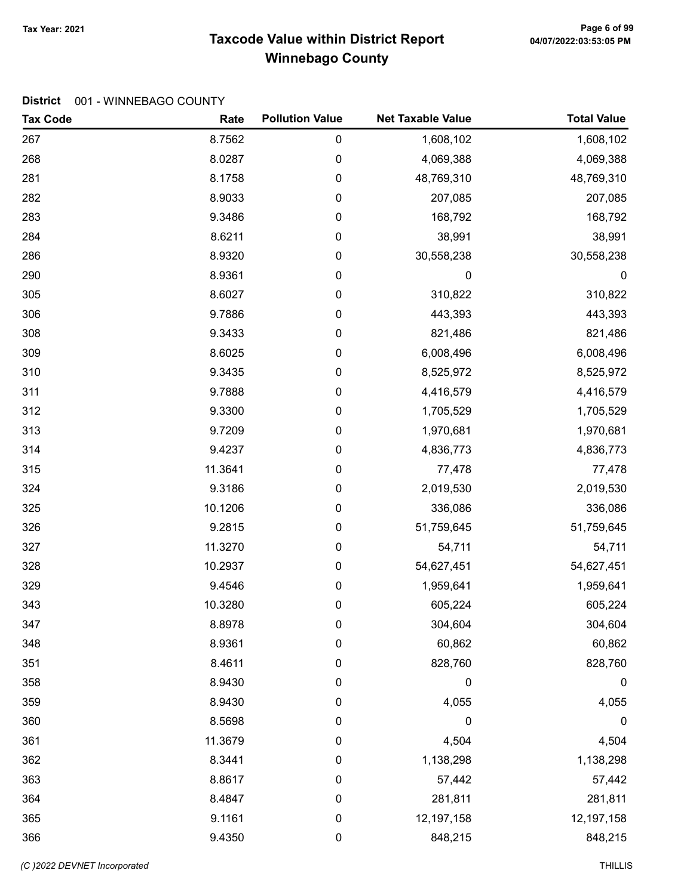# Taxcode Value within District Report Tax Year: 2021 Page 6 of 99 Winnebago County

| <b>Tax Code</b> | Rate    | <b>Pollution Value</b> | <b>Net Taxable Value</b> | <b>Total Value</b> |
|-----------------|---------|------------------------|--------------------------|--------------------|
| 267             | 8.7562  | 0                      | 1,608,102                | 1,608,102          |
| 268             | 8.0287  | 0                      | 4,069,388                | 4,069,388          |
| 281             | 8.1758  | 0                      | 48,769,310               | 48,769,310         |
| 282             | 8.9033  | 0                      | 207,085                  | 207,085            |
| 283             | 9.3486  | 0                      | 168,792                  | 168,792            |
| 284             | 8.6211  | $\pmb{0}$              | 38,991                   | 38,991             |
| 286             | 8.9320  | 0                      | 30,558,238               | 30,558,238         |
| 290             | 8.9361  | 0                      | 0                        | $\boldsymbol{0}$   |
| 305             | 8.6027  | 0                      | 310,822                  | 310,822            |
| 306             | 9.7886  | 0                      | 443,393                  | 443,393            |
| 308             | 9.3433  | 0                      | 821,486                  | 821,486            |
| 309             | 8.6025  | 0                      | 6,008,496                | 6,008,496          |
| 310             | 9.3435  | 0                      | 8,525,972                | 8,525,972          |
| 311             | 9.7888  | 0                      | 4,416,579                | 4,416,579          |
| 312             | 9.3300  | 0                      | 1,705,529                | 1,705,529          |
| 313             | 9.7209  | 0                      | 1,970,681                | 1,970,681          |
| 314             | 9.4237  | 0                      | 4,836,773                | 4,836,773          |
| 315             | 11.3641 | 0                      | 77,478                   | 77,478             |
| 324             | 9.3186  | 0                      | 2,019,530                | 2,019,530          |
| 325             | 10.1206 | 0                      | 336,086                  | 336,086            |
| 326             | 9.2815  | 0                      | 51,759,645               | 51,759,645         |
| 327             | 11.3270 | $\pmb{0}$              | 54,711                   | 54,711             |
| 328             | 10.2937 | 0                      | 54,627,451               | 54,627,451         |
| 329             | 9.4546  | 0                      | 1,959,641                | 1,959,641          |
| 343             | 10.3280 | 0                      | 605,224                  | 605,224            |
| 347             | 8.8978  | 0                      | 304,604                  | 304,604            |
| 348             | 8.9361  | 0                      | 60,862                   | 60,862             |
| 351             | 8.4611  | 0                      | 828,760                  | 828,760            |
| 358             | 8.9430  | 0                      | 0                        | 0                  |
| 359             | 8.9430  | 0                      | 4,055                    | 4,055              |
| 360             | 8.5698  | 0                      | $\mathbf 0$              | 0                  |
| 361             | 11.3679 | 0                      | 4,504                    | 4,504              |
| 362             | 8.3441  | 0                      | 1,138,298                | 1,138,298          |
| 363             | 8.8617  | 0                      | 57,442                   | 57,442             |
| 364             | 8.4847  | 0                      | 281,811                  | 281,811            |
| 365             | 9.1161  | 0                      | 12, 197, 158             | 12,197,158         |
| 366             | 9.4350  | 0                      | 848,215                  | 848,215            |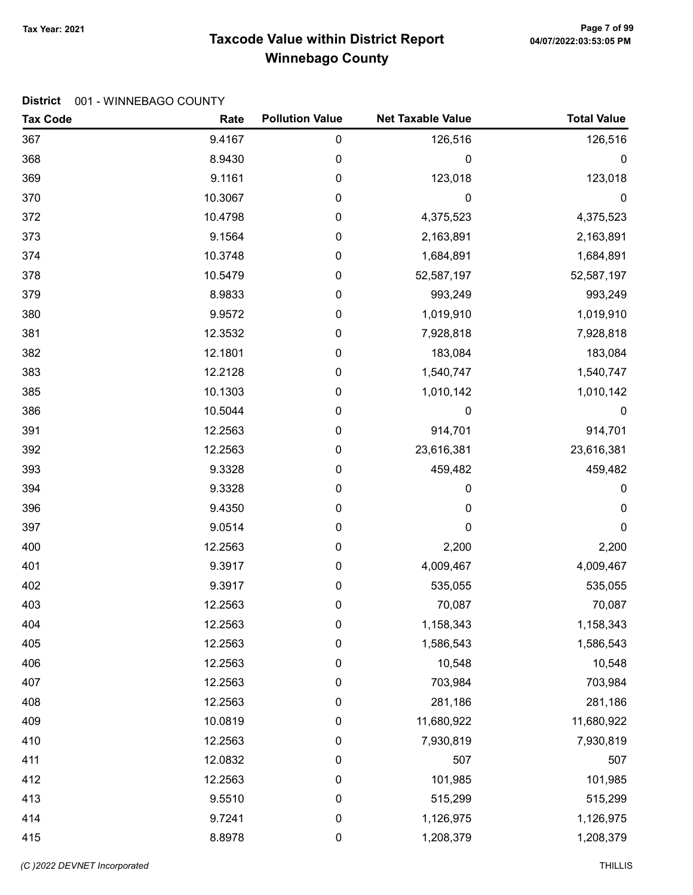# Taxcode Value within District Report Tax Year: 2021 Page 7 of 99 Winnebago County

| <b>Tax Code</b> | Rate    | <b>Pollution Value</b> | <b>Net Taxable Value</b> | <b>Total Value</b> |
|-----------------|---------|------------------------|--------------------------|--------------------|
| 367             | 9.4167  | 0                      | 126,516                  | 126,516            |
| 368             | 8.9430  | 0                      | 0                        | 0                  |
| 369             | 9.1161  | 0                      | 123,018                  | 123,018            |
| 370             | 10.3067 | 0                      | 0                        | $\mathbf 0$        |
| 372             | 10.4798 | 0                      | 4,375,523                | 4,375,523          |
| 373             | 9.1564  | 0                      | 2,163,891                | 2,163,891          |
| 374             | 10.3748 | 0                      | 1,684,891                | 1,684,891          |
| 378             | 10.5479 | 0                      | 52,587,197               | 52,587,197         |
| 379             | 8.9833  | 0                      | 993,249                  | 993,249            |
| 380             | 9.9572  | 0                      | 1,019,910                | 1,019,910          |
| 381             | 12.3532 | 0                      | 7,928,818                | 7,928,818          |
| 382             | 12.1801 | 0                      | 183,084                  | 183,084            |
| 383             | 12.2128 | 0                      | 1,540,747                | 1,540,747          |
| 385             | 10.1303 | 0                      | 1,010,142                | 1,010,142          |
| 386             | 10.5044 | 0                      | 0                        | $\boldsymbol{0}$   |
| 391             | 12.2563 | 0                      | 914,701                  | 914,701            |
| 392             | 12.2563 | 0                      | 23,616,381               | 23,616,381         |
| 393             | 9.3328  | 0                      | 459,482                  | 459,482            |
| 394             | 9.3328  | 0                      | 0                        | 0                  |
| 396             | 9.4350  | 0                      | 0                        | 0                  |
| 397             | 9.0514  | 0                      | 0                        | 0                  |
| 400             | 12.2563 | $\pmb{0}$              | 2,200                    | 2,200              |
| 401             | 9.3917  | 0                      | 4,009,467                | 4,009,467          |
| 402             | 9.3917  | 0                      | 535,055                  | 535,055            |
| 403             | 12.2563 | 0                      | 70,087                   | 70,087             |
| 404             | 12.2563 | 0                      | 1,158,343                | 1,158,343          |
| 405             | 12.2563 | 0                      | 1,586,543                | 1,586,543          |
| 406             | 12.2563 | 0                      | 10,548                   | 10,548             |
| 407             | 12.2563 | 0                      | 703,984                  | 703,984            |
| 408             | 12.2563 | 0                      | 281,186                  | 281,186            |
| 409             | 10.0819 | $\pmb{0}$              | 11,680,922               | 11,680,922         |
| 410             | 12.2563 | $\pmb{0}$              | 7,930,819                | 7,930,819          |
| 411             | 12.0832 | 0                      | 507                      | 507                |
| 412             | 12.2563 | 0                      | 101,985                  | 101,985            |
| 413             | 9.5510  | $\pmb{0}$              | 515,299                  | 515,299            |
| 414             | 9.7241  | $\pmb{0}$              | 1,126,975                | 1,126,975          |
| 415             | 8.8978  | $\pmb{0}$              | 1,208,379                | 1,208,379          |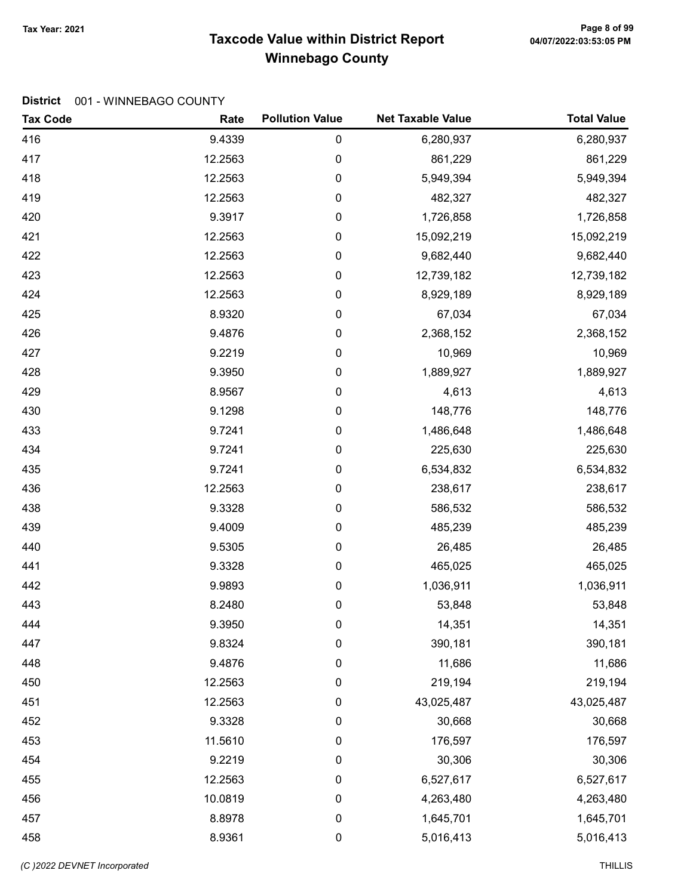# Taxcode Value within District Report Tax Year: 2021 Page 8 of 99 Winnebago County

| <b>Tax Code</b> | Rate    | <b>Pollution Value</b> | <b>Net Taxable Value</b> | <b>Total Value</b> |
|-----------------|---------|------------------------|--------------------------|--------------------|
| 416             | 9.4339  | 0                      | 6,280,937                | 6,280,937          |
| 417             | 12.2563 | 0                      | 861,229                  | 861,229            |
| 418             | 12.2563 | $\pmb{0}$              | 5,949,394                | 5,949,394          |
| 419             | 12.2563 | 0                      | 482,327                  | 482,327            |
| 420             | 9.3917  | 0                      | 1,726,858                | 1,726,858          |
| 421             | 12.2563 | 0                      | 15,092,219               | 15,092,219         |
| 422             | 12.2563 | 0                      | 9,682,440                | 9,682,440          |
| 423             | 12.2563 | 0                      | 12,739,182               | 12,739,182         |
| 424             | 12.2563 | 0                      | 8,929,189                | 8,929,189          |
| 425             | 8.9320  | 0                      | 67,034                   | 67,034             |
| 426             | 9.4876  | 0                      | 2,368,152                | 2,368,152          |
| 427             | 9.2219  | 0                      | 10,969                   | 10,969             |
| 428             | 9.3950  | 0                      | 1,889,927                | 1,889,927          |
| 429             | 8.9567  | 0                      | 4,613                    | 4,613              |
| 430             | 9.1298  | 0                      | 148,776                  | 148,776            |
| 433             | 9.7241  | 0                      | 1,486,648                | 1,486,648          |
| 434             | 9.7241  | 0                      | 225,630                  | 225,630            |
| 435             | 9.7241  | 0                      | 6,534,832                | 6,534,832          |
| 436             | 12.2563 | 0                      | 238,617                  | 238,617            |
| 438             | 9.3328  | 0                      | 586,532                  | 586,532            |
| 439             | 9.4009  | 0                      | 485,239                  | 485,239            |
| 440             | 9.5305  | 0                      | 26,485                   | 26,485             |
| 441             | 9.3328  | 0                      | 465,025                  | 465,025            |
| 442             | 9.9893  | 0                      | 1,036,911                | 1,036,911          |
| 443             | 8.2480  | 0                      | 53,848                   | 53,848             |
| 444             | 9.3950  | 0                      | 14,351                   | 14,351             |
| 447             | 9.8324  | 0                      | 390,181                  | 390,181            |
| 448             | 9.4876  | 0                      | 11,686                   | 11,686             |
| 450             | 12.2563 | 0                      | 219,194                  | 219,194            |
| 451             | 12.2563 | 0                      | 43,025,487               | 43,025,487         |
| 452             | 9.3328  | 0                      | 30,668                   | 30,668             |
| 453             | 11.5610 | 0                      | 176,597                  | 176,597            |
| 454             | 9.2219  | 0                      | 30,306                   | 30,306             |
| 455             | 12.2563 | 0                      | 6,527,617                | 6,527,617          |
| 456             | 10.0819 | $\boldsymbol{0}$       | 4,263,480                | 4,263,480          |
| 457             | 8.8978  | 0                      | 1,645,701                | 1,645,701          |
| 458             | 8.9361  | $\pmb{0}$              | 5,016,413                | 5,016,413          |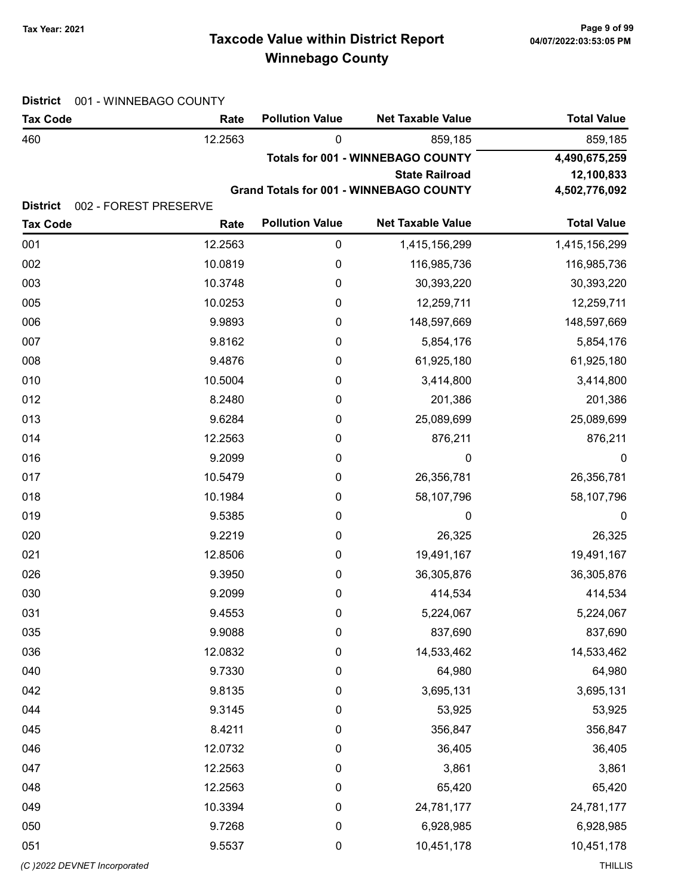# Taxcode Value within District Report Tax Year: 2021 Page 9 of 99 Winnebago County

| <b>District</b>                    | 001 - WINNEBAGO COUNTY        |                        |                                                |                    |  |  |
|------------------------------------|-------------------------------|------------------------|------------------------------------------------|--------------------|--|--|
| <b>Tax Code</b>                    | Rate                          | <b>Pollution Value</b> | <b>Net Taxable Value</b>                       | <b>Total Value</b> |  |  |
| 460                                | 12.2563                       | 0                      | 859,185                                        | 859,185            |  |  |
|                                    |                               |                        | <b>Totals for 001 - WINNEBAGO COUNTY</b>       | 4,490,675,259      |  |  |
|                                    |                               |                        | <b>State Railroad</b>                          | 12,100,833         |  |  |
|                                    |                               |                        | <b>Grand Totals for 001 - WINNEBAGO COUNTY</b> | 4,502,776,092      |  |  |
| <b>District</b><br><b>Tax Code</b> | 002 - FOREST PRESERVE<br>Rate | <b>Pollution Value</b> | <b>Net Taxable Value</b>                       | <b>Total Value</b> |  |  |
| 001                                | 12.2563                       | $\pmb{0}$              | 1,415,156,299                                  | 1,415,156,299      |  |  |
| 002                                | 10.0819                       | $\boldsymbol{0}$       | 116,985,736                                    | 116,985,736        |  |  |
| 003                                | 10.3748                       | $\mathbf 0$            | 30,393,220                                     | 30,393,220         |  |  |
| 005                                | 10.0253                       | 0                      | 12,259,711                                     | 12,259,711         |  |  |
| 006                                | 9.9893                        | 0                      | 148,597,669                                    | 148,597,669        |  |  |
| 007                                | 9.8162                        | 0                      | 5,854,176                                      | 5,854,176          |  |  |
| 008                                | 9.4876                        | 0                      | 61,925,180                                     | 61,925,180         |  |  |
| 010                                | 10.5004                       | 0                      | 3,414,800                                      | 3,414,800          |  |  |
| 012                                | 8.2480                        | 0                      | 201,386                                        | 201,386            |  |  |
| 013                                | 9.6284                        | 0                      | 25,089,699                                     | 25,089,699         |  |  |
| 014                                | 12.2563                       | 0                      | 876,211                                        | 876,211            |  |  |
| 016                                | 9.2099                        | 0                      | $\boldsymbol{0}$                               | $\boldsymbol{0}$   |  |  |
| 017                                | 10.5479                       | 0                      | 26,356,781                                     | 26,356,781         |  |  |
| 018                                | 10.1984                       | 0                      | 58,107,796                                     | 58,107,796         |  |  |
| 019                                | 9.5385                        | 0                      | 0                                              | 0                  |  |  |
| 020                                | 9.2219                        | 0                      | 26,325                                         | 26,325             |  |  |
| 021                                | 12.8506                       | 0                      | 19,491,167                                     | 19,491,167         |  |  |
| 026                                | 9.3950                        | 0                      | 36,305,876                                     | 36,305,876         |  |  |
| 030                                | 9.2099                        | 0                      | 414,534                                        | 414,534            |  |  |
| 031                                | 9.4553                        | $\boldsymbol{0}$       | 5,224,067                                      | 5,224,067          |  |  |
| 035                                | 9.9088                        | $\mathbf 0$            | 837,690                                        | 837,690            |  |  |
| 036                                | 12.0832                       | 0                      | 14,533,462                                     | 14,533,462         |  |  |
| 040                                | 9.7330                        | $\boldsymbol{0}$       | 64,980                                         | 64,980             |  |  |
| 042                                | 9.8135                        | $\mathbf 0$            | 3,695,131                                      | 3,695,131          |  |  |
| 044                                | 9.3145                        | $\mathbf 0$            | 53,925                                         | 53,925             |  |  |
| 045                                | 8.4211                        | $\mathbf 0$            | 356,847                                        | 356,847            |  |  |
| 046                                | 12.0732                       | 0                      | 36,405                                         | 36,405             |  |  |
| 047                                | 12.2563                       | 0                      | 3,861                                          | 3,861              |  |  |
| 048                                | 12.2563                       | 0                      | 65,420                                         | 65,420             |  |  |
| 049                                | 10.3394                       | $\mathbf 0$            | 24,781,177                                     | 24,781,177         |  |  |
| 050                                | 9.7268                        | $\mathbf 0$            | 6,928,985                                      | 6,928,985          |  |  |
| 051                                | 9.5537                        | 0                      | 10,451,178                                     | 10,451,178         |  |  |
| (C) 2022 DEVNET Incorporated       |                               |                        |                                                | <b>THILLIS</b>     |  |  |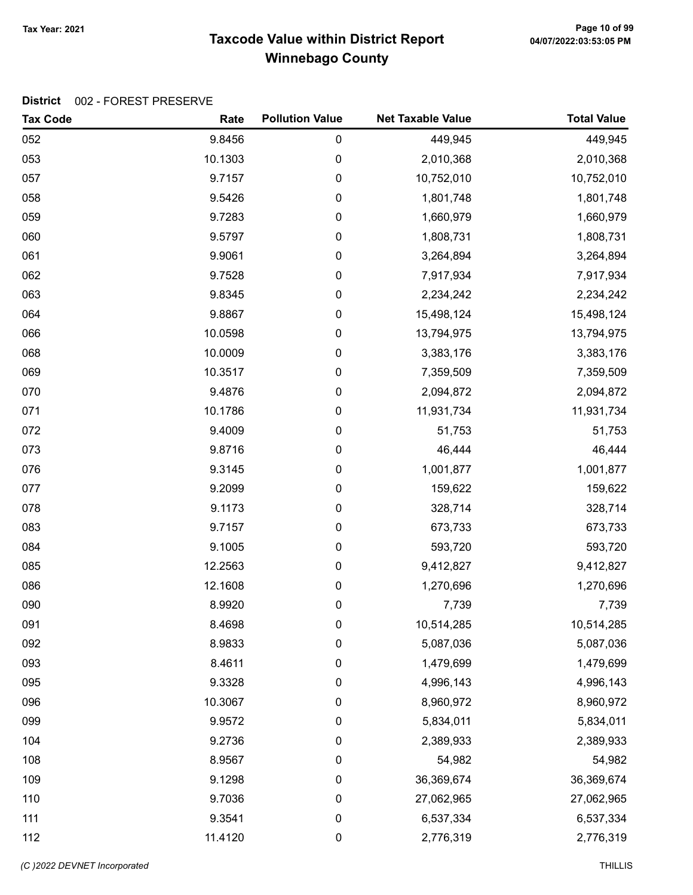# Taxcode Value within District Report Tax Year: 2021 Page 10 of 99 Winnebago County

| <b>Tax Code</b> | Rate    | <b>Pollution Value</b> | <b>Net Taxable Value</b> | <b>Total Value</b> |
|-----------------|---------|------------------------|--------------------------|--------------------|
| 052             | 9.8456  | 0                      | 449,945                  | 449,945            |
| 053             | 10.1303 | 0                      | 2,010,368                | 2,010,368          |
| 057             | 9.7157  | 0                      | 10,752,010               | 10,752,010         |
| 058             | 9.5426  | 0                      | 1,801,748                | 1,801,748          |
| 059             | 9.7283  | 0                      | 1,660,979                | 1,660,979          |
| 060             | 9.5797  | 0                      | 1,808,731                | 1,808,731          |
| 061             | 9.9061  | 0                      | 3,264,894                | 3,264,894          |
| 062             | 9.7528  | 0                      | 7,917,934                | 7,917,934          |
| 063             | 9.8345  | 0                      | 2,234,242                | 2,234,242          |
| 064             | 9.8867  | 0                      | 15,498,124               | 15,498,124         |
| 066             | 10.0598 | 0                      | 13,794,975               | 13,794,975         |
| 068             | 10.0009 | 0                      | 3,383,176                | 3,383,176          |
| 069             | 10.3517 | 0                      | 7,359,509                | 7,359,509          |
| 070             | 9.4876  | 0                      | 2,094,872                | 2,094,872          |
| 071             | 10.1786 | 0                      | 11,931,734               | 11,931,734         |
| 072             | 9.4009  | 0                      | 51,753                   | 51,753             |
| 073             | 9.8716  | 0                      | 46,444                   | 46,444             |
| 076             | 9.3145  | 0                      | 1,001,877                | 1,001,877          |
| 077             | 9.2099  | 0                      | 159,622                  | 159,622            |
| 078             | 9.1173  | 0                      | 328,714                  | 328,714            |
| 083             | 9.7157  | 0                      | 673,733                  | 673,733            |
| 084             | 9.1005  | 0                      | 593,720                  | 593,720            |
| 085             | 12.2563 | 0                      | 9,412,827                | 9,412,827          |
| 086             | 12.1608 | 0                      | 1,270,696                | 1,270,696          |
| 090             | 8.9920  | 0                      | 7,739                    | 7,739              |
| 091             | 8.4698  | 0                      | 10,514,285               | 10,514,285         |
| 092             | 8.9833  | 0                      | 5,087,036                | 5,087,036          |
| 093             | 8.4611  | 0                      | 1,479,699                | 1,479,699          |
| 095             | 9.3328  | 0                      | 4,996,143                | 4,996,143          |
| 096             | 10.3067 | 0                      | 8,960,972                | 8,960,972          |
| 099             | 9.9572  | 0                      | 5,834,011                | 5,834,011          |
| 104             | 9.2736  | 0                      | 2,389,933                | 2,389,933          |
| 108             | 8.9567  | 0                      | 54,982                   | 54,982             |
| 109             | 9.1298  | 0                      | 36,369,674               | 36,369,674         |
| 110             | 9.7036  | 0                      | 27,062,965               | 27,062,965         |
| 111             | 9.3541  | 0                      | 6,537,334                | 6,537,334          |
| 112             | 11.4120 | 0                      | 2,776,319                | 2,776,319          |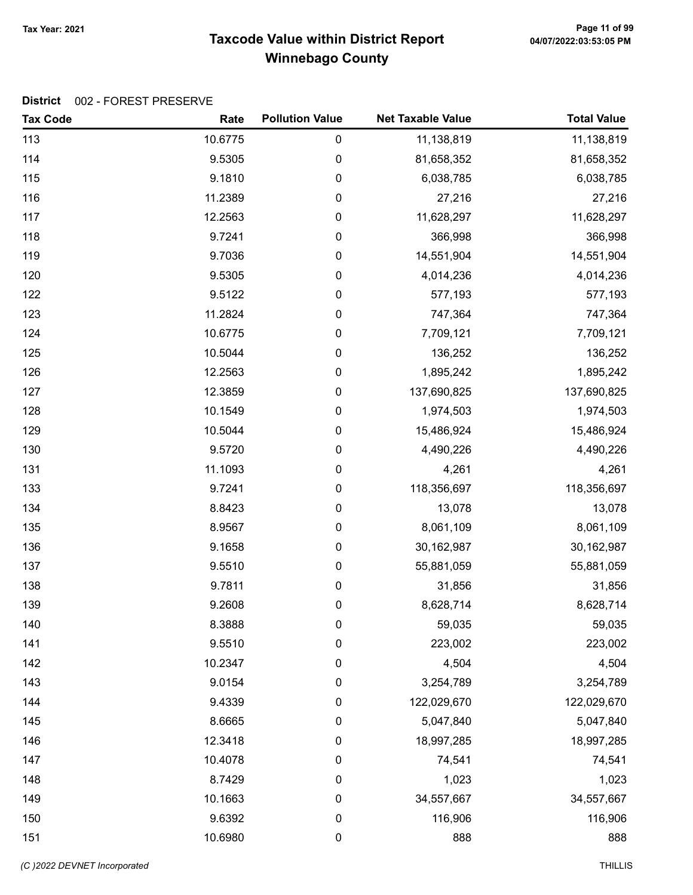# Taxcode Value within District Report Tax Year: 2021 Page 11 of 99 Winnebago County

| <b>Tax Code</b> | Rate    | <b>Pollution Value</b> | <b>Net Taxable Value</b> | <b>Total Value</b> |
|-----------------|---------|------------------------|--------------------------|--------------------|
| 113             | 10.6775 | 0                      | 11,138,819               | 11,138,819         |
| 114             | 9.5305  | 0                      | 81,658,352               | 81,658,352         |
| 115             | 9.1810  | 0                      | 6,038,785                | 6,038,785          |
| 116             | 11.2389 | 0                      | 27,216                   | 27,216             |
| 117             | 12.2563 | 0                      | 11,628,297               | 11,628,297         |
| 118             | 9.7241  | 0                      | 366,998                  | 366,998            |
| 119             | 9.7036  | 0                      | 14,551,904               | 14,551,904         |
| 120             | 9.5305  | 0                      | 4,014,236                | 4,014,236          |
| 122             | 9.5122  | 0                      | 577,193                  | 577,193            |
| 123             | 11.2824 | 0                      | 747,364                  | 747,364            |
| 124             | 10.6775 | 0                      | 7,709,121                | 7,709,121          |
| 125             | 10.5044 | 0                      | 136,252                  | 136,252            |
| 126             | 12.2563 | 0                      | 1,895,242                | 1,895,242          |
| 127             | 12.3859 | 0                      | 137,690,825              | 137,690,825        |
| 128             | 10.1549 | 0                      | 1,974,503                | 1,974,503          |
| 129             | 10.5044 | 0                      | 15,486,924               | 15,486,924         |
| 130             | 9.5720  | 0                      | 4,490,226                | 4,490,226          |
| 131             | 11.1093 | 0                      | 4,261                    | 4,261              |
| 133             | 9.7241  | 0                      | 118,356,697              | 118,356,697        |
| 134             | 8.8423  | 0                      | 13,078                   | 13,078             |
| 135             | 8.9567  | 0                      | 8,061,109                | 8,061,109          |
| 136             | 9.1658  | 0                      | 30,162,987               | 30,162,987         |
| 137             | 9.5510  | 0                      | 55,881,059               | 55,881,059         |
| 138             | 9.7811  | 0                      | 31,856                   | 31,856             |
| 139             | 9.2608  | 0                      | 8,628,714                | 8,628,714          |
| 140             | 8.3888  | 0                      | 59,035                   | 59,035             |
| 141             | 9.5510  | 0                      | 223,002                  | 223,002            |
| 142             | 10.2347 | 0                      | 4,504                    | 4,504              |
| 143             | 9.0154  | 0                      | 3,254,789                | 3,254,789          |
| 144             | 9.4339  | 0                      | 122,029,670              | 122,029,670        |
| 145             | 8.6665  | 0                      | 5,047,840                | 5,047,840          |
| 146             | 12.3418 | 0                      | 18,997,285               | 18,997,285         |
| 147             | 10.4078 | 0                      | 74,541                   | 74,541             |
| 148             | 8.7429  | 0                      | 1,023                    | 1,023              |
| 149             | 10.1663 | $\boldsymbol{0}$       | 34,557,667               | 34,557,667         |
| 150             | 9.6392  | 0                      | 116,906                  | 116,906            |
| 151             | 10.6980 | $\pmb{0}$              | 888                      | 888                |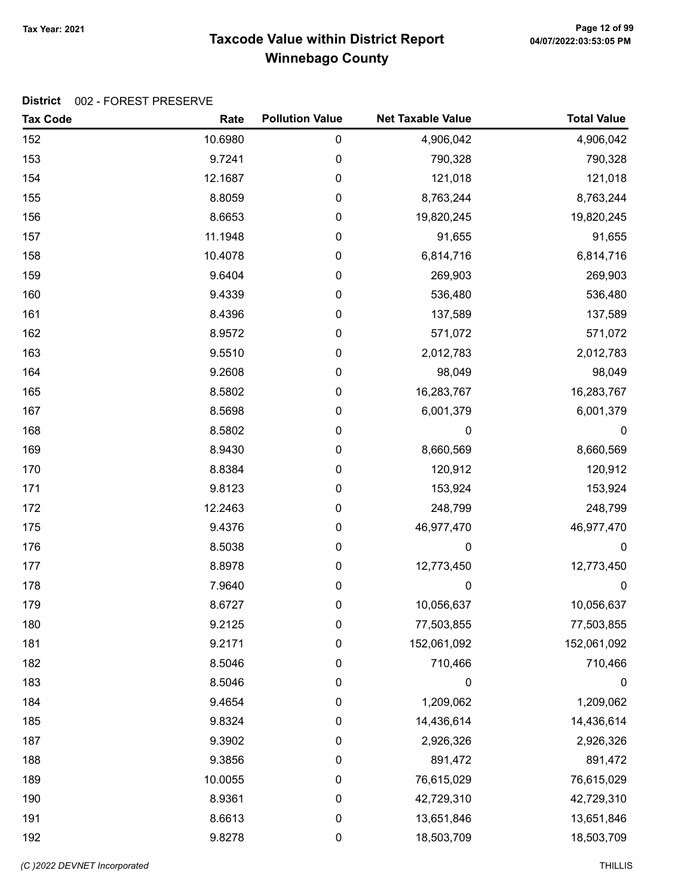# Taxcode Value within District Report Tax Year: 2021 Page 12 of 99 Winnebago County

| <b>Tax Code</b> | Rate    | <b>Pollution Value</b> | <b>Net Taxable Value</b> | <b>Total Value</b> |
|-----------------|---------|------------------------|--------------------------|--------------------|
| 152             | 10.6980 | 0                      | 4,906,042                | 4,906,042          |
| 153             | 9.7241  | 0                      | 790,328                  | 790,328            |
| 154             | 12.1687 | 0                      | 121,018                  | 121,018            |
| 155             | 8.8059  | 0                      | 8,763,244                | 8,763,244          |
| 156             | 8.6653  | 0                      | 19,820,245               | 19,820,245         |
| 157             | 11.1948 | 0                      | 91,655                   | 91,655             |
| 158             | 10.4078 | 0                      | 6,814,716                | 6,814,716          |
| 159             | 9.6404  | 0                      | 269,903                  | 269,903            |
| 160             | 9.4339  | 0                      | 536,480                  | 536,480            |
| 161             | 8.4396  | 0                      | 137,589                  | 137,589            |
| 162             | 8.9572  | 0                      | 571,072                  | 571,072            |
| 163             | 9.5510  | 0                      | 2,012,783                | 2,012,783          |
| 164             | 9.2608  | 0                      | 98,049                   | 98,049             |
| 165             | 8.5802  | 0                      | 16,283,767               | 16,283,767         |
| 167             | 8.5698  | 0                      | 6,001,379                | 6,001,379          |
| 168             | 8.5802  | 0                      | 0                        | $\boldsymbol{0}$   |
| 169             | 8.9430  | 0                      | 8,660,569                | 8,660,569          |
| 170             | 8.8384  | 0                      | 120,912                  | 120,912            |
| 171             | 9.8123  | 0                      | 153,924                  | 153,924            |
| 172             | 12.2463 | 0                      | 248,799                  | 248,799            |
| 175             | 9.4376  | 0                      | 46,977,470               | 46,977,470         |
| 176             | 8.5038  | 0                      | 0                        | $\boldsymbol{0}$   |
| 177             | 8.8978  | 0                      | 12,773,450               | 12,773,450         |
| 178             | 7.9640  | 0                      | $\mathbf 0$              | $\pmb{0}$          |
| 179             | 8.6727  | 0                      | 10,056,637               | 10,056,637         |
| 180             | 9.2125  | 0                      | 77,503,855               | 77,503,855         |
| 181             | 9.2171  | 0                      | 152,061,092              | 152,061,092        |
| 182             | 8.5046  | 0                      | 710,466                  | 710,466            |
| 183             | 8.5046  | 0                      | 0                        | 0                  |
| 184             | 9.4654  | 0                      | 1,209,062                | 1,209,062          |
| 185             | 9.8324  | $\pmb{0}$              | 14,436,614               | 14,436,614         |
| 187             | 9.3902  | 0                      | 2,926,326                | 2,926,326          |
| 188             | 9.3856  | 0                      | 891,472                  | 891,472            |
| 189             | 10.0055 | 0                      | 76,615,029               | 76,615,029         |
| 190             | 8.9361  | 0                      | 42,729,310               | 42,729,310         |
| 191             | 8.6613  | $\pmb{0}$              | 13,651,846               | 13,651,846         |
| 192             | 9.8278  | 0                      | 18,503,709               | 18,503,709         |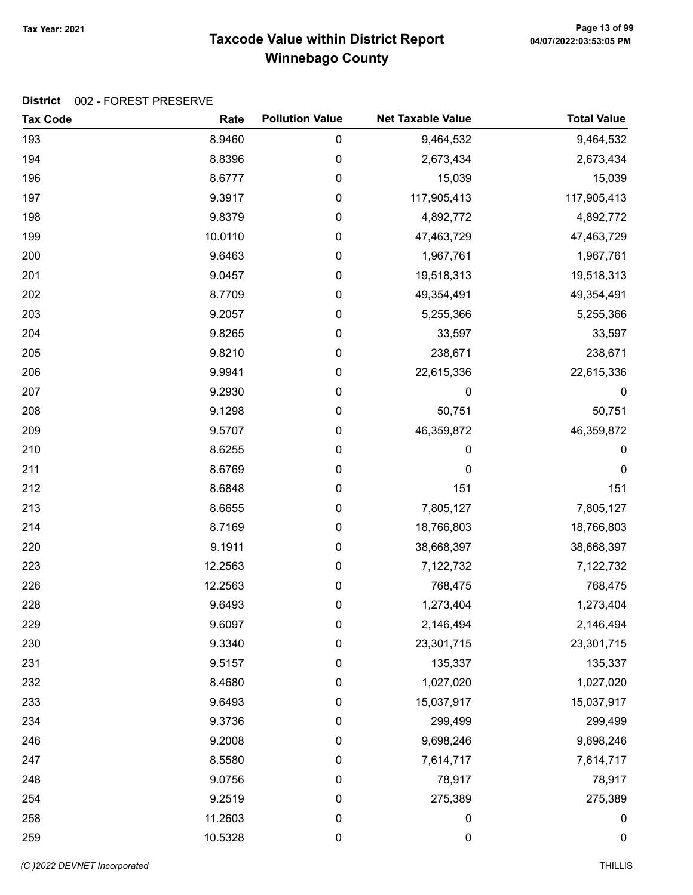# Taxcode Value within District Report Tax Year: 2021 Page 13 of 99 Winnebago County

| <b>Tax Code</b> | Rate    | <b>Pollution Value</b> | <b>Net Taxable Value</b> | <b>Total Value</b> |
|-----------------|---------|------------------------|--------------------------|--------------------|
| 193             | 8.9460  | $\pmb{0}$              | 9,464,532                | 9,464,532          |
| 194             | 8.8396  | $\mathbf 0$            | 2,673,434                | 2,673,434          |
| 196             | 8.6777  | 0                      | 15,039                   | 15,039             |
| 197             | 9.3917  | 0                      | 117,905,413              | 117,905,413        |
| 198             | 9.8379  | 0                      | 4,892,772                | 4,892,772          |
| 199             | 10.0110 | 0                      | 47,463,729               | 47,463,729         |
| 200             | 9.6463  | 0                      | 1,967,761                | 1,967,761          |
| 201             | 9.0457  | 0                      | 19,518,313               | 19,518,313         |
| 202             | 8.7709  | 0                      | 49,354,491               | 49,354,491         |
| 203             | 9.2057  | 0                      | 5,255,366                | 5,255,366          |
| 204             | 9.8265  | $\pmb{0}$              | 33,597                   | 33,597             |
| 205             | 9.8210  | 0                      | 238,671                  | 238,671            |
| 206             | 9.9941  | 0                      | 22,615,336               | 22,615,336         |
| 207             | 9.2930  | 0                      | 0                        | 0                  |
| 208             | 9.1298  | $\pmb{0}$              | 50,751                   | 50,751             |
| 209             | 9.5707  | 0                      | 46,359,872               | 46,359,872         |
| 210             | 8.6255  | 0                      | 0                        | $\pmb{0}$          |
| 211             | 8.6769  | $\pmb{0}$              | 0                        | 0                  |
| 212             | 8.6848  | 0                      | 151                      | 151                |
| 213             | 8.6655  | 0                      | 7,805,127                | 7,805,127          |
| 214             | 8.7169  | 0                      | 18,766,803               | 18,766,803         |
| 220             | 9.1911  | 0                      | 38,668,397               | 38,668,397         |
| 223             | 12.2563 | 0                      | 7,122,732                | 7,122,732          |
| 226             | 12.2563 | 0                      | 768,475                  | 768,475            |
| 228             | 9.6493  | 0                      | 1,273,404                | 1,273,404          |
| 229             | 9.6097  | 0                      | 2,146,494                | 2,146,494          |
| 230             | 9.3340  | 0                      | 23,301,715               | 23,301,715         |
| 231             | 9.5157  | $\pmb{0}$              | 135,337                  | 135,337            |
| 232             | 8.4680  | 0                      | 1,027,020                | 1,027,020          |
| 233             | 9.6493  | $\boldsymbol{0}$       | 15,037,917               | 15,037,917         |
| 234             | 9.3736  | $\boldsymbol{0}$       | 299,499                  | 299,499            |
| 246             | 9.2008  | 0                      | 9,698,246                | 9,698,246          |
| 247             | 8.5580  | $\pmb{0}$              | 7,614,717                | 7,614,717          |
| 248             | 9.0756  | 0                      | 78,917                   | 78,917             |
| 254             | 9.2519  | $\boldsymbol{0}$       | 275,389                  | 275,389            |
| 258             | 11.2603 | $\pmb{0}$              | $\boldsymbol{0}$         | 0                  |
| 259             | 10.5328 | $\pmb{0}$              | $\boldsymbol{0}$         | $\boldsymbol{0}$   |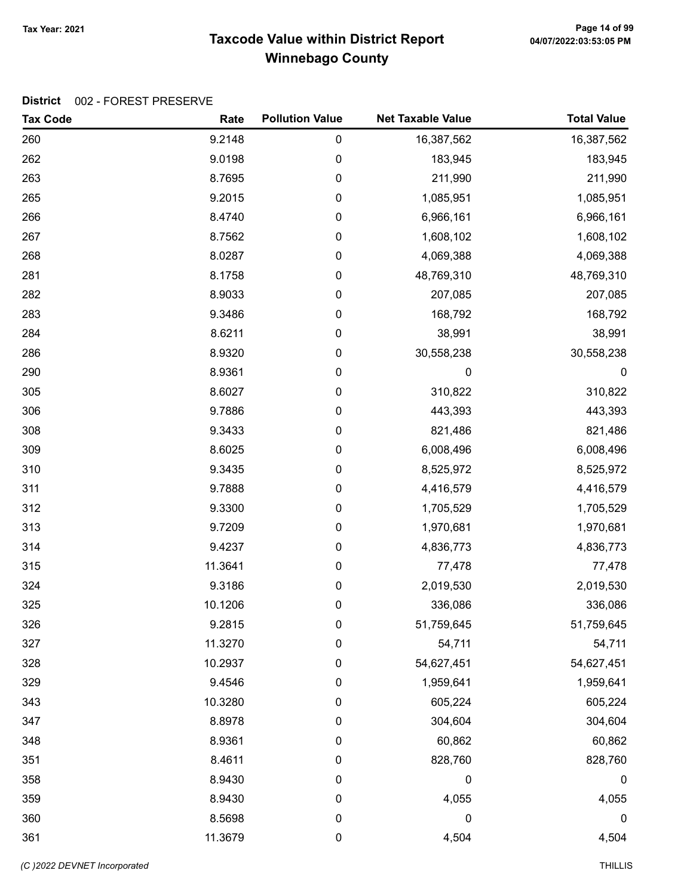# Taxcode Value within District Report Tax Year: 2021 Page 14 of 99 Winnebago County

| <b>Tax Code</b> | Rate    | <b>Pollution Value</b> | <b>Net Taxable Value</b> | <b>Total Value</b> |
|-----------------|---------|------------------------|--------------------------|--------------------|
| 260             | 9.2148  | $\mathbf 0$            | 16,387,562               | 16,387,562         |
| 262             | 9.0198  | $\pmb{0}$              | 183,945                  | 183,945            |
| 263             | 8.7695  | $\pmb{0}$              | 211,990                  | 211,990            |
| 265             | 9.2015  | $\boldsymbol{0}$       | 1,085,951                | 1,085,951          |
| 266             | 8.4740  | $\boldsymbol{0}$       | 6,966,161                | 6,966,161          |
| 267             | 8.7562  | $\mathbf 0$            | 1,608,102                | 1,608,102          |
| 268             | 8.0287  | $\mathbf 0$            | 4,069,388                | 4,069,388          |
| 281             | 8.1758  | $\mathbf 0$            | 48,769,310               | 48,769,310         |
| 282             | 8.9033  | $\boldsymbol{0}$       | 207,085                  | 207,085            |
| 283             | 9.3486  | $\pmb{0}$              | 168,792                  | 168,792            |
| 284             | 8.6211  | $\boldsymbol{0}$       | 38,991                   | 38,991             |
| 286             | 8.9320  | $\boldsymbol{0}$       | 30,558,238               | 30,558,238         |
| 290             | 8.9361  | $\boldsymbol{0}$       | 0                        | $\pmb{0}$          |
| 305             | 8.6027  | $\mathbf 0$            | 310,822                  | 310,822            |
| 306             | 9.7886  | $\mathbf 0$            | 443,393                  | 443,393            |
| 308             | 9.3433  | $\mathbf 0$            | 821,486                  | 821,486            |
| 309             | 8.6025  | $\boldsymbol{0}$       | 6,008,496                | 6,008,496          |
| 310             | 9.3435  | $\boldsymbol{0}$       | 8,525,972                | 8,525,972          |
| 311             | 9.7888  | $\boldsymbol{0}$       | 4,416,579                | 4,416,579          |
| 312             | 9.3300  | $\boldsymbol{0}$       | 1,705,529                | 1,705,529          |
| 313             | 9.7209  | $\mathbf 0$            | 1,970,681                | 1,970,681          |
| 314             | 9.4237  | $\mathbf 0$            | 4,836,773                | 4,836,773          |
| 315             | 11.3641 | $\mathbf 0$            | 77,478                   | 77,478             |
| 324             | 9.3186  | $\pmb{0}$              | 2,019,530                | 2,019,530          |
| 325             | 10.1206 | $\boldsymbol{0}$       | 336,086                  | 336,086            |
| 326             | 9.2815  | $\boldsymbol{0}$       | 51,759,645               | 51,759,645         |
| 327             | 11.3270 | $\boldsymbol{0}$       | 54,711                   | 54,711             |
| 328             | 10.2937 | $\mathbf 0$            | 54,627,451               | 54,627,451         |
| 329             | 9.4546  | $\mathbf 0$            | 1,959,641                | 1,959,641          |
| 343             | 10.3280 | $\boldsymbol{0}$       | 605,224                  | 605,224            |
| 347             | 8.8978  | $\mathbf 0$            | 304,604                  | 304,604            |
| 348             | 8.9361  | $\mathbf 0$            | 60,862                   | 60,862             |
| 351             | 8.4611  | $\mathbf 0$            | 828,760                  | 828,760            |
| 358             | 8.9430  | 0                      | $\boldsymbol{0}$         | 0                  |
| 359             | 8.9430  | 0                      | 4,055                    | 4,055              |
| 360             | 8.5698  | $\mathbf 0$            | $\boldsymbol{0}$         | 0                  |
| 361             | 11.3679 | $\pmb{0}$              | 4,504                    | 4,504              |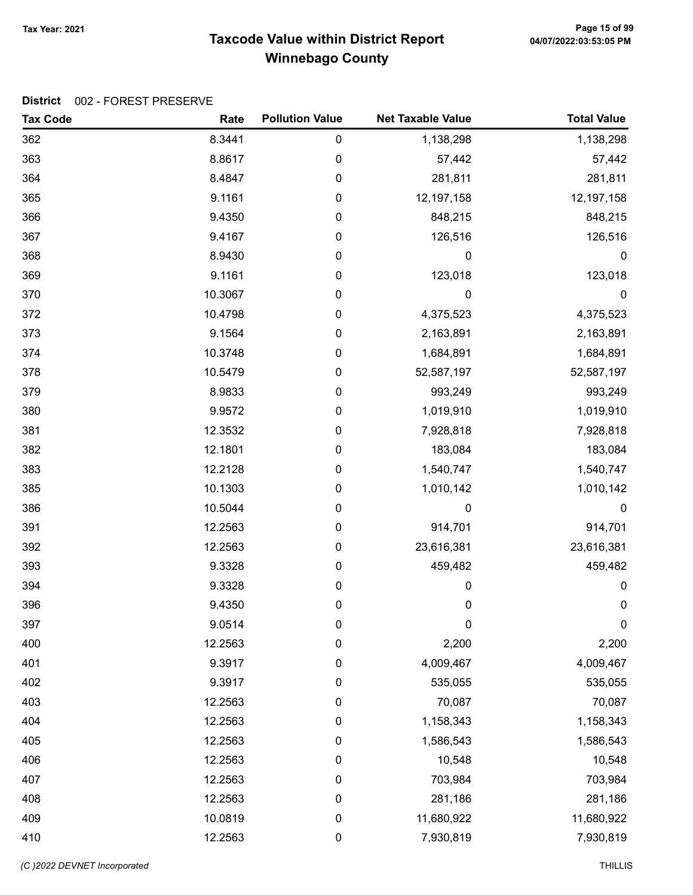# Taxcode Value within District Report Tax Year: 2021 Page 15 of 99 Winnebago County

| <b>Tax Code</b> | Rate    | <b>Pollution Value</b> | <b>Net Taxable Value</b> | <b>Total Value</b> |
|-----------------|---------|------------------------|--------------------------|--------------------|
| 362             | 8.3441  | 0                      | 1,138,298                | 1,138,298          |
| 363             | 8.8617  | 0                      | 57,442                   | 57,442             |
| 364             | 8.4847  | 0                      | 281,811                  | 281,811            |
| 365             | 9.1161  | 0                      | 12,197,158               | 12,197,158         |
| 366             | 9.4350  | 0                      | 848,215                  | 848,215            |
| 367             | 9.4167  | 0                      | 126,516                  | 126,516            |
| 368             | 8.9430  | 0                      | 0                        | 0                  |
| 369             | 9.1161  | 0                      | 123,018                  | 123,018            |
| 370             | 10.3067 | 0                      | 0                        | $\mathbf 0$        |
| 372             | 10.4798 | 0                      | 4,375,523                | 4,375,523          |
| 373             | 9.1564  | 0                      | 2,163,891                | 2,163,891          |
| 374             | 10.3748 | 0                      | 1,684,891                | 1,684,891          |
| 378             | 10.5479 | 0                      | 52,587,197               | 52,587,197         |
| 379             | 8.9833  | 0                      | 993,249                  | 993,249            |
| 380             | 9.9572  | 0                      | 1,019,910                | 1,019,910          |
| 381             | 12.3532 | 0                      | 7,928,818                | 7,928,818          |
| 382             | 12.1801 | 0                      | 183,084                  | 183,084            |
| 383             | 12.2128 | 0                      | 1,540,747                | 1,540,747          |
| 385             | 10.1303 | 0                      | 1,010,142                | 1,010,142          |
| 386             | 10.5044 | 0                      | 0                        | $\mathbf 0$        |
| 391             | 12.2563 | 0                      | 914,701                  | 914,701            |
| 392             | 12.2563 | 0                      | 23,616,381               | 23,616,381         |
| 393             | 9.3328  | 0                      | 459,482                  | 459,482            |
| 394             | 9.3328  | 0                      | 0                        | $\pmb{0}$          |
| 396             | 9.4350  | 0                      | $\mathbf 0$              | $\pmb{0}$          |
| 397             | 9.0514  | 0                      | 0                        | $\pmb{0}$          |
| 400             | 12.2563 | 0                      | 2,200                    | 2,200              |
| 401             | 9.3917  | $\pmb{0}$              | 4,009,467                | 4,009,467          |
| 402             | 9.3917  | 0                      | 535,055                  | 535,055            |
| 403             | 12.2563 | $\boldsymbol{0}$       | 70,087                   | 70,087             |
| 404             | 12.2563 | $\pmb{0}$              | 1,158,343                | 1,158,343          |
| 405             | 12.2563 | $\pmb{0}$              | 1,586,543                | 1,586,543          |
| 406             | 12.2563 | $\pmb{0}$              | 10,548                   | 10,548             |
| 407             | 12.2563 | 0                      | 703,984                  | 703,984            |
| 408             | 12.2563 | $\pmb{0}$              | 281,186                  | 281,186            |
| 409             | 10.0819 | $\pmb{0}$              | 11,680,922               | 11,680,922         |
| 410             | 12.2563 | $\pmb{0}$              | 7,930,819                | 7,930,819          |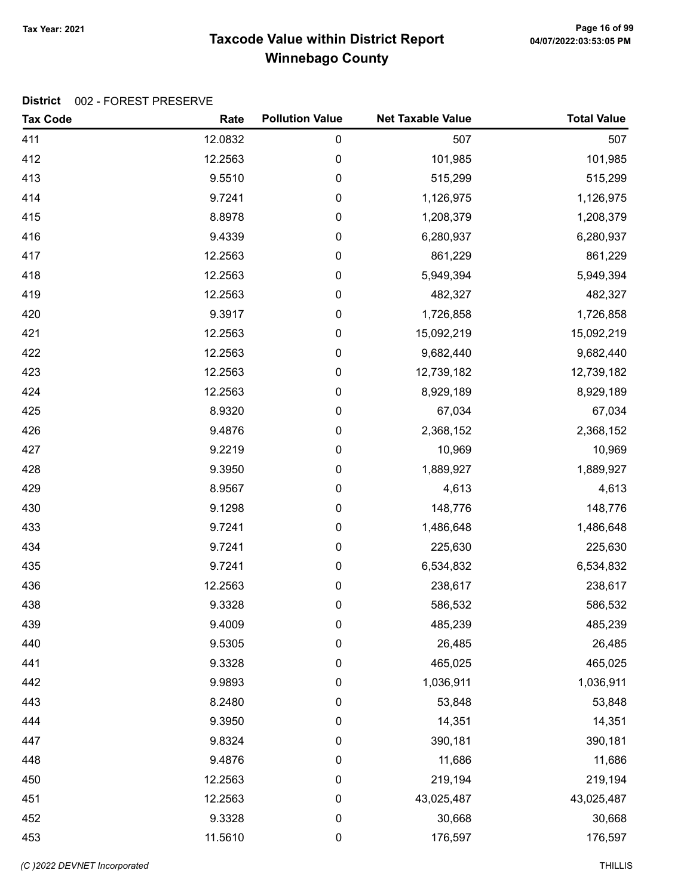# Taxcode Value within District Report Tax Year: 2021 Page 16 of 99 Winnebago County

#### District 002 - FOREST PRESERVE

| <b>Tax Code</b> | Rate    | <b>Pollution Value</b> | <b>Net Taxable Value</b> | <b>Total Value</b> |
|-----------------|---------|------------------------|--------------------------|--------------------|
| 411             | 12.0832 | $\pmb{0}$              | 507                      | 507                |
| 412             | 12.2563 | 0                      | 101,985                  | 101,985            |
| 413             | 9.5510  | 0                      | 515,299                  | 515,299            |
| 414             | 9.7241  | 0                      | 1,126,975                | 1,126,975          |
| 415             | 8.8978  | 0                      | 1,208,379                | 1,208,379          |
| 416             | 9.4339  | 0                      | 6,280,937                | 6,280,937          |
| 417             | 12.2563 | 0                      | 861,229                  | 861,229            |
| 418             | 12.2563 | 0                      | 5,949,394                | 5,949,394          |
| 419             | 12.2563 | 0                      | 482,327                  | 482,327            |
| 420             | 9.3917  | 0                      | 1,726,858                | 1,726,858          |
| 421             | 12.2563 | 0                      | 15,092,219               | 15,092,219         |
| 422             | 12.2563 | 0                      | 9,682,440                | 9,682,440          |
| 423             | 12.2563 | 0                      | 12,739,182               | 12,739,182         |
| 424             | 12.2563 | 0                      | 8,929,189                | 8,929,189          |
| 425             | 8.9320  | 0                      | 67,034                   | 67,034             |
| 426             | 9.4876  | 0                      | 2,368,152                | 2,368,152          |
| 427             | 9.2219  | 0                      | 10,969                   | 10,969             |
| 428             | 9.3950  | 0                      | 1,889,927                | 1,889,927          |
| 429             | 8.9567  | 0                      | 4,613                    | 4,613              |
| 430             | 9.1298  | 0                      | 148,776                  | 148,776            |
| 433             | 9.7241  | 0                      | 1,486,648                | 1,486,648          |
| 434             | 9.7241  | 0                      | 225,630                  | 225,630            |
| 435             | 9.7241  | 0                      | 6,534,832                | 6,534,832          |
| 436             | 12.2563 | 0                      | 238,617                  | 238,617            |
| 438             | 9.3328  | 0                      | 586,532                  | 586,532            |
| 439             | 9.4009  | 0                      | 485,239                  | 485,239            |
| 440             | 9.5305  | $\pmb{0}$              | 26,485                   | 26,485             |
| 441             | 9.3328  | 0                      | 465,025                  | 465,025            |
| 442             | 9.9893  | 0                      | 1,036,911                | 1,036,911          |
| 443             | 8.2480  | 0                      | 53,848                   | 53,848             |
| 444             | 9.3950  | 0                      | 14,351                   | 14,351             |
| 447             | 9.8324  | 0                      | 390,181                  | 390,181            |
| 448             | 9.4876  | 0                      | 11,686                   | 11,686             |
| 450             | 12.2563 | 0                      | 219,194                  | 219,194            |
| 451             | 12.2563 | 0                      | 43,025,487               | 43,025,487         |
| 452             | 9.3328  | 0                      | 30,668                   | 30,668             |
| 453             | 11.5610 | $\boldsymbol{0}$       | 176,597                  | 176,597            |

(C)2022 DEVNET Incorporated THILLIS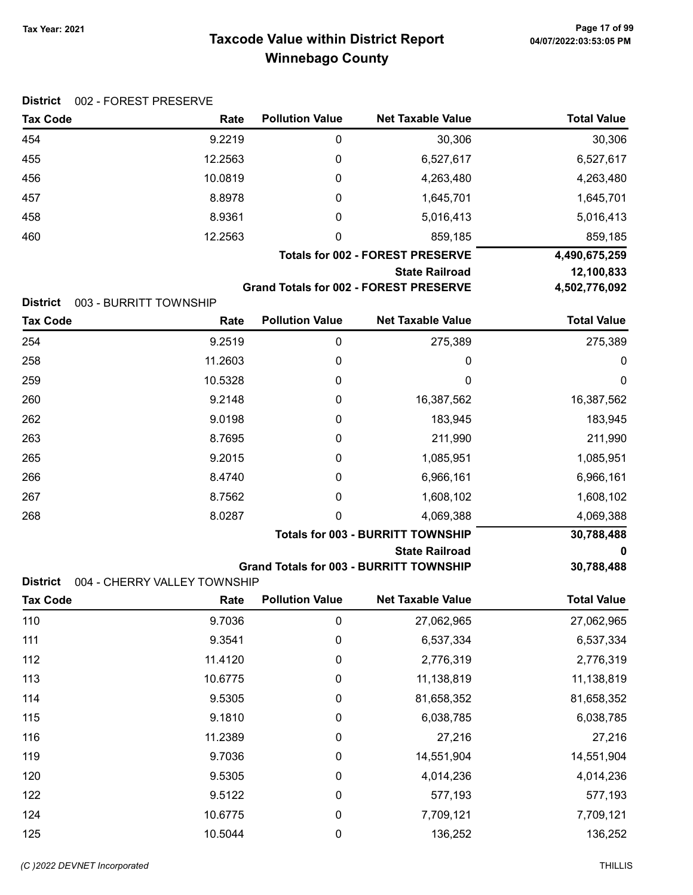# Taxcode Value within District Report Tax Year: 2021 Page 17 of 99 Winnebago County

| <b>Tax Code</b> | Rate                         | <b>Pollution Value</b> | <b>Net Taxable Value</b>                       | <b>Total Value</b> |
|-----------------|------------------------------|------------------------|------------------------------------------------|--------------------|
| 454             | 9.2219                       | $\mathbf 0$            | 30,306                                         | 30,306             |
| 455             | 12.2563                      | 0                      | 6,527,617                                      | 6,527,617          |
| 456             | 10.0819                      | 0                      | 4,263,480                                      | 4,263,480          |
| 457             | 8.8978                       | 0                      | 1,645,701                                      | 1,645,701          |
| 458             | 8.9361                       | 0                      | 5,016,413                                      | 5,016,413          |
| 460             | 12.2563                      | 0                      | 859,185                                        | 859,185            |
|                 |                              |                        | <b>Totals for 002 - FOREST PRESERVE</b>        | 4,490,675,259      |
|                 |                              |                        | <b>State Railroad</b>                          | 12,100,833         |
|                 |                              |                        | <b>Grand Totals for 002 - FOREST PRESERVE</b>  | 4,502,776,092      |
| <b>District</b> | 003 - BURRITT TOWNSHIP       |                        |                                                |                    |
| <b>Tax Code</b> | Rate                         | <b>Pollution Value</b> | <b>Net Taxable Value</b>                       | <b>Total Value</b> |
| 254             | 9.2519                       | $\pmb{0}$              | 275,389                                        | 275,389            |
| 258             | 11.2603                      | 0                      | 0                                              | 0                  |
| 259             | 10.5328                      | 0                      | 0                                              | $\mathbf 0$        |
| 260             | 9.2148                       | 0                      | 16,387,562                                     | 16,387,562         |
| 262             | 9.0198                       | 0                      | 183,945                                        | 183,945            |
| 263             | 8.7695                       | 0                      | 211,990                                        | 211,990            |
| 265             | 9.2015                       | 0                      | 1,085,951                                      | 1,085,951          |
| 266             | 8.4740                       | 0                      | 6,966,161                                      | 6,966,161          |
| 267             | 8.7562                       | 0                      | 1,608,102                                      | 1,608,102          |
| 268             | 8.0287                       | 0                      | 4,069,388                                      | 4,069,388          |
|                 |                              |                        | <b>Totals for 003 - BURRITT TOWNSHIP</b>       | 30,788,488         |
|                 |                              |                        | <b>State Railroad</b>                          | 0                  |
|                 |                              |                        | <b>Grand Totals for 003 - BURRITT TOWNSHIP</b> | 30,788,488         |
| <b>District</b> | 004 - CHERRY VALLEY TOWNSHIP |                        |                                                |                    |
| <b>Tax Code</b> | Rate                         | <b>Pollution Value</b> | <b>Net Taxable Value</b>                       | <b>Total Value</b> |
| 110             | 9.7036                       | $\mathbf 0$            | 27,062,965                                     | 27,062,965         |
| 111             | 9.3541                       | 0                      | 6,537,334                                      | 6,537,334          |
| 112             | 11.4120                      | 0                      | 2,776,319                                      | 2,776,319          |

113 10.6775 0 11,138,819 11,138,819 114 9.5305 0 81,658,352 81,658,352 115 9.1810 0 6,038,785 6,038,785 116 11.2389 0 27,216 27,216 119 9.7036 0 14,551,904 14,551,904 120 9.5305 0 4,014,236 4,014,236 122 9.5122 0 577,193 577,193 124 10.6775 0 7,709,121 7,709,121 125 10.5044 0 136,252 136,252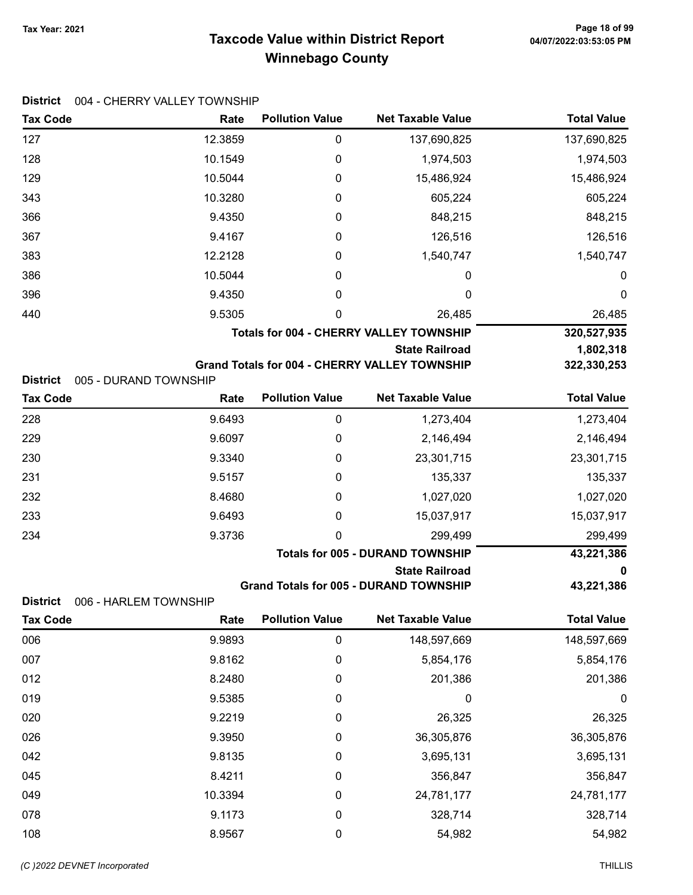# Taxcode Value within District Report Tax Year: 2021 Page 18 of 99 Winnebago County

|  | District 004 - CHERRY VALLEY TOWNSHIP |
|--|---------------------------------------|
|--|---------------------------------------|

| <b>Tax Code</b>                          | Rate    | <b>Pollution Value</b> | <b>Net Taxable Value</b>                             | <b>Total Value</b> |
|------------------------------------------|---------|------------------------|------------------------------------------------------|--------------------|
| 127                                      | 12.3859 | 0                      | 137,690,825                                          | 137,690,825        |
| 128                                      | 10.1549 | 0                      | 1,974,503                                            | 1,974,503          |
| 129                                      | 10.5044 | 0                      | 15,486,924                                           | 15,486,924         |
| 343                                      | 10.3280 | 0                      | 605,224                                              | 605,224            |
| 366                                      | 9.4350  | 0                      | 848,215                                              | 848,215            |
| 367                                      | 9.4167  | $\boldsymbol{0}$       | 126,516                                              | 126,516            |
| 383                                      | 12.2128 | 0                      | 1,540,747                                            | 1,540,747          |
| 386                                      | 10.5044 | 0                      | 0                                                    | 0                  |
| 396                                      | 9.4350  | 0                      | 0                                                    | 0                  |
| 440                                      | 9.5305  | 0                      | 26,485                                               | 26,485             |
|                                          |         |                        | <b>Totals for 004 - CHERRY VALLEY TOWNSHIP</b>       | 320,527,935        |
|                                          |         |                        | <b>State Railroad</b>                                | 1,802,318          |
| <b>District</b><br>005 - DURAND TOWNSHIP |         |                        | <b>Grand Totals for 004 - CHERRY VALLEY TOWNSHIP</b> | 322,330,253        |
| <b>Tax Code</b>                          | Rate    | <b>Pollution Value</b> | <b>Net Taxable Value</b>                             | <b>Total Value</b> |
| 228                                      | 9.6493  | $\boldsymbol{0}$       | 1,273,404                                            | 1,273,404          |
| 229                                      | 9.6097  | 0                      | 2,146,494                                            | 2,146,494          |
| 230                                      | 9.3340  | 0                      | 23,301,715                                           | 23,301,715         |
| 231                                      | 9.5157  | 0                      | 135,337                                              | 135,337            |
| 232                                      | 8.4680  | 0                      | 1,027,020                                            | 1,027,020          |
| 233                                      | 9.6493  | 0                      | 15,037,917                                           | 15,037,917         |
| 234                                      | 9.3736  | 0                      | 299,499                                              | 299,499            |
|                                          |         |                        | <b>Totals for 005 - DURAND TOWNSHIP</b>              | 43,221,386         |
|                                          |         |                        | <b>State Railroad</b>                                | 0                  |
| <b>District</b><br>006 - HARLEM TOWNSHIP |         |                        | <b>Grand Totals for 005 - DURAND TOWNSHIP</b>        | 43,221,386         |
| Tax Code                                 | Rate    | <b>Pollution Value</b> | <b>Net Taxable Value</b>                             | <b>Total Value</b> |
| 006                                      | 9.9893  | $\pmb{0}$              | 148,597,669                                          | 148,597,669        |
| 007                                      | 9.8162  | $\pmb{0}$              | 5,854,176                                            | 5,854,176          |
| 012                                      | 8.2480  | $\pmb{0}$              | 201,386                                              | 201,386            |
| 019                                      | 9.5385  | 0                      | 0                                                    | 0                  |
| 020                                      | 9.2219  | $\boldsymbol{0}$       | 26,325                                               | 26,325             |
| 026                                      | 9.3950  | $\boldsymbol{0}$       | 36,305,876                                           | 36,305,876         |
| 042                                      | 9.8135  | 0                      | 3,695,131                                            | 3,695,131          |
| 045                                      | 8.4211  | $\boldsymbol{0}$       | 356,847                                              | 356,847            |
| 049                                      | 10.3394 | $\boldsymbol{0}$       | 24,781,177                                           | 24,781,177         |
| 078                                      | 9.1173  | $\pmb{0}$              | 328,714                                              | 328,714            |
| 108                                      | 8.9567  | $\pmb{0}$              | 54,982                                               | 54,982             |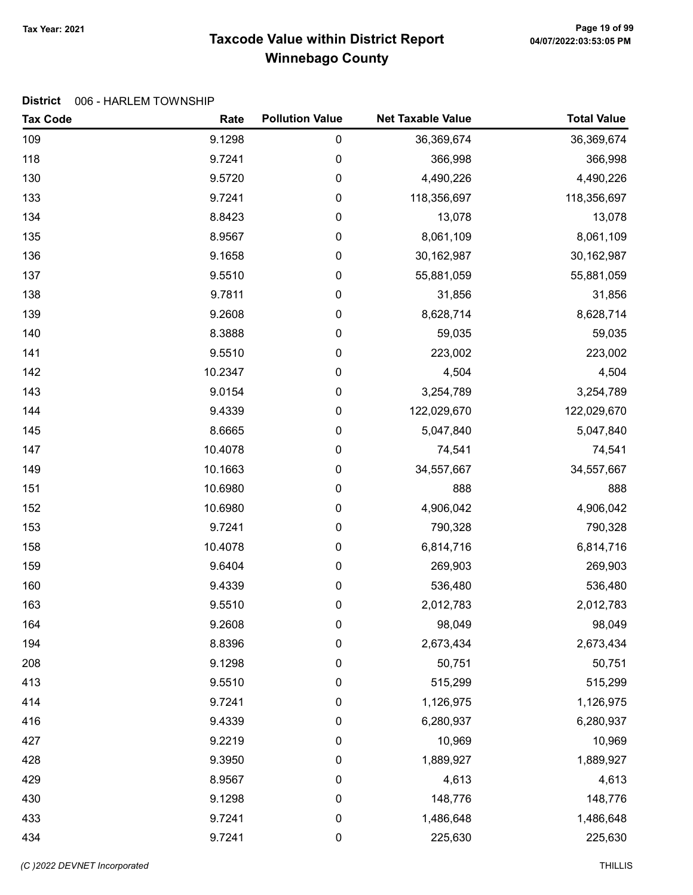# Taxcode Value within District Report Tax Year: 2021 Page 19 of 99 Winnebago County

#### District 006 - HARLEM TOWNSHIP

| <b>Tax Code</b> | Rate    | <b>Pollution Value</b> | <b>Net Taxable Value</b> | <b>Total Value</b> |
|-----------------|---------|------------------------|--------------------------|--------------------|
| 109             | 9.1298  | 0                      | 36,369,674               | 36,369,674         |
| 118             | 9.7241  | 0                      | 366,998                  | 366,998            |
| 130             | 9.5720  | 0                      | 4,490,226                | 4,490,226          |
| 133             | 9.7241  | 0                      | 118,356,697              | 118,356,697        |
| 134             | 8.8423  | 0                      | 13,078                   | 13,078             |
| 135             | 8.9567  | 0                      | 8,061,109                | 8,061,109          |
| 136             | 9.1658  | 0                      | 30, 162, 987             | 30,162,987         |
| 137             | 9.5510  | 0                      | 55,881,059               | 55,881,059         |
| 138             | 9.7811  | 0                      | 31,856                   | 31,856             |
| 139             | 9.2608  | 0                      | 8,628,714                | 8,628,714          |
| 140             | 8.3888  | 0                      | 59,035                   | 59,035             |
| 141             | 9.5510  | 0                      | 223,002                  | 223,002            |
| 142             | 10.2347 | 0                      | 4,504                    | 4,504              |
| 143             | 9.0154  | 0                      | 3,254,789                | 3,254,789          |
| 144             | 9.4339  | 0                      | 122,029,670              | 122,029,670        |
| 145             | 8.6665  | 0                      | 5,047,840                | 5,047,840          |
| 147             | 10.4078 | 0                      | 74,541                   | 74,541             |
| 149             | 10.1663 | 0                      | 34,557,667               | 34,557,667         |
| 151             | 10.6980 | 0                      | 888                      | 888                |
| 152             | 10.6980 | 0                      | 4,906,042                | 4,906,042          |
| 153             | 9.7241  | 0                      | 790,328                  | 790,328            |
| 158             | 10.4078 | 0                      | 6,814,716                | 6,814,716          |
| 159             | 9.6404  | 0                      | 269,903                  | 269,903            |
| 160             | 9.4339  | 0                      | 536,480                  | 536,480            |
| 163             | 9.5510  | 0                      | 2,012,783                | 2,012,783          |
| 164             | 9.2608  | 0                      | 98,049                   | 98,049             |
| 194             | 8.8396  | 0                      | 2,673,434                | 2,673,434          |
| 208             | 9.1298  | 0                      | 50,751                   | 50,751             |
| 413             | 9.5510  | 0                      | 515,299                  | 515,299            |
| 414             | 9.7241  | 0                      | 1,126,975                | 1,126,975          |
| 416             | 9.4339  | 0                      | 6,280,937                | 6,280,937          |
| 427             | 9.2219  | 0                      | 10,969                   | 10,969             |
| 428             | 9.3950  | 0                      | 1,889,927                | 1,889,927          |
| 429             | 8.9567  | 0                      | 4,613                    | 4,613              |
| 430             | 9.1298  | 0                      | 148,776                  | 148,776            |
| 433             | 9.7241  | 0                      | 1,486,648                | 1,486,648          |
| 434             | 9.7241  | 0                      | 225,630                  | 225,630            |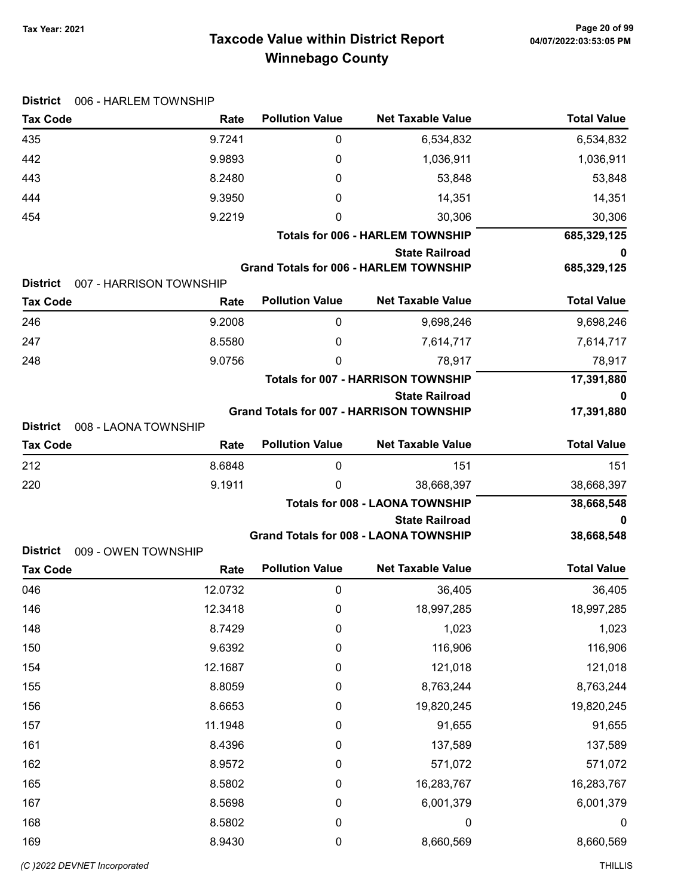# Taxcode Value within District Report Tax Year: 2021 Page 20 of 99 Winnebago County

| <b>District</b><br>006 - HARLEM TOWNSHIP   |         |                        |                                                                       |                    |
|--------------------------------------------|---------|------------------------|-----------------------------------------------------------------------|--------------------|
| <b>Tax Code</b>                            | Rate    | <b>Pollution Value</b> | <b>Net Taxable Value</b>                                              | <b>Total Value</b> |
| 435                                        | 9.7241  | $\boldsymbol{0}$       | 6,534,832                                                             | 6,534,832          |
| 442                                        | 9.9893  | 0                      | 1,036,911                                                             | 1,036,911          |
| 443                                        | 8.2480  | 0                      | 53,848                                                                | 53,848             |
| 444                                        | 9.3950  | 0                      | 14,351                                                                | 14,351             |
| 454                                        | 9.2219  | 0                      | 30,306                                                                | 30,306             |
|                                            |         |                        | <b>Totals for 006 - HARLEM TOWNSHIP</b>                               | 685,329,125        |
|                                            |         |                        | <b>State Railroad</b>                                                 | 0                  |
| <b>District</b><br>007 - HARRISON TOWNSHIP |         |                        | <b>Grand Totals for 006 - HARLEM TOWNSHIP</b>                         | 685,329,125        |
| <b>Tax Code</b>                            | Rate    | <b>Pollution Value</b> | <b>Net Taxable Value</b>                                              | <b>Total Value</b> |
| 246                                        | 9.2008  | 0                      | 9,698,246                                                             | 9,698,246          |
| 247                                        | 8.5580  | 0                      | 7,614,717                                                             | 7,614,717          |
| 248                                        | 9.0756  | $\mathbf 0$            | 78,917                                                                | 78,917             |
|                                            |         |                        | <b>Totals for 007 - HARRISON TOWNSHIP</b>                             | 17,391,880         |
|                                            |         |                        | <b>State Railroad</b>                                                 | 0                  |
|                                            |         |                        | <b>Grand Totals for 007 - HARRISON TOWNSHIP</b>                       | 17,391,880         |
| <b>District</b><br>008 - LAONA TOWNSHIP    |         |                        |                                                                       |                    |
| <b>Tax Code</b>                            | Rate    | <b>Pollution Value</b> | <b>Net Taxable Value</b>                                              | <b>Total Value</b> |
| 212                                        | 8.6848  | $\mathbf 0$            | 151                                                                   | 151                |
| 220                                        | 9.1911  | 0                      | 38,668,397                                                            | 38,668,397         |
|                                            |         |                        | <b>Totals for 008 - LAONA TOWNSHIP</b>                                | 38,668,548         |
|                                            |         |                        | <b>State Railroad</b><br><b>Grand Totals for 008 - LAONA TOWNSHIP</b> | 0<br>38,668,548    |
| <b>District</b><br>009 - OWEN TOWNSHIP     |         |                        |                                                                       |                    |
| <b>Tax Code</b>                            | Rate    | <b>Pollution Value</b> | <b>Net Taxable Value</b>                                              | <b>Total Value</b> |
| 046                                        | 12.0732 | $\boldsymbol{0}$       | 36,405                                                                | 36,405             |
| 146                                        | 12.3418 | 0                      | 18,997,285                                                            | 18,997,285         |
| 148                                        | 8.7429  | $\pmb{0}$              | 1,023                                                                 | 1,023              |
| 150                                        | 9.6392  | $\pmb{0}$              | 116,906                                                               | 116,906            |
| 154                                        | 12.1687 | $\boldsymbol{0}$       | 121,018                                                               | 121,018            |
| 155                                        | 8.8059  | $\boldsymbol{0}$       | 8,763,244                                                             | 8,763,244          |
| 156                                        | 8.6653  | $\boldsymbol{0}$       | 19,820,245                                                            | 19,820,245         |
| 157                                        | 11.1948 | $\boldsymbol{0}$       | 91,655                                                                | 91,655             |
| 161                                        | 8.4396  | $\boldsymbol{0}$       | 137,589                                                               | 137,589            |
| 162                                        | 8.9572  | $\boldsymbol{0}$       | 571,072                                                               | 571,072            |
| 165                                        | 8.5802  | $\pmb{0}$              | 16,283,767                                                            | 16,283,767         |
| 167                                        | 8.5698  | $\boldsymbol{0}$       | 6,001,379                                                             | 6,001,379          |
| 168                                        | 8.5802  | $\boldsymbol{0}$       | 0                                                                     | 0                  |
| 169                                        | 8.9430  | $\boldsymbol{0}$       | 8,660,569                                                             | 8,660,569          |
|                                            |         |                        |                                                                       |                    |

### District 006 - HADLEM TOWNSHIP

(C)2022 DEVNET Incorporated THILLIS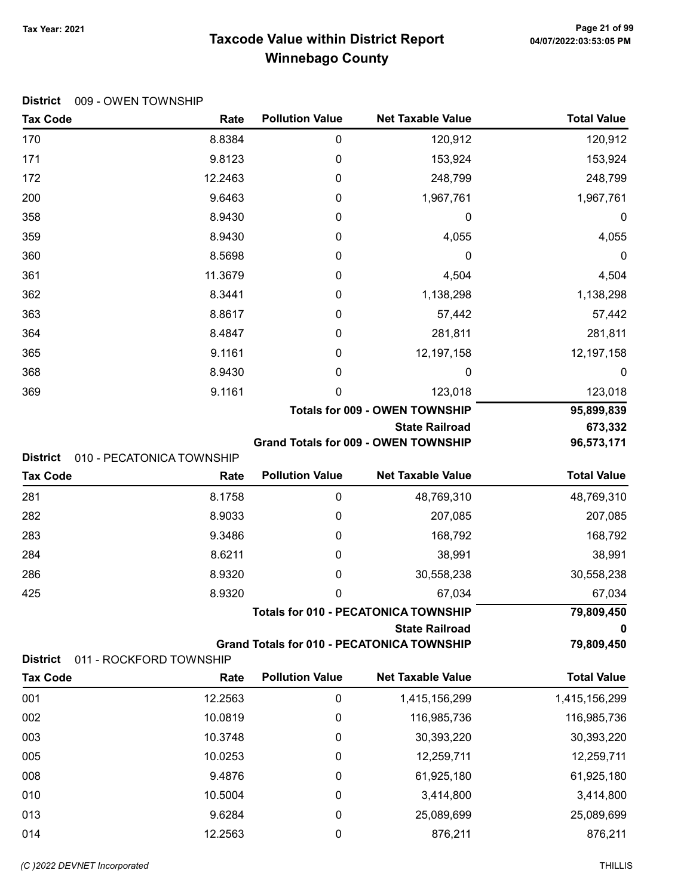# Taxcode Value within District Report Tax Year: 2021 Page 21 of 99 Winnebago County

| <b>Tax Code</b>                              | Rate              | <b>Pollution Value</b> | <b>Net Taxable Value</b>                          | <b>Total Value</b>      |
|----------------------------------------------|-------------------|------------------------|---------------------------------------------------|-------------------------|
| 170                                          | 8.8384            | $\boldsymbol{0}$       | 120,912                                           | 120,912                 |
| 171                                          | 9.8123            | $\boldsymbol{0}$       | 153,924                                           | 153,924                 |
| 172                                          | 12.2463           | 0                      | 248,799                                           | 248,799                 |
| 200                                          | 9.6463            | 0                      | 1,967,761                                         | 1,967,761               |
| 358                                          | 8.9430            | $\boldsymbol{0}$       | 0                                                 | 0                       |
| 359                                          | 8.9430            | 0                      | 4,055                                             | 4,055                   |
| 360                                          | 8.5698            | 0                      | 0                                                 | 0                       |
| 361                                          | 11.3679           | 0                      | 4,504                                             | 4,504                   |
| 362                                          | 8.3441            | $\boldsymbol{0}$       | 1,138,298                                         | 1,138,298               |
| 363                                          | 8.8617            | 0                      | 57,442                                            | 57,442                  |
| 364                                          | 8.4847            | 0                      | 281,811                                           | 281,811                 |
| 365                                          | 9.1161            | 0                      | 12,197,158                                        | 12,197,158              |
| 368                                          | 8.9430            | 0                      | 0                                                 | 0                       |
| 369                                          | 9.1161            | 0                      | 123,018                                           | 123,018                 |
|                                              |                   |                        | <b>Totals for 009 - OWEN TOWNSHIP</b>             | 95,899,839              |
|                                              |                   |                        | <b>State Railroad</b>                             | 673,332                 |
| <b>District</b><br>010 - PECATONICA TOWNSHIP |                   |                        | <b>Grand Totals for 009 - OWEN TOWNSHIP</b>       | 96,573,171              |
|                                              |                   |                        |                                                   |                         |
| <b>Tax Code</b>                              | Rate              | <b>Pollution Value</b> | <b>Net Taxable Value</b>                          | <b>Total Value</b>      |
|                                              |                   | $\pmb{0}$              |                                                   |                         |
| 281<br>282                                   | 8.1758<br>8.9033  | 0                      | 48,769,310<br>207,085                             | 48,769,310              |
| 283                                          | 9.3486            | $\boldsymbol{0}$       | 168,792                                           | 207,085<br>168,792      |
| 284                                          | 8.6211            | 0                      | 38,991                                            | 38,991                  |
| 286                                          | 8.9320            | 0                      | 30,558,238                                        | 30,558,238              |
| 425                                          | 8.9320            | 0                      | 67,034                                            | 67,034                  |
|                                              |                   |                        | <b>Totals for 010 - PECATONICA TOWNSHIP</b>       | 79,809,450              |
|                                              |                   |                        | <b>State Railroad</b>                             | 0                       |
|                                              |                   |                        | <b>Grand Totals for 010 - PECATONICA TOWNSHIP</b> | 79,809,450              |
| <b>District</b><br>011 - ROCKFORD TOWNSHIP   |                   |                        |                                                   |                         |
| <b>Tax Code</b>                              | Rate              | <b>Pollution Value</b> | <b>Net Taxable Value</b>                          | <b>Total Value</b>      |
| 001                                          | 12.2563           | $\boldsymbol{0}$       | 1,415,156,299                                     | 1,415,156,299           |
| 002                                          | 10.0819           | $\boldsymbol{0}$       | 116,985,736                                       | 116,985,736             |
| 003                                          | 10.3748           | 0                      | 30,393,220                                        | 30,393,220              |
| 005                                          | 10.0253           | 0                      | 12,259,711                                        | 12,259,711              |
| 008                                          | 9.4876            | 0                      | 61,925,180                                        | 61,925,180              |
| 010<br>013                                   | 10.5004<br>9.6284 | 0                      | 3,414,800<br>25,089,699                           | 3,414,800<br>25,089,699 |

014 **12.2563** 0 876,211 876,211

#### District 009 - OWEN TOWNSHIP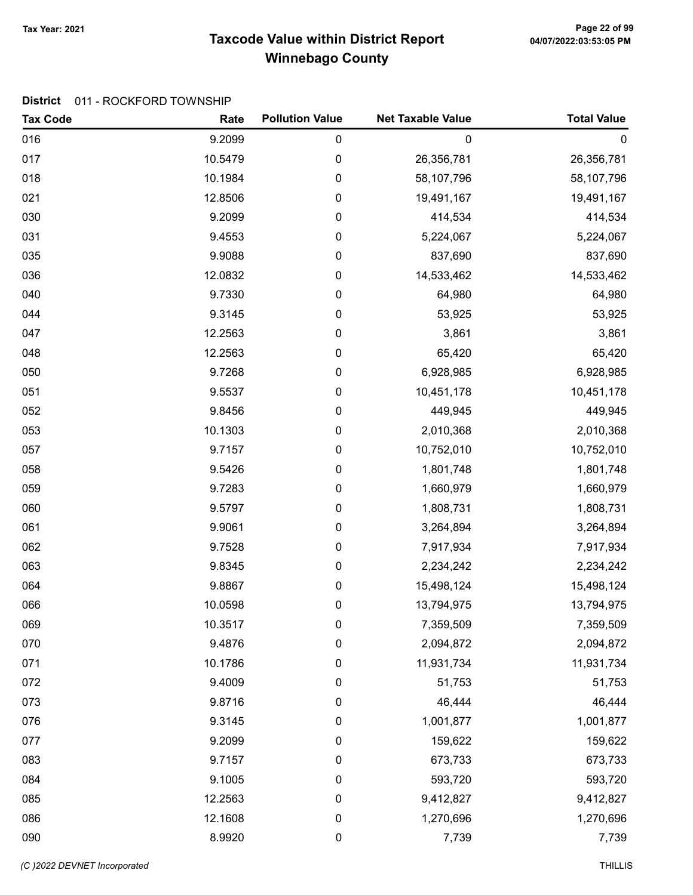# Taxcode Value within District Report Tax Year: 2021 Page 22 of 99 Winnebago County

### District 011 - ROCKFORD TOWNSHIP

| <b>Tax Code</b> | Rate    | <b>Pollution Value</b> | <b>Net Taxable Value</b> | <b>Total Value</b> |
|-----------------|---------|------------------------|--------------------------|--------------------|
| 016             | 9.2099  | 0                      | $\mathbf 0$              | $\mathbf 0$        |
| 017             | 10.5479 | 0                      | 26,356,781               | 26,356,781         |
| 018             | 10.1984 | 0                      | 58,107,796               | 58,107,796         |
| 021             | 12.8506 | 0                      | 19,491,167               | 19,491,167         |
| 030             | 9.2099  | 0                      | 414,534                  | 414,534            |
| 031             | 9.4553  | 0                      | 5,224,067                | 5,224,067          |
| 035             | 9.9088  | 0                      | 837,690                  | 837,690            |
| 036             | 12.0832 | 0                      | 14,533,462               | 14,533,462         |
| 040             | 9.7330  | 0                      | 64,980                   | 64,980             |
| 044             | 9.3145  | 0                      | 53,925                   | 53,925             |
| 047             | 12.2563 | 0                      | 3,861                    | 3,861              |
| 048             | 12.2563 | 0                      | 65,420                   | 65,420             |
| 050             | 9.7268  | 0                      | 6,928,985                | 6,928,985          |
| 051             | 9.5537  | 0                      | 10,451,178               | 10,451,178         |
| 052             | 9.8456  | 0                      | 449,945                  | 449,945            |
| 053             | 10.1303 | 0                      | 2,010,368                | 2,010,368          |
| 057             | 9.7157  | 0                      | 10,752,010               | 10,752,010         |
| 058             | 9.5426  | 0                      | 1,801,748                | 1,801,748          |
| 059             | 9.7283  | 0                      | 1,660,979                | 1,660,979          |
| 060             | 9.5797  | 0                      | 1,808,731                | 1,808,731          |
| 061             | 9.9061  | 0                      | 3,264,894                | 3,264,894          |
| 062             | 9.7528  | 0                      | 7,917,934                | 7,917,934          |
| 063             | 9.8345  | 0                      | 2,234,242                | 2,234,242          |
| 064             | 9.8867  | 0                      | 15,498,124               | 15,498,124         |
| 066             | 10.0598 | 0                      | 13,794,975               | 13,794,975         |
| 069             | 10.3517 | 0                      | 7,359,509                | 7,359,509          |
| 070             | 9.4876  | 0                      | 2,094,872                | 2,094,872          |
| 071             | 10.1786 | 0                      | 11,931,734               | 11,931,734         |
| 072             | 9.4009  | 0                      | 51,753                   | 51,753             |
| 073             | 9.8716  | $\boldsymbol{0}$       | 46,444                   | 46,444             |
| 076             | 9.3145  | $\pmb{0}$              | 1,001,877                | 1,001,877          |
| 077             | 9.2099  | 0                      | 159,622                  | 159,622            |
| 083             | 9.7157  | 0                      | 673,733                  | 673,733            |
| 084             | 9.1005  | 0                      | 593,720                  | 593,720            |
| 085             | 12.2563 | 0                      | 9,412,827                | 9,412,827          |
| 086             | 12.1608 | $\pmb{0}$              | 1,270,696                | 1,270,696          |
| 090             | 8.9920  | 0                      | 7,739                    | 7,739              |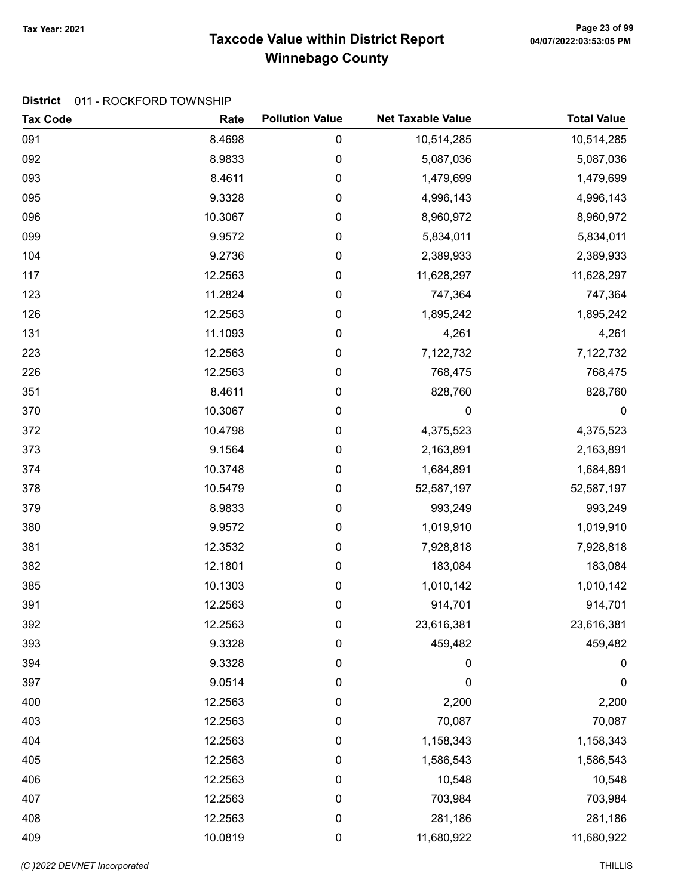# Taxcode Value within District Report Tax Year: 2021 Page 23 of 99 Winnebago County

### District 011 - ROCKFORD TOWNSHIP

| <b>Tax Code</b> | Rate    | <b>Pollution Value</b> | <b>Net Taxable Value</b> | <b>Total Value</b> |
|-----------------|---------|------------------------|--------------------------|--------------------|
| 091             | 8.4698  | 0                      | 10,514,285               | 10,514,285         |
| 092             | 8.9833  | 0                      | 5,087,036                | 5,087,036          |
| 093             | 8.4611  | 0                      | 1,479,699                | 1,479,699          |
| 095             | 9.3328  | 0                      | 4,996,143                | 4,996,143          |
| 096             | 10.3067 | 0                      | 8,960,972                | 8,960,972          |
| 099             | 9.9572  | 0                      | 5,834,011                | 5,834,011          |
| 104             | 9.2736  | 0                      | 2,389,933                | 2,389,933          |
| 117             | 12.2563 | 0                      | 11,628,297               | 11,628,297         |
| 123             | 11.2824 | 0                      | 747,364                  | 747,364            |
| 126             | 12.2563 | 0                      | 1,895,242                | 1,895,242          |
| 131             | 11.1093 | 0                      | 4,261                    | 4,261              |
| 223             | 12.2563 | 0                      | 7,122,732                | 7,122,732          |
| 226             | 12.2563 | 0                      | 768,475                  | 768,475            |
| 351             | 8.4611  | 0                      | 828,760                  | 828,760            |
| 370             | 10.3067 | $\pmb{0}$              | 0                        | $\boldsymbol{0}$   |
| 372             | 10.4798 | 0                      | 4,375,523                | 4,375,523          |
| 373             | 9.1564  | 0                      | 2,163,891                | 2,163,891          |
| 374             | 10.3748 | 0                      | 1,684,891                | 1,684,891          |
| 378             | 10.5479 | 0                      | 52,587,197               | 52,587,197         |
| 379             | 8.9833  | 0                      | 993,249                  | 993,249            |
| 380             | 9.9572  | 0                      | 1,019,910                | 1,019,910          |
| 381             | 12.3532 | 0                      | 7,928,818                | 7,928,818          |
| 382             | 12.1801 | 0                      | 183,084                  | 183,084            |
| 385             | 10.1303 | 0                      | 1,010,142                | 1,010,142          |
| 391             | 12.2563 | 0                      | 914,701                  | 914,701            |
| 392             | 12.2563 | 0                      | 23,616,381               | 23,616,381         |
| 393             | 9.3328  | 0                      | 459,482                  | 459,482            |
| 394             | 9.3328  | 0                      | 0                        | 0                  |
| 397             | 9.0514  | 0                      | 0                        | 0                  |
| 400             | 12.2563 | 0                      | 2,200                    | 2,200              |
| 403             | 12.2563 | 0                      | 70,087                   | 70,087             |
| 404             | 12.2563 | 0                      | 1,158,343                | 1,158,343          |
| 405             | 12.2563 | 0                      | 1,586,543                | 1,586,543          |
| 406             | 12.2563 | 0                      | 10,548                   | 10,548             |
| 407             | 12.2563 | 0                      | 703,984                  | 703,984            |
| 408             | 12.2563 | 0                      | 281,186                  | 281,186            |
| 409             | 10.0819 | 0                      | 11,680,922               | 11,680,922         |

(C)2022 DEVNET Incorporated THILLIS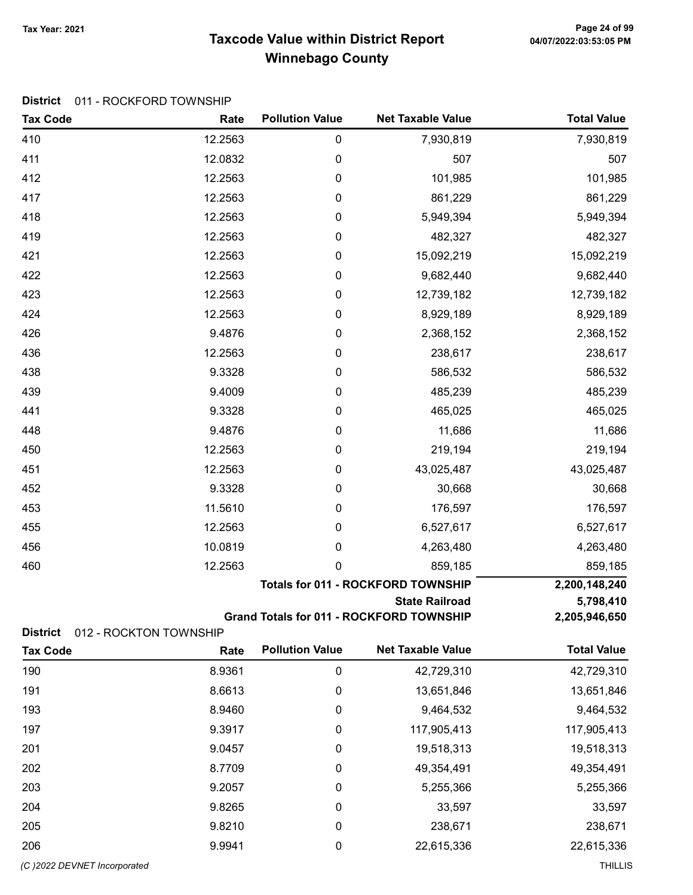# Taxcode Value within District Report Tax Year: 2021 Page 24 of 99 Winnebago County

|  | District 011 - ROCKFORD TOWNSHIP |
|--|----------------------------------|
|--|----------------------------------|

| <b>Tax Code</b>              | Rate                           | <b>Pollution Value</b> | <b>Net Taxable Value</b>                        | <b>Total Value</b> |
|------------------------------|--------------------------------|------------------------|-------------------------------------------------|--------------------|
| 410                          | 12.2563                        | $\pmb{0}$              | 7,930,819                                       | 7,930,819          |
| 411                          | 12.0832                        | $\boldsymbol{0}$       | 507                                             | 507                |
| 412                          | 12.2563                        | $\boldsymbol{0}$       | 101,985                                         | 101,985            |
| 417                          | 12.2563                        | $\boldsymbol{0}$       | 861,229                                         | 861,229            |
| 418                          | 12.2563                        | $\boldsymbol{0}$       | 5,949,394                                       | 5,949,394          |
| 419                          | 12.2563                        | $\boldsymbol{0}$       | 482,327                                         | 482,327            |
| 421                          | 12.2563                        | $\boldsymbol{0}$       | 15,092,219                                      | 15,092,219         |
| 422                          | 12.2563                        | $\boldsymbol{0}$       | 9,682,440                                       | 9,682,440          |
| 423                          | 12.2563                        | $\boldsymbol{0}$       | 12,739,182                                      | 12,739,182         |
| 424                          | 12.2563                        | $\boldsymbol{0}$       | 8,929,189                                       | 8,929,189          |
| 426                          | 9.4876                         | $\boldsymbol{0}$       | 2,368,152                                       | 2,368,152          |
| 436                          | 12.2563                        | $\boldsymbol{0}$       | 238,617                                         | 238,617            |
| 438                          | 9.3328                         | $\boldsymbol{0}$       | 586,532                                         | 586,532            |
| 439                          | 9.4009                         | $\boldsymbol{0}$       | 485,239                                         | 485,239            |
| 441                          | 9.3328                         | $\boldsymbol{0}$       | 465,025                                         | 465,025            |
| 448                          | 9.4876                         | $\boldsymbol{0}$       | 11,686                                          | 11,686             |
| 450                          | 12.2563                        | $\boldsymbol{0}$       | 219,194                                         | 219,194            |
| 451                          | 12.2563                        | $\boldsymbol{0}$       | 43,025,487                                      | 43,025,487         |
| 452                          | 9.3328                         | $\boldsymbol{0}$       | 30,668                                          | 30,668             |
| 453                          | 11.5610                        | $\boldsymbol{0}$       | 176,597                                         | 176,597            |
| 455                          | 12.2563                        | $\boldsymbol{0}$       | 6,527,617                                       | 6,527,617          |
| 456                          | 10.0819                        | 0                      | 4,263,480                                       | 4,263,480          |
| 460                          | 12.2563                        | $\mathbf 0$            | 859,185                                         | 859,185            |
|                              |                                |                        | <b>Totals for 011 - ROCKFORD TOWNSHIP</b>       | 2,200,148,240      |
|                              |                                |                        | <b>State Railroad</b>                           | 5,798,410          |
| <b>District</b>              |                                |                        | <b>Grand Totals for 011 - ROCKFORD TOWNSHIP</b> | 2,205,946,650      |
| <b>Tax Code</b>              | 012 - ROCKTON TOWNSHIP<br>Rate | <b>Pollution Value</b> | <b>Net Taxable Value</b>                        | <b>Total Value</b> |
| 190                          | 8.9361                         | $\boldsymbol{0}$       | 42,729,310                                      | 42,729,310         |
| 191                          | 8.6613                         | $\boldsymbol{0}$       | 13,651,846                                      | 13,651,846         |
| 193                          | 8.9460                         | 0                      | 9,464,532                                       | 9,464,532          |
| 197                          | 9.3917                         | 0                      | 117,905,413                                     | 117,905,413        |
| 201                          | 9.0457                         | 0                      | 19,518,313                                      | 19,518,313         |
| 202                          | 8.7709                         | $\boldsymbol{0}$       | 49,354,491                                      | 49,354,491         |
| 203                          | 9.2057                         | $\boldsymbol{0}$       | 5,255,366                                       | 5,255,366          |
| 204                          | 9.8265                         | 0                      | 33,597                                          | 33,597             |
| 205                          | 9.8210                         | 0                      | 238,671                                         | 238,671            |
| 206                          | 9.9941                         | 0                      | 22,615,336                                      | 22,615,336         |
| (C) 2022 DEVNET Incorporated |                                |                        |                                                 | <b>THILLIS</b>     |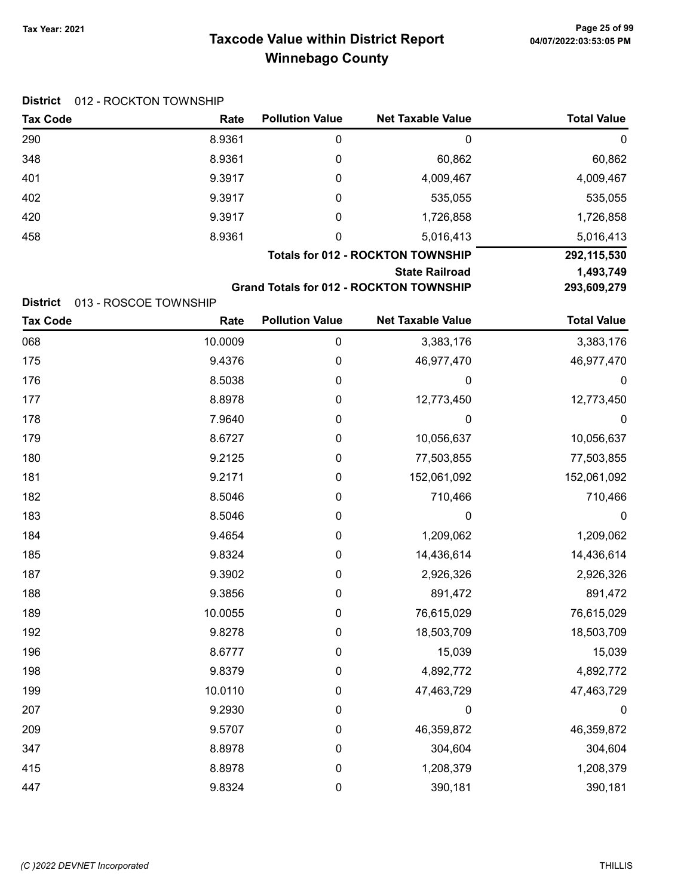District 012 - ROCKTON TOWNSHIP

# Taxcode Value within District Report Tax Year: 2021 Page 25 of 99 Winnebago County

| <b>Tax Code</b>                    | Rate                          | <b>Pollution Value</b> | <b>Net Taxable Value</b>                       | <b>Total Value</b> |
|------------------------------------|-------------------------------|------------------------|------------------------------------------------|--------------------|
| 290                                | 8.9361                        | $\pmb{0}$              | 0                                              | $\pmb{0}$          |
| 348                                | 8.9361                        | 0                      | 60,862                                         | 60,862             |
| 401                                | 9.3917                        | 0                      | 4,009,467                                      | 4,009,467          |
| 402                                | 9.3917                        | 0                      | 535,055                                        | 535,055            |
| 420                                | 9.3917                        | 0                      | 1,726,858                                      | 1,726,858          |
| 458                                | 8.9361                        | 0                      | 5,016,413                                      | 5,016,413          |
|                                    |                               |                        | <b>Totals for 012 - ROCKTON TOWNSHIP</b>       | 292,115,530        |
|                                    |                               |                        | <b>State Railroad</b>                          | 1,493,749          |
|                                    |                               |                        | <b>Grand Totals for 012 - ROCKTON TOWNSHIP</b> | 293,609,279        |
| <b>District</b><br><b>Tax Code</b> | 013 - ROSCOE TOWNSHIP<br>Rate | <b>Pollution Value</b> | <b>Net Taxable Value</b>                       | <b>Total Value</b> |
| 068                                | 10.0009                       | 0                      | 3,383,176                                      | 3,383,176          |
| 175                                | 9.4376                        | 0                      | 46,977,470                                     | 46,977,470         |
| 176                                | 8.5038                        | 0                      | 0                                              | 0                  |
| 177                                | 8.8978                        | 0                      | 12,773,450                                     | 12,773,450         |
| 178                                | 7.9640                        | 0                      | 0                                              | $\boldsymbol{0}$   |
| 179                                | 8.6727                        | 0                      | 10,056,637                                     | 10,056,637         |
| 180                                | 9.2125                        | 0                      | 77,503,855                                     | 77,503,855         |
| 181                                | 9.2171                        | 0                      | 152,061,092                                    | 152,061,092        |
| 182                                | 8.5046                        | 0                      | 710,466                                        | 710,466            |
| 183                                | 8.5046                        | 0                      | 0                                              | $\boldsymbol{0}$   |
| 184                                | 9.4654                        | 0                      | 1,209,062                                      | 1,209,062          |
| 185                                | 9.8324                        | 0                      | 14,436,614                                     | 14,436,614         |
| 187                                | 9.3902                        | 0                      | 2,926,326                                      | 2,926,326          |
| 188                                | 9.3856                        | 0                      | 891,472                                        | 891,472            |
| 189                                | 10.0055                       | 0                      | 76,615,029                                     | 76,615,029         |
| 192                                | 9.8278                        | 0                      | 18,503,709                                     | 18,503,709         |
| 196                                | 8.6777                        | 0                      | 15,039                                         | 15,039             |
| 198                                | 9.8379                        | 0                      | 4,892,772                                      | 4,892,772          |
| 199                                | 10.0110                       | 0                      | 47,463,729                                     | 47,463,729         |
| 207                                | 9.2930                        | 0                      | $\boldsymbol{0}$                               | $\boldsymbol{0}$   |
| 209                                | 9.5707                        | 0                      | 46,359,872                                     | 46,359,872         |
| 347                                | 8.8978                        | 0                      | 304,604                                        | 304,604            |
| 415                                | 8.8978                        | 0                      | 1,208,379                                      | 1,208,379          |

447 9.8324 0 390,181 390,181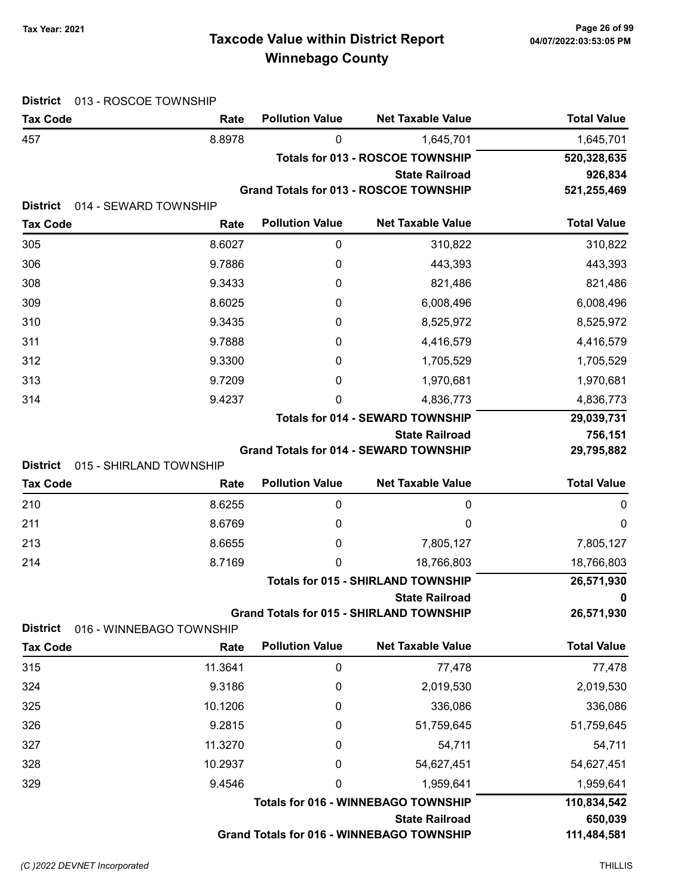# Taxcode Value within District Report Tax Year: 2021 Page 26 of 99 Winnebago County

| <b>District</b><br>013 - ROSCOE TOWNSHIP                      |                          |                        |                                                                    |                    |
|---------------------------------------------------------------|--------------------------|------------------------|--------------------------------------------------------------------|--------------------|
| <b>Tax Code</b>                                               | Rate                     | <b>Pollution Value</b> | <b>Net Taxable Value</b>                                           | <b>Total Value</b> |
| 457                                                           | 8.8978                   | 0                      | 1,645,701                                                          | 1,645,701          |
|                                                               |                          |                        | <b>Totals for 013 - ROSCOE TOWNSHIP</b>                            | 520,328,635        |
|                                                               |                          |                        | <b>State Railroad</b>                                              | 926,834            |
| <b>District</b><br>014 - SEWARD TOWNSHIP                      |                          |                        | Grand Totals for 013 - ROSCOE TOWNSHIP                             | 521,255,469        |
| <b>Tax Code</b>                                               | Rate                     | <b>Pollution Value</b> | <b>Net Taxable Value</b>                                           | <b>Total Value</b> |
| 305                                                           | 8.6027                   | 0                      | 310,822                                                            | 310,822            |
| 306                                                           | 9.7886                   | 0                      | 443,393                                                            | 443,393            |
| 308                                                           | 9.3433                   | 0                      | 821,486                                                            | 821,486            |
| 309                                                           | 8.6025                   | 0                      | 6,008,496                                                          | 6,008,496          |
| 310                                                           | 9.3435                   | 0                      | 8,525,972                                                          | 8,525,972          |
| 311                                                           | 9.7888                   | 0                      | 4,416,579                                                          | 4,416,579          |
| 312                                                           | 9.3300                   | 0                      | 1,705,529                                                          | 1,705,529          |
| 313                                                           | 9.7209                   | 0                      | 1,970,681                                                          | 1,970,681          |
| 314                                                           | 9.4237                   | 0                      | 4,836,773                                                          | 4,836,773          |
|                                                               |                          |                        | <b>Totals for 014 - SEWARD TOWNSHIP</b>                            | 29,039,731         |
|                                                               |                          |                        | <b>State Railroad</b>                                              | 756,151            |
|                                                               |                          |                        | <b>Grand Totals for 014 - SEWARD TOWNSHIP</b>                      | 29,795,882         |
| <b>District</b><br>015 - SHIRLAND TOWNSHIP<br><b>Tax Code</b> |                          | <b>Pollution Value</b> | <b>Net Taxable Value</b>                                           | <b>Total Value</b> |
|                                                               | Rate                     |                        |                                                                    |                    |
| 210                                                           | 8.6255                   | 0                      | 0                                                                  | 0                  |
| 211                                                           | 8.6769                   | 0                      | 0                                                                  | $\mathbf 0$        |
| 213                                                           | 8.6655                   | 0                      | 7,805,127                                                          | 7,805,127          |
| 214                                                           | 8.7169                   | 0                      | 18,766,803                                                         | 18,766,803         |
|                                                               |                          |                        | <b>Totals for 015 - SHIRLAND TOWNSHIP</b><br><b>State Railroad</b> | 26,571,930<br>0    |
|                                                               |                          |                        | <b>Grand Totals for 015 - SHIRLAND TOWNSHIP</b>                    | 26,571,930         |
| <b>District</b>                                               | 016 - WINNEBAGO TOWNSHIP |                        |                                                                    |                    |
| <b>Tax Code</b>                                               | Rate                     | <b>Pollution Value</b> | <b>Net Taxable Value</b>                                           | <b>Total Value</b> |
| 315                                                           | 11.3641                  | $\mathbf 0$            | 77,478                                                             | 77,478             |
| 324                                                           | 9.3186                   | 0                      | 2,019,530                                                          | 2,019,530          |
| 325                                                           | 10.1206                  | 0                      | 336,086                                                            | 336,086            |
| 326                                                           | 9.2815                   | 0                      | 51,759,645                                                         | 51,759,645         |
| 327                                                           | 11.3270                  | 0                      | 54,711                                                             | 54,711             |
| 328                                                           | 10.2937                  | 0                      | 54,627,451                                                         | 54,627,451         |
| 329                                                           | 9.4546                   | 0                      | 1,959,641                                                          | 1,959,641          |
|                                                               |                          |                        | <b>Totals for 016 - WINNEBAGO TOWNSHIP</b>                         | 110,834,542        |
|                                                               |                          |                        | <b>State Railroad</b>                                              | 650,039            |
|                                                               |                          |                        | <b>Grand Totals for 016 - WINNEBAGO TOWNSHIP</b>                   | 111,484,581        |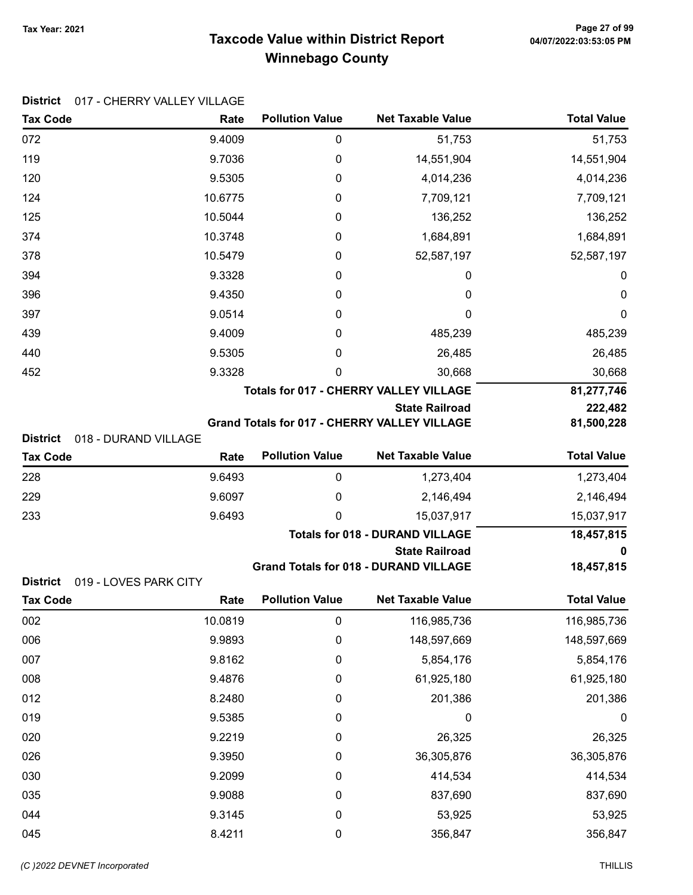District 017 - CHERRY VALLEY VILLAGE

# Taxcode Value within District Report Tax Year: 2021 Page 27 of 99 Winnebago County

| <b>Tax Code</b> | Rate                  | <b>Pollution Value</b> | <b>Net Taxable Value</b>                            | <b>Total Value</b> |
|-----------------|-----------------------|------------------------|-----------------------------------------------------|--------------------|
| 072             | 9.4009                | 0                      | 51,753                                              | 51,753             |
| 119             | 9.7036                | 0                      | 14,551,904                                          | 14,551,904         |
| 120             | 9.5305                | 0                      | 4,014,236                                           | 4,014,236          |
| 124             | 10.6775               | 0                      | 7,709,121                                           | 7,709,121          |
| 125             | 10.5044               | 0                      | 136,252                                             | 136,252            |
| 374             | 10.3748               | 0                      | 1,684,891                                           | 1,684,891          |
| 378             | 10.5479               | 0                      | 52,587,197                                          | 52,587,197         |
| 394             | 9.3328                | 0                      | 0                                                   | 0                  |
| 396             | 9.4350                | 0                      | 0                                                   | 0                  |
| 397             | 9.0514                | 0                      | 0                                                   | $\mathbf 0$        |
| 439             | 9.4009                | 0                      | 485,239                                             | 485,239            |
| 440             | 9.5305                | 0                      | 26,485                                              | 26,485             |
| 452             | 9.3328                | 0                      | 30,668                                              | 30,668             |
|                 |                       |                        | <b>Totals for 017 - CHERRY VALLEY VILLAGE</b>       | 81,277,746         |
|                 |                       |                        | <b>State Railroad</b>                               | 222,482            |
| <b>District</b> | 018 - DURAND VILLAGE  |                        | <b>Grand Totals for 017 - CHERRY VALLEY VILLAGE</b> | 81,500,228         |
| <b>Tax Code</b> | Rate                  | <b>Pollution Value</b> | <b>Net Taxable Value</b>                            | <b>Total Value</b> |
| 228             | 9.6493                | $\boldsymbol{0}$       | 1,273,404                                           | 1,273,404          |
| 229             | 9.6097                | 0                      | 2,146,494                                           | 2,146,494          |
| 233             | 9.6493                | 0                      | 15,037,917                                          | 15,037,917         |
|                 |                       |                        | <b>Totals for 018 - DURAND VILLAGE</b>              | 18,457,815         |
|                 |                       |                        | <b>State Railroad</b>                               | 0                  |
|                 |                       |                        | <b>Grand Totals for 018 - DURAND VILLAGE</b>        | 18,457,815         |
| <b>District</b> | 019 - LOVES PARK CITY |                        |                                                     | <b>Total Value</b> |
| <b>Tax Code</b> | Rate                  | <b>Pollution Value</b> | <b>Net Taxable Value</b>                            |                    |
| 002             | 10.0819               | 0                      | 116,985,736                                         | 116,985,736        |
| 006             | 9.9893                | 0                      | 148,597,669                                         | 148,597,669        |
| 007             | 9.8162                | 0                      | 5,854,176                                           | 5,854,176          |
| 008             | 9.4876                | 0                      | 61,925,180                                          | 61,925,180         |
| 012             | 8.2480                | 0                      | 201,386                                             | 201,386            |
| 019             | 9.5385                | 0                      | 0                                                   | $\boldsymbol{0}$   |
| 020             | 9.2219                | 0                      | 26,325                                              | 26,325             |
| 026             | 9.3950                | $\boldsymbol{0}$       | 36,305,876                                          | 36,305,876         |
| 030             | 9.2099                | 0                      | 414,534                                             | 414,534            |
| 035             | 9.9088                | 0                      | 837,690                                             | 837,690            |
| 044             | 9.3145                | 0                      | 53,925                                              | 53,925             |

045 8.4211 0 356,847 356,847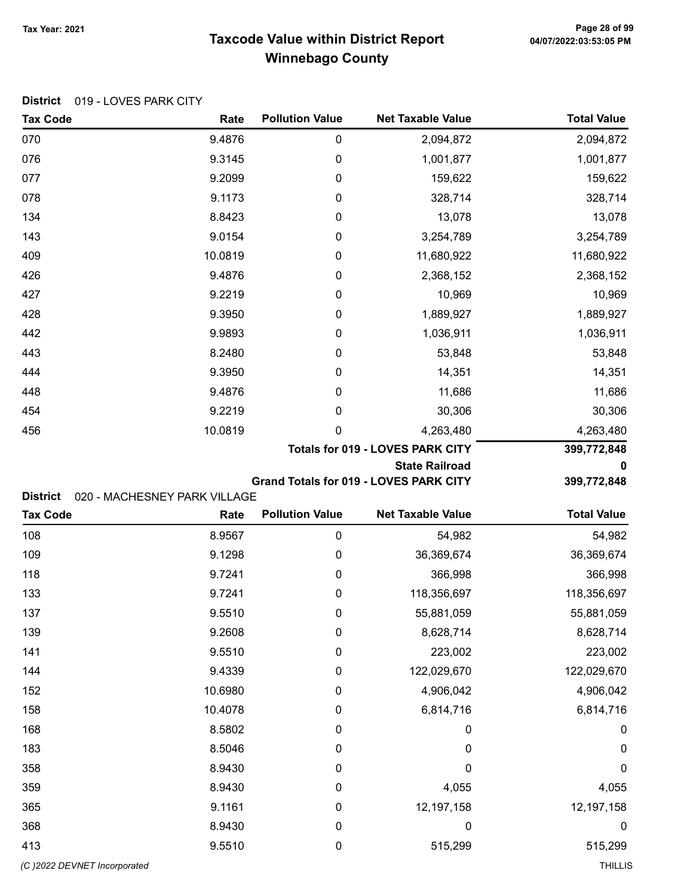### Taxcode Value within District Report Tax Year: 2021 Page 28 of 99 Winnebago County

| <b>Tax Code</b> | <u> 919 - LO VLOTANNI ON I</u><br>Rate | <b>Pollution Value</b> | <b>Net Taxable Value</b> | <b>Total Value</b> |
|-----------------|----------------------------------------|------------------------|--------------------------|--------------------|
| 070             | 9.4876                                 | 0                      | 2,094,872                | 2,094,872          |
| 076             | 9.3145                                 | 0                      | 1,001,877                | 1,001,877          |
| 077             | 9.2099                                 | 0                      | 159,622                  | 159,622            |
| 078             | 9.1173                                 | 0                      | 328,714                  | 328,714            |
| 134             | 8.8423                                 | $\mathbf 0$            | 13,078                   | 13,078             |
| 143             | 9.0154                                 | $\mathbf 0$            | 3,254,789                | 3,254,789          |
| 409             | 10.0819                                | $\mathbf 0$            | 11,680,922               | 11,680,922         |
| 426             | 9.4876                                 | 0                      | 2,368,152                | 2,368,152          |
| 427             | 9.2219                                 | 0                      | 10,969                   | 10,969             |
| 428             | 9.3950                                 | 0                      | 1,889,927                | 1,889,927          |
| 442             | 9.9893                                 | 0                      | 1,036,911                | 1,036,911          |
| 443             | 8.2480                                 | 0                      | 53,848                   | 53,848             |
| 444             | 9.3950                                 | 0                      | 14,351                   | 14,351             |
| 448             | 9.4876                                 | 0                      | 11,686                   | 11,686             |

### District 019 - LOVES PARK CITY

| Totals for 019 - LOVES PARK CITY |  |
|----------------------------------|--|
|                                  |  |

State Railroad 0

399,772,848

Grand Totals for 019 - LOVES PARK CITY 399,772,848

District 020 - MACHESNEY PARK VILLAGE

| <b>Tax Code</b>              | Rate    | <b>Pollution Value</b> | <b>Net Taxable Value</b> | <b>Total Value</b> |
|------------------------------|---------|------------------------|--------------------------|--------------------|
| 108                          | 8.9567  | $\mathbf 0$            | 54,982                   | 54,982             |
| 109                          | 9.1298  | $\mathbf 0$            | 36,369,674               | 36,369,674         |
| 118                          | 9.7241  | $\mathbf 0$            | 366,998                  | 366,998            |
| 133                          | 9.7241  | $\mathbf 0$            | 118,356,697              | 118,356,697        |
| 137                          | 9.5510  | $\mathbf 0$            | 55,881,059               | 55,881,059         |
| 139                          | 9.2608  | $\pmb{0}$              | 8,628,714                | 8,628,714          |
| 141                          | 9.5510  | $\mathbf 0$            | 223,002                  | 223,002            |
| 144                          | 9.4339  | $\mathbf 0$            | 122,029,670              | 122,029,670        |
| 152                          | 10.6980 | $\mathbf 0$            | 4,906,042                | 4,906,042          |
| 158                          | 10.4078 | $\mathbf 0$            | 6,814,716                | 6,814,716          |
| 168                          | 8.5802  | $\mathbf 0$            | $\mathbf 0$              | $\mathbf 0$        |
| 183                          | 8.5046  | $\mathbf 0$            | $\mathbf 0$              | $\mathbf 0$        |
| 358                          | 8.9430  | $\mathbf 0$            | 0                        | $\pmb{0}$          |
| 359                          | 8.9430  | $\mathbf 0$            | 4,055                    | 4,055              |
| 365                          | 9.1161  | $\mathbf 0$            | 12,197,158               | 12,197,158         |
| 368                          | 8.9430  | $\mathbf 0$            | $\boldsymbol{0}$         | $\boldsymbol{0}$   |
| 413                          | 9.5510  | $\boldsymbol{0}$       | 515,299                  | 515,299            |
| (C) 2022 DEVNET Incorporated |         |                        |                          | <b>THILLIS</b>     |

454 **9.2219** 9.2219 0 30,306 30,306 456 10.0819 0 4,263,480 4,263,480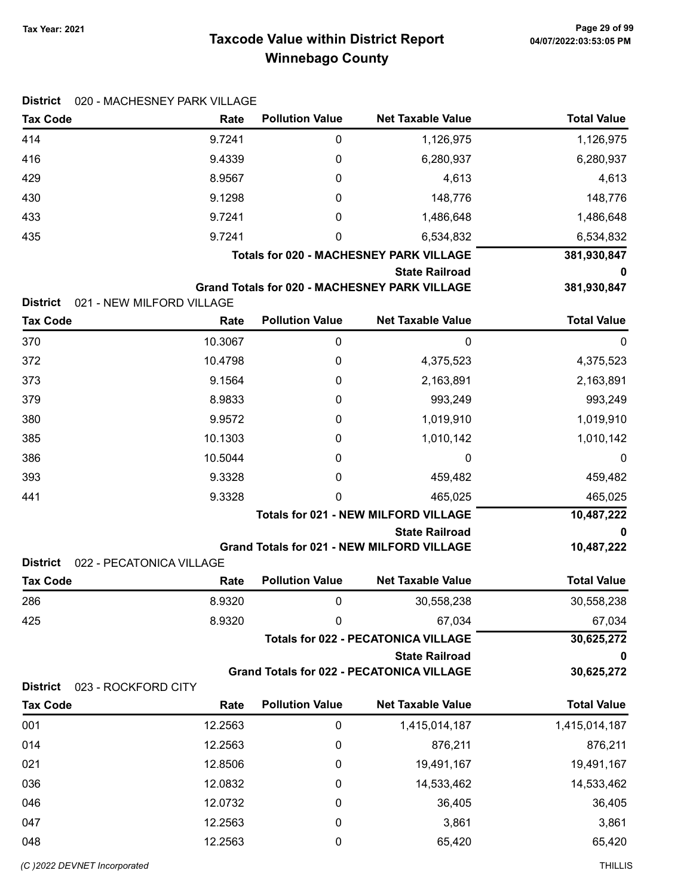# Taxcode Value within District Report Tax Year: 2021 Page 29 of 99 Winnebago County

| <b>District</b>                        | 020 - MACHESNEY PARK VILLAGE     |                        |                                                      |                    |
|----------------------------------------|----------------------------------|------------------------|------------------------------------------------------|--------------------|
| <b>Tax Code</b>                        | Rate                             | <b>Pollution Value</b> | <b>Net Taxable Value</b>                             | <b>Total Value</b> |
| 414                                    | 9.7241                           | 0                      | 1,126,975                                            | 1,126,975          |
| 416                                    | 9.4339                           | 0                      | 6,280,937                                            | 6,280,937          |
| 429                                    | 8.9567                           | 0                      | 4,613                                                | 4,613              |
| 430                                    | 9.1298                           | 0                      | 148,776                                              | 148,776            |
| 433                                    | 9.7241                           | 0                      | 1,486,648                                            | 1,486,648          |
| 435                                    | 9.7241                           | 0                      | 6,534,832                                            | 6,534,832          |
|                                        |                                  |                        | <b>Totals for 020 - MACHESNEY PARK VILLAGE</b>       | 381,930,847        |
|                                        |                                  |                        | <b>State Railroad</b>                                | 0                  |
| <b>District</b>                        | 021 - NEW MILFORD VILLAGE        |                        | <b>Grand Totals for 020 - MACHESNEY PARK VILLAGE</b> | 381,930,847        |
| <b>Tax Code</b>                        | Rate                             | <b>Pollution Value</b> | <b>Net Taxable Value</b>                             | <b>Total Value</b> |
| 370                                    | 10.3067                          | $\pmb{0}$              | 0                                                    | 0                  |
| 372                                    | 10.4798                          | 0                      | 4,375,523                                            | 4,375,523          |
| 373                                    | 9.1564                           | 0                      | 2,163,891                                            | 2,163,891          |
| 379                                    | 8.9833                           | 0                      | 993,249                                              | 993,249            |
| 380                                    | 9.9572                           | 0                      | 1,019,910                                            | 1,019,910          |
| 385                                    | 10.1303                          | 0                      | 1,010,142                                            | 1,010,142          |
| 386                                    | 10.5044                          | 0                      | 0                                                    | 0                  |
| 393                                    | 9.3328                           | 0                      | 459,482                                              | 459,482            |
| 441                                    | 9.3328                           | 0                      | 465,025                                              | 465,025            |
|                                        |                                  |                        | <b>Totals for 021 - NEW MILFORD VILLAGE</b>          | 10,487,222         |
|                                        |                                  |                        | <b>State Railroad</b>                                | 0                  |
|                                        |                                  |                        | <b>Grand Totals for 021 - NEW MILFORD VILLAGE</b>    | 10,487,222         |
| <b>District</b><br><b>Tax Code</b>     | 022 - PECATONICA VILLAGE<br>Rate | <b>Pollution Value</b> | <b>Net Taxable Value</b>                             | <b>Total Value</b> |
| 286                                    | 8.9320                           | 0                      | 30,558,238                                           | 30,558,238         |
| 425                                    | 8.9320                           | 0                      | 67,034                                               | 67,034             |
|                                        |                                  |                        | <b>Totals for 022 - PECATONICA VILLAGE</b>           | 30,625,272         |
|                                        |                                  |                        | <b>State Railroad</b>                                | 0                  |
|                                        |                                  |                        | <b>Grand Totals for 022 - PECATONICA VILLAGE</b>     | 30,625,272         |
| <b>District</b><br>023 - ROCKFORD CITY |                                  |                        |                                                      |                    |
| <b>Tax Code</b>                        | Rate                             | <b>Pollution Value</b> | <b>Net Taxable Value</b>                             | <b>Total Value</b> |
| 001                                    | 12.2563                          | 0                      | 1,415,014,187                                        | 1,415,014,187      |
| 014                                    | 12.2563                          | 0                      | 876,211                                              | 876,211            |
| 021                                    | 12.8506                          | 0                      | 19,491,167                                           | 19,491,167         |
| 036                                    | 12.0832                          | 0                      | 14,533,462                                           | 14,533,462         |
| 046                                    | 12.0732                          | 0                      | 36,405                                               | 36,405             |
| 047                                    | 12.2563                          | $\boldsymbol{0}$       | 3,861                                                | 3,861              |
| 048                                    | 12.2563                          | 0                      | 65,420                                               | 65,420             |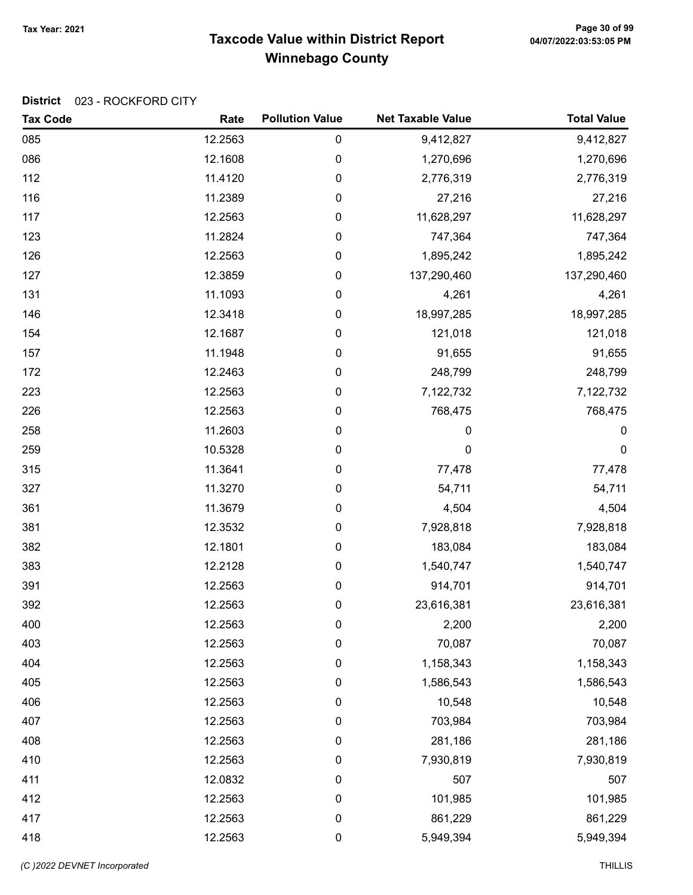# Taxcode Value within District Report Tax Year: 2021 Page 30 of 99 Winnebago County

### District 023 - ROCKFORD CITY

| <b>Tax Code</b> | Rate    | <b>Pollution Value</b> | <b>Net Taxable Value</b> | <b>Total Value</b> |
|-----------------|---------|------------------------|--------------------------|--------------------|
| 085             | 12.2563 | $\pmb{0}$              | 9,412,827                | 9,412,827          |
| 086             | 12.1608 | 0                      | 1,270,696                | 1,270,696          |
| 112             | 11.4120 | $\pmb{0}$              | 2,776,319                | 2,776,319          |
| 116             | 11.2389 | 0                      | 27,216                   | 27,216             |
| 117             | 12.2563 | 0                      | 11,628,297               | 11,628,297         |
| 123             | 11.2824 | $\pmb{0}$              | 747,364                  | 747,364            |
| 126             | 12.2563 | $\pmb{0}$              | 1,895,242                | 1,895,242          |
| 127             | 12.3859 | $\pmb{0}$              | 137,290,460              | 137,290,460        |
| 131             | 11.1093 | 0                      | 4,261                    | 4,261              |
| 146             | 12.3418 | $\pmb{0}$              | 18,997,285               | 18,997,285         |
| 154             | 12.1687 | 0                      | 121,018                  | 121,018            |
| 157             | 11.1948 | 0                      | 91,655                   | 91,655             |
| 172             | 12.2463 | $\pmb{0}$              | 248,799                  | 248,799            |
| 223             | 12.2563 | $\pmb{0}$              | 7,122,732                | 7,122,732          |
| 226             | 12.2563 | $\pmb{0}$              | 768,475                  | 768,475            |
| 258             | 11.2603 | 0                      | 0                        | 0                  |
| 259             | 10.5328 | $\pmb{0}$              | $\mathbf 0$              | $\pmb{0}$          |
| 315             | 11.3641 | $\pmb{0}$              | 77,478                   | 77,478             |
| 327             | 11.3270 | 0                      | 54,711                   | 54,711             |
| 361             | 11.3679 | $\pmb{0}$              | 4,504                    | 4,504              |
| 381             | 12.3532 | $\pmb{0}$              | 7,928,818                | 7,928,818          |
| 382             | 12.1801 | $\pmb{0}$              | 183,084                  | 183,084            |
| 383             | 12.2128 | 0                      | 1,540,747                | 1,540,747          |
| 391             | 12.2563 | $\pmb{0}$              | 914,701                  | 914,701            |
| 392             | 12.2563 | $\pmb{0}$              | 23,616,381               | 23,616,381         |
| 400             | 12.2563 | 0                      | 2,200                    | 2,200              |
| 403             | 12.2563 | 0                      | 70,087                   | 70,087             |
| 404             | 12.2563 | $\pmb{0}$              | 1,158,343                | 1,158,343          |
| 405             | 12.2563 | 0                      | 1,586,543                | 1,586,543          |
| 406             | 12.2563 | 0                      | 10,548                   | 10,548             |
| 407             | 12.2563 | $\boldsymbol{0}$       | 703,984                  | 703,984            |
| 408             | 12.2563 | 0                      | 281,186                  | 281,186            |
| 410             | 12.2563 | $\pmb{0}$              | 7,930,819                | 7,930,819          |
| 411             | 12.0832 | 0                      | 507                      | 507                |
| 412             | 12.2563 | $\boldsymbol{0}$       | 101,985                  | 101,985            |
| 417             | 12.2563 | $\boldsymbol{0}$       | 861,229                  | 861,229            |
| 418             | 12.2563 | 0                      | 5,949,394                | 5,949,394          |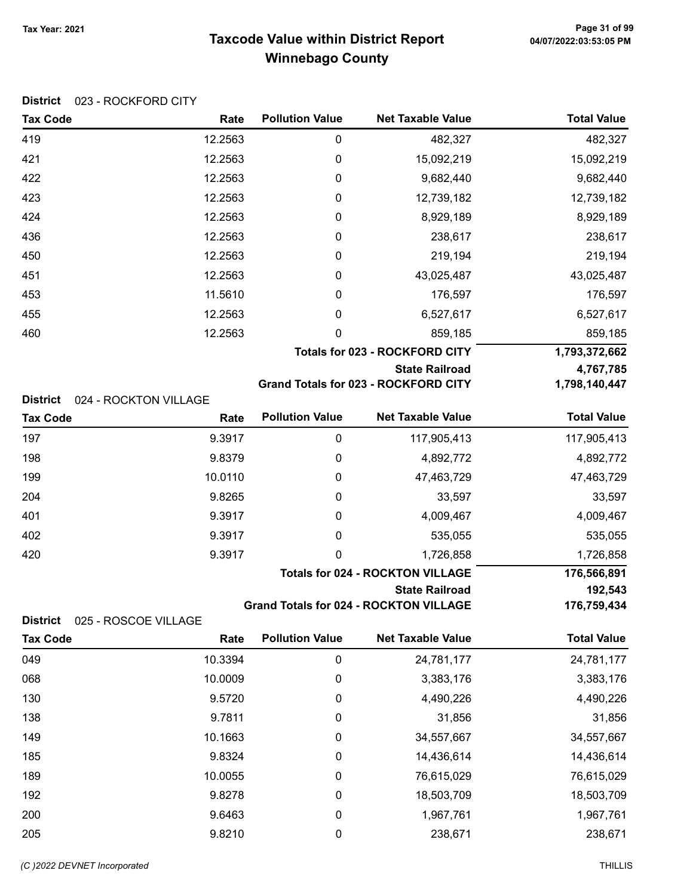# Taxcode Value within District Report Tax Year: 2021 Page 31 of 99 Winnebago County

### District 023 - ROCKFORD CITY

| <b>Tax Code</b> | Rate                  | <b>Pollution Value</b>                | <b>Net Taxable Value</b>                      | <b>Total Value</b> |
|-----------------|-----------------------|---------------------------------------|-----------------------------------------------|--------------------|
| 419             | 12.2563               | 0                                     | 482,327                                       | 482,327            |
| 421             | 12.2563               | 0                                     | 15,092,219                                    | 15,092,219         |
| 422             | 12.2563               | 0                                     | 9,682,440                                     | 9,682,440          |
| 423             | 12.2563               | 0                                     | 12,739,182                                    | 12,739,182         |
| 424             | 12.2563               | 0                                     | 8,929,189                                     | 8,929,189          |
| 436             | 12.2563               | 0                                     | 238,617                                       | 238,617            |
| 450             | 12.2563               | 0                                     | 219,194                                       | 219,194            |
| 451             | 12.2563               | 0                                     | 43,025,487                                    | 43,025,487         |
| 453             | 11.5610               | 0                                     | 176,597                                       | 176,597            |
| 455             | 12.2563               | 0                                     | 6,527,617                                     | 6,527,617          |
| 460             | 12.2563               | 0                                     | 859,185                                       | 859,185            |
|                 |                       | <b>Totals for 023 - ROCKFORD CITY</b> | 1,793,372,662                                 |                    |
|                 |                       |                                       | <b>State Railroad</b>                         | 4,767,785          |
|                 |                       |                                       | <b>Grand Totals for 023 - ROCKFORD CITY</b>   | 1,798,140,447      |
| <b>District</b> | 024 - ROCKTON VILLAGE |                                       |                                               |                    |
| <b>Tax Code</b> | Rate                  | <b>Pollution Value</b>                | <b>Net Taxable Value</b>                      | <b>Total Value</b> |
| 197             | 9.3917                | 0                                     | 117,905,413                                   | 117,905,413        |
| 198             | 9.8379                | 0                                     | 4,892,772                                     | 4,892,772          |
| 199             | 10.0110               | 0                                     | 47,463,729                                    | 47,463,729         |
| 204             | 9.8265                | 0                                     | 33,597                                        | 33,597             |
| 401             | 9.3917                | 0                                     | 4,009,467                                     | 4,009,467          |
| 402             | 9.3917                | 0                                     | 535,055                                       | 535,055            |
| 420             | 9.3917                | 0                                     | 1,726,858                                     | 1,726,858          |
|                 |                       |                                       | <b>Totals for 024 - ROCKTON VILLAGE</b>       | 176,566,891        |
|                 |                       |                                       | <b>State Railroad</b>                         | 192,543            |
|                 |                       |                                       | <b>Grand Totals for 024 - ROCKTON VILLAGE</b> | 176,759,434        |

#### District 025 - ROSCOE VILLAGE

| <b>Tax Code</b> | Rate    | <b>Pollution Value</b> | <b>Net Taxable Value</b> | <b>Total Value</b> |
|-----------------|---------|------------------------|--------------------------|--------------------|
| 049             | 10.3394 | 0                      | 24,781,177               | 24,781,177         |
| 068             | 10.0009 | 0                      | 3,383,176                | 3,383,176          |
| 130             | 9.5720  | 0                      | 4,490,226                | 4,490,226          |
| 138             | 9.7811  | 0                      | 31,856                   | 31,856             |
| 149             | 10.1663 | 0                      | 34,557,667               | 34,557,667         |
| 185             | 9.8324  | 0                      | 14,436,614               | 14,436,614         |
| 189             | 10.0055 | 0                      | 76,615,029               | 76,615,029         |
| 192             | 9.8278  | 0                      | 18,503,709               | 18,503,709         |
| 200             | 9.6463  | 0                      | 1,967,761                | 1,967,761          |
| 205             | 9.8210  | 0                      | 238,671                  | 238,671            |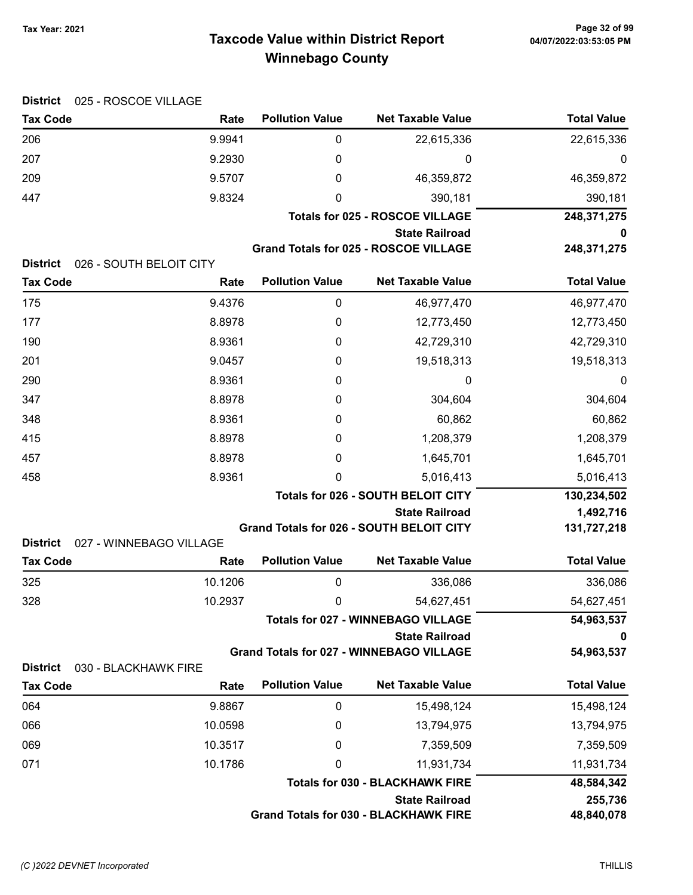# Taxcode Value within District Report Tax Year: 2021 Page 32 of 99 Winnebago County

| <b>District</b><br>025 - ROSCOE VILLAGE                       |                         |                        |                                                 |                    |
|---------------------------------------------------------------|-------------------------|------------------------|-------------------------------------------------|--------------------|
| <b>Tax Code</b>                                               | Rate                    | <b>Pollution Value</b> | <b>Net Taxable Value</b>                        | <b>Total Value</b> |
| 206                                                           | 9.9941                  | $\pmb{0}$              | 22,615,336                                      | 22,615,336         |
| 207                                                           | 9.2930                  | 0                      | 0                                               | 0                  |
| 209                                                           | 9.5707                  | 0                      | 46,359,872                                      | 46,359,872         |
| 447                                                           | 9.8324                  | 0                      | 390,181                                         | 390,181            |
|                                                               |                         | 248,371,275            |                                                 |                    |
|                                                               |                         | <b>State Railroad</b>  |                                                 |                    |
|                                                               |                         |                        | <b>Grand Totals for 025 - ROSCOE VILLAGE</b>    | 248,371,275        |
| <b>District</b><br>026 - SOUTH BELOIT CITY<br><b>Tax Code</b> |                         | <b>Pollution Value</b> | <b>Net Taxable Value</b>                        | <b>Total Value</b> |
|                                                               | Rate                    |                        |                                                 |                    |
| 175                                                           | 9.4376                  | 0                      | 46,977,470                                      | 46,977,470         |
| 177                                                           | 8.8978                  | 0                      | 12,773,450                                      | 12,773,450         |
| 190                                                           | 8.9361                  | 0                      | 42,729,310                                      | 42,729,310         |
| 201                                                           | 9.0457                  | 0                      | 19,518,313                                      | 19,518,313         |
| 290                                                           | 8.9361                  | 0                      | 0                                               | 0                  |
| 347                                                           | 8.8978                  | 0                      | 304,604                                         | 304,604            |
| 348                                                           | 8.9361                  | 0                      | 60,862                                          | 60,862             |
| 415                                                           | 8.8978                  | 0                      | 1,208,379                                       | 1,208,379          |
| 457                                                           | 8.8978                  | 0                      | 1,645,701                                       | 1,645,701          |
| 458                                                           | 8.9361                  | 0                      | 5,016,413                                       | 5,016,413          |
|                                                               |                         |                        | <b>Totals for 026 - SOUTH BELOIT CITY</b>       | 130,234,502        |
|                                                               |                         |                        | <b>State Railroad</b>                           | 1,492,716          |
| <b>District</b>                                               | 027 - WINNEBAGO VILLAGE |                        | <b>Grand Totals for 026 - SOUTH BELOIT CITY</b> | 131,727,218        |
| <b>Tax Code</b>                                               | Rate                    | <b>Pollution Value</b> | <b>Net Taxable Value</b>                        | <b>Total Value</b> |
| 325                                                           | 10.1206                 | 0                      | 336,086                                         | 336,086            |
| 328                                                           | 10.2937                 | $\mathbf 0$            | 54,627,451                                      | 54,627,451         |
|                                                               |                         |                        | <b>Totals for 027 - WINNEBAGO VILLAGE</b>       | 54,963,537         |
|                                                               |                         |                        | <b>State Railroad</b>                           | o                  |
|                                                               |                         |                        | <b>Grand Totals for 027 - WINNEBAGO VILLAGE</b> | 54,963,537         |
| <b>District</b><br>030 - BLACKHAWK FIRE                       |                         |                        |                                                 |                    |
| <b>Tax Code</b>                                               | Rate                    | <b>Pollution Value</b> | <b>Net Taxable Value</b>                        | <b>Total Value</b> |
| 064                                                           | 9.8867                  | 0                      | 15,498,124                                      | 15,498,124         |
| 066                                                           | 10.0598                 | 0                      | 13,794,975                                      | 13,794,975         |
| 069                                                           | 10.3517                 | 0                      | 7,359,509                                       | 7,359,509          |
| 071                                                           | 10.1786                 | 0                      | 11,931,734                                      | 11,931,734         |
|                                                               |                         |                        | <b>Totals for 030 - BLACKHAWK FIRE</b>          | 48,584,342         |
|                                                               |                         |                        | <b>State Railroad</b>                           | 255,736            |
|                                                               |                         |                        | <b>Grand Totals for 030 - BLACKHAWK FIRE</b>    | 48,840,078         |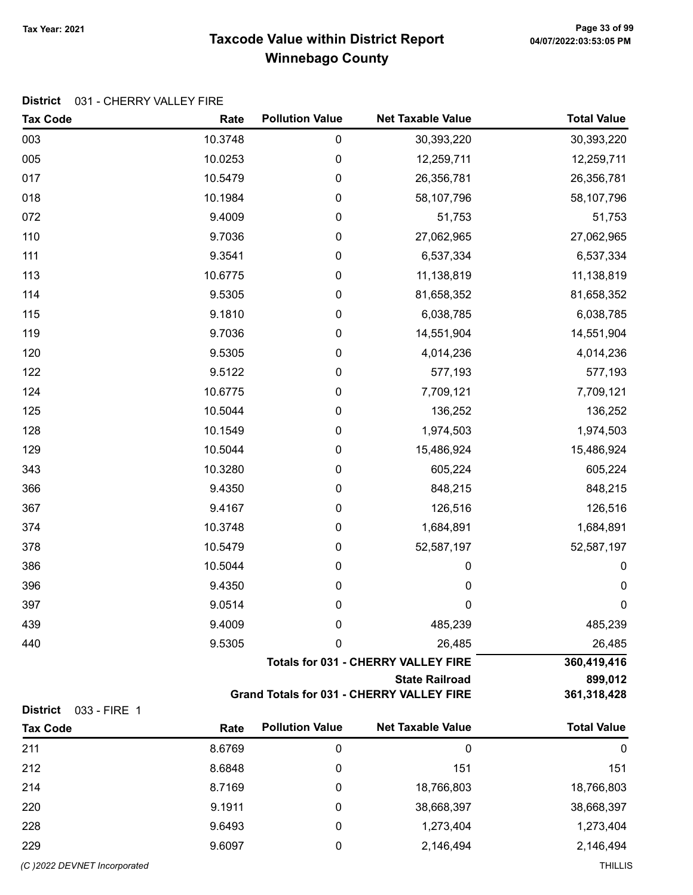# Taxcode Value within District Report Tax Year: 2021 Page 33 of 99 Winnebago County

#### District 031 - CHERRY VALLEY FIRE

| 003<br>10.3748<br>$\boldsymbol{0}$<br>30,393,220<br>30,393,220<br>005<br>10.0253<br>0<br>12,259,711<br>12,259,711<br>017<br>10.5479<br>0<br>26,356,781<br>26,356,781<br>018<br>10.1984<br>0<br>58,107,796<br>58,107,796<br>072<br>9.4009<br>0<br>51,753<br>51,753<br>110<br>9.7036<br>0<br>27,062,965<br>27,062,965<br>111<br>9.3541<br>6,537,334<br>$\boldsymbol{0}$<br>6,537,334<br>113<br>10.6775<br>11,138,819<br>11,138,819<br>$\boldsymbol{0}$<br>114<br>9.5305<br>0<br>81,658,352<br>81,658,352<br>115<br>9.1810<br>0<br>6,038,785<br>6,038,785<br>119<br>9.7036<br>14,551,904<br>14,551,904<br>0<br>9.5305<br>120<br>0<br>4,014,236<br>4,014,236<br>9.5122<br>577,193<br>577,193<br>0 |  | <b>Tax Code</b> |
|-----------------------------------------------------------------------------------------------------------------------------------------------------------------------------------------------------------------------------------------------------------------------------------------------------------------------------------------------------------------------------------------------------------------------------------------------------------------------------------------------------------------------------------------------------------------------------------------------------------------------------------------------------------------------------------------------|--|-----------------|
|                                                                                                                                                                                                                                                                                                                                                                                                                                                                                                                                                                                                                                                                                               |  |                 |
|                                                                                                                                                                                                                                                                                                                                                                                                                                                                                                                                                                                                                                                                                               |  |                 |
|                                                                                                                                                                                                                                                                                                                                                                                                                                                                                                                                                                                                                                                                                               |  |                 |
|                                                                                                                                                                                                                                                                                                                                                                                                                                                                                                                                                                                                                                                                                               |  |                 |
|                                                                                                                                                                                                                                                                                                                                                                                                                                                                                                                                                                                                                                                                                               |  |                 |
|                                                                                                                                                                                                                                                                                                                                                                                                                                                                                                                                                                                                                                                                                               |  |                 |
|                                                                                                                                                                                                                                                                                                                                                                                                                                                                                                                                                                                                                                                                                               |  |                 |
|                                                                                                                                                                                                                                                                                                                                                                                                                                                                                                                                                                                                                                                                                               |  |                 |
|                                                                                                                                                                                                                                                                                                                                                                                                                                                                                                                                                                                                                                                                                               |  |                 |
|                                                                                                                                                                                                                                                                                                                                                                                                                                                                                                                                                                                                                                                                                               |  |                 |
|                                                                                                                                                                                                                                                                                                                                                                                                                                                                                                                                                                                                                                                                                               |  |                 |
|                                                                                                                                                                                                                                                                                                                                                                                                                                                                                                                                                                                                                                                                                               |  |                 |
|                                                                                                                                                                                                                                                                                                                                                                                                                                                                                                                                                                                                                                                                                               |  | 122             |
| 124<br>10.6775<br>7,709,121<br>7,709,121<br>$\boldsymbol{0}$                                                                                                                                                                                                                                                                                                                                                                                                                                                                                                                                                                                                                                  |  |                 |
| 10.5044<br>125<br>136,252<br>136,252<br>$\boldsymbol{0}$                                                                                                                                                                                                                                                                                                                                                                                                                                                                                                                                                                                                                                      |  |                 |
| 128<br>10.1549<br>1,974,503<br>1,974,503<br>0                                                                                                                                                                                                                                                                                                                                                                                                                                                                                                                                                                                                                                                 |  |                 |
| 129<br>10.5044<br>0<br>15,486,924<br>15,486,924                                                                                                                                                                                                                                                                                                                                                                                                                                                                                                                                                                                                                                               |  |                 |
| 10.3280<br>343<br>0<br>605,224<br>605,224                                                                                                                                                                                                                                                                                                                                                                                                                                                                                                                                                                                                                                                     |  |                 |
| 9.4350<br>366<br>848,215<br>848,215<br>0                                                                                                                                                                                                                                                                                                                                                                                                                                                                                                                                                                                                                                                      |  |                 |
| 367<br>9.4167<br>126,516<br>0<br>126,516                                                                                                                                                                                                                                                                                                                                                                                                                                                                                                                                                                                                                                                      |  |                 |
| 374<br>10.3748<br>$\boldsymbol{0}$<br>1,684,891<br>1,684,891                                                                                                                                                                                                                                                                                                                                                                                                                                                                                                                                                                                                                                  |  |                 |
| 378<br>10.5479<br>52,587,197<br>$\boldsymbol{0}$<br>52,587,197                                                                                                                                                                                                                                                                                                                                                                                                                                                                                                                                                                                                                                |  |                 |
| 386<br>10.5044<br>0<br>0                                                                                                                                                                                                                                                                                                                                                                                                                                                                                                                                                                                                                                                                      |  |                 |
| 9.4350<br>$\pmb{0}$<br>396<br>$\pmb{0}$                                                                                                                                                                                                                                                                                                                                                                                                                                                                                                                                                                                                                                                       |  |                 |
| $\pmb{0}$<br>397<br>9.0514<br>0                                                                                                                                                                                                                                                                                                                                                                                                                                                                                                                                                                                                                                                               |  |                 |
| 9.4009<br>485,239<br>485,239<br>439<br>0                                                                                                                                                                                                                                                                                                                                                                                                                                                                                                                                                                                                                                                      |  |                 |
| 9.5305<br>26,485<br>440<br>0<br>26,485                                                                                                                                                                                                                                                                                                                                                                                                                                                                                                                                                                                                                                                        |  |                 |
| <b>Totals for 031 - CHERRY VALLEY FIRE</b><br>360,419,416                                                                                                                                                                                                                                                                                                                                                                                                                                                                                                                                                                                                                                     |  |                 |
| <b>State Railroad</b><br>899,012                                                                                                                                                                                                                                                                                                                                                                                                                                                                                                                                                                                                                                                              |  |                 |
| <b>Grand Totals for 031 - CHERRY VALLEY FIRE</b><br>361,318,428<br><b>District</b><br>033 - FIRE 1                                                                                                                                                                                                                                                                                                                                                                                                                                                                                                                                                                                            |  |                 |
| <b>Pollution Value</b><br><b>Net Taxable Value</b><br><b>Total Value</b><br><b>Tax Code</b><br>Rate                                                                                                                                                                                                                                                                                                                                                                                                                                                                                                                                                                                           |  |                 |
| 211<br>8.6769<br>$\boldsymbol{0}$<br>$\boldsymbol{0}$                                                                                                                                                                                                                                                                                                                                                                                                                                                                                                                                                                                                                                         |  |                 |
| 212<br>8.6848<br>151<br>151<br>0                                                                                                                                                                                                                                                                                                                                                                                                                                                                                                                                                                                                                                                              |  |                 |
| 8.7169<br>18,766,803<br>214<br>0<br>18,766,803                                                                                                                                                                                                                                                                                                                                                                                                                                                                                                                                                                                                                                                |  |                 |
| 9.1911<br>38,668,397<br>220<br>38,668,397<br>0                                                                                                                                                                                                                                                                                                                                                                                                                                                                                                                                                                                                                                                |  |                 |
| 228<br>9.6493<br>1,273,404<br>1,273,404<br>0                                                                                                                                                                                                                                                                                                                                                                                                                                                                                                                                                                                                                                                  |  |                 |
| 9.6097<br>2,146,494<br>229<br>0<br>2,146,494                                                                                                                                                                                                                                                                                                                                                                                                                                                                                                                                                                                                                                                  |  |                 |

(C)2022 DEVNET incorporated THILLIS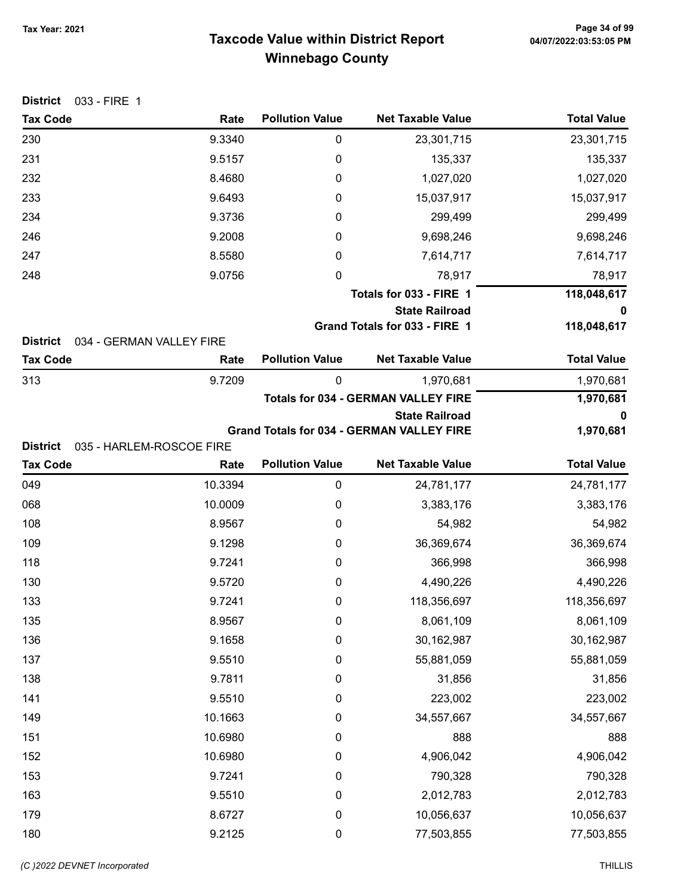# Taxcode Value within District Report Tax Year: 2021 Page 34 of 99 Winnebago County

| 033 - FIRE 1<br><b>District</b>    |                                  |                        |                                                  |                    |
|------------------------------------|----------------------------------|------------------------|--------------------------------------------------|--------------------|
| <b>Tax Code</b>                    | Rate                             | <b>Pollution Value</b> | <b>Net Taxable Value</b>                         | <b>Total Value</b> |
| 230                                | 9.3340                           | 0                      | 23,301,715                                       | 23,301,715         |
| 231                                | 9.5157                           | 0                      | 135,337                                          | 135,337            |
| 232                                | 8.4680                           | 0                      | 1,027,020                                        | 1,027,020          |
| 233                                | 9.6493                           | 0                      | 15,037,917                                       | 15,037,917         |
| 234                                | 9.3736                           | 0                      | 299,499                                          | 299,499            |
| 246                                | 9.2008                           | 0                      | 9,698,246                                        | 9,698,246          |
| 247                                | 8.5580                           | 0                      | 7,614,717                                        | 7,614,717          |
| 248                                | 9.0756                           | $\boldsymbol{0}$       | 78,917                                           | 78,917             |
|                                    |                                  |                        | Totals for 033 - FIRE 1                          | 118,048,617        |
|                                    |                                  |                        | <b>State Railroad</b>                            | 0                  |
|                                    |                                  |                        | Grand Totals for 033 - FIRE 1                    | 118,048,617        |
| <b>District</b><br><b>Tax Code</b> | 034 - GERMAN VALLEY FIRE<br>Rate | <b>Pollution Value</b> | <b>Net Taxable Value</b>                         | <b>Total Value</b> |
| 313                                | 9.7209                           | $\mathbf 0$            | 1,970,681                                        | 1,970,681          |
|                                    |                                  |                        | <b>Totals for 034 - GERMAN VALLEY FIRE</b>       | 1,970,681          |
|                                    |                                  |                        | <b>State Railroad</b>                            | 0                  |
|                                    |                                  |                        | <b>Grand Totals for 034 - GERMAN VALLEY FIRE</b> | 1,970,681          |
| <b>District</b>                    | 035 - HARLEM-ROSCOE FIRE         |                        |                                                  |                    |
| <b>Tax Code</b>                    | Rate                             | <b>Pollution Value</b> | <b>Net Taxable Value</b>                         | <b>Total Value</b> |
| 049                                | 10.3394                          | $\mathbf 0$            | 24,781,177                                       | 24,781,177         |
| 068                                | 10.0009                          | 0                      | 3,383,176                                        | 3,383,176          |
| 108                                | 8.9567                           | 0                      | 54,982                                           | 54,982             |
| 109                                | 9.1298                           | 0                      | 36,369,674                                       | 36,369,674         |
| 118                                | 9.7241                           | 0                      | 366,998                                          | 366,998            |
| 130                                | 9.5720                           | 0                      | 4,490,226                                        | 4,490,226          |
| 133                                | 9.7241                           | 0                      | 118,356,697                                      | 118,356,697        |
| 135                                | 8.9567                           | 0                      | 8,061,109                                        | 8,061,109          |
| 136                                | 9.1658                           | 0                      | 30,162,987                                       | 30,162,987         |
| 137                                | 9.5510                           | 0                      | 55,881,059                                       | 55,881,059         |
| 138                                | 9.7811                           | 0                      | 31,856                                           | 31,856             |
| 141                                | 9.5510                           | 0                      | 223,002                                          | 223,002            |
| 149                                | 10.1663                          | 0                      | 34,557,667                                       | 34,557,667         |
| 151                                | 10.6980                          | 0                      | 888                                              | 888                |
| 152                                | 10.6980                          | 0                      | 4,906,042                                        | 4,906,042          |
| 153                                | 9.7241                           | 0                      | 790,328                                          | 790,328            |
| 163                                | 9.5510                           | 0                      | 2,012,783                                        | 2,012,783          |
| 179                                | 8.6727                           | 0                      | 10,056,637                                       | 10,056,637         |
| 180                                | 9.2125                           | $\pmb{0}$              | 77,503,855                                       | 77,503,855         |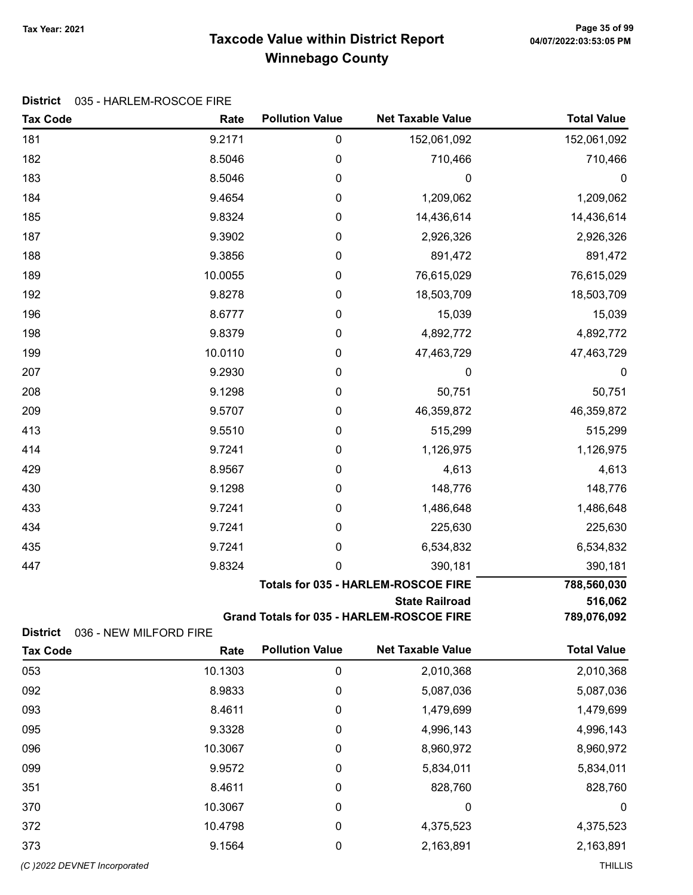# Taxcode Value within District Report Tax Year: 2021 Page 35 of 99 Winnebago County

#### District 035 - HARLEM-ROSCOE FIRE

| <b>Tax Code</b>                    | Rate                           | <b>Pollution Value</b> | <b>Net Taxable Value</b>                   | <b>Total Value</b> |
|------------------------------------|--------------------------------|------------------------|--------------------------------------------|--------------------|
| 181                                | 9.2171                         | 0                      | 152,061,092                                | 152,061,092        |
| 182                                | 8.5046                         | $\pmb{0}$              | 710,466                                    | 710,466            |
| 183                                | 8.5046                         | 0                      | 0                                          | $\boldsymbol{0}$   |
| 184                                | 9.4654                         | 0                      | 1,209,062                                  | 1,209,062          |
| 185                                | 9.8324                         | 0                      | 14,436,614                                 | 14,436,614         |
| 187                                | 9.3902                         | $\pmb{0}$              | 2,926,326                                  | 2,926,326          |
| 188                                | 9.3856                         | $\boldsymbol{0}$       | 891,472                                    | 891,472            |
| 189                                | 10.0055                        | $\mathbf 0$            | 76,615,029                                 | 76,615,029         |
| 192                                | 9.8278                         | 0                      | 18,503,709                                 | 18,503,709         |
| 196                                | 8.6777                         | 0                      | 15,039                                     | 15,039             |
| 198                                | 9.8379                         | $\pmb{0}$              | 4,892,772                                  | 4,892,772          |
| 199                                | 10.0110                        | 0                      | 47,463,729                                 | 47,463,729         |
| 207                                | 9.2930                         | $\boldsymbol{0}$       | 0                                          | 0                  |
| 208                                | 9.1298                         | $\boldsymbol{0}$       | 50,751                                     | 50,751             |
| 209                                | 9.5707                         | $\mathbf 0$            | 46,359,872                                 | 46,359,872         |
| 413                                | 9.5510                         | 0                      | 515,299                                    | 515,299            |
| 414                                | 9.7241                         | 0                      | 1,126,975                                  | 1,126,975          |
| 429                                | 8.9567                         | 0                      | 4,613                                      | 4,613              |
| 430                                | 9.1298                         | 0                      | 148,776                                    | 148,776            |
| 433                                | 9.7241                         | 0                      | 1,486,648                                  | 1,486,648          |
| 434                                | 9.7241                         | 0                      | 225,630                                    | 225,630            |
| 435                                | 9.7241                         | 0                      | 6,534,832                                  | 6,534,832          |
| 447                                | 9.8324                         | 0                      | 390,181                                    | 390,181            |
|                                    |                                |                        | <b>Totals for 035 - HARLEM-ROSCOE FIRE</b> | 788,560,030        |
|                                    |                                |                        | <b>State Railroad</b>                      | 516,062            |
|                                    |                                |                        | Grand Totals for 035 - HARLEM-ROSCOE FIRE  | 789,076,092        |
| <b>District</b><br><b>Tax Code</b> | 036 - NEW MILFORD FIRE<br>Rate | <b>Pollution Value</b> | <b>Net Taxable Value</b>                   | <b>Total Value</b> |
| 053                                | 10.1303                        | $\pmb{0}$              | 2,010,368                                  | 2,010,368          |
| 092                                | 8.9833                         | 0                      | 5,087,036                                  | 5,087,036          |
| 093                                | 8.4611                         | 0                      | 1,479,699                                  | 1,479,699          |
| 095                                | 9.3328                         | 0                      | 4,996,143                                  | 4,996,143          |
| 096                                | 10.3067                        | 0                      | 8,960,972                                  | 8,960,972          |
| 099                                | 9.9572                         | 0                      | 5,834,011                                  | 5,834,011          |
| 351                                | 8.4611                         | 0                      | 828,760                                    | 828,760            |
| 370                                | 10.3067                        | 0                      | 0                                          | $\boldsymbol{0}$   |
| 372                                | 10.4798                        | 0                      | 4,375,523                                  | 4,375,523          |
| 373                                | 9.1564                         | 0                      | 2,163,891                                  | 2,163,891          |
| (C) 2022 DEVNET Incorporated       |                                |                        |                                            | <b>THILLIS</b>     |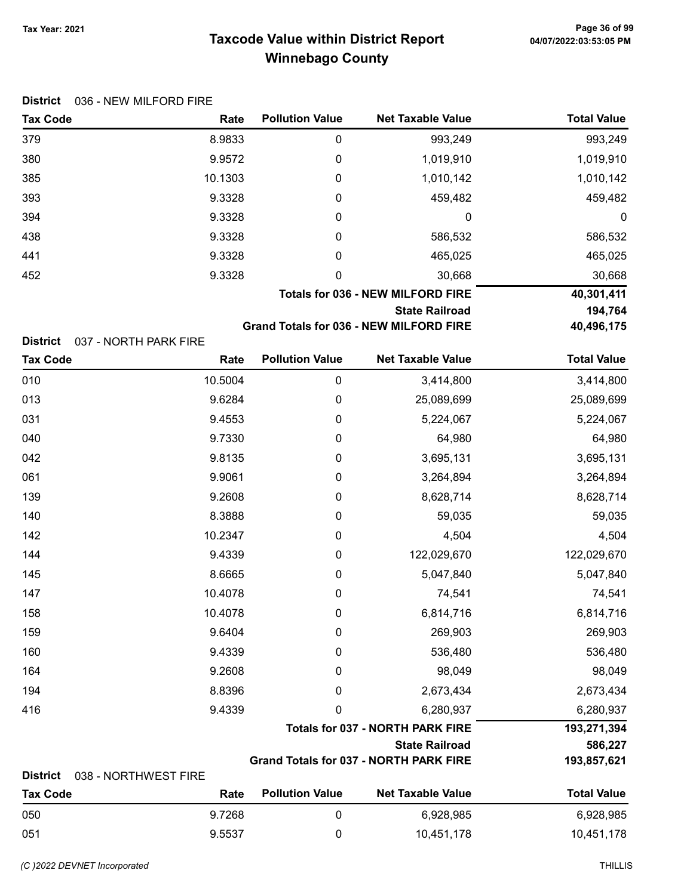# Taxcode Value within District Report Tax Year: 2021 Page 36 of 99 Winnebago County

| District 036 - NEW MILFORD FIRE |
|---------------------------------|
|                                 |

| <b>Tax Code</b> | Rate                                     | <b>Pollution Value</b> | <b>Net Taxable Value</b>                                                                                                                                                                                                                                                                                                                                                              | <b>Total Value</b> |
|-----------------|------------------------------------------|------------------------|---------------------------------------------------------------------------------------------------------------------------------------------------------------------------------------------------------------------------------------------------------------------------------------------------------------------------------------------------------------------------------------|--------------------|
| 379             | 8.9833                                   | 0                      | 993,249                                                                                                                                                                                                                                                                                                                                                                               | 993,249            |
| 380             | 9.9572                                   | 0                      | 1,019,910                                                                                                                                                                                                                                                                                                                                                                             | 1,019,910          |
| 385             | 10.1303                                  | 0                      | 1,010,142                                                                                                                                                                                                                                                                                                                                                                             | 1,010,142          |
| 393             | 9.3328                                   | 0                      | 459,482                                                                                                                                                                                                                                                                                                                                                                               | 459,482            |
| 394             | 9.3328                                   | 0                      | 0                                                                                                                                                                                                                                                                                                                                                                                     | 0                  |
| 438             | 9.3328                                   | 0                      | 586,532                                                                                                                                                                                                                                                                                                                                                                               | 586,532            |
| 441             | 9.3328                                   | 0                      | 465,025                                                                                                                                                                                                                                                                                                                                                                               | 465,025            |
| 452             | 9.3328                                   | 0                      | 30,668                                                                                                                                                                                                                                                                                                                                                                                | 30,668             |
|                 | <b>Totals for 036 - NEW MILFORD FIRE</b> |                        |                                                                                                                                                                                                                                                                                                                                                                                       | 40,301,411         |
|                 | <b>State Railroad</b>                    |                        |                                                                                                                                                                                                                                                                                                                                                                                       | 194,764            |
|                 |                                          |                        | $\bigcap_{i=1}^n A_i = \bigcup_{i=1}^n A_i = \bigcap_{i=1}^n A_i = \bigcap_{i=1}^n A_i = \bigcap_{i=1}^n A_i = \bigcap_{i=1}^n A_i = \bigcap_{i=1}^n A_i = \bigcap_{i=1}^n A_i = \bigcap_{i=1}^n A_i = \bigcap_{i=1}^n A_i = \bigcap_{i=1}^n A_i = \bigcap_{i=1}^n A_i = \bigcap_{i=1}^n A_i = \bigcap_{i=1}^n A_i = \bigcap_{i=1}^n A_i = \bigcap_{i=1}^n A_i = \bigcap_{i=1}^n A_i$ | 10.1001177         |

Grand Totals for 036 - NEW MILFORD FIRE 40,496,175

District 037 - NORTH PARK FIRE

| <b>Tax Code</b> | Rate                 | <b>Pollution Value</b>                  | <b>Net Taxable Value</b>                      | <b>Total Value</b> |  |
|-----------------|----------------------|-----------------------------------------|-----------------------------------------------|--------------------|--|
| 010             | 10.5004              | 0                                       | 3,414,800                                     | 3,414,800          |  |
| 013             | 9.6284               | $\mathbf 0$                             | 25,089,699                                    | 25,089,699         |  |
| 031             | 9.4553               | 0                                       | 5,224,067                                     | 5,224,067          |  |
| 040             | 9.7330               | $\pmb{0}$                               | 64,980                                        | 64,980             |  |
| 042             | 9.8135               | $\pmb{0}$                               | 3,695,131                                     | 3,695,131          |  |
| 061             | 9.9061               | 0                                       | 3,264,894                                     | 3,264,894          |  |
| 139             | 9.2608               | 0                                       | 8,628,714                                     | 8,628,714          |  |
| 140             | 8.3888               | 0                                       | 59,035                                        | 59,035             |  |
| 142             | 10.2347              | 0                                       | 4,504                                         | 4,504              |  |
| 144             | 9.4339               | 0                                       | 122,029,670                                   | 122,029,670        |  |
| 145             | 8.6665               | 0                                       | 5,047,840                                     | 5,047,840          |  |
| 147             | 10.4078              | 0                                       | 74,541                                        | 74,541             |  |
| 158             | 10.4078              | 0                                       | 6,814,716                                     | 6,814,716          |  |
| 159             | 9.6404               | 0                                       | 269,903                                       | 269,903            |  |
| 160             | 9.4339               | 0                                       | 536,480                                       | 536,480            |  |
| 164             | 9.2608               | 0                                       | 98,049                                        | 98,049             |  |
| 194             | 8.8396               | 0                                       | 2,673,434                                     | 2,673,434          |  |
| 416             | 9.4339               | 0                                       | 6,280,937                                     | 6,280,937          |  |
|                 |                      | <b>Totals for 037 - NORTH PARK FIRE</b> |                                               |                    |  |
|                 |                      | <b>State Railroad</b>                   |                                               |                    |  |
|                 |                      |                                         | <b>Grand Totals for 037 - NORTH PARK FIRE</b> | 193,857,621        |  |
| <b>District</b> | 038 - NORTHWEST FIRE |                                         |                                               |                    |  |
| <b>Tax Code</b> | Rate                 | <b>Pollution Value</b>                  | <b>Net Taxable Value</b>                      | <b>Total Value</b> |  |
| 050             | 9.7268               | 0                                       | 6,928,985                                     | 6,928,985          |  |

051 9.5537 0 10,451,178 10,451,178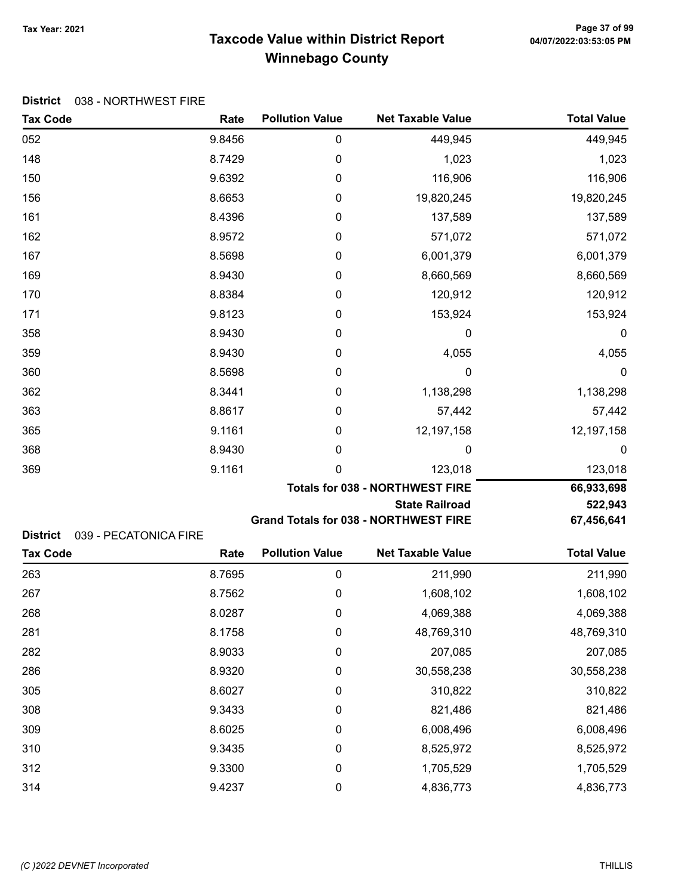# Taxcode Value within District Report Tax Year: 2021 Page 37 of 99 Winnebago County

|          | <b>District</b> 038 - NORTHWEST FIRE |
|----------|--------------------------------------|
| Tax Code |                                      |

| <b>Tax Code</b> | Rate                  | <b>Pollution Value</b> | <b>Net Taxable Value</b>                     | <b>Total Value</b> |
|-----------------|-----------------------|------------------------|----------------------------------------------|--------------------|
| 052             | 9.8456                | $\pmb{0}$              | 449,945                                      | 449,945            |
| 148             | 8.7429                | 0                      | 1,023                                        | 1,023              |
| 150             | 9.6392                | 0                      | 116,906                                      | 116,906            |
| 156             | 8.6653                | 0                      | 19,820,245                                   | 19,820,245         |
| 161             | 8.4396                | 0                      | 137,589                                      | 137,589            |
| 162             | 8.9572                | 0                      | 571,072                                      | 571,072            |
| 167             | 8.5698                | 0                      | 6,001,379                                    | 6,001,379          |
| 169             | 8.9430                | 0                      | 8,660,569                                    | 8,660,569          |
| 170             | 8.8384                | 0                      | 120,912                                      | 120,912            |
| 171             | 9.8123                | 0                      | 153,924                                      | 153,924            |
| 358             | 8.9430                | 0                      | 0                                            | 0                  |
| 359             | 8.9430                | 0                      | 4,055                                        | 4,055              |
| 360             | 8.5698                | 0                      | 0                                            | 0                  |
| 362             | 8.3441                | 0                      | 1,138,298                                    | 1,138,298          |
| 363             | 8.8617                | 0                      | 57,442                                       | 57,442             |
| 365             | 9.1161                | 0                      | 12,197,158                                   | 12,197,158         |
| 368             | 8.9430                | 0                      | 0                                            | $\boldsymbol{0}$   |
| 369             | 9.1161                | 0                      | 123,018                                      | 123,018            |
|                 |                       |                        | <b>Totals for 038 - NORTHWEST FIRE</b>       | 66,933,698         |
|                 |                       |                        | <b>State Railroad</b>                        | 522,943            |
| <b>District</b> | 039 - PECATONICA FIRE |                        | <b>Grand Totals for 038 - NORTHWEST FIRE</b> | 67,456,641         |
| <b>Tax Code</b> | Rate                  | <b>Pollution Value</b> | <b>Net Taxable Value</b>                     | <b>Total Value</b> |
| 263             | 8.7695                | $\pmb{0}$              | 211,990                                      | 211,990            |
| 267             | 8.7562                | 0                      | 1,608,102                                    | 1,608,102          |
| 268             | 8.0287                | 0                      | 4,069,388                                    | 4,069,388          |
| 281             | 8.1758                | 0                      | 48,769,310                                   | 48,769,310         |
| 282             | 8.9033                | 0                      | 207,085                                      | 207,085            |
| 286             | 8.9320                | 0                      | 30,558,238                                   | 30,558,238         |
| 305             | 8.6027                | 0                      | 310,822                                      | 310,822            |
| 308             | 9.3433                | 0                      | 821,486                                      | 821,486            |
| 309             | 8.6025                | 0                      | 6,008,496                                    | 6,008,496          |
| 310             | 9.3435                | 0                      | 8,525,972                                    | 8,525,972          |
| 312             | 9.3300                | 0                      | 1,705,529                                    | 1,705,529          |
| 314             | 9.4237                | 0                      | 4,836,773                                    | 4,836,773          |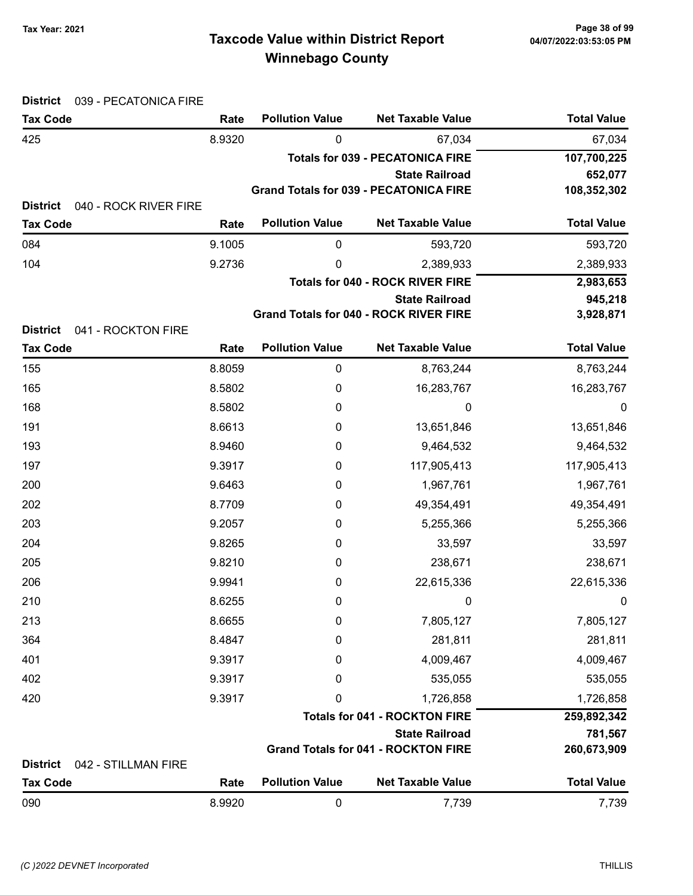# Taxcode Value within District Report Tax Year: 2021 Page 38 of 99 Winnebago County

| <b>District</b><br>039 - PECATONICA FIRE                    |        |                        |                                                                  |                      |
|-------------------------------------------------------------|--------|------------------------|------------------------------------------------------------------|----------------------|
| <b>Tax Code</b>                                             | Rate   | <b>Pollution Value</b> | <b>Net Taxable Value</b>                                         | <b>Total Value</b>   |
| 425                                                         | 8.9320 | 0                      | 67,034                                                           | 67,034               |
|                                                             |        |                        | <b>Totals for 039 - PECATONICA FIRE</b>                          | 107,700,225          |
|                                                             |        |                        | <b>State Railroad</b>                                            | 652,077              |
|                                                             |        |                        | <b>Grand Totals for 039 - PECATONICA FIRE</b>                    | 108,352,302          |
| <b>District</b><br>040 - ROCK RIVER FIRE<br><b>Tax Code</b> | Rate   | <b>Pollution Value</b> | <b>Net Taxable Value</b>                                         | <b>Total Value</b>   |
|                                                             |        |                        |                                                                  |                      |
| 084                                                         | 9.1005 | 0                      | 593,720                                                          | 593,720              |
| 104                                                         | 9.2736 | 0                      | 2,389,933                                                        | 2,389,933            |
|                                                             |        |                        | <b>Totals for 040 - ROCK RIVER FIRE</b><br><b>State Railroad</b> | 2,983,653<br>945,218 |
|                                                             |        |                        | <b>Grand Totals for 040 - ROCK RIVER FIRE</b>                    | 3,928,871            |
| <b>District</b><br>041 - ROCKTON FIRE                       |        |                        |                                                                  |                      |
| <b>Tax Code</b>                                             | Rate   | <b>Pollution Value</b> | <b>Net Taxable Value</b>                                         | <b>Total Value</b>   |
| 155                                                         | 8.8059 | $\mathbf 0$            | 8,763,244                                                        | 8,763,244            |
| 165                                                         | 8.5802 | 0                      | 16,283,767                                                       | 16,283,767           |
| 168                                                         | 8.5802 | 0                      | 0                                                                | $\boldsymbol{0}$     |
| 191                                                         | 8.6613 | 0                      | 13,651,846                                                       | 13,651,846           |
| 193                                                         | 8.9460 | 0                      | 9,464,532                                                        | 9,464,532            |
| 197                                                         | 9.3917 | 0                      | 117,905,413                                                      | 117,905,413          |
| 200                                                         | 9.6463 | 0                      | 1,967,761                                                        | 1,967,761            |
| 202                                                         | 8.7709 | 0                      | 49,354,491                                                       | 49,354,491           |
| 203                                                         | 9.2057 | 0                      | 5,255,366                                                        | 5,255,366            |
| 204                                                         | 9.8265 | 0                      | 33,597                                                           | 33,597               |
| 205                                                         | 9.8210 | 0                      | 238,671                                                          | 238,671              |
| 206                                                         | 9.9941 | 0                      | 22,615,336                                                       | 22,615,336           |
| 210                                                         | 8.6255 | 0                      | 0                                                                | U                    |
| 213                                                         | 8.6655 | 0                      | 7,805,127                                                        | 7,805,127            |
| 364                                                         | 8.4847 | 0                      | 281,811                                                          | 281,811              |
| 401                                                         | 9.3917 | 0                      | 4,009,467                                                        | 4,009,467            |
| 402                                                         | 9.3917 | 0                      | 535,055                                                          | 535,055              |
| 420                                                         | 9.3917 | 0                      | 1,726,858                                                        | 1,726,858            |
|                                                             |        |                        | <b>Totals for 041 - ROCKTON FIRE</b>                             | 259,892,342          |
|                                                             |        |                        | <b>State Railroad</b>                                            | 781,567              |
|                                                             |        |                        | <b>Grand Totals for 041 - ROCKTON FIRE</b>                       | 260,673,909          |
| <b>District</b><br>042 - STILLMAN FIRE                      |        |                        |                                                                  |                      |
| <b>Tax Code</b>                                             | Rate   | <b>Pollution Value</b> | <b>Net Taxable Value</b>                                         | <b>Total Value</b>   |
| 090                                                         | 8.9920 | $\pmb{0}$              | 7,739                                                            | 7,739                |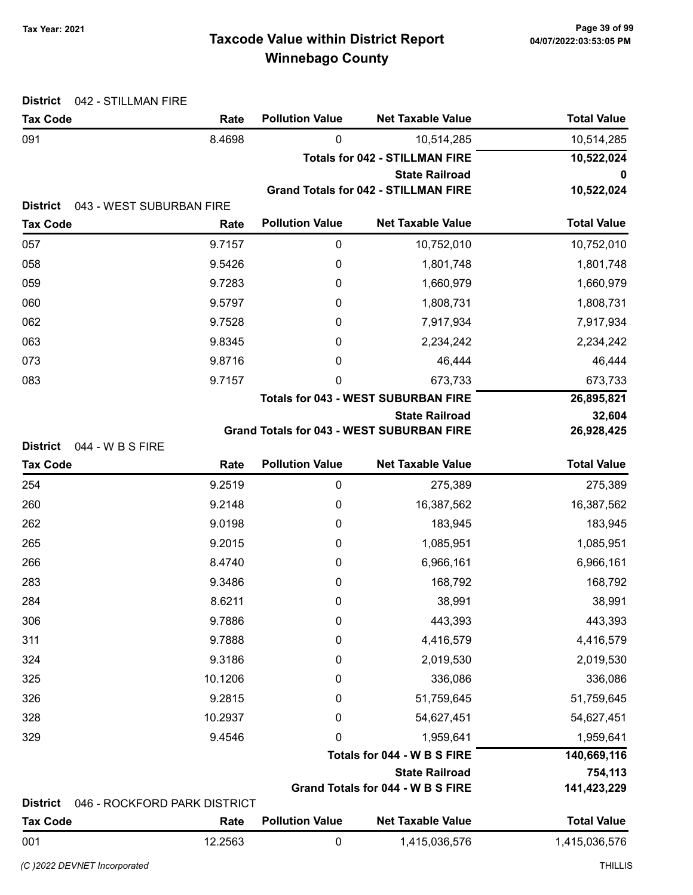# Taxcode Value within District Report Tax Year: 2021 Page 39 of 99 Winnebago County

| <b>District</b>                    | 042 - STILLMAN FIRE          |                        |                                                  |                    |
|------------------------------------|------------------------------|------------------------|--------------------------------------------------|--------------------|
| <b>Tax Code</b>                    | Rate                         | <b>Pollution Value</b> | <b>Net Taxable Value</b>                         | <b>Total Value</b> |
| 091                                | 8.4698                       | 0                      | 10,514,285                                       | 10,514,285         |
|                                    |                              |                        | <b>Totals for 042 - STILLMAN FIRE</b>            | 10,522,024         |
|                                    |                              |                        | <b>State Railroad</b>                            | 0                  |
| <b>District</b>                    | 043 - WEST SUBURBAN FIRE     |                        | <b>Grand Totals for 042 - STILLMAN FIRE</b>      | 10,522,024         |
| <b>Tax Code</b>                    | Rate                         | <b>Pollution Value</b> | <b>Net Taxable Value</b>                         | <b>Total Value</b> |
| 057                                | 9.7157                       | $\boldsymbol{0}$       | 10,752,010                                       | 10,752,010         |
| 058                                | 9.5426                       | 0                      | 1,801,748                                        | 1,801,748          |
| 059                                | 9.7283                       | 0                      | 1,660,979                                        | 1,660,979          |
| 060                                | 9.5797                       | 0                      | 1,808,731                                        | 1,808,731          |
| 062                                | 9.7528                       | 0                      | 7,917,934                                        | 7,917,934          |
| 063                                | 9.8345                       | 0                      | 2,234,242                                        | 2,234,242          |
| 073                                | 9.8716                       | 0                      | 46,444                                           | 46,444             |
| 083                                | 9.7157                       | 0                      | 673,733                                          | 673,733            |
|                                    |                              |                        | <b>Totals for 043 - WEST SUBURBAN FIRE</b>       | 26,895,821         |
|                                    |                              |                        | <b>State Railroad</b>                            | 32,604             |
|                                    |                              |                        | <b>Grand Totals for 043 - WEST SUBURBAN FIRE</b> | 26,928,425         |
| <b>District</b><br><b>Tax Code</b> | 044 - W B S FIRE<br>Rate     | <b>Pollution Value</b> | <b>Net Taxable Value</b>                         | <b>Total Value</b> |
| 254                                | 9.2519                       | $\mathbf 0$            | 275,389                                          | 275,389            |
| 260                                | 9.2148                       | 0                      | 16,387,562                                       | 16,387,562         |
| 262                                | 9.0198                       | 0                      | 183,945                                          | 183,945            |
| 265                                | 9.2015                       | 0                      | 1,085,951                                        | 1,085,951          |
| 266                                | 8.4740                       | 0                      | 6,966,161                                        | 6,966,161          |
| 283                                | 9.3486                       | 0                      | 168,792                                          | 168,792            |
| 284                                | 8.6211                       | 0                      | 38,991                                           | 38,991             |
| 306                                | 9.7886                       | 0                      | 443,393                                          | 443,393            |
| 311                                | 9.7888                       | 0                      | 4,416,579                                        | 4,416,579          |
| 324                                | 9.3186                       | 0                      | 2,019,530                                        | 2,019,530          |
| 325                                | 10.1206                      | 0                      | 336,086                                          | 336,086            |
| 326                                | 9.2815                       | 0                      | 51,759,645                                       | 51,759,645         |
| 328                                | 10.2937                      | 0                      | 54,627,451                                       | 54,627,451         |
| 329                                | 9.4546                       | 0                      | 1,959,641                                        | 1,959,641          |
|                                    |                              |                        | Totals for 044 - W B S FIRE                      | 140,669,116        |
|                                    |                              |                        | <b>State Railroad</b>                            | 754,113            |
|                                    |                              |                        | Grand Totals for 044 - W B S FIRE                | 141,423,229        |
| <b>District</b>                    | 046 - ROCKFORD PARK DISTRICT |                        |                                                  |                    |
| <b>Tax Code</b>                    | Rate                         | <b>Pollution Value</b> | <b>Net Taxable Value</b>                         | <b>Total Value</b> |
| 001                                | 12.2563                      | $\boldsymbol{0}$       | 1,415,036,576                                    | 1,415,036,576      |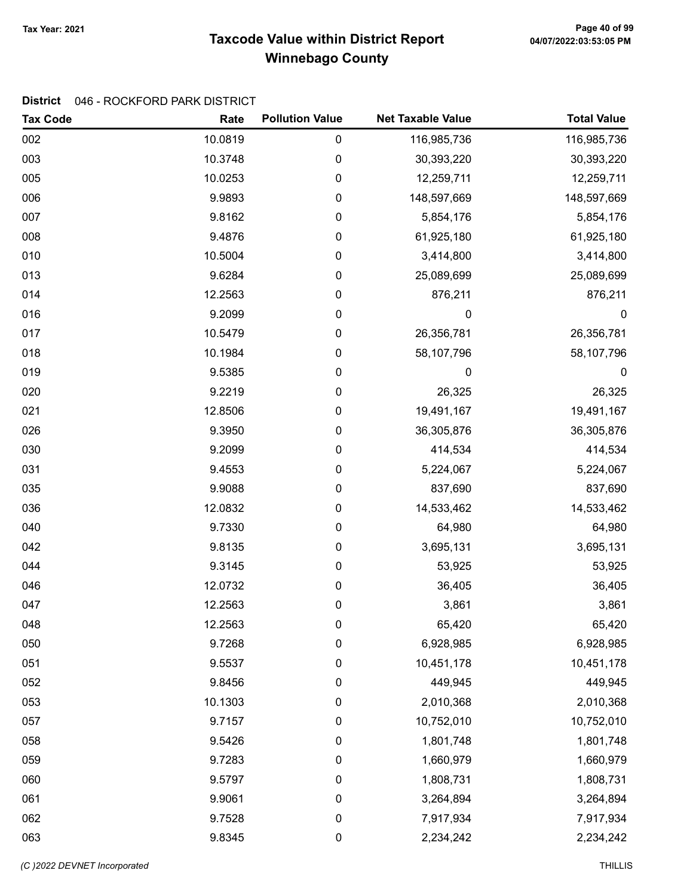# Taxcode Value within District Report Tax Year: 2021 Page 40 of 99 Winnebago County

#### District 046 - ROCKFORD PARK DISTRICT

| <b>Tax Code</b> | Rate    | <b>Pollution Value</b> | <b>Net Taxable Value</b> | <b>Total Value</b> |
|-----------------|---------|------------------------|--------------------------|--------------------|
| 002             | 10.0819 | $\pmb{0}$              | 116,985,736              | 116,985,736        |
| 003             | 10.3748 | 0                      | 30,393,220               | 30,393,220         |
| 005             | 10.0253 | $\pmb{0}$              | 12,259,711               | 12,259,711         |
| 006             | 9.9893  | 0                      | 148,597,669              | 148,597,669        |
| 007             | 9.8162  | 0                      | 5,854,176                | 5,854,176          |
| 008             | 9.4876  | $\pmb{0}$              | 61,925,180               | 61,925,180         |
| 010             | 10.5004 | 0                      | 3,414,800                | 3,414,800          |
| 013             | 9.6284  | $\pmb{0}$              | 25,089,699               | 25,089,699         |
| 014             | 12.2563 | 0                      | 876,211                  | 876,211            |
| 016             | 9.2099  | $\pmb{0}$              | $\mathbf 0$              | $\boldsymbol{0}$   |
| 017             | 10.5479 | 0                      | 26,356,781               | 26,356,781         |
| 018             | 10.1984 | 0                      | 58,107,796               | 58,107,796         |
| 019             | 9.5385  | 0                      | 0                        | $\boldsymbol{0}$   |
| 020             | 9.2219  | $\pmb{0}$              | 26,325                   | 26,325             |
| 021             | 12.8506 | $\pmb{0}$              | 19,491,167               | 19,491,167         |
| 026             | 9.3950  | 0                      | 36,305,876               | 36,305,876         |
| 030             | 9.2099  | $\pmb{0}$              | 414,534                  | 414,534            |
| 031             | 9.4553  | 0                      | 5,224,067                | 5,224,067          |
| 035             | 9.9088  | 0                      | 837,690                  | 837,690            |
| 036             | 12.0832 | 0                      | 14,533,462               | 14,533,462         |
| 040             | 9.7330  | 0                      | 64,980                   | 64,980             |
| 042             | 9.8135  | $\pmb{0}$              | 3,695,131                | 3,695,131          |
| 044             | 9.3145  | 0                      | 53,925                   | 53,925             |
| 046             | 12.0732 | $\pmb{0}$              | 36,405                   | 36,405             |
| 047             | 12.2563 | 0                      | 3,861                    | 3,861              |
| 048             | 12.2563 | 0                      | 65,420                   | 65,420             |
| 050             | 9.7268  | 0                      | 6,928,985                | 6,928,985          |
| 051             | 9.5537  | $\pmb{0}$              | 10,451,178               | 10,451,178         |
| 052             | 9.8456  | 0                      | 449,945                  | 449,945            |
| 053             | 10.1303 | 0                      | 2,010,368                | 2,010,368          |
| 057             | 9.7157  | $\boldsymbol{0}$       | 10,752,010               | 10,752,010         |
| 058             | 9.5426  | 0                      | 1,801,748                | 1,801,748          |
| 059             | 9.7283  | $\pmb{0}$              | 1,660,979                | 1,660,979          |
| 060             | 9.5797  | 0                      | 1,808,731                | 1,808,731          |
| 061             | 9.9061  | $\boldsymbol{0}$       | 3,264,894                | 3,264,894          |
| 062             | 9.7528  | $\mathbf 0$            | 7,917,934                | 7,917,934          |
| 063             | 9.8345  | $\pmb{0}$              | 2,234,242                | 2,234,242          |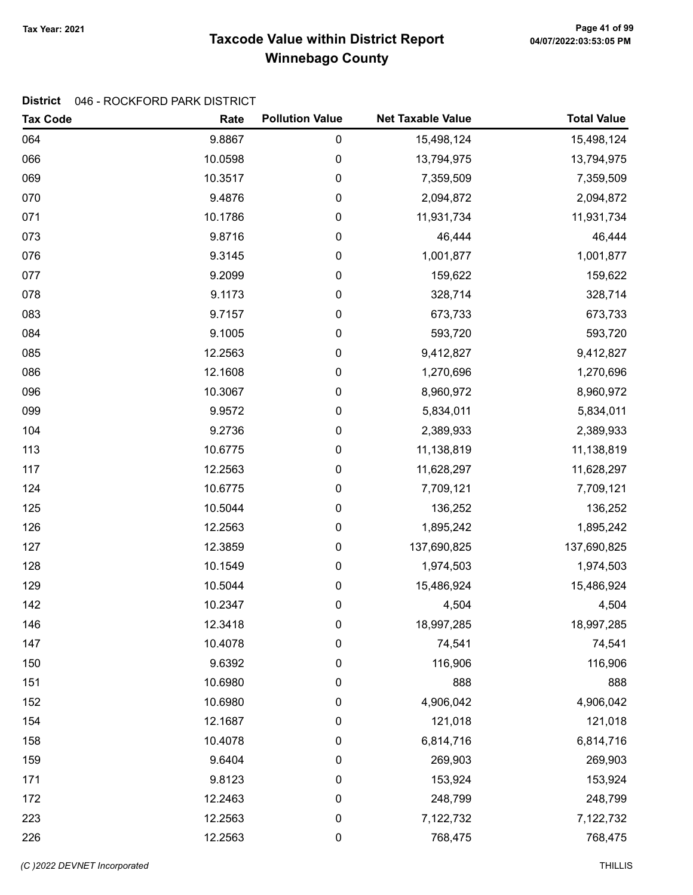# Taxcode Value within District Report Tax Year: 2021 Page 41 of 99 Winnebago County

#### District 046 - ROCKFORD PARK DISTRICT

| <b>Tax Code</b> | Rate    | <b>Pollution Value</b> | <b>Net Taxable Value</b> | <b>Total Value</b> |
|-----------------|---------|------------------------|--------------------------|--------------------|
| 064             | 9.8867  | 0                      | 15,498,124               | 15,498,124         |
| 066             | 10.0598 | 0                      | 13,794,975               | 13,794,975         |
| 069             | 10.3517 | 0                      | 7,359,509                | 7,359,509          |
| 070             | 9.4876  | 0                      | 2,094,872                | 2,094,872          |
| 071             | 10.1786 | 0                      | 11,931,734               | 11,931,734         |
| 073             | 9.8716  | 0                      | 46,444                   | 46,444             |
| 076             | 9.3145  | 0                      | 1,001,877                | 1,001,877          |
| 077             | 9.2099  | 0                      | 159,622                  | 159,622            |
| 078             | 9.1173  | 0                      | 328,714                  | 328,714            |
| 083             | 9.7157  | 0                      | 673,733                  | 673,733            |
| 084             | 9.1005  | 0                      | 593,720                  | 593,720            |
| 085             | 12.2563 | 0                      | 9,412,827                | 9,412,827          |
| 086             | 12.1608 | 0                      | 1,270,696                | 1,270,696          |
| 096             | 10.3067 | 0                      | 8,960,972                | 8,960,972          |
| 099             | 9.9572  | 0                      | 5,834,011                | 5,834,011          |
| 104             | 9.2736  | 0                      | 2,389,933                | 2,389,933          |
| 113             | 10.6775 | 0                      | 11,138,819               | 11,138,819         |
| 117             | 12.2563 | 0                      | 11,628,297               | 11,628,297         |
| 124             | 10.6775 | 0                      | 7,709,121                | 7,709,121          |
| 125             | 10.5044 | 0                      | 136,252                  | 136,252            |
| 126             | 12.2563 | 0                      | 1,895,242                | 1,895,242          |
| 127             | 12.3859 | 0                      | 137,690,825              | 137,690,825        |
| 128             | 10.1549 | 0                      | 1,974,503                | 1,974,503          |
| 129             | 10.5044 | 0                      | 15,486,924               | 15,486,924         |
| 142             | 10.2347 | 0                      | 4,504                    | 4,504              |
| 146             | 12.3418 | 0                      | 18,997,285               | 18,997,285         |
| 147             | 10.4078 | 0                      | 74,541                   | 74,541             |
| 150             | 9.6392  | 0                      | 116,906                  | 116,906            |
| 151             | 10.6980 | 0                      | 888                      | 888                |
| 152             | 10.6980 | 0                      | 4,906,042                | 4,906,042          |
| 154             | 12.1687 | 0                      | 121,018                  | 121,018            |
| 158             | 10.4078 | 0                      | 6,814,716                | 6,814,716          |
| 159             | 9.6404  | 0                      | 269,903                  | 269,903            |
| 171             | 9.8123  | 0                      | 153,924                  | 153,924            |
| 172             | 12.2463 | 0                      | 248,799                  | 248,799            |
| 223             | 12.2563 | 0                      | 7,122,732                | 7,122,732          |
| 226             | 12.2563 | $\pmb{0}$              | 768,475                  | 768,475            |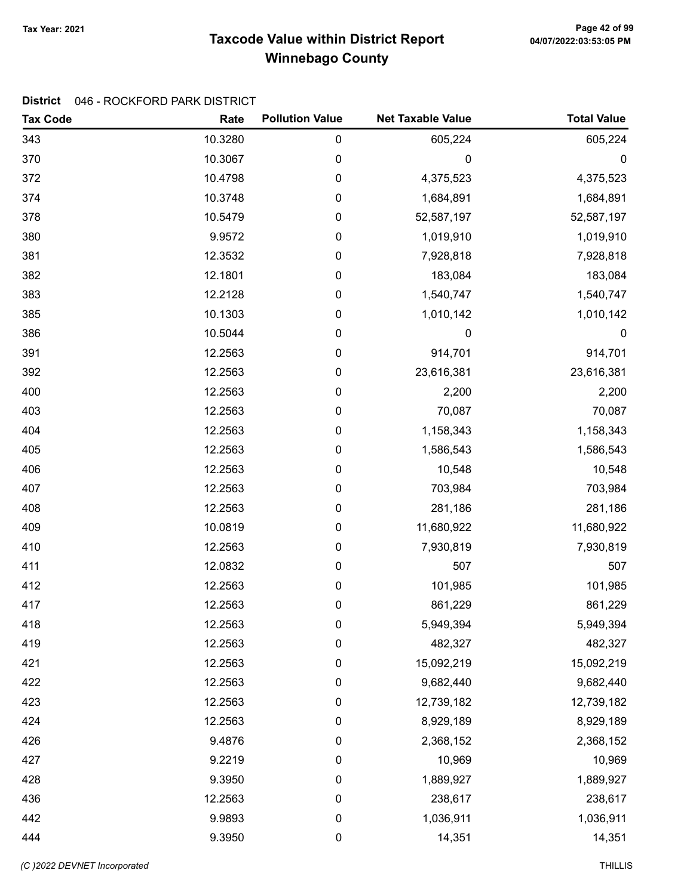# Taxcode Value within District Report Tax Year: 2021 Page 42 of 99 Winnebago County

#### District 046 - ROCKFORD PARK DISTRICT

| <b>Tax Code</b> | Rate    | <b>Pollution Value</b> | <b>Net Taxable Value</b> | <b>Total Value</b> |
|-----------------|---------|------------------------|--------------------------|--------------------|
| 343             | 10.3280 | $\mathbf 0$            | 605,224                  | 605,224            |
| 370             | 10.3067 | $\boldsymbol{0}$       | 0                        | 0                  |
| 372             | 10.4798 | $\mathbf 0$            | 4,375,523                | 4,375,523          |
| 374             | 10.3748 | $\mathbf 0$            | 1,684,891                | 1,684,891          |
| 378             | 10.5479 | $\boldsymbol{0}$       | 52,587,197               | 52,587,197         |
| 380             | 9.9572  | $\pmb{0}$              | 1,019,910                | 1,019,910          |
| 381             | 12.3532 | $\mathbf 0$            | 7,928,818                | 7,928,818          |
| 382             | 12.1801 | $\mathbf 0$            | 183,084                  | 183,084            |
| 383             | 12.2128 | $\mathbf 0$            | 1,540,747                | 1,540,747          |
| 385             | 10.1303 | $\mathbf 0$            | 1,010,142                | 1,010,142          |
| 386             | 10.5044 | $\boldsymbol{0}$       | 0                        | 0                  |
| 391             | 12.2563 | $\boldsymbol{0}$       | 914,701                  | 914,701            |
| 392             | 12.2563 | $\boldsymbol{0}$       | 23,616,381               | 23,616,381         |
| 400             | 12.2563 | $\pmb{0}$              | 2,200                    | 2,200              |
| 403             | 12.2563 | $\mathbf 0$            | 70,087                   | 70,087             |
| 404             | 12.2563 | $\mathbf 0$            | 1,158,343                | 1,158,343          |
| 405             | 12.2563 | $\mathbf 0$            | 1,586,543                | 1,586,543          |
| 406             | 12.2563 | $\boldsymbol{0}$       | 10,548                   | 10,548             |
| 407             | 12.2563 | $\boldsymbol{0}$       | 703,984                  | 703,984            |
| 408             | 12.2563 | 0                      | 281,186                  | 281,186            |
| 409             | 10.0819 | $\mathbf 0$            | 11,680,922               | 11,680,922         |
| 410             | 12.2563 | $\mathbf 0$            | 7,930,819                | 7,930,819          |
| 411             | 12.0832 | $\mathbf 0$            | 507                      | 507                |
| 412             | 12.2563 | $\boldsymbol{0}$       | 101,985                  | 101,985            |
| 417             | 12.2563 | $\boldsymbol{0}$       | 861,229                  | 861,229            |
| 418             | 12.2563 | $\boldsymbol{0}$       | 5,949,394                | 5,949,394          |
| 419             | 12.2563 | $\boldsymbol{0}$       | 482,327                  | 482,327            |
| 421             | 12.2563 | $\mathbf 0$            | 15,092,219               | 15,092,219         |
| 422             | 12.2563 | 0                      | 9,682,440                | 9,682,440          |
| 423             | 12.2563 | $\mathbf 0$            | 12,739,182               | 12,739,182         |
| 424             | 12.2563 | $\mathbf 0$            | 8,929,189                | 8,929,189          |
| 426             | 9.4876  | $\mathbf 0$            | 2,368,152                | 2,368,152          |
| 427             | 9.2219  | $\mathbf 0$            | 10,969                   | 10,969             |
| 428             | 9.3950  | 0                      | 1,889,927                | 1,889,927          |
| 436             | 12.2563 | 0                      | 238,617                  | 238,617            |
| 442             | 9.9893  | $\mathbf 0$            | 1,036,911                | 1,036,911          |
| 444             | 9.3950  | $\pmb{0}$              | 14,351                   | 14,351             |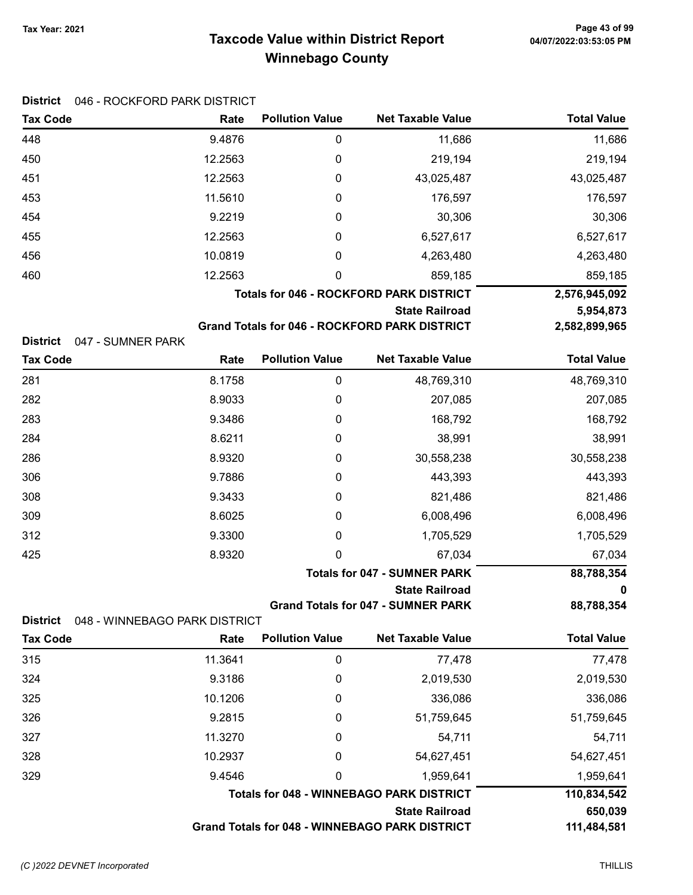# Taxcode Value within District Report Tax Year: 2021 Page 43 of 99 Winnebago County

| <b>Tax Code</b> | Rate    | <b>Pollution Value</b> | <b>Net Taxable Value</b>                             | <b>Total Value</b> |
|-----------------|---------|------------------------|------------------------------------------------------|--------------------|
| 448             | 9.4876  | 0                      | 11,686                                               | 11,686             |
| 450             | 12.2563 | 0                      | 219,194                                              | 219,194            |
| 451             | 12.2563 | 0                      | 43,025,487                                           | 43,025,487         |
| 453             | 11.5610 | 0                      | 176,597                                              | 176,597            |
| 454             | 9.2219  | 0                      | 30,306                                               | 30,306             |
| 455             | 12.2563 | 0                      | 6,527,617                                            | 6,527,617          |
| 456             | 10.0819 | 0                      | 4,263,480                                            | 4,263,480          |
| 460             | 12.2563 | 0                      | 859,185                                              | 859,185            |
|                 |         |                        | <b>Totals for 046 - ROCKFORD PARK DISTRICT</b>       | 2,576,945,092      |
|                 |         |                        | <b>State Railroad</b>                                | 5,954,873          |
|                 |         |                        | <b>Grand Totals for 046 - ROCKFORD PARK DISTRICT</b> | 2,582,899,965      |

| <b>Tax Code</b> | Rate   | <b>Pollution Value</b> | <b>Net Taxable Value</b>            | <b>Total Value</b> |
|-----------------|--------|------------------------|-------------------------------------|--------------------|
| 281             | 8.1758 | 0                      | 48,769,310                          | 48,769,310         |
| 282             | 8.9033 | 0                      | 207,085                             | 207,085            |
| 283             | 9.3486 | 0                      | 168,792                             | 168,792            |
| 284             | 8.6211 | 0                      | 38,991                              | 38,991             |
| 286             | 8.9320 | 0                      | 30,558,238                          | 30,558,238         |
| 306             | 9.7886 | 0                      | 443,393                             | 443,393            |
| 308             | 9.3433 | $\mathbf 0$            | 821,486                             | 821,486            |
| 309             | 8.6025 | 0                      | 6,008,496                           | 6,008,496          |
| 312             | 9.3300 | 0                      | 1,705,529                           | 1,705,529          |
| 425             | 8.9320 | 0                      | 67,034                              | 67,034             |
|                 |        |                        | <b>Totals for 047 - SUMNER PARK</b> | 88,788,354         |

State Railroad 0<br>SUMNER PARK 88,788,354

Grand Totals for 047 - SUMNER PARK

District 048 - WINNEBAGO PARK DISTRICT

| <b>Tax Code</b> | Rate                  | <b>Pollution Value</b>                          | <b>Net Taxable Value</b>                              | <b>Total Value</b> |
|-----------------|-----------------------|-------------------------------------------------|-------------------------------------------------------|--------------------|
| 315             | 11.3641               | 0                                               | 77,478                                                | 77,478             |
| 324             | 9.3186                | 0                                               | 2,019,530                                             | 2,019,530          |
| 325             | 10.1206               | 0                                               | 336,086                                               | 336,086            |
| 326             | 9.2815                | 0                                               | 51,759,645                                            | 51,759,645         |
| 327             | 11.3270               | 0                                               | 54,711                                                | 54,711             |
| 328             | 10.2937               | 0                                               | 54,627,451                                            | 54,627,451         |
| 329             | 9.4546                | $\mathbf 0$                                     | 1,959,641                                             | 1,959,641          |
|                 |                       | <b>Totals for 048 - WINNEBAGO PARK DISTRICT</b> | 110,834,542                                           |                    |
|                 | <b>State Railroad</b> |                                                 |                                                       | 650,039            |
|                 |                       |                                                 | <b>Grand Totals for 048 - WINNEBAGO PARK DISTRICT</b> | 111,484,581        |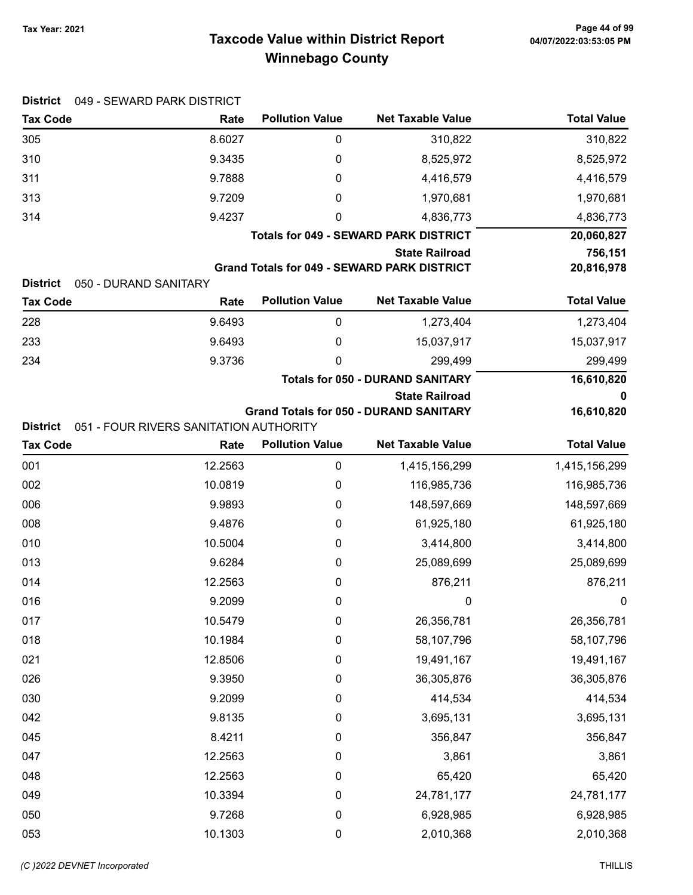# Taxcode Value within District Report Tax Year: 2021 Page 44 of 99 Winnebago County

| <b>Tax Code</b>                    | 049 - SEWARD PARK DISTRICT<br>Rate     | <b>Pollution Value</b> | <b>Net Taxable Value</b>                           | <b>Total Value</b> |
|------------------------------------|----------------------------------------|------------------------|----------------------------------------------------|--------------------|
| 305                                | 8.6027                                 | 0                      | 310,822                                            | 310,822            |
| 310                                | 9.3435                                 | 0                      | 8,525,972                                          | 8,525,972          |
| 311                                | 9.7888                                 | 0                      | 4,416,579                                          | 4,416,579          |
| 313                                | 9.7209                                 | 0                      | 1,970,681                                          | 1,970,681          |
| 314                                | 9.4237                                 | 0                      | 4,836,773                                          | 4,836,773          |
|                                    |                                        |                        | <b>Totals for 049 - SEWARD PARK DISTRICT</b>       | 20,060,827         |
|                                    |                                        |                        | <b>State Railroad</b>                              | 756,151            |
|                                    |                                        |                        | <b>Grand Totals for 049 - SEWARD PARK DISTRICT</b> | 20,816,978         |
| <b>District</b><br><b>Tax Code</b> | 050 - DURAND SANITARY<br>Rate          | <b>Pollution Value</b> | <b>Net Taxable Value</b>                           | <b>Total Value</b> |
| 228                                | 9.6493                                 | $\pmb{0}$              | 1,273,404                                          | 1,273,404          |
| 233                                | 9.6493                                 | 0                      | 15,037,917                                         | 15,037,917         |
| 234                                | 9.3736                                 | 0                      | 299,499                                            | 299,499            |
|                                    |                                        |                        | <b>Totals for 050 - DURAND SANITARY</b>            | 16,610,820         |
|                                    |                                        |                        | <b>State Railroad</b>                              | 0                  |
|                                    |                                        |                        | <b>Grand Totals for 050 - DURAND SANITARY</b>      | 16,610,820         |
| <b>District</b>                    | 051 - FOUR RIVERS SANITATION AUTHORITY |                        |                                                    |                    |
| <b>Tax Code</b>                    | Rate                                   | <b>Pollution Value</b> | <b>Net Taxable Value</b>                           | <b>Total Value</b> |
| 001                                | 12.2563                                | $\pmb{0}$              | 1,415,156,299                                      | 1,415,156,299      |
| 002                                | 10.0819                                | 0                      | 116,985,736                                        | 116,985,736        |
| 006                                | 9.9893                                 | 0                      | 148,597,669                                        | 148,597,669        |
| 008                                | 9.4876                                 | 0                      | 61,925,180                                         | 61,925,180         |
| 010                                | 10.5004                                | 0                      | 3,414,800                                          | 3,414,800          |
| 013                                | 9.6284                                 | 0                      | 25,089,699                                         | 25,089,699         |
| 014                                | 12.2563                                | 0                      | 876,211                                            | 876,211            |
| 016                                | 9.2099                                 | 0                      | $\mathbf 0$                                        | 0                  |
| 017                                | 10.5479                                | $\pmb{0}$              | 26,356,781                                         | 26,356,781         |
| 018                                | 10.1984                                | 0                      | 58,107,796                                         | 58,107,796         |
| 021                                | 12.8506                                | 0                      | 19,491,167                                         | 19,491,167         |
| 026                                | 9.3950                                 | 0                      | 36,305,876                                         | 36,305,876         |
| 030                                | 9.2099                                 | 0                      | 414,534                                            | 414,534            |
| 042                                | 9.8135                                 | 0                      | 3,695,131                                          | 3,695,131          |
| 045                                | 8.4211                                 | 0                      | 356,847                                            | 356,847            |
| 047                                | 12.2563                                | 0                      | 3,861                                              | 3,861              |
| 048                                | 12.2563                                | 0                      | 65,420                                             | 65,420             |
| 049                                | 10.3394                                | 0                      | 24,781,177                                         | 24,781,177         |
| 050                                | 9.7268                                 | 0                      | 6,928,985                                          | 6,928,985          |
| 053                                | 10.1303                                | $\pmb{0}$              | 2,010,368                                          | 2,010,368          |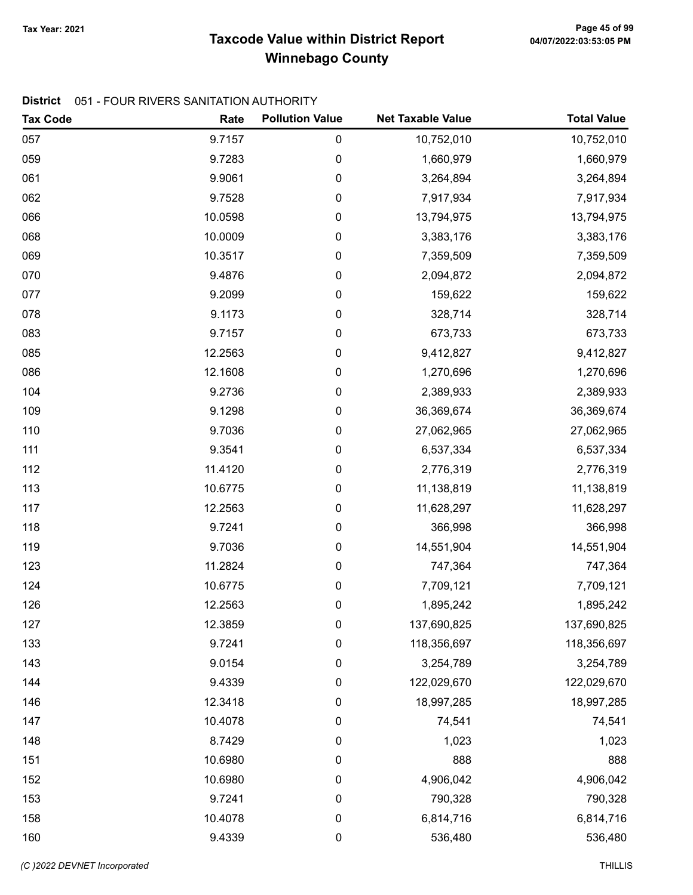# Taxcode Value within District Report Tax Year: 2021 Page 45 of 99 Winnebago County

#### District 051 - FOUR RIVERS SANITATION AUTHORITY

| <b>Tax Code</b> | Rate    | <b>Pollution Value</b> | <b>Net Taxable Value</b> | <b>Total Value</b> |
|-----------------|---------|------------------------|--------------------------|--------------------|
| 057             | 9.7157  | 0                      | 10,752,010               | 10,752,010         |
| 059             | 9.7283  | 0                      | 1,660,979                | 1,660,979          |
| 061             | 9.9061  | 0                      | 3,264,894                | 3,264,894          |
| 062             | 9.7528  | 0                      | 7,917,934                | 7,917,934          |
| 066             | 10.0598 | 0                      | 13,794,975               | 13,794,975         |
| 068             | 10.0009 | 0                      | 3,383,176                | 3,383,176          |
| 069             | 10.3517 | 0                      | 7,359,509                | 7,359,509          |
| 070             | 9.4876  | 0                      | 2,094,872                | 2,094,872          |
| 077             | 9.2099  | 0                      | 159,622                  | 159,622            |
| 078             | 9.1173  | 0                      | 328,714                  | 328,714            |
| 083             | 9.7157  | 0                      | 673,733                  | 673,733            |
| 085             | 12.2563 | 0                      | 9,412,827                | 9,412,827          |
| 086             | 12.1608 | 0                      | 1,270,696                | 1,270,696          |
| 104             | 9.2736  | 0                      | 2,389,933                | 2,389,933          |
| 109             | 9.1298  | 0                      | 36,369,674               | 36,369,674         |
| 110             | 9.7036  | 0                      | 27,062,965               | 27,062,965         |
| 111             | 9.3541  | 0                      | 6,537,334                | 6,537,334          |
| 112             | 11.4120 | 0                      | 2,776,319                | 2,776,319          |
| 113             | 10.6775 | 0                      | 11,138,819               | 11,138,819         |
| 117             | 12.2563 | 0                      | 11,628,297               | 11,628,297         |
| 118             | 9.7241  | 0                      | 366,998                  | 366,998            |
| 119             | 9.7036  | 0                      | 14,551,904               | 14,551,904         |
| 123             | 11.2824 | 0                      | 747,364                  | 747,364            |
| 124             | 10.6775 | 0                      | 7,709,121                | 7,709,121          |
| 126             | 12.2563 | 0                      | 1,895,242                | 1,895,242          |
| 127             | 12.3859 | 0                      | 137,690,825              | 137,690,825        |
| 133             | 9.7241  | 0                      | 118,356,697              | 118,356,697        |
| 143             | 9.0154  | 0                      | 3,254,789                | 3,254,789          |
| 144             | 9.4339  | 0                      | 122,029,670              | 122,029,670        |
| 146             | 12.3418 | 0                      | 18,997,285               | 18,997,285         |
| 147             | 10.4078 | 0                      | 74,541                   | 74,541             |
| 148             | 8.7429  | $\boldsymbol{0}$       | 1,023                    | 1,023              |
| 151             | 10.6980 | 0                      | 888                      | 888                |
| 152             | 10.6980 | 0                      | 4,906,042                | 4,906,042          |
| 153             | 9.7241  | 0                      | 790,328                  | 790,328            |
| 158             | 10.4078 | 0                      | 6,814,716                | 6,814,716          |
| 160             | 9.4339  | 0                      | 536,480                  | 536,480            |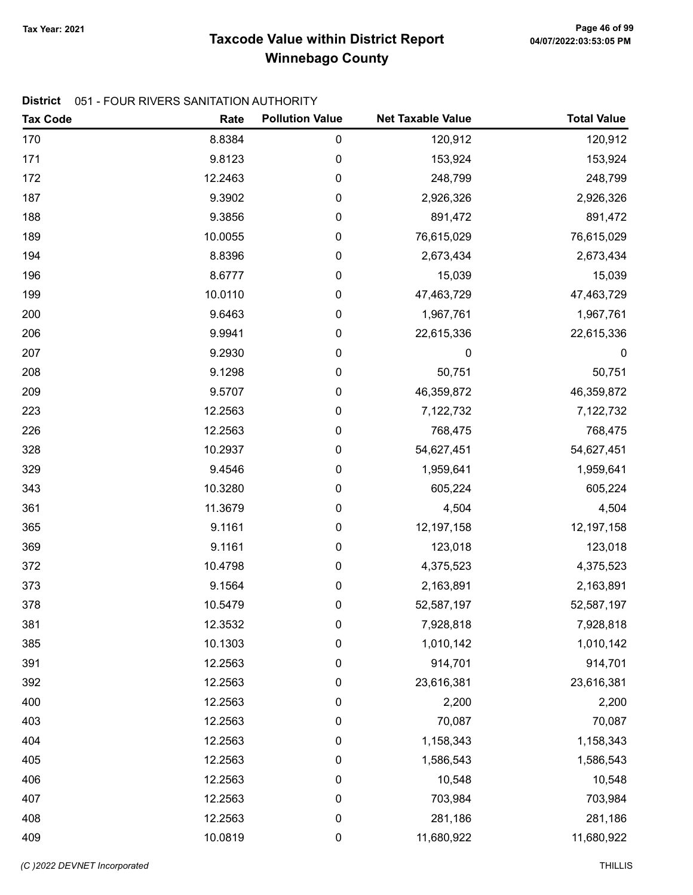# Taxcode Value within District Report Tax Year: 2021 Page 46 of 99 Winnebago County

#### District 051 - FOUR RIVERS SANITATION AUTHORITY

| <b>Tax Code</b> | Rate    | <b>Pollution Value</b> | <b>Net Taxable Value</b> | <b>Total Value</b> |
|-----------------|---------|------------------------|--------------------------|--------------------|
| 170             | 8.8384  | $\pmb{0}$              | 120,912                  | 120,912            |
| 171             | 9.8123  | $\pmb{0}$              | 153,924                  | 153,924            |
| 172             | 12.2463 | $\pmb{0}$              | 248,799                  | 248,799            |
| 187             | 9.3902  | 0                      | 2,926,326                | 2,926,326          |
| 188             | 9.3856  | 0                      | 891,472                  | 891,472            |
| 189             | 10.0055 | 0                      | 76,615,029               | 76,615,029         |
| 194             | 8.8396  | 0                      | 2,673,434                | 2,673,434          |
| 196             | 8.6777  | 0                      | 15,039                   | 15,039             |
| 199             | 10.0110 | $\pmb{0}$              | 47,463,729               | 47,463,729         |
| 200             | 9.6463  | $\pmb{0}$              | 1,967,761                | 1,967,761          |
| 206             | 9.9941  | $\pmb{0}$              | 22,615,336               | 22,615,336         |
| 207             | 9.2930  | $\pmb{0}$              | 0                        | $\boldsymbol{0}$   |
| 208             | 9.1298  | $\pmb{0}$              | 50,751                   | 50,751             |
| 209             | 9.5707  | 0                      | 46,359,872               | 46,359,872         |
| 223             | 12.2563 | 0                      | 7,122,732                | 7,122,732          |
| 226             | 12.2563 | 0                      | 768,475                  | 768,475            |
| 328             | 10.2937 | $\boldsymbol{0}$       | 54,627,451               | 54,627,451         |
| 329             | 9.4546  | $\pmb{0}$              | 1,959,641                | 1,959,641          |
| 343             | 10.3280 | $\pmb{0}$              | 605,224                  | 605,224            |
| 361             | 11.3679 | $\pmb{0}$              | 4,504                    | 4,504              |
| 365             | 9.1161  | 0                      | 12,197,158               | 12,197,158         |
| 369             | 9.1161  | 0                      | 123,018                  | 123,018            |
| 372             | 10.4798 | 0                      | 4,375,523                | 4,375,523          |
| 373             | 9.1564  | $\boldsymbol{0}$       | 2,163,891                | 2,163,891          |
| 378             | 10.5479 | 0                      | 52,587,197               | 52,587,197         |
| 381             | 12.3532 | $\boldsymbol{0}$       | 7,928,818                | 7,928,818          |
| 385             | 10.1303 | $\pmb{0}$              | 1,010,142                | 1,010,142          |
| 391             | 12.2563 | $\pmb{0}$              | 914,701                  | 914,701            |
| 392             | 12.2563 | $\pmb{0}$              | 23,616,381               | 23,616,381         |
| 400             | 12.2563 | $\boldsymbol{0}$       | 2,200                    | 2,200              |
| 403             | 12.2563 | $\boldsymbol{0}$       | 70,087                   | 70,087             |
| 404             | 12.2563 | $\boldsymbol{0}$       | 1,158,343                | 1,158,343          |
| 405             | 12.2563 | 0                      | 1,586,543                | 1,586,543          |
| 406             | 12.2563 | $\pmb{0}$              | 10,548                   | 10,548             |
| 407             | 12.2563 | $\boldsymbol{0}$       | 703,984                  | 703,984            |
| 408             | 12.2563 | $\pmb{0}$              | 281,186                  | 281,186            |
| 409             | 10.0819 | $\pmb{0}$              | 11,680,922               | 11,680,922         |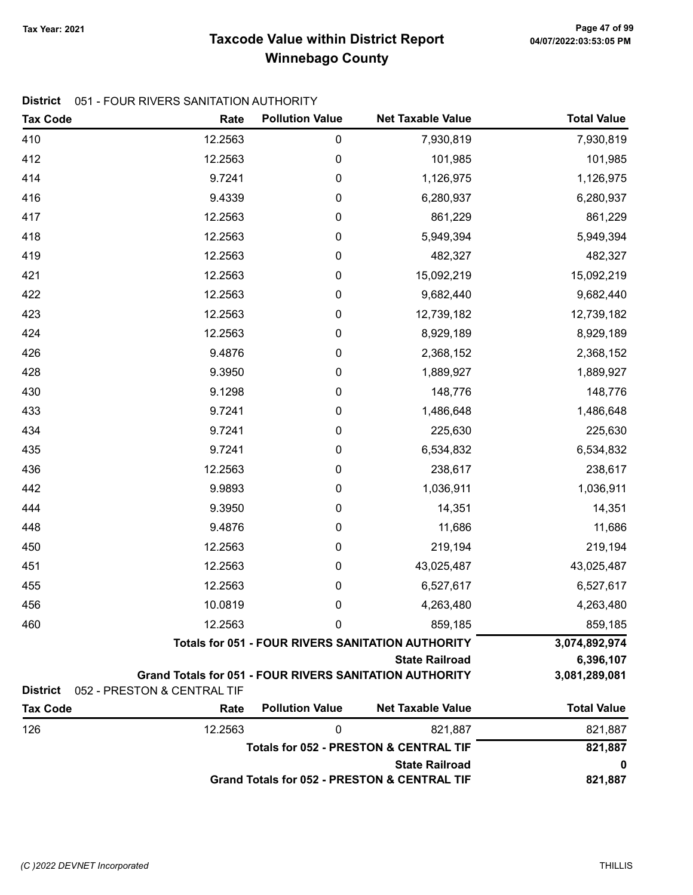# Taxcode Value within District Report Tax Year: 2021 Page 47 of 99 Winnebago County

#### District 051 - FOUR RIVERS SANITATION AUTHORITY

| <b>Tax Code</b> | Rate                                                           | <b>Pollution Value</b> | <b>Net Taxable Value</b>                                 | <b>Total Value</b> |
|-----------------|----------------------------------------------------------------|------------------------|----------------------------------------------------------|--------------------|
| 410             | 12.2563                                                        | $\pmb{0}$              | 7,930,819                                                | 7,930,819          |
| 412             | 12.2563                                                        | 0                      | 101,985                                                  | 101,985            |
| 414             | 9.7241                                                         | 0                      | 1,126,975                                                | 1,126,975          |
| 416             | 9.4339                                                         | 0                      | 6,280,937                                                | 6,280,937          |
| 417             | 12.2563                                                        | 0                      | 861,229                                                  | 861,229            |
| 418             | 12.2563                                                        | 0                      | 5,949,394                                                | 5,949,394          |
| 419             | 12.2563                                                        | 0                      | 482,327                                                  | 482,327            |
| 421             | 12.2563                                                        | 0                      | 15,092,219                                               | 15,092,219         |
| 422             | 12.2563                                                        | 0                      | 9,682,440                                                | 9,682,440          |
| 423             | 12.2563                                                        | 0                      | 12,739,182                                               | 12,739,182         |
| 424             | 12.2563                                                        | 0                      | 8,929,189                                                | 8,929,189          |
| 426             | 9.4876                                                         | 0                      | 2,368,152                                                | 2,368,152          |
| 428             | 9.3950                                                         | 0                      | 1,889,927                                                | 1,889,927          |
| 430             | 9.1298                                                         | 0                      | 148,776                                                  | 148,776            |
| 433             | 9.7241                                                         | 0                      | 1,486,648                                                | 1,486,648          |
| 434             | 9.7241                                                         | 0                      | 225,630                                                  | 225,630            |
| 435             | 9.7241                                                         | 0                      | 6,534,832                                                | 6,534,832          |
| 436             | 12.2563                                                        | 0                      | 238,617                                                  | 238,617            |
| 442             | 9.9893                                                         | 0                      | 1,036,911                                                | 1,036,911          |
| 444             | 9.3950                                                         | 0                      | 14,351                                                   | 14,351             |
| 448             | 9.4876                                                         | 0                      | 11,686                                                   | 11,686             |
| 450             | 12.2563                                                        | 0                      | 219,194                                                  | 219,194            |
| 451             | 12.2563                                                        | 0                      | 43,025,487                                               | 43,025,487         |
| 455             | 12.2563                                                        | 0                      | 6,527,617                                                | 6,527,617          |
| 456             | 10.0819                                                        | 0                      | 4,263,480                                                | 4,263,480          |
| 460             | 12.2563                                                        | 0                      | 859,185                                                  | 859,185            |
|                 |                                                                |                        | <b>Totals for 051 - FOUR RIVERS SANITATION AUTHORITY</b> | 3,074,892,974      |
|                 |                                                                |                        | <b>State Railroad</b>                                    | 6,396,107          |
| <b>District</b> | <b>Grand Totals for 051 - FOUR RIVERS SANITATION AUTHORITY</b> |                        |                                                          | 3,081,289,081      |
| <b>Tax Code</b> | 052 - PRESTON & CENTRAL TIF<br>Rate                            | <b>Pollution Value</b> | <b>Net Taxable Value</b>                                 | <b>Total Value</b> |
| 126             | 12.2563                                                        | 0                      | 821,887                                                  | 821,887            |
|                 |                                                                |                        | <b>Totals for 052 - PRESTON &amp; CENTRAL TIF</b>        | 821,887            |
|                 |                                                                |                        | <b>State Railroad</b>                                    | 0                  |
|                 |                                                                |                        | <b>Grand Totals for 052 - PRESTON &amp; CENTRAL TIF</b>  | 821,887            |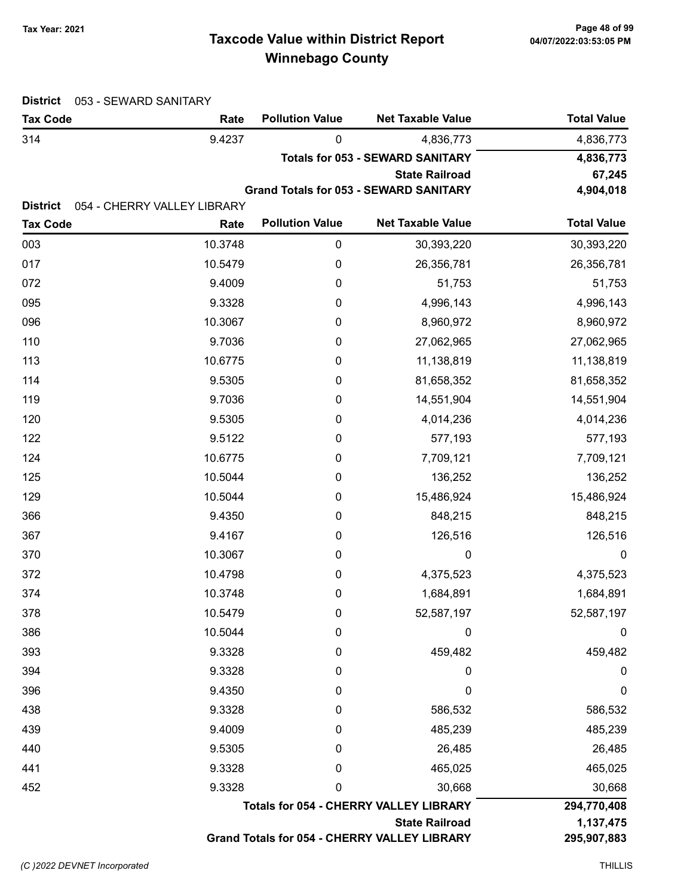# Taxcode Value within District Report Tax Year: 2021 Page 48 of 99 Winnebago County

| 9.4237<br>0<br>314<br>4,836,773<br><b>Totals for 053 - SEWARD SANITARY</b><br><b>State Railroad</b><br><b>Grand Totals for 053 - SEWARD SANITARY</b><br><b>District</b><br>054 - CHERRY VALLEY LIBRARY<br><b>Pollution Value</b><br><b>Total Value</b><br><b>Net Taxable Value</b><br><b>Tax Code</b><br>Rate<br>10.3748<br>003<br>$\boldsymbol{0}$<br>30,393,220<br>30,393,220<br>017<br>10.5479<br>0<br>26,356,781<br>26,356,781<br>072<br>9.4009<br>0<br>51,753<br>51,753<br>9.3328<br>0<br>4,996,143<br>4,996,143<br>10.3067<br>0<br>8,960,972<br>8,960,972<br>9.7036<br>0<br>27,062,965<br>27,062,965<br>10.6775<br>11,138,819<br>0<br>11,138,819<br>9.5305<br>81,658,352<br>0<br>9.7036<br>14,551,904<br>0<br>9.5305<br>0<br>4,014,236<br>9.5122<br>0<br>577,193<br>10.6775<br>0<br>7,709,121<br>10.5044<br>0<br>136,252<br>129<br>10.5044<br>15,486,924<br>0<br>9.4350<br>848,215<br>$\boldsymbol{0}$<br>9.4167<br>126,516<br>0<br>10.3067<br>0<br>0<br>10.4798<br>0<br>4,375,523<br>10.3748<br>0<br>1,684,891<br>10.5479<br>0<br>52,587,197<br>10.5044<br>0<br>0<br>9.3328<br>459,482<br>0<br>9.3328<br>0<br>0<br>0<br>9.4350<br>0<br>9.3328<br>0<br>586,532<br>9.4009<br>0<br>485,239<br>9.5305<br>26,485<br>0<br>9.3328<br>465,025<br>0<br>9.3328<br>30,668<br>0<br><b>Totals for 054 - CHERRY VALLEY LIBRARY</b><br><b>State Railroad</b> | <b>Tax Code</b> | Rate | <b>Pollution Value</b> | <b>Net Taxable Value</b> | <b>Total Value</b>       |
|------------------------------------------------------------------------------------------------------------------------------------------------------------------------------------------------------------------------------------------------------------------------------------------------------------------------------------------------------------------------------------------------------------------------------------------------------------------------------------------------------------------------------------------------------------------------------------------------------------------------------------------------------------------------------------------------------------------------------------------------------------------------------------------------------------------------------------------------------------------------------------------------------------------------------------------------------------------------------------------------------------------------------------------------------------------------------------------------------------------------------------------------------------------------------------------------------------------------------------------------------------------------------------------------------------------------------------------------------|-----------------|------|------------------------|--------------------------|--------------------------|
|                                                                                                                                                                                                                                                                                                                                                                                                                                                                                                                                                                                                                                                                                                                                                                                                                                                                                                                                                                                                                                                                                                                                                                                                                                                                                                                                                      |                 |      |                        |                          | 4,836,773                |
|                                                                                                                                                                                                                                                                                                                                                                                                                                                                                                                                                                                                                                                                                                                                                                                                                                                                                                                                                                                                                                                                                                                                                                                                                                                                                                                                                      |                 |      |                        |                          | 4,836,773                |
|                                                                                                                                                                                                                                                                                                                                                                                                                                                                                                                                                                                                                                                                                                                                                                                                                                                                                                                                                                                                                                                                                                                                                                                                                                                                                                                                                      |                 |      |                        |                          | 67,245                   |
|                                                                                                                                                                                                                                                                                                                                                                                                                                                                                                                                                                                                                                                                                                                                                                                                                                                                                                                                                                                                                                                                                                                                                                                                                                                                                                                                                      |                 |      |                        |                          | 4,904,018                |
|                                                                                                                                                                                                                                                                                                                                                                                                                                                                                                                                                                                                                                                                                                                                                                                                                                                                                                                                                                                                                                                                                                                                                                                                                                                                                                                                                      |                 |      |                        |                          |                          |
|                                                                                                                                                                                                                                                                                                                                                                                                                                                                                                                                                                                                                                                                                                                                                                                                                                                                                                                                                                                                                                                                                                                                                                                                                                                                                                                                                      |                 |      |                        |                          |                          |
|                                                                                                                                                                                                                                                                                                                                                                                                                                                                                                                                                                                                                                                                                                                                                                                                                                                                                                                                                                                                                                                                                                                                                                                                                                                                                                                                                      |                 |      |                        |                          |                          |
| 095<br>096                                                                                                                                                                                                                                                                                                                                                                                                                                                                                                                                                                                                                                                                                                                                                                                                                                                                                                                                                                                                                                                                                                                                                                                                                                                                                                                                           |                 |      |                        |                          |                          |
|                                                                                                                                                                                                                                                                                                                                                                                                                                                                                                                                                                                                                                                                                                                                                                                                                                                                                                                                                                                                                                                                                                                                                                                                                                                                                                                                                      |                 |      |                        |                          |                          |
| 110<br>113<br>114<br>119                                                                                                                                                                                                                                                                                                                                                                                                                                                                                                                                                                                                                                                                                                                                                                                                                                                                                                                                                                                                                                                                                                                                                                                                                                                                                                                             |                 |      |                        |                          |                          |
|                                                                                                                                                                                                                                                                                                                                                                                                                                                                                                                                                                                                                                                                                                                                                                                                                                                                                                                                                                                                                                                                                                                                                                                                                                                                                                                                                      |                 |      |                        |                          |                          |
|                                                                                                                                                                                                                                                                                                                                                                                                                                                                                                                                                                                                                                                                                                                                                                                                                                                                                                                                                                                                                                                                                                                                                                                                                                                                                                                                                      |                 |      |                        |                          |                          |
|                                                                                                                                                                                                                                                                                                                                                                                                                                                                                                                                                                                                                                                                                                                                                                                                                                                                                                                                                                                                                                                                                                                                                                                                                                                                                                                                                      |                 |      |                        |                          | 81,658,352               |
| 120<br>122                                                                                                                                                                                                                                                                                                                                                                                                                                                                                                                                                                                                                                                                                                                                                                                                                                                                                                                                                                                                                                                                                                                                                                                                                                                                                                                                           |                 |      |                        |                          | 14,551,904               |
|                                                                                                                                                                                                                                                                                                                                                                                                                                                                                                                                                                                                                                                                                                                                                                                                                                                                                                                                                                                                                                                                                                                                                                                                                                                                                                                                                      |                 |      |                        |                          | 4,014,236                |
|                                                                                                                                                                                                                                                                                                                                                                                                                                                                                                                                                                                                                                                                                                                                                                                                                                                                                                                                                                                                                                                                                                                                                                                                                                                                                                                                                      |                 |      |                        |                          | 577,193                  |
| 125<br>366<br>367<br>370<br>372<br>374<br>378<br>386<br>393<br>394<br>396<br>438<br>439<br>440<br>441<br>452                                                                                                                                                                                                                                                                                                                                                                                                                                                                                                                                                                                                                                                                                                                                                                                                                                                                                                                                                                                                                                                                                                                                                                                                                                         | 124             |      |                        |                          | 7,709,121                |
|                                                                                                                                                                                                                                                                                                                                                                                                                                                                                                                                                                                                                                                                                                                                                                                                                                                                                                                                                                                                                                                                                                                                                                                                                                                                                                                                                      |                 |      |                        |                          | 136,252                  |
|                                                                                                                                                                                                                                                                                                                                                                                                                                                                                                                                                                                                                                                                                                                                                                                                                                                                                                                                                                                                                                                                                                                                                                                                                                                                                                                                                      |                 |      |                        |                          | 15,486,924               |
|                                                                                                                                                                                                                                                                                                                                                                                                                                                                                                                                                                                                                                                                                                                                                                                                                                                                                                                                                                                                                                                                                                                                                                                                                                                                                                                                                      |                 |      |                        |                          | 848,215                  |
|                                                                                                                                                                                                                                                                                                                                                                                                                                                                                                                                                                                                                                                                                                                                                                                                                                                                                                                                                                                                                                                                                                                                                                                                                                                                                                                                                      |                 |      |                        |                          | 126,516                  |
|                                                                                                                                                                                                                                                                                                                                                                                                                                                                                                                                                                                                                                                                                                                                                                                                                                                                                                                                                                                                                                                                                                                                                                                                                                                                                                                                                      |                 |      |                        |                          | $\boldsymbol{0}$         |
|                                                                                                                                                                                                                                                                                                                                                                                                                                                                                                                                                                                                                                                                                                                                                                                                                                                                                                                                                                                                                                                                                                                                                                                                                                                                                                                                                      |                 |      |                        |                          | 4,375,523                |
|                                                                                                                                                                                                                                                                                                                                                                                                                                                                                                                                                                                                                                                                                                                                                                                                                                                                                                                                                                                                                                                                                                                                                                                                                                                                                                                                                      |                 |      |                        |                          | 1,684,891                |
|                                                                                                                                                                                                                                                                                                                                                                                                                                                                                                                                                                                                                                                                                                                                                                                                                                                                                                                                                                                                                                                                                                                                                                                                                                                                                                                                                      |                 |      |                        |                          | 52,587,197               |
|                                                                                                                                                                                                                                                                                                                                                                                                                                                                                                                                                                                                                                                                                                                                                                                                                                                                                                                                                                                                                                                                                                                                                                                                                                                                                                                                                      |                 |      |                        |                          | $\boldsymbol{0}$         |
|                                                                                                                                                                                                                                                                                                                                                                                                                                                                                                                                                                                                                                                                                                                                                                                                                                                                                                                                                                                                                                                                                                                                                                                                                                                                                                                                                      |                 |      |                        |                          | 459,482                  |
|                                                                                                                                                                                                                                                                                                                                                                                                                                                                                                                                                                                                                                                                                                                                                                                                                                                                                                                                                                                                                                                                                                                                                                                                                                                                                                                                                      |                 |      |                        |                          | 0                        |
|                                                                                                                                                                                                                                                                                                                                                                                                                                                                                                                                                                                                                                                                                                                                                                                                                                                                                                                                                                                                                                                                                                                                                                                                                                                                                                                                                      |                 |      |                        |                          | $\boldsymbol{0}$         |
|                                                                                                                                                                                                                                                                                                                                                                                                                                                                                                                                                                                                                                                                                                                                                                                                                                                                                                                                                                                                                                                                                                                                                                                                                                                                                                                                                      |                 |      |                        |                          | 586,532                  |
|                                                                                                                                                                                                                                                                                                                                                                                                                                                                                                                                                                                                                                                                                                                                                                                                                                                                                                                                                                                                                                                                                                                                                                                                                                                                                                                                                      |                 |      |                        |                          | 485,239                  |
|                                                                                                                                                                                                                                                                                                                                                                                                                                                                                                                                                                                                                                                                                                                                                                                                                                                                                                                                                                                                                                                                                                                                                                                                                                                                                                                                                      |                 |      |                        |                          | 26,485                   |
|                                                                                                                                                                                                                                                                                                                                                                                                                                                                                                                                                                                                                                                                                                                                                                                                                                                                                                                                                                                                                                                                                                                                                                                                                                                                                                                                                      |                 |      |                        |                          | 465,025                  |
|                                                                                                                                                                                                                                                                                                                                                                                                                                                                                                                                                                                                                                                                                                                                                                                                                                                                                                                                                                                                                                                                                                                                                                                                                                                                                                                                                      |                 |      |                        |                          | 30,668                   |
|                                                                                                                                                                                                                                                                                                                                                                                                                                                                                                                                                                                                                                                                                                                                                                                                                                                                                                                                                                                                                                                                                                                                                                                                                                                                                                                                                      |                 |      |                        |                          | 294,770,408              |
| Grand Totals for 054 - CHERRY VALLEY LIBRARY                                                                                                                                                                                                                                                                                                                                                                                                                                                                                                                                                                                                                                                                                                                                                                                                                                                                                                                                                                                                                                                                                                                                                                                                                                                                                                         |                 |      |                        |                          | 1,137,475<br>295,907,883 |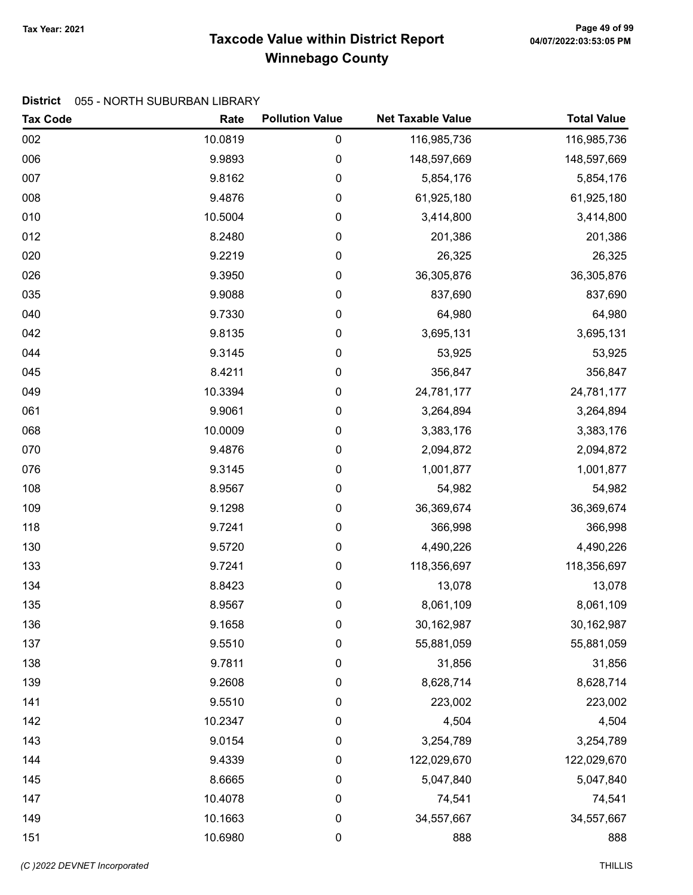# Taxcode Value within District Report Tax Year: 2021 Page 49 of 99 Winnebago County

#### District 055 - NORTH SUBURBAN LIBRARY

| <b>Tax Code</b> | Rate    | <b>Pollution Value</b> | <b>Net Taxable Value</b> | <b>Total Value</b> |
|-----------------|---------|------------------------|--------------------------|--------------------|
| 002             | 10.0819 | 0                      | 116,985,736              | 116,985,736        |
| 006             | 9.9893  | 0                      | 148,597,669              | 148,597,669        |
| 007             | 9.8162  | 0                      | 5,854,176                | 5,854,176          |
| 008             | 9.4876  | 0                      | 61,925,180               | 61,925,180         |
| 010             | 10.5004 | 0                      | 3,414,800                | 3,414,800          |
| 012             | 8.2480  | 0                      | 201,386                  | 201,386            |
| 020             | 9.2219  | 0                      | 26,325                   | 26,325             |
| 026             | 9.3950  | 0                      | 36,305,876               | 36,305,876         |
| 035             | 9.9088  | 0                      | 837,690                  | 837,690            |
| 040             | 9.7330  | 0                      | 64,980                   | 64,980             |
| 042             | 9.8135  | 0                      | 3,695,131                | 3,695,131          |
| 044             | 9.3145  | 0                      | 53,925                   | 53,925             |
| 045             | 8.4211  | 0                      | 356,847                  | 356,847            |
| 049             | 10.3394 | 0                      | 24,781,177               | 24,781,177         |
| 061             | 9.9061  | 0                      | 3,264,894                | 3,264,894          |
| 068             | 10.0009 | 0                      | 3,383,176                | 3,383,176          |
| 070             | 9.4876  | 0                      | 2,094,872                | 2,094,872          |
| 076             | 9.3145  | 0                      | 1,001,877                | 1,001,877          |
| 108             | 8.9567  | 0                      | 54,982                   | 54,982             |
| 109             | 9.1298  | 0                      | 36,369,674               | 36,369,674         |
| 118             | 9.7241  | 0                      | 366,998                  | 366,998            |
| 130             | 9.5720  | 0                      | 4,490,226                | 4,490,226          |
| 133             | 9.7241  | 0                      | 118,356,697              | 118,356,697        |
| 134             | 8.8423  | 0                      | 13,078                   | 13,078             |
| 135             | 8.9567  | 0                      | 8,061,109                | 8,061,109          |
| 136             | 9.1658  | 0                      | 30,162,987               | 30,162,987         |
| 137             | 9.5510  | 0                      | 55,881,059               | 55,881,059         |
| 138             | 9.7811  | 0                      | 31,856                   | 31,856             |
| 139             | 9.2608  | 0                      | 8,628,714                | 8,628,714          |
| 141             | 9.5510  | 0                      | 223,002                  | 223,002            |
| 142             | 10.2347 | 0                      | 4,504                    | 4,504              |
| 143             | 9.0154  | 0                      | 3,254,789                | 3,254,789          |
| 144             | 9.4339  | 0                      | 122,029,670              | 122,029,670        |
| 145             | 8.6665  | 0                      | 5,047,840                | 5,047,840          |
| 147             | 10.4078 | 0                      | 74,541                   | 74,541             |
| 149             | 10.1663 | 0                      | 34,557,667               | 34,557,667         |
| 151             | 10.6980 | 0                      | 888                      | 888                |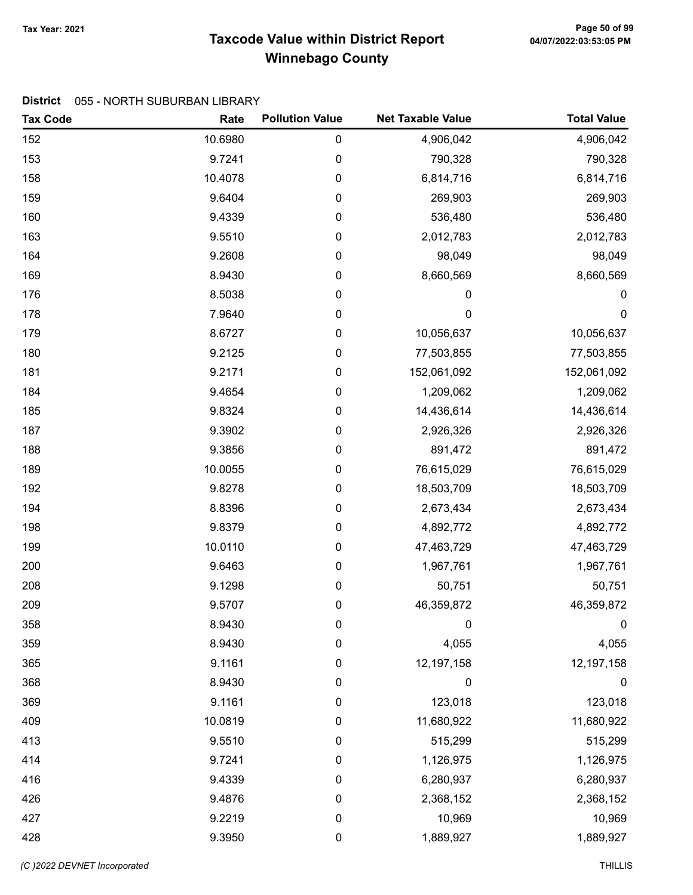# Taxcode Value within District Report Tax Year: 2021 Page 50 of 99 Winnebago County

#### District 055 - NORTH SUBURBAN LIBRARY

| <b>Tax Code</b> | Rate    | <b>Pollution Value</b> | <b>Net Taxable Value</b> | <b>Total Value</b> |
|-----------------|---------|------------------------|--------------------------|--------------------|
| 152             | 10.6980 | $\pmb{0}$              | 4,906,042                | 4,906,042          |
| 153             | 9.7241  | 0                      | 790,328                  | 790,328            |
| 158             | 10.4078 | $\pmb{0}$              | 6,814,716                | 6,814,716          |
| 159             | 9.6404  | 0                      | 269,903                  | 269,903            |
| 160             | 9.4339  | 0                      | 536,480                  | 536,480            |
| 163             | 9.5510  | $\pmb{0}$              | 2,012,783                | 2,012,783          |
| 164             | 9.2608  | $\pmb{0}$              | 98,049                   | 98,049             |
| 169             | 8.9430  | $\pmb{0}$              | 8,660,569                | 8,660,569          |
| 176             | 8.5038  | 0                      | 0                        | 0                  |
| 178             | 7.9640  | $\pmb{0}$              | $\mathbf 0$              | $\pmb{0}$          |
| 179             | 8.6727  | $\pmb{0}$              | 10,056,637               | 10,056,637         |
| 180             | 9.2125  | 0                      | 77,503,855               | 77,503,855         |
| 181             | 9.2171  | $\pmb{0}$              | 152,061,092              | 152,061,092        |
| 184             | 9.4654  | 0                      | 1,209,062                | 1,209,062          |
| 185             | 9.8324  | $\pmb{0}$              | 14,436,614               | 14,436,614         |
| 187             | 9.3902  | 0                      | 2,926,326                | 2,926,326          |
| 188             | 9.3856  | $\pmb{0}$              | 891,472                  | 891,472            |
| 189             | 10.0055 | $\pmb{0}$              | 76,615,029               | 76,615,029         |
| 192             | 9.8278  | 0                      | 18,503,709               | 18,503,709         |
| 194             | 8.8396  | 0                      | 2,673,434                | 2,673,434          |
| 198             | 9.8379  | 0                      | 4,892,772                | 4,892,772          |
| 199             | 10.0110 | $\pmb{0}$              | 47,463,729               | 47,463,729         |
| 200             | 9.6463  | 0                      | 1,967,761                | 1,967,761          |
| 208             | 9.1298  | $\pmb{0}$              | 50,751                   | 50,751             |
| 209             | 9.5707  | 0                      | 46,359,872               | 46,359,872         |
| 358             | 8.9430  | 0                      | 0                        | $\pmb{0}$          |
| 359             | 8.9430  | 0                      | 4,055                    | 4,055              |
| 365             | 9.1161  | $\pmb{0}$              | 12,197,158               | 12,197,158         |
| 368             | 8.9430  | 0                      | 0                        | 0                  |
| 369             | 9.1161  | $\mathbf 0$            | 123,018                  | 123,018            |
| 409             | 10.0819 | $\boldsymbol{0}$       | 11,680,922               | 11,680,922         |
| 413             | 9.5510  | $\pmb{0}$              | 515,299                  | 515,299            |
| 414             | 9.7241  | $\pmb{0}$              | 1,126,975                | 1,126,975          |
| 416             | 9.4339  | 0                      | 6,280,937                | 6,280,937          |
| 426             | 9.4876  | $\boldsymbol{0}$       | 2,368,152                | 2,368,152          |
| 427             | 9.2219  | $\mathbf 0$            | 10,969                   | 10,969             |
| 428             | 9.3950  | $\pmb{0}$              | 1,889,927                | 1,889,927          |

(C)2022 DEVNET Incorporated THILLIS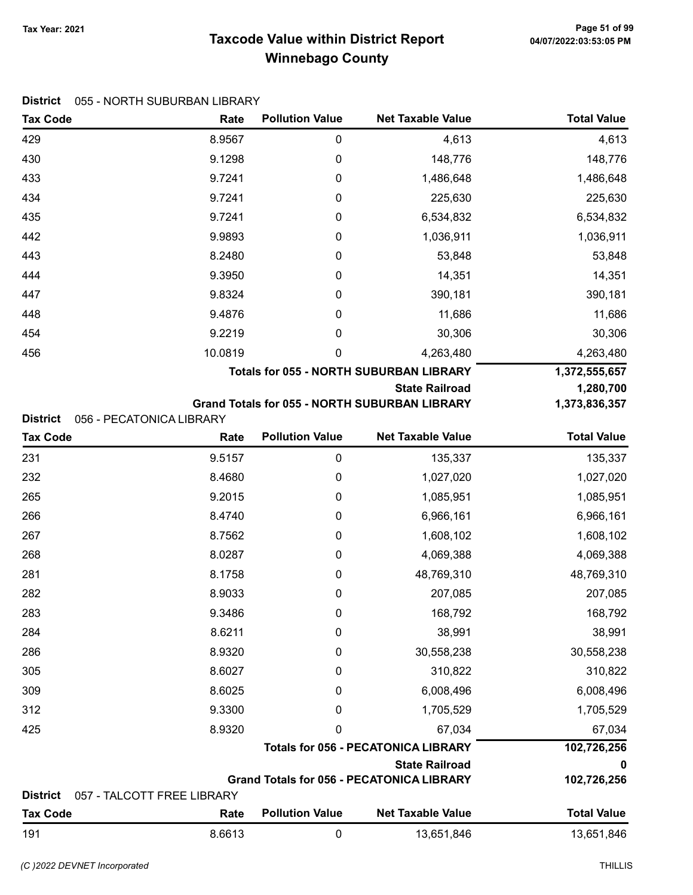# Taxcode Value within District Report Tax Year: 2021 Page 51 of 99 Winnebago County

|  | District 055 - NORTH SUBURBAN LIBRARY |
|--|---------------------------------------|
|--|---------------------------------------|

| <b>Tax Code</b> | Rate                       | <b>Pollution Value</b> | <b>Net Taxable Value</b>                                            | <b>Total Value</b> |
|-----------------|----------------------------|------------------------|---------------------------------------------------------------------|--------------------|
| 429             | 8.9567                     | 0                      | 4,613                                                               | 4,613              |
| 430             | 9.1298                     | 0                      | 148,776                                                             | 148,776            |
| 433             | 9.7241                     | 0                      | 1,486,648                                                           | 1,486,648          |
| 434             | 9.7241                     | 0                      | 225,630                                                             | 225,630            |
| 435             | 9.7241                     | 0                      | 6,534,832                                                           | 6,534,832          |
| 442             | 9.9893                     | 0                      | 1,036,911                                                           | 1,036,911          |
| 443             | 8.2480                     | 0                      | 53,848                                                              | 53,848             |
| 444             | 9.3950                     | 0                      | 14,351                                                              | 14,351             |
| 447             | 9.8324                     | 0                      | 390,181                                                             | 390,181            |
| 448             | 9.4876                     | 0                      | 11,686                                                              | 11,686             |
| 454             | 9.2219                     | 0                      | 30,306                                                              | 30,306             |
| 456             | 10.0819                    | 0                      | 4,263,480                                                           | 4,263,480          |
|                 |                            |                        | <b>Totals for 055 - NORTH SUBURBAN LIBRARY</b>                      | 1,372,555,657      |
|                 |                            |                        | <b>State Railroad</b>                                               | 1,280,700          |
|                 |                            |                        | <b>Grand Totals for 055 - NORTH SUBURBAN LIBRARY</b>                | 1,373,836,357      |
| <b>District</b> | 056 - PECATONICA LIBRARY   | <b>Pollution Value</b> | <b>Net Taxable Value</b>                                            | <b>Total Value</b> |
| <b>Tax Code</b> | Rate                       |                        |                                                                     |                    |
| 231             | 9.5157                     | $\boldsymbol{0}$       | 135,337                                                             | 135,337            |
| 232             | 8.4680                     | 0                      | 1,027,020                                                           | 1,027,020          |
| 265             | 9.2015                     | 0                      | 1,085,951                                                           | 1,085,951          |
| 266             | 8.4740                     | 0                      | 6,966,161                                                           | 6,966,161          |
| 267             | 8.7562                     | 0                      | 1,608,102                                                           | 1,608,102          |
| 268             | 8.0287                     | 0                      | 4,069,388                                                           | 4,069,388          |
| 281             | 8.1758                     | 0                      | 48,769,310                                                          | 48,769,310         |
| 282             | 8.9033                     | 0                      | 207,085                                                             | 207,085            |
| 283             | 9.3486                     | 0                      | 168,792                                                             | 168,792            |
| 284             | 8.6211                     | 0                      | 38,991                                                              | 38,991             |
| 286             | 8.9320                     | 0                      | 30,558,238                                                          | 30,558,238         |
| 305             | 8.6027                     | 0                      | 310,822                                                             | 310,822            |
| 309             | 8.6025                     | 0                      | 6,008,496                                                           | 6,008,496          |
| 312             | 9.3300                     | 0                      | 1,705,529                                                           | 1,705,529          |
| 425             | 8.9320                     | 0                      | 67,034                                                              | 67,034             |
|                 |                            |                        | <b>Totals for 056 - PECATONICA LIBRARY</b><br><b>State Railroad</b> | 102,726,256        |
|                 |                            |                        | <b>Grand Totals for 056 - PECATONICA LIBRARY</b>                    | 0<br>102,726,256   |
| <b>District</b> | 057 - TALCOTT FREE LIBRARY |                        |                                                                     |                    |
| <b>Tax Code</b> | Rate                       | <b>Pollution Value</b> | <b>Net Taxable Value</b>                                            | <b>Total Value</b> |
| 191             | 8.6613                     | $\boldsymbol{0}$       | 13,651,846                                                          | 13,651,846         |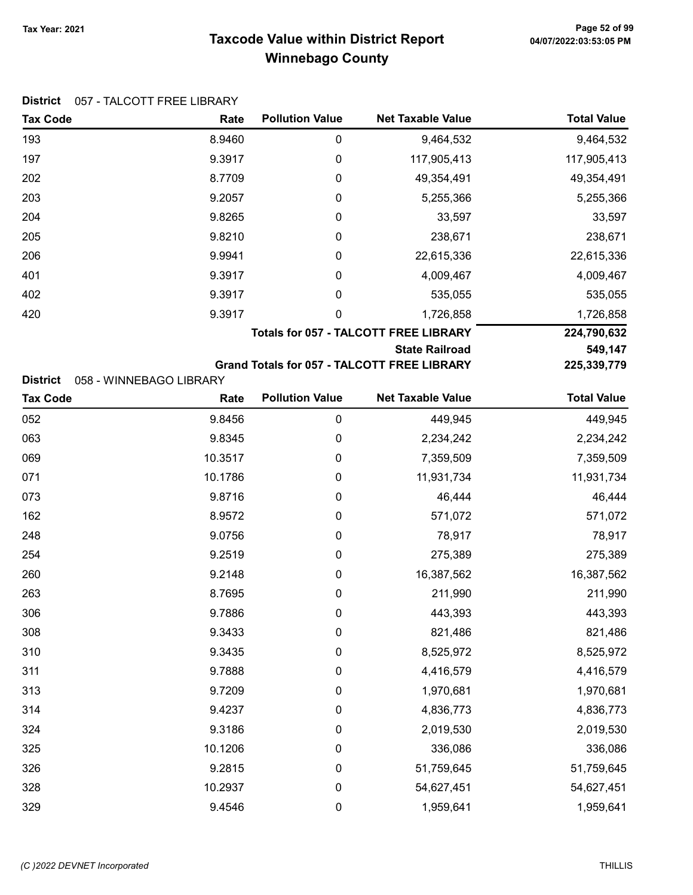# Taxcode Value within District Report Tax Year: 2021 Page 52 of 99 Winnebago County

#### District 057 - TALCOTT FREE LIBRARY

| <b>Tax Code</b> | Rate                    | <b>Pollution Value</b> | <b>Net Taxable Value</b>                           | <b>Total Value</b> |
|-----------------|-------------------------|------------------------|----------------------------------------------------|--------------------|
| 193             | 8.9460                  | 0                      | 9,464,532                                          | 9,464,532          |
| 197             | 9.3917                  | 0                      | 117,905,413                                        | 117,905,413        |
| 202             | 8.7709                  | 0                      | 49,354,491                                         | 49,354,491         |
| 203             | 9.2057                  | 0                      | 5,255,366                                          | 5,255,366          |
| 204             | 9.8265                  | 0                      | 33,597                                             | 33,597             |
| 205             | 9.8210                  | 0                      | 238,671                                            | 238,671            |
| 206             | 9.9941                  | 0                      | 22,615,336                                         | 22,615,336         |
| 401             | 9.3917                  | 0                      | 4,009,467                                          | 4,009,467          |
| 402             | 9.3917                  | 0                      | 535,055                                            | 535,055            |
| 420             | 9.3917                  | 0                      | 1,726,858                                          | 1,726,858          |
|                 |                         |                        | <b>Totals for 057 - TALCOTT FREE LIBRARY</b>       | 224,790,632        |
|                 |                         |                        | <b>State Railroad</b>                              | 549,147            |
|                 |                         |                        | <b>Grand Totals for 057 - TALCOTT FREE LIBRARY</b> | 225,339,779        |
| <b>District</b> | 058 - WINNEBAGO LIBRARY |                        |                                                    |                    |

| <b>Tax Code</b> | Rate    | <b>Pollution Value</b> | <b>Net Taxable Value</b> | <b>Total Value</b> |
|-----------------|---------|------------------------|--------------------------|--------------------|
| 052             | 9.8456  | 0                      | 449,945                  | 449,945            |
| 063             | 9.8345  | 0                      | 2,234,242                | 2,234,242          |
| 069             | 10.3517 | 0                      | 7,359,509                | 7,359,509          |
| 071             | 10.1786 | 0                      | 11,931,734               | 11,931,734         |
| 073             | 9.8716  | 0                      | 46,444                   | 46,444             |
| 162             | 8.9572  | 0                      | 571,072                  | 571,072            |
| 248             | 9.0756  | 0                      | 78,917                   | 78,917             |
| 254             | 9.2519  | $\boldsymbol{0}$       | 275,389                  | 275,389            |
| 260             | 9.2148  | 0                      | 16,387,562               | 16,387,562         |
| 263             | 8.7695  | 0                      | 211,990                  | 211,990            |
| 306             | 9.7886  | 0                      | 443,393                  | 443,393            |
| 308             | 9.3433  | 0                      | 821,486                  | 821,486            |
| 310             | 9.3435  | 0                      | 8,525,972                | 8,525,972          |
| 311             | 9.7888  | 0                      | 4,416,579                | 4,416,579          |
| 313             | 9.7209  | 0                      | 1,970,681                | 1,970,681          |
| 314             | 9.4237  | 0                      | 4,836,773                | 4,836,773          |
| 324             | 9.3186  | 0                      | 2,019,530                | 2,019,530          |
| 325             | 10.1206 | 0                      | 336,086                  | 336,086            |
| 326             | 9.2815  | 0                      | 51,759,645               | 51,759,645         |
| 328             | 10.2937 | 0                      | 54,627,451               | 54,627,451         |
| 329             | 9.4546  | 0                      | 1,959,641                | 1,959,641          |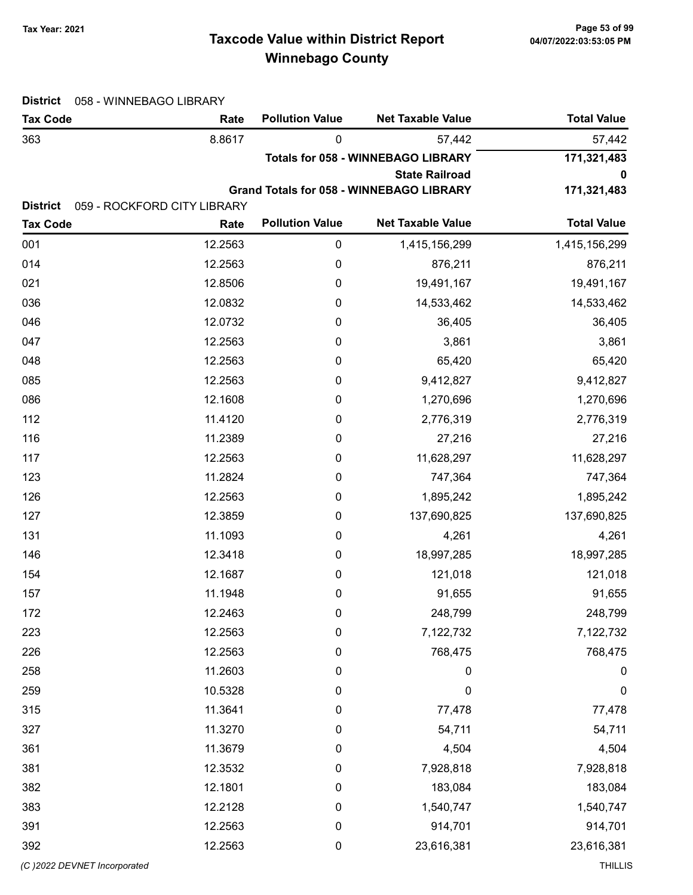# Taxcode Value within District Report Tax Year: 2021 Page 53 of 99 Winnebago County

| <b>District</b> | 058 - WINNEBAGO LIBRARY     |                        |                                           |                    |  |  |
|-----------------|-----------------------------|------------------------|-------------------------------------------|--------------------|--|--|
| <b>Tax Code</b> | Rate                        | <b>Pollution Value</b> | <b>Net Taxable Value</b>                  | <b>Total Value</b> |  |  |
| 363             | 8.8617                      | 0                      | 57,442                                    | 57,442             |  |  |
|                 |                             |                        | <b>Totals for 058 - WINNEBAGO LIBRARY</b> | 171,321,483        |  |  |
|                 |                             |                        | <b>State Railroad</b>                     | 0                  |  |  |
| <b>District</b> | 059 - ROCKFORD CITY LIBRARY |                        | Grand Totals for 058 - WINNEBAGO LIBRARY  | 171,321,483        |  |  |
| <b>Tax Code</b> | Rate                        | <b>Pollution Value</b> | <b>Net Taxable Value</b>                  | <b>Total Value</b> |  |  |
| 001             | 12.2563                     | $\boldsymbol{0}$       | 1,415,156,299                             | 1,415,156,299      |  |  |
| 014             | 12.2563                     | 0                      | 876,211                                   | 876,211            |  |  |
| 021             | 12.8506                     | 0                      | 19,491,167                                | 19,491,167         |  |  |
| 036             | 12.0832                     | 0                      | 14,533,462                                | 14,533,462         |  |  |
| 046             | 12.0732                     | 0                      | 36,405                                    | 36,405             |  |  |
| 047             | 12.2563                     | 0                      | 3,861                                     | 3,861              |  |  |
| 048             | 12.2563                     | 0                      | 65,420                                    | 65,420             |  |  |
| 085             | 12.2563                     | $\boldsymbol{0}$       | 9,412,827                                 | 9,412,827          |  |  |
| 086             | 12.1608                     | 0                      | 1,270,696                                 | 1,270,696          |  |  |
| 112             | 11.4120                     | 0                      | 2,776,319                                 | 2,776,319          |  |  |
| 116             | 11.2389                     | 0                      | 27,216                                    | 27,216             |  |  |
| 117             | 12.2563                     | 0                      | 11,628,297                                | 11,628,297         |  |  |
| 123             | 11.2824                     | 0                      | 747,364                                   | 747,364            |  |  |
| 126             | 12.2563                     | 0                      | 1,895,242                                 | 1,895,242          |  |  |
| 127             | 12.3859                     | $\boldsymbol{0}$       | 137,690,825                               | 137,690,825        |  |  |
| 131             | 11.1093                     | 0                      | 4,261                                     | 4,261              |  |  |
| 146             | 12.3418                     | 0                      | 18,997,285                                | 18,997,285         |  |  |
| 154             | 12.1687                     | 0                      | 121,018                                   | 121,018            |  |  |
| 157             | 11.1948                     | 0                      | 91,655                                    | 91,655             |  |  |
| 172             | 12.2463                     | 0                      | 248,799                                   | 248,799            |  |  |
| 223             | 12.2563                     | $\mathbf 0$            | 7,122,732                                 | 7,122,732          |  |  |
| 226             | 12.2563                     | $\boldsymbol{0}$       | 768,475                                   | 768,475            |  |  |
| 258             | 11.2603                     | $\boldsymbol{0}$       | 0                                         | $\boldsymbol{0}$   |  |  |
| 259             | 10.5328                     | 0                      | $\mathbf 0$                               | $\mathbf 0$        |  |  |
| 315             | 11.3641                     | 0                      | 77,478                                    | 77,478             |  |  |
| 327             | 11.3270                     | $\boldsymbol{0}$       | 54,711                                    | 54,711             |  |  |
| 361             | 11.3679                     | 0                      | 4,504                                     | 4,504              |  |  |
| 381             | 12.3532                     | $\boldsymbol{0}$       | 7,928,818                                 | 7,928,818          |  |  |
| 382             | 12.1801                     | $\boldsymbol{0}$       | 183,084                                   | 183,084            |  |  |
| 383             | 12.2128                     | $\boldsymbol{0}$       | 1,540,747                                 | 1,540,747          |  |  |
| 391             | 12.2563                     | $\mathbf 0$            | 914,701                                   | 914,701            |  |  |
| 392             | 12.2563                     | 0                      | 23,616,381                                | 23,616,381         |  |  |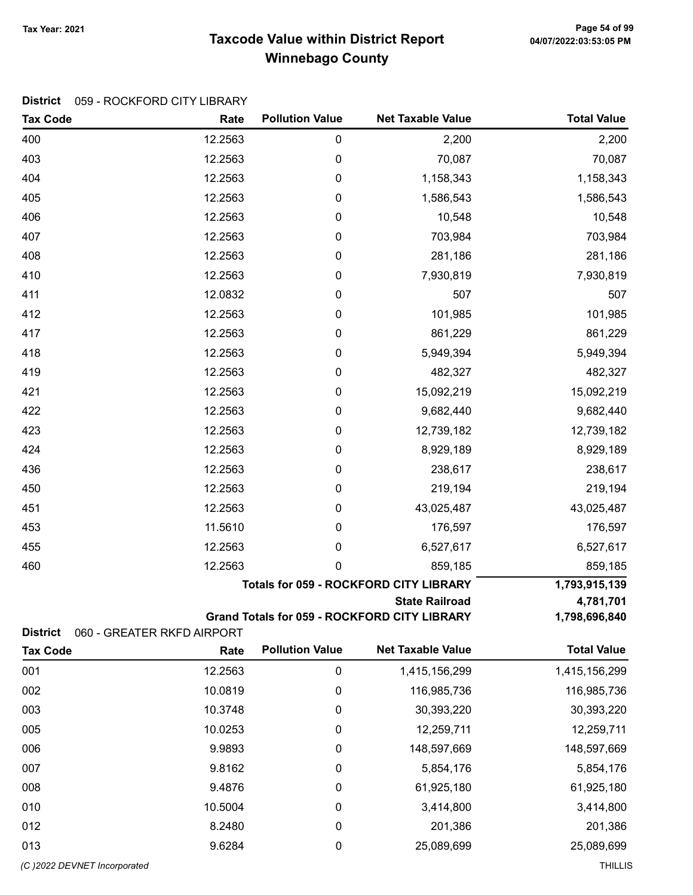# Taxcode Value within District Report Tax Year: 2021 Page 54 of 99 Winnebago County

#### District 059 - ROCKFORD CITY LIBRARY

| <b>Tax Code</b>                    | Rate                               | <b>Pollution Value</b> | <b>Net Taxable Value</b>                      | <b>Total Value</b> |
|------------------------------------|------------------------------------|------------------------|-----------------------------------------------|--------------------|
| 400                                | 12.2563                            | 0                      | 2,200                                         | 2,200              |
| 403                                | 12.2563                            | $\pmb{0}$              | 70,087                                        | 70,087             |
| 404                                | 12.2563                            | $\boldsymbol{0}$       | 1,158,343                                     | 1,158,343          |
| 405                                | 12.2563                            | $\mathbf 0$            | 1,586,543                                     | 1,586,543          |
| 406                                | 12.2563                            | $\boldsymbol{0}$       | 10,548                                        | 10,548             |
| 407                                | 12.2563                            | $\boldsymbol{0}$       | 703,984                                       | 703,984            |
| 408                                | 12.2563                            | $\pmb{0}$              | 281,186                                       | 281,186            |
| 410                                | 12.2563                            | $\boldsymbol{0}$       | 7,930,819                                     | 7,930,819          |
| 411                                | 12.0832                            | 0                      | 507                                           | 507                |
| 412                                | 12.2563                            | $\boldsymbol{0}$       | 101,985                                       | 101,985            |
| 417                                | 12.2563                            | 0                      | 861,229                                       | 861,229            |
| 418                                | 12.2563                            | $\boldsymbol{0}$       | 5,949,394                                     | 5,949,394          |
| 419                                | 12.2563                            | $\boldsymbol{0}$       | 482,327                                       | 482,327            |
| 421                                | 12.2563                            | 0                      | 15,092,219                                    | 15,092,219         |
| 422                                | 12.2563                            | $\pmb{0}$              | 9,682,440                                     | 9,682,440          |
| 423                                | 12.2563                            | 0                      | 12,739,182                                    | 12,739,182         |
| 424                                | 12.2563                            | $\boldsymbol{0}$       | 8,929,189                                     | 8,929,189          |
| 436                                | 12.2563                            | 0                      | 238,617                                       | 238,617            |
| 450                                | 12.2563                            | $\mathbf 0$            | 219,194                                       | 219,194            |
| 451                                | 12.2563                            | $\mathbf 0$            | 43,025,487                                    | 43,025,487         |
| 453                                | 11.5610                            | 0                      | 176,597                                       | 176,597            |
| 455                                | 12.2563                            | 0                      | 6,527,617                                     | 6,527,617          |
| 460                                | 12.2563                            | 0                      | 859,185                                       | 859,185            |
|                                    |                                    |                        | <b>Totals for 059 - ROCKFORD CITY LIBRARY</b> | 1,793,915,139      |
|                                    |                                    |                        | <b>State Railroad</b>                         | 4,781,701          |
|                                    |                                    |                        | Grand Totals for 059 - ROCKFORD CITY LIBRARY  | 1,798,696,840      |
| <b>District</b><br><b>Tax Code</b> | 060 - GREATER RKFD AIRPORT<br>Rate | <b>Pollution Value</b> | <b>Net Taxable Value</b>                      | <b>Total Value</b> |
| 001                                | 12.2563                            | $\mathbf 0$            | 1,415,156,299                                 | 1,415,156,299      |
| 002                                | 10.0819                            | $\pmb{0}$              | 116,985,736                                   | 116,985,736        |
| 003                                | 10.3748                            | 0                      | 30,393,220                                    | 30,393,220         |
| 005                                | 10.0253                            | 0                      | 12,259,711                                    | 12,259,711         |
| 006                                | 9.9893                             | 0                      | 148,597,669                                   | 148,597,669        |
| 007                                | 9.8162                             | $\mathbf 0$            | 5,854,176                                     | 5,854,176          |
| 008                                | 9.4876                             |                        |                                               |                    |
|                                    |                                    | 0                      | 61,925,180                                    | 61,925,180         |
| 010                                | 10.5004                            | $\boldsymbol{0}$       | 3,414,800                                     | 3,414,800          |
| 012                                | 8.2480                             | $\mathbf 0$            | 201,386                                       | 201,386            |
| 013                                | 9.6284                             | 0                      | 25,089,699                                    | 25,089,699         |
| (C) 2022 DEVNET Incorporated       |                                    |                        |                                               | <b>THILLIS</b>     |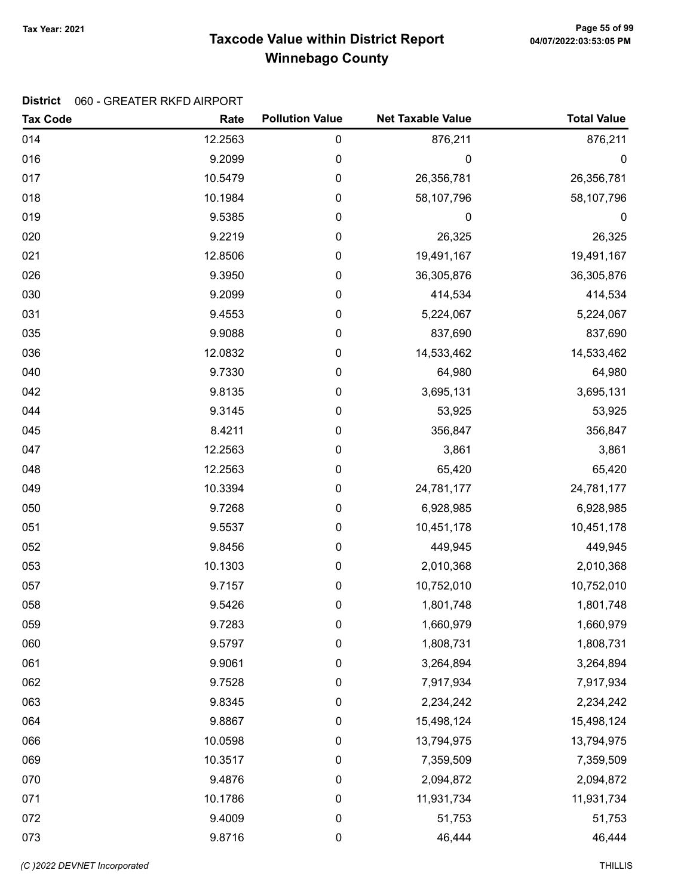# Taxcode Value within District Report Tax Year: 2021 Page 55 of 99 Winnebago County

#### District 060 - GREATER RKFD AIRPORT

| <b>Tax Code</b> | Rate    | <b>Pollution Value</b> | <b>Net Taxable Value</b> | <b>Total Value</b> |
|-----------------|---------|------------------------|--------------------------|--------------------|
| 014             | 12.2563 | 0                      | 876,211                  | 876,211            |
| 016             | 9.2099  | 0                      | 0                        | 0                  |
| 017             | 10.5479 | 0                      | 26,356,781               | 26,356,781         |
| 018             | 10.1984 | $\pmb{0}$              | 58,107,796               | 58,107,796         |
| 019             | 9.5385  | 0                      | 0                        | 0                  |
| 020             | 9.2219  | $\pmb{0}$              | 26,325                   | 26,325             |
| 021             | 12.8506 | $\pmb{0}$              | 19,491,167               | 19,491,167         |
| 026             | 9.3950  | $\pmb{0}$              | 36,305,876               | 36,305,876         |
| 030             | 9.2099  | 0                      | 414,534                  | 414,534            |
| 031             | 9.4553  | 0                      | 5,224,067                | 5,224,067          |
| 035             | 9.9088  | $\pmb{0}$              | 837,690                  | 837,690            |
| 036             | 12.0832 | 0                      | 14,533,462               | 14,533,462         |
| 040             | 9.7330  | $\pmb{0}$              | 64,980                   | 64,980             |
| 042             | 9.8135  | $\pmb{0}$              | 3,695,131                | 3,695,131          |
| 044             | 9.3145  | $\pmb{0}$              | 53,925                   | 53,925             |
| 045             | 8.4211  | $\pmb{0}$              | 356,847                  | 356,847            |
| 047             | 12.2563 | 0                      | 3,861                    | 3,861              |
| 048             | 12.2563 | $\pmb{0}$              | 65,420                   | 65,420             |
| 049             | 10.3394 | 0                      | 24,781,177               | 24,781,177         |
| 050             | 9.7268  | 0                      | 6,928,985                | 6,928,985          |
| 051             | 9.5537  | $\pmb{0}$              | 10,451,178               | 10,451,178         |
| 052             | 9.8456  | $\pmb{0}$              | 449,945                  | 449,945            |
| 053             | 10.1303 | $\pmb{0}$              | 2,010,368                | 2,010,368          |
| 057             | 9.7157  | $\pmb{0}$              | 10,752,010               | 10,752,010         |
| 058             | 9.5426  | 0                      | 1,801,748                | 1,801,748          |
| 059             | 9.7283  | 0                      | 1,660,979                | 1,660,979          |
| 060             | 9.5797  | 0                      | 1,808,731                | 1,808,731          |
| 061             | 9.9061  | 0                      | 3,264,894                | 3,264,894          |
| 062             | 9.7528  | 0                      | 7,917,934                | 7,917,934          |
| 063             | 9.8345  | 0                      | 2,234,242                | 2,234,242          |
| 064             | 9.8867  | 0                      | 15,498,124               | 15,498,124         |
| 066             | 10.0598 | 0                      | 13,794,975               | 13,794,975         |
| 069             | 10.3517 | 0                      | 7,359,509                | 7,359,509          |
| 070             | 9.4876  | 0                      | 2,094,872                | 2,094,872          |
| 071             | 10.1786 | 0                      | 11,931,734               | 11,931,734         |
| 072             | 9.4009  | 0                      | 51,753                   | 51,753             |
| 073             | 9.8716  | 0                      | 46,444                   | 46,444             |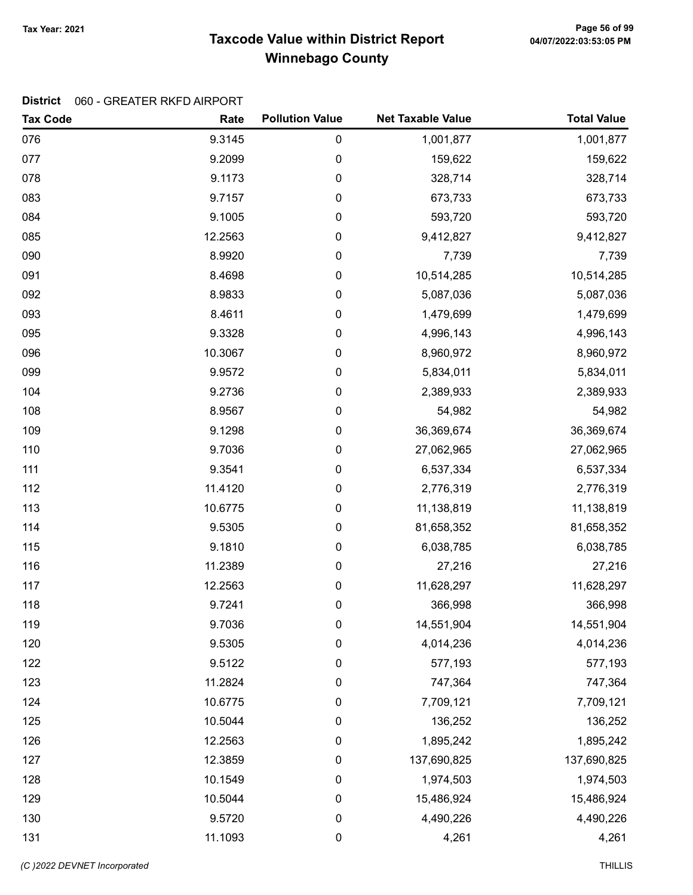# Taxcode Value within District Report Tax Year: 2021 Page 56 of 99 Winnebago County

#### District 060 - GREATER RKFD AIRPORT

| <b>Tax Code</b> | Rate    | <b>Pollution Value</b> | <b>Net Taxable Value</b> | <b>Total Value</b> |
|-----------------|---------|------------------------|--------------------------|--------------------|
| 076             | 9.3145  | 0                      | 1,001,877                | 1,001,877          |
| 077             | 9.2099  | 0                      | 159,622                  | 159,622            |
| 078             | 9.1173  | 0                      | 328,714                  | 328,714            |
| 083             | 9.7157  | 0                      | 673,733                  | 673,733            |
| 084             | 9.1005  | 0                      | 593,720                  | 593,720            |
| 085             | 12.2563 | 0                      | 9,412,827                | 9,412,827          |
| 090             | 8.9920  | 0                      | 7,739                    | 7,739              |
| 091             | 8.4698  | 0                      | 10,514,285               | 10,514,285         |
| 092             | 8.9833  | 0                      | 5,087,036                | 5,087,036          |
| 093             | 8.4611  | 0                      | 1,479,699                | 1,479,699          |
| 095             | 9.3328  | 0                      | 4,996,143                | 4,996,143          |
| 096             | 10.3067 | 0                      | 8,960,972                | 8,960,972          |
| 099             | 9.9572  | 0                      | 5,834,011                | 5,834,011          |
| 104             | 9.2736  | 0                      | 2,389,933                | 2,389,933          |
| 108             | 8.9567  | 0                      | 54,982                   | 54,982             |
| 109             | 9.1298  | 0                      | 36,369,674               | 36,369,674         |
| 110             | 9.7036  | 0                      | 27,062,965               | 27,062,965         |
| 111             | 9.3541  | 0                      | 6,537,334                | 6,537,334          |
| 112             | 11.4120 | 0                      | 2,776,319                | 2,776,319          |
| 113             | 10.6775 | 0                      | 11,138,819               | 11,138,819         |
| 114             | 9.5305  | 0                      | 81,658,352               | 81,658,352         |
| 115             | 9.1810  | 0                      | 6,038,785                | 6,038,785          |
| 116             | 11.2389 | 0                      | 27,216                   | 27,216             |
| 117             | 12.2563 | 0                      | 11,628,297               | 11,628,297         |
| 118             | 9.7241  | 0                      | 366,998                  | 366,998            |
| 119             | 9.7036  | 0                      | 14,551,904               | 14,551,904         |
| 120             | 9.5305  | 0                      | 4,014,236                | 4,014,236          |
| 122             | 9.5122  | 0                      | 577,193                  | 577,193            |
| 123             | 11.2824 | 0                      | 747,364                  | 747,364            |
| 124             | 10.6775 | 0                      | 7,709,121                | 7,709,121          |
| 125             | 10.5044 | 0                      | 136,252                  | 136,252            |
| 126             | 12.2563 | 0                      | 1,895,242                | 1,895,242          |
| 127             | 12.3859 | 0                      | 137,690,825              | 137,690,825        |
| 128             | 10.1549 | 0                      | 1,974,503                | 1,974,503          |
| 129             | 10.5044 | 0                      | 15,486,924               | 15,486,924         |
| 130             | 9.5720  | 0                      | 4,490,226                | 4,490,226          |
| 131             | 11.1093 | 0                      | 4,261                    | 4,261              |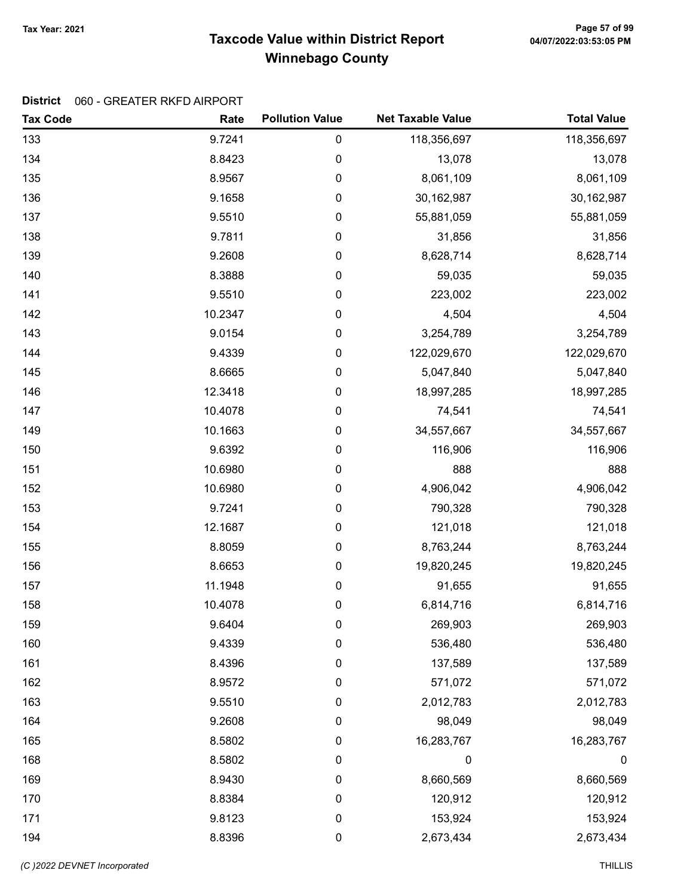# Taxcode Value within District Report Tax Year: 2021 Page 57 of 99 Winnebago County

#### District 060 - GREATER RKFD AIRPORT

| <b>Tax Code</b> | Rate    | <b>Pollution Value</b> | <b>Net Taxable Value</b> | <b>Total Value</b> |
|-----------------|---------|------------------------|--------------------------|--------------------|
| 133             | 9.7241  | $\pmb{0}$              | 118,356,697              | 118,356,697        |
| 134             | 8.8423  | $\pmb{0}$              | 13,078                   | 13,078             |
| 135             | 8.9567  | $\pmb{0}$              | 8,061,109                | 8,061,109          |
| 136             | 9.1658  | $\pmb{0}$              | 30, 162, 987             | 30,162,987         |
| 137             | 9.5510  | $\pmb{0}$              | 55,881,059               | 55,881,059         |
| 138             | 9.7811  | $\pmb{0}$              | 31,856                   | 31,856             |
| 139             | 9.2608  | $\pmb{0}$              | 8,628,714                | 8,628,714          |
| 140             | 8.3888  | $\pmb{0}$              | 59,035                   | 59,035             |
| 141             | 9.5510  | $\pmb{0}$              | 223,002                  | 223,002            |
| 142             | 10.2347 | $\pmb{0}$              | 4,504                    | 4,504              |
| 143             | 9.0154  | $\pmb{0}$              | 3,254,789                | 3,254,789          |
| 144             | 9.4339  | $\pmb{0}$              | 122,029,670              | 122,029,670        |
| 145             | 8.6665  | $\pmb{0}$              | 5,047,840                | 5,047,840          |
| 146             | 12.3418 | $\pmb{0}$              | 18,997,285               | 18,997,285         |
| 147             | 10.4078 | $\pmb{0}$              | 74,541                   | 74,541             |
| 149             | 10.1663 | $\pmb{0}$              | 34,557,667               | 34,557,667         |
| 150             | 9.6392  | $\pmb{0}$              | 116,906                  | 116,906            |
| 151             | 10.6980 | $\pmb{0}$              | 888                      | 888                |
| 152             | 10.6980 | $\pmb{0}$              | 4,906,042                | 4,906,042          |
| 153             | 9.7241  | $\pmb{0}$              | 790,328                  | 790,328            |
| 154             | 12.1687 | $\pmb{0}$              | 121,018                  | 121,018            |
| 155             | 8.8059  | $\pmb{0}$              | 8,763,244                | 8,763,244          |
| 156             | 8.6653  | $\pmb{0}$              | 19,820,245               | 19,820,245         |
| 157             | 11.1948 | $\pmb{0}$              | 91,655                   | 91,655             |
| 158             | 10.4078 | $\pmb{0}$              | 6,814,716                | 6,814,716          |
| 159             | 9.6404  | 0                      | 269,903                  | 269,903            |
| 160             | 9.4339  | 0                      | 536,480                  | 536,480            |
| 161             | 8.4396  | $\pmb{0}$              | 137,589                  | 137,589            |
| 162             | 8.9572  | 0                      | 571,072                  | 571,072            |
| 163             | 9.5510  | 0                      | 2,012,783                | 2,012,783          |
| 164             | 9.2608  | $\pmb{0}$              | 98,049                   | 98,049             |
| 165             | 8.5802  | $\pmb{0}$              | 16,283,767               | 16,283,767         |
| 168             | 8.5802  | 0                      | $\mathbf 0$              | $\boldsymbol{0}$   |
| 169             | 8.9430  | 0                      | 8,660,569                | 8,660,569          |
| 170             | 8.8384  | $\boldsymbol{0}$       | 120,912                  | 120,912            |
| 171             | 9.8123  | $\pmb{0}$              | 153,924                  | 153,924            |
| 194             | 8.8396  | 0                      | 2,673,434                | 2,673,434          |

(C)2022 DEVNET Incorporated THILLIS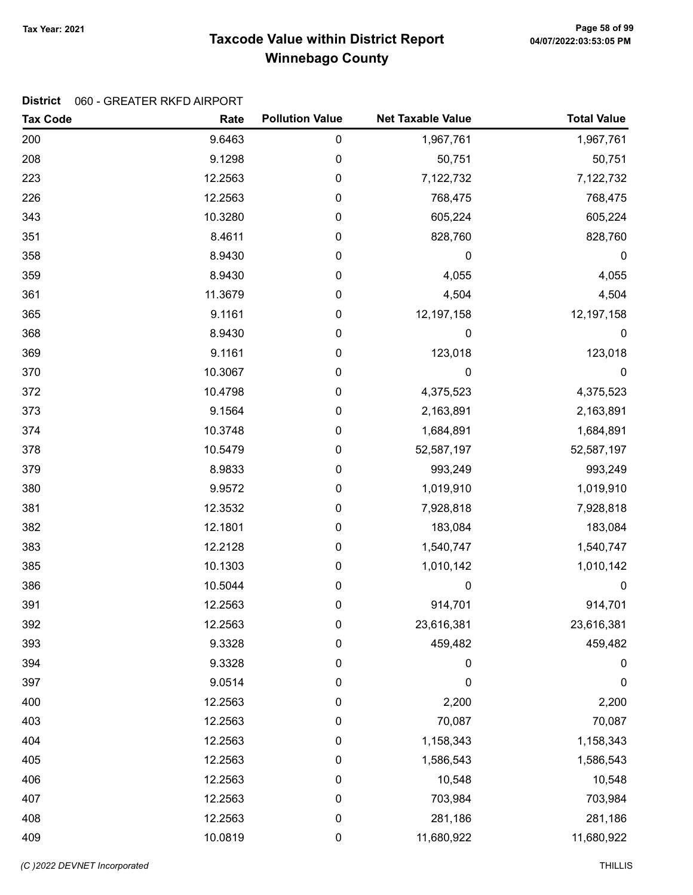# Taxcode Value within District Report Tax Year: 2021 Page 58 of 99 Winnebago County

#### District 060 - GREATER RKFD AIRPORT

| <b>Tax Code</b> | Rate    | <b>Pollution Value</b> | <b>Net Taxable Value</b> | <b>Total Value</b> |
|-----------------|---------|------------------------|--------------------------|--------------------|
| 200             | 9.6463  | 0                      | 1,967,761                | 1,967,761          |
| 208             | 9.1298  | 0                      | 50,751                   | 50,751             |
| 223             | 12.2563 | 0                      | 7,122,732                | 7,122,732          |
| 226             | 12.2563 | 0                      | 768,475                  | 768,475            |
| 343             | 10.3280 | 0                      | 605,224                  | 605,224            |
| 351             | 8.4611  | 0                      | 828,760                  | 828,760            |
| 358             | 8.9430  | 0                      | 0                        | 0                  |
| 359             | 8.9430  | 0                      | 4,055                    | 4,055              |
| 361             | 11.3679 | 0                      | 4,504                    | 4,504              |
| 365             | 9.1161  | 0                      | 12,197,158               | 12,197,158         |
| 368             | 8.9430  | 0                      | 0                        | 0                  |
| 369             | 9.1161  | 0                      | 123,018                  | 123,018            |
| 370             | 10.3067 | 0                      | $\mathbf 0$              | $\mathbf 0$        |
| 372             | 10.4798 | 0                      | 4,375,523                | 4,375,523          |
| 373             | 9.1564  | 0                      | 2,163,891                | 2,163,891          |
| 374             | 10.3748 | 0                      | 1,684,891                | 1,684,891          |
| 378             | 10.5479 | 0                      | 52,587,197               | 52,587,197         |
| 379             | 8.9833  | 0                      | 993,249                  | 993,249            |
| 380             | 9.9572  | 0                      | 1,019,910                | 1,019,910          |
| 381             | 12.3532 | 0                      | 7,928,818                | 7,928,818          |
| 382             | 12.1801 | 0                      | 183,084                  | 183,084            |
| 383             | 12.2128 | 0                      | 1,540,747                | 1,540,747          |
| 385             | 10.1303 | 0                      | 1,010,142                | 1,010,142          |
| 386             | 10.5044 | 0                      | $\mathbf 0$              | $\mathbf 0$        |
| 391             | 12.2563 | 0                      | 914,701                  | 914,701            |
| 392             | 12.2563 | 0                      | 23,616,381               | 23,616,381         |
| 393             | 9.3328  | 0                      | 459,482                  | 459,482            |
| 394             | 9.3328  | 0                      | 0                        | $\pmb{0}$          |
| 397             | 9.0514  | 0                      | 0                        | 0                  |
| 400             | 12.2563 | 0                      | 2,200                    | 2,200              |
| 403             | 12.2563 | 0                      | 70,087                   | 70,087             |
| 404             | 12.2563 | 0                      | 1,158,343                | 1,158,343          |
| 405             | 12.2563 | 0                      | 1,586,543                | 1,586,543          |
| 406             | 12.2563 | 0                      | 10,548                   | 10,548             |
| 407             | 12.2563 | 0                      | 703,984                  | 703,984            |
| 408             | 12.2563 | 0                      | 281,186                  | 281,186            |
| 409             | 10.0819 | 0                      | 11,680,922               | 11,680,922         |

(C)2022 DEVNET Incorporated THILLIS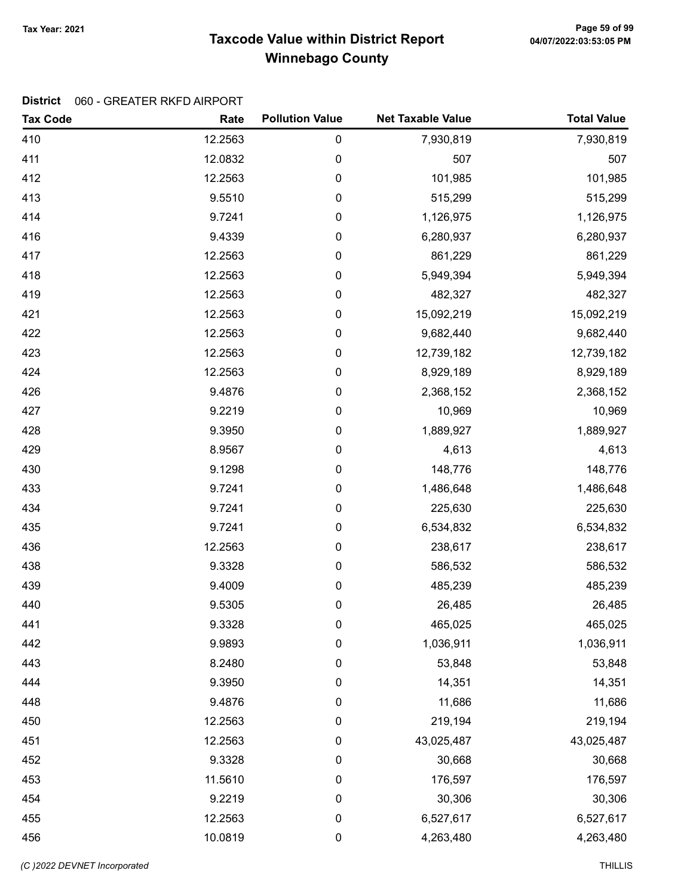# Taxcode Value within District Report Tax Year: 2021 Page 59 of 99 Winnebago County

#### District 060 - GREATER RKFD AIRPORT

| <b>Tax Code</b> | Rate    | <b>Pollution Value</b> | <b>Net Taxable Value</b> | <b>Total Value</b> |
|-----------------|---------|------------------------|--------------------------|--------------------|
| 410             | 12.2563 | 0                      | 7,930,819                | 7,930,819          |
| 411             | 12.0832 | 0                      | 507                      | 507                |
| 412             | 12.2563 | 0                      | 101,985                  | 101,985            |
| 413             | 9.5510  | 0                      | 515,299                  | 515,299            |
| 414             | 9.7241  | 0                      | 1,126,975                | 1,126,975          |
| 416             | 9.4339  | 0                      | 6,280,937                | 6,280,937          |
| 417             | 12.2563 | 0                      | 861,229                  | 861,229            |
| 418             | 12.2563 | 0                      | 5,949,394                | 5,949,394          |
| 419             | 12.2563 | 0                      | 482,327                  | 482,327            |
| 421             | 12.2563 | 0                      | 15,092,219               | 15,092,219         |
| 422             | 12.2563 | 0                      | 9,682,440                | 9,682,440          |
| 423             | 12.2563 | 0                      | 12,739,182               | 12,739,182         |
| 424             | 12.2563 | 0                      | 8,929,189                | 8,929,189          |
| 426             | 9.4876  | 0                      | 2,368,152                | 2,368,152          |
| 427             | 9.2219  | 0                      | 10,969                   | 10,969             |
| 428             | 9.3950  | 0                      | 1,889,927                | 1,889,927          |
| 429             | 8.9567  | 0                      | 4,613                    | 4,613              |
| 430             | 9.1298  | 0                      | 148,776                  | 148,776            |
| 433             | 9.7241  | 0                      | 1,486,648                | 1,486,648          |
| 434             | 9.7241  | 0                      | 225,630                  | 225,630            |
| 435             | 9.7241  | 0                      | 6,534,832                | 6,534,832          |
| 436             | 12.2563 | 0                      | 238,617                  | 238,617            |
| 438             | 9.3328  | 0                      | 586,532                  | 586,532            |
| 439             | 9.4009  | $\pmb{0}$              | 485,239                  | 485,239            |
| 440             | 9.5305  | 0                      | 26,485                   | 26,485             |
| 441             | 9.3328  | 0                      | 465,025                  | 465,025            |
| 442             | 9.9893  | 0                      | 1,036,911                | 1,036,911          |
| 443             | 8.2480  | $\pmb{0}$              | 53,848                   | 53,848             |
| 444             | 9.3950  | 0                      | 14,351                   | 14,351             |
| 448             | 9.4876  | 0                      | 11,686                   | 11,686             |
| 450             | 12.2563 | $\boldsymbol{0}$       | 219,194                  | 219,194            |
| 451             | 12.2563 | $\pmb{0}$              | 43,025,487               | 43,025,487         |
| 452             | 9.3328  | $\pmb{0}$              | 30,668                   | 30,668             |
| 453             | 11.5610 | 0                      | 176,597                  | 176,597            |
| 454             | 9.2219  | $\pmb{0}$              | 30,306                   | 30,306             |
| 455             | 12.2563 | $\pmb{0}$              | 6,527,617                | 6,527,617          |
| 456             | 10.0819 | $\pmb{0}$              | 4,263,480                | 4,263,480          |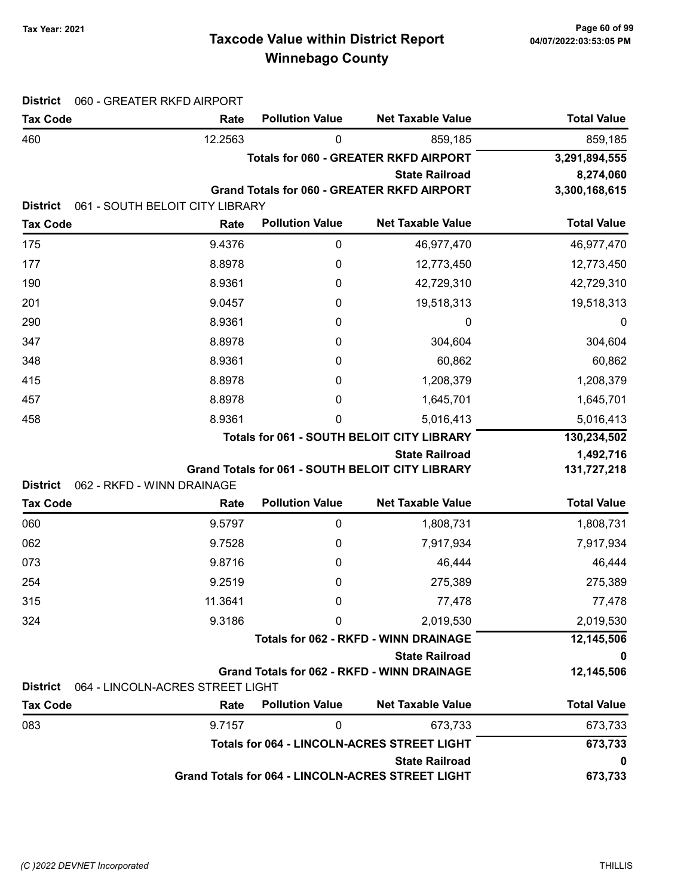# Taxcode Value within District Report Tax Year: 2021 Page 60 of 99 Winnebago County

| <b>District</b>                    | 060 - GREATER RKFD AIRPORT         |                        |                                                                             |                    |
|------------------------------------|------------------------------------|------------------------|-----------------------------------------------------------------------------|--------------------|
| <b>Tax Code</b>                    | Rate                               | <b>Pollution Value</b> | <b>Net Taxable Value</b>                                                    | <b>Total Value</b> |
| 460                                | 12.2563                            | 0                      | 859,185                                                                     | 859,185            |
|                                    |                                    |                        | <b>Totals for 060 - GREATER RKFD AIRPORT</b>                                | 3,291,894,555      |
|                                    |                                    |                        | <b>State Railroad</b>                                                       | 8,274,060          |
| <b>District</b>                    | 061 - SOUTH BELOIT CITY LIBRARY    |                        | <b>Grand Totals for 060 - GREATER RKFD AIRPORT</b>                          | 3,300,168,615      |
| <b>Tax Code</b>                    | Rate                               | <b>Pollution Value</b> | <b>Net Taxable Value</b>                                                    | <b>Total Value</b> |
| 175                                | 9.4376                             | $\pmb{0}$              | 46,977,470                                                                  | 46,977,470         |
| 177                                | 8.8978                             | 0                      | 12,773,450                                                                  | 12,773,450         |
| 190                                | 8.9361                             | 0                      | 42,729,310                                                                  | 42,729,310         |
| 201                                | 9.0457                             | 0                      | 19,518,313                                                                  | 19,518,313         |
| 290                                | 8.9361                             | 0                      | 0                                                                           | 0                  |
| 347                                | 8.8978                             | 0                      | 304,604                                                                     | 304,604            |
| 348                                | 8.9361                             | 0                      | 60,862                                                                      | 60,862             |
| 415                                | 8.8978                             | 0                      | 1,208,379                                                                   | 1,208,379          |
| 457                                | 8.8978                             | 0                      | 1,645,701                                                                   | 1,645,701          |
| 458                                | 8.9361                             | 0                      | 5,016,413                                                                   | 5,016,413          |
|                                    |                                    |                        | <b>Totals for 061 - SOUTH BELOIT CITY LIBRARY</b>                           | 130,234,502        |
|                                    |                                    |                        | <b>State Railroad</b>                                                       | 1,492,716          |
|                                    |                                    |                        | <b>Grand Totals for 061 - SOUTH BELOIT CITY LIBRARY</b>                     | 131,727,218        |
| <b>District</b><br><b>Tax Code</b> | 062 - RKFD - WINN DRAINAGE<br>Rate | <b>Pollution Value</b> | <b>Net Taxable Value</b>                                                    | <b>Total Value</b> |
| 060                                | 9.5797                             | $\pmb{0}$              | 1,808,731                                                                   | 1,808,731          |
| 062                                | 9.7528                             | 0                      | 7,917,934                                                                   | 7,917,934          |
| 073                                | 9.8716                             | 0                      | 46,444                                                                      | 46,444             |
| 254                                | 9.2519                             | 0                      | 275,389                                                                     | 275,389            |
| 315                                | 11.3641                            | 0                      | 77,478                                                                      | 77,478             |
| 324                                | 9.3186                             | 0                      | 2,019,530                                                                   | 2,019,530          |
|                                    |                                    |                        | <b>Totals for 062 - RKFD - WINN DRAINAGE</b>                                | 12,145,506         |
|                                    |                                    |                        | <b>State Railroad</b>                                                       | 0                  |
|                                    |                                    |                        | <b>Grand Totals for 062 - RKFD - WINN DRAINAGE</b>                          | 12,145,506         |
| <b>District</b>                    | 064 - LINCOLN-ACRES STREET LIGHT   |                        |                                                                             |                    |
| <b>Tax Code</b>                    | Rate                               | <b>Pollution Value</b> | <b>Net Taxable Value</b>                                                    | <b>Total Value</b> |
| 083                                | 9.7157                             | 0                      | 673,733                                                                     | 673,733            |
|                                    |                                    |                        | <b>Totals for 064 - LINCOLN-ACRES STREET LIGHT</b><br><b>State Railroad</b> | 673,733<br>0       |
|                                    |                                    |                        | Grand Totals for 064 - LINCOLN-ACRES STREET LIGHT                           | 673,733            |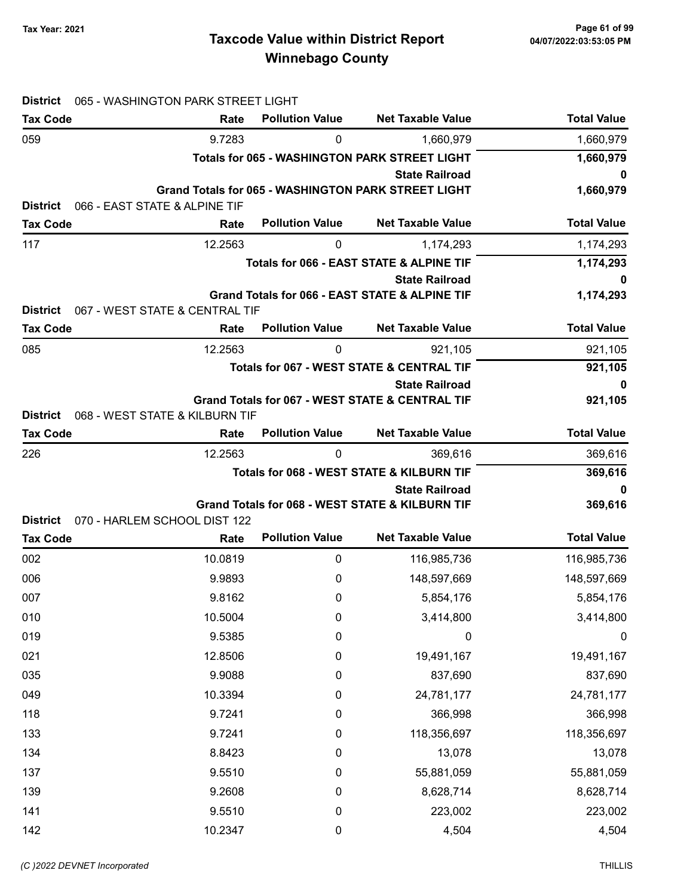# Taxcode Value within District Report Tax Year: 2021 Page 61 of 99 Winnebago County

| <b>District</b>                    | 065 - WASHINGTON PARK STREET LIGHT     |                        |                                                                          |                    |
|------------------------------------|----------------------------------------|------------------------|--------------------------------------------------------------------------|--------------------|
| <b>Tax Code</b>                    | Rate                                   | <b>Pollution Value</b> | <b>Net Taxable Value</b>                                                 | <b>Total Value</b> |
| 059                                | 9.7283                                 | 0                      | 1,660,979                                                                | 1,660,979          |
|                                    |                                        |                        | <b>Totals for 065 - WASHINGTON PARK STREET LIGHT</b>                     | 1,660,979          |
|                                    |                                        |                        | <b>State Railroad</b>                                                    | 0                  |
| <b>District</b>                    | 066 - EAST STATE & ALPINE TIF          |                        | <b>Grand Totals for 065 - WASHINGTON PARK STREET LIGHT</b>               | 1,660,979          |
| <b>Tax Code</b>                    | Rate                                   | <b>Pollution Value</b> | <b>Net Taxable Value</b>                                                 | <b>Total Value</b> |
| 117                                | 12.2563                                | 0                      | 1,174,293                                                                | 1,174,293          |
|                                    |                                        |                        | <b>Totals for 066 - EAST STATE &amp; ALPINE TIF</b>                      | 1,174,293          |
|                                    |                                        |                        | <b>State Railroad</b>                                                    | 0                  |
|                                    |                                        |                        | Grand Totals for 066 - EAST STATE & ALPINE TIF                           | 1,174,293          |
| <b>District</b>                    | 067 - WEST STATE & CENTRAL TIF         |                        |                                                                          |                    |
| <b>Tax Code</b>                    | Rate                                   | <b>Pollution Value</b> | <b>Net Taxable Value</b>                                                 | <b>Total Value</b> |
| 085                                | 12.2563                                | 0                      | 921,105                                                                  | 921,105            |
|                                    |                                        |                        | <b>Totals for 067 - WEST STATE &amp; CENTRAL TIF</b>                     | 921,105            |
|                                    |                                        |                        | <b>State Railroad</b>                                                    | 0                  |
|                                    |                                        |                        | Grand Totals for 067 - WEST STATE & CENTRAL TIF                          | 921,105            |
| <b>District</b><br><b>Tax Code</b> | 068 - WEST STATE & KILBURN TIF<br>Rate | <b>Pollution Value</b> | <b>Net Taxable Value</b>                                                 | <b>Total Value</b> |
| 226                                | 12.2563                                | 0                      |                                                                          |                    |
|                                    |                                        |                        | 369,616<br><b>Totals for 068 - WEST STATE &amp; KILBURN TIF</b>          | 369,616<br>369,616 |
|                                    | 0                                      |                        |                                                                          |                    |
|                                    |                                        |                        | <b>State Railroad</b><br>Grand Totals for 068 - WEST STATE & KILBURN TIF | 369,616            |
| <b>District</b>                    | 070 - HARLEM SCHOOL DIST 122           |                        |                                                                          |                    |
| <b>Tax Code</b>                    | Rate                                   | <b>Pollution Value</b> | <b>Net Taxable Value</b>                                                 | <b>Total Value</b> |
| 002                                | 10.0819                                | 0                      | 116,985,736                                                              | 116,985,736        |
| 006                                | 9.9893                                 | 0                      | 148,597,669                                                              | 148,597,669        |
| 007                                | 9.8162                                 | 0                      | 5,854,176                                                                | 5,854,176          |
| 010                                | 10.5004                                | 0                      | 3,414,800                                                                | 3,414,800          |
| 019                                | 9.5385                                 | 0                      | 0                                                                        | 0                  |
| 021                                | 12.8506                                | 0                      | 19,491,167                                                               | 19,491,167         |
| 035                                | 9.9088                                 | 0                      | 837,690                                                                  | 837,690            |
| 049                                | 10.3394                                | 0                      | 24,781,177                                                               | 24,781,177         |
| 118                                | 9.7241                                 | 0                      | 366,998                                                                  | 366,998            |
| 133                                | 9.7241                                 | 0                      | 118,356,697                                                              | 118,356,697        |
| 134                                | 8.8423                                 | 0                      | 13,078                                                                   | 13,078             |
| 137                                | 9.5510                                 | 0                      | 55,881,059                                                               | 55,881,059         |
| 139                                | 9.2608                                 | 0                      | 8,628,714                                                                | 8,628,714          |
| 141                                |                                        |                        |                                                                          |                    |
|                                    | 9.5510                                 | $\boldsymbol{0}$       | 223,002                                                                  | 223,002            |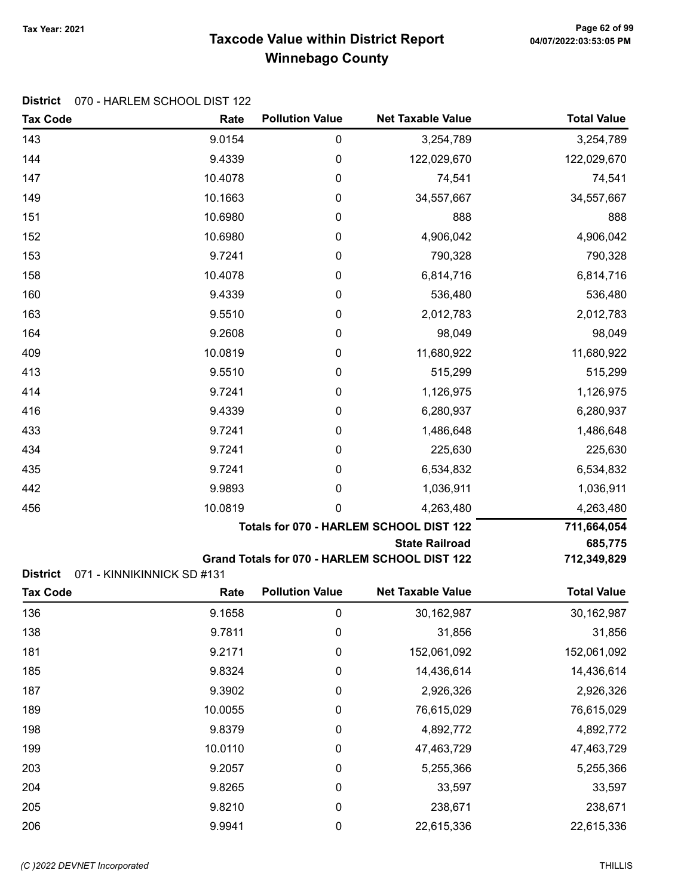# Taxcode Value within District Report Tax Year: 2021 Page 62 of 99 Winnebago County

#### District 070 - HARLEM SCHOOL DIST 122

| <b>Tax Code</b> | Rate                                    | <b>Pollution Value</b> | <b>Net Taxable Value</b>                      | <b>Total Value</b> |
|-----------------|-----------------------------------------|------------------------|-----------------------------------------------|--------------------|
| 143             | 9.0154                                  | 0                      | 3,254,789                                     | 3,254,789          |
| 144             | 9.4339                                  | 0                      | 122,029,670                                   | 122,029,670        |
| 147             | 10.4078                                 | 0                      | 74,541                                        | 74,541             |
| 149             | 10.1663                                 | 0                      | 34,557,667                                    | 34,557,667         |
| 151             | 10.6980                                 | 0                      | 888                                           | 888                |
| 152             | 10.6980                                 | 0                      | 4,906,042                                     | 4,906,042          |
| 153             | 9.7241                                  | 0                      | 790,328                                       | 790,328            |
| 158             | 10.4078                                 | 0                      | 6,814,716                                     | 6,814,716          |
| 160             | 9.4339                                  | 0                      | 536,480                                       | 536,480            |
| 163             | 9.5510                                  | 0                      | 2,012,783                                     | 2,012,783          |
| 164             | 9.2608                                  | 0                      | 98,049                                        | 98,049             |
| 409             | 10.0819                                 | 0                      | 11,680,922                                    | 11,680,922         |
| 413             | 9.5510                                  | 0                      | 515,299                                       | 515,299            |
| 414             | 9.7241                                  | 0                      | 1,126,975                                     | 1,126,975          |
| 416             | 9.4339                                  | 0                      | 6,280,937                                     | 6,280,937          |
| 433             | 9.7241                                  | 0                      | 1,486,648                                     | 1,486,648          |
| 434             | 9.7241                                  | 0                      | 225,630                                       | 225,630            |
| 435             | 9.7241                                  | 0                      | 6,534,832                                     | 6,534,832          |
| 442             | 9.9893                                  | 0                      | 1,036,911                                     | 1,036,911          |
| 456             | 10.0819                                 | 0                      | 4,263,480                                     | 4,263,480          |
|                 | Totals for 070 - HARLEM SCHOOL DIST 122 | 711,664,054            |                                               |                    |
|                 |                                         |                        | <b>State Railroad</b>                         | 685,775            |
| <b>District</b> | 071 - KINNIKINNICK SD #131              |                        | Grand Totals for 070 - HARLEM SCHOOL DIST 122 | 712,349,829        |
| <b>Tax Code</b> | Rate                                    | <b>Pollution Value</b> | <b>Net Taxable Value</b>                      | <b>Total Value</b> |
| 136             | 9.1658                                  | 0                      | 30,162,987                                    | 30,162,987         |
| 138             | 9.7811                                  | $\pmb{0}$              | 31,856                                        | 31,856             |
| 181             | 9.2171                                  | $\pmb{0}$              | 152,061,092                                   | 152,061,092        |
| 185             | 9.8324                                  | 0                      | 14,436,614                                    | 14,436,614         |
| 187             | 9.3902                                  | $\boldsymbol{0}$       | 2,926,326                                     | 2,926,326          |
| 189             | 10.0055                                 | $\boldsymbol{0}$       | 76,615,029                                    | 76,615,029         |
| 198             | 9.8379                                  | 0                      | 4,892,772                                     | 4,892,772          |
| 199             | 10.0110                                 | 0                      | 47,463,729                                    | 47,463,729         |
| 203             | 9.2057                                  | $\boldsymbol{0}$       | 5,255,366                                     | 5,255,366          |
| 204             | 9.8265                                  | $\pmb{0}$              | 33,597                                        | 33,597             |
| 205             | 9.8210                                  | $\pmb{0}$              | 238,671                                       | 238,671            |
| 206             | 9.9941                                  | $\boldsymbol{0}$       | 22,615,336                                    | 22,615,336         |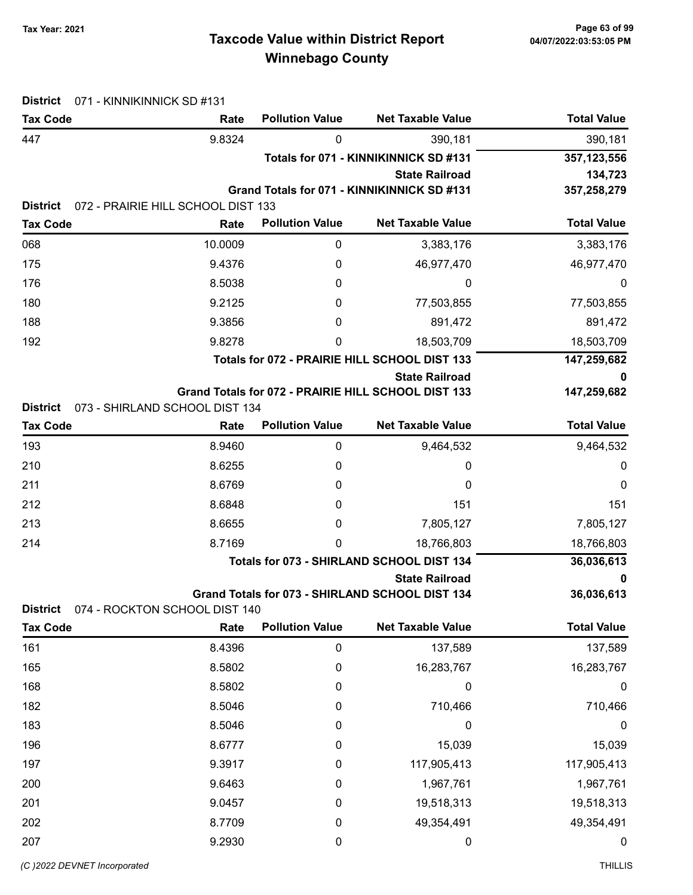# Taxcode Value within District Report Tax Year: 2021 Page 63 of 99 Winnebago County

| <b>District</b> | 071 - KINNIKINNICK SD #131         |                        |                                                                    |                    |
|-----------------|------------------------------------|------------------------|--------------------------------------------------------------------|--------------------|
| <b>Tax Code</b> | Rate                               | <b>Pollution Value</b> | <b>Net Taxable Value</b>                                           | <b>Total Value</b> |
| 447             | 9.8324                             | 0                      | 390,181                                                            | 390,181            |
|                 |                                    |                        | Totals for 071 - KINNIKINNICK SD #131                              | 357,123,556        |
|                 |                                    |                        | <b>State Railroad</b>                                              | 134,723            |
|                 |                                    |                        | Grand Totals for 071 - KINNIKINNICK SD #131                        | 357,258,279        |
| <b>District</b> | 072 - PRAIRIE HILL SCHOOL DIST 133 | <b>Pollution Value</b> | <b>Net Taxable Value</b>                                           | <b>Total Value</b> |
| <b>Tax Code</b> | Rate                               |                        |                                                                    |                    |
| 068             | 10.0009                            | 0                      | 3,383,176                                                          | 3,383,176          |
| 175             | 9.4376                             | 0                      | 46,977,470                                                         | 46,977,470         |
| 176             | 8.5038                             | 0                      | 0                                                                  | 0                  |
| 180             | 9.2125                             | 0                      | 77,503,855                                                         | 77,503,855         |
| 188             | 9.3856                             | 0                      | 891,472                                                            | 891,472            |
| 192             | 9.8278                             | 0                      | 18,503,709                                                         | 18,503,709         |
|                 |                                    |                        | Totals for 072 - PRAIRIE HILL SCHOOL DIST 133                      | 147,259,682        |
|                 |                                    |                        | <b>State Railroad</b>                                              | 0                  |
| <b>District</b> | 073 - SHIRLAND SCHOOL DIST 134     |                        | Grand Totals for 072 - PRAIRIE HILL SCHOOL DIST 133                | 147,259,682        |
| <b>Tax Code</b> | Rate                               | <b>Pollution Value</b> | <b>Net Taxable Value</b>                                           | <b>Total Value</b> |
| 193             | 8.9460                             | 0                      | 9,464,532                                                          | 9,464,532          |
| 210             | 8.6255                             | 0                      | 0                                                                  | 0                  |
| 211             | 8.6769                             | 0                      | 0                                                                  | 0                  |
| 212             | 8.6848                             | 0                      | 151                                                                | 151                |
| 213             | 8.6655                             | 0                      | 7,805,127                                                          | 7,805,127          |
|                 |                                    |                        |                                                                    |                    |
| 214             | 8.7169                             | 0                      | 18,766,803                                                         | 18,766,803         |
|                 |                                    |                        | Totals for 073 - SHIRLAND SCHOOL DIST 134<br><b>State Railroad</b> | 36,036,613<br>0    |
|                 |                                    |                        | Grand Totals for 073 - SHIRLAND SCHOOL DIST 134                    | 36,036,613         |
| <b>District</b> | 074 - ROCKTON SCHOOL DIST 140      |                        |                                                                    |                    |
| <b>Tax Code</b> | Rate                               | <b>Pollution Value</b> | <b>Net Taxable Value</b>                                           | <b>Total Value</b> |
| 161             | 8.4396                             | $\pmb{0}$              | 137,589                                                            | 137,589            |
| 165             | 8.5802                             | 0                      | 16,283,767                                                         | 16,283,767         |
| 168             | 8.5802                             | 0                      | 0                                                                  | $\boldsymbol{0}$   |
| 182             | 8.5046                             | 0                      | 710,466                                                            | 710,466            |
| 183             | 8.5046                             | 0                      | 0                                                                  | $\boldsymbol{0}$   |
| 196             | 8.6777                             | 0                      | 15,039                                                             | 15,039             |
| 197             | 9.3917                             | 0                      | 117,905,413                                                        | 117,905,413        |
| 200             | 9.6463                             | 0                      | 1,967,761                                                          | 1,967,761          |
| 201             | 9.0457                             | 0                      | 19,518,313                                                         | 19,518,313         |
| 202             | 8.7709                             | 0                      | 49,354,491                                                         | 49,354,491         |
| 207             | 9.2930                             | 0                      | 0                                                                  | 0                  |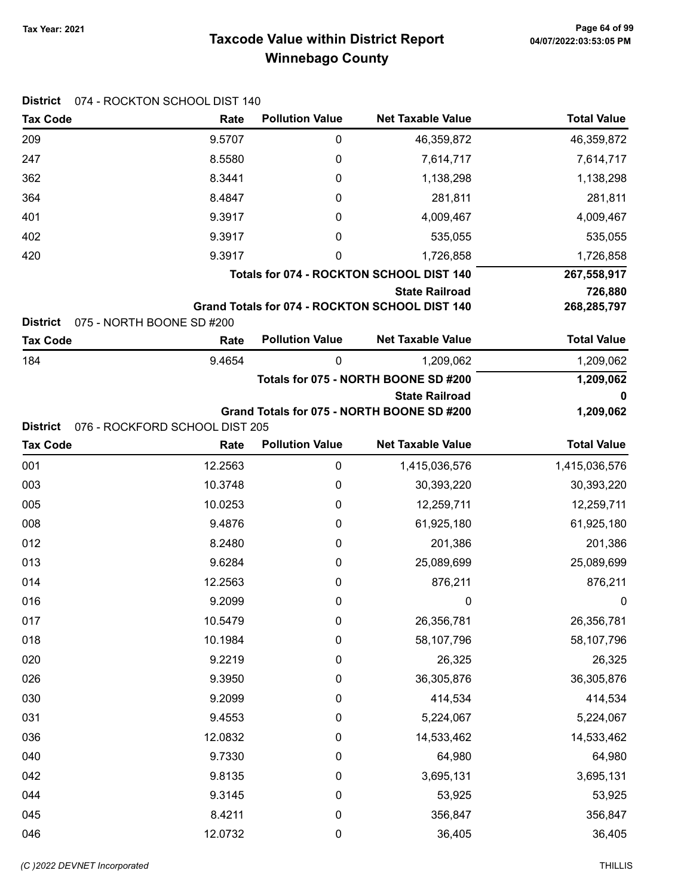# Taxcode Value within District Report Tax Year: 2021 Page 64 of 99 Winnebago County

| <b>District</b> | 074 - ROCKTON SCHOOL DIST 140  |                        |                                                |                    |
|-----------------|--------------------------------|------------------------|------------------------------------------------|--------------------|
| <b>Tax Code</b> | Rate                           | <b>Pollution Value</b> | <b>Net Taxable Value</b>                       | <b>Total Value</b> |
| 209             | 9.5707                         | 0                      | 46,359,872                                     | 46,359,872         |
| 247             | 8.5580                         | 0                      | 7,614,717                                      | 7,614,717          |
| 362             | 8.3441                         | 0                      | 1,138,298                                      | 1,138,298          |
| 364             | 8.4847                         | 0                      | 281,811                                        | 281,811            |
| 401             | 9.3917                         | 0                      | 4,009,467                                      | 4,009,467          |
| 402             | 9.3917                         | 0                      | 535,055                                        | 535,055            |
| 420             | 9.3917                         | 0                      | 1,726,858                                      | 1,726,858          |
|                 |                                |                        | Totals for 074 - ROCKTON SCHOOL DIST 140       | 267,558,917        |
|                 |                                |                        | <b>State Railroad</b>                          | 726,880            |
| <b>District</b> | 075 - NORTH BOONE SD #200      |                        | Grand Totals for 074 - ROCKTON SCHOOL DIST 140 | 268,285,797        |
| <b>Tax Code</b> | Rate                           | <b>Pollution Value</b> | <b>Net Taxable Value</b>                       | <b>Total Value</b> |
| 184             | 9.4654                         | 0                      | 1,209,062                                      | 1,209,062          |
|                 |                                |                        | Totals for 075 - NORTH BOONE SD #200           | 1,209,062          |
|                 |                                |                        | <b>State Railroad</b>                          | 0                  |
|                 |                                |                        | Grand Totals for 075 - NORTH BOONE SD #200     | 1,209,062          |
| <b>District</b> | 076 - ROCKFORD SCHOOL DIST 205 |                        |                                                |                    |
| <b>Tax Code</b> | Rate                           | <b>Pollution Value</b> | <b>Net Taxable Value</b>                       | <b>Total Value</b> |
| 001             | 12.2563                        | 0                      | 1,415,036,576                                  | 1,415,036,576      |
| 003             | 10.3748                        | 0                      | 30,393,220                                     | 30,393,220         |
| 005             | 10.0253                        | 0                      | 12,259,711                                     | 12,259,711         |
| 008             | 9.4876                         | 0                      | 61,925,180                                     | 61,925,180         |
| 012             | 8.2480                         | 0                      | 201,386                                        | 201,386            |
| 013             | 9.6284                         | 0                      | 25,089,699                                     | 25,089,699         |
| 014             | 12.2563                        | 0                      | 876,211                                        | 876,211            |
| 016             | 9.2099                         | 0                      | 0                                              | 0                  |
| 017             | 10.5479                        | 0                      | 26,356,781                                     | 26,356,781         |
| 018             | 10.1984                        | 0                      | 58,107,796                                     | 58,107,796         |
| 020             | 9.2219                         | $\mathbf 0$            | 26,325                                         | 26,325             |
| 026             | 9.3950                         | 0                      | 36,305,876                                     | 36,305,876         |
| 030             | 9.2099                         | 0                      | 414,534                                        | 414,534            |
| 031             | 9.4553                         | 0                      | 5,224,067                                      | 5,224,067          |
| 036             | 12.0832                        | 0                      | 14,533,462                                     | 14,533,462         |
| 040             | 9.7330                         | 0                      | 64,980                                         | 64,980             |
| 042             | 9.8135                         | 0                      | 3,695,131                                      | 3,695,131          |
| 044             | 9.3145                         | 0                      | 53,925                                         | 53,925             |
|                 |                                |                        |                                                |                    |
| 045             | 8.4211                         | $\mathbf 0$            | 356,847                                        | 356,847            |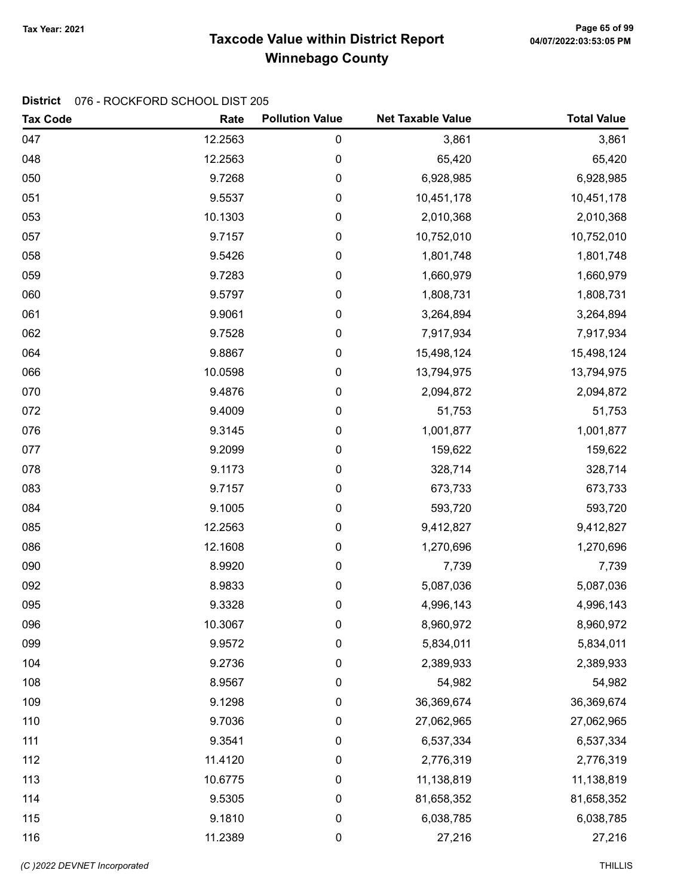# Taxcode Value within District Report Tax Year: 2021 Page 65 of 99 Winnebago County

| <b>Tax Code</b> | Rate    | <b>Pollution Value</b> | <b>Net Taxable Value</b> | <b>Total Value</b> |
|-----------------|---------|------------------------|--------------------------|--------------------|
| 047             | 12.2563 | 0                      | 3,861                    | 3,861              |
| 048             | 12.2563 | 0                      | 65,420                   | 65,420             |
| 050             | 9.7268  | 0                      | 6,928,985                | 6,928,985          |
| 051             | 9.5537  | 0                      | 10,451,178               | 10,451,178         |
| 053             | 10.1303 | 0                      | 2,010,368                | 2,010,368          |
| 057             | 9.7157  | 0                      | 10,752,010               | 10,752,010         |
| 058             | 9.5426  | 0                      | 1,801,748                | 1,801,748          |
| 059             | 9.7283  | 0                      | 1,660,979                | 1,660,979          |
| 060             | 9.5797  | 0                      | 1,808,731                | 1,808,731          |
| 061             | 9.9061  | 0                      | 3,264,894                | 3,264,894          |
| 062             | 9.7528  | 0                      | 7,917,934                | 7,917,934          |
| 064             | 9.8867  | 0                      | 15,498,124               | 15,498,124         |
| 066             | 10.0598 | 0                      | 13,794,975               | 13,794,975         |
| 070             | 9.4876  | 0                      | 2,094,872                | 2,094,872          |
| 072             | 9.4009  | 0                      | 51,753                   | 51,753             |
| 076             | 9.3145  | 0                      | 1,001,877                | 1,001,877          |
| 077             | 9.2099  | 0                      | 159,622                  | 159,622            |
| 078             | 9.1173  | 0                      | 328,714                  | 328,714            |
| 083             | 9.7157  | 0                      | 673,733                  | 673,733            |
| 084             | 9.1005  | 0                      | 593,720                  | 593,720            |
| 085             | 12.2563 | 0                      | 9,412,827                | 9,412,827          |
| 086             | 12.1608 | 0                      | 1,270,696                | 1,270,696          |
| 090             | 8.9920  | 0                      | 7,739                    | 7,739              |
| 092             | 8.9833  | 0                      | 5,087,036                | 5,087,036          |
| 095             | 9.3328  | 0                      | 4,996,143                | 4,996,143          |
| 096             | 10.3067 | 0                      | 8,960,972                | 8,960,972          |
| 099             | 9.9572  | 0                      | 5,834,011                | 5,834,011          |
| 104             | 9.2736  | 0                      | 2,389,933                | 2,389,933          |
| 108             | 8.9567  | 0                      | 54,982                   | 54,982             |
| 109             | 9.1298  | 0                      | 36,369,674               | 36,369,674         |
| 110             | 9.7036  | 0                      | 27,062,965               | 27,062,965         |
| 111             | 9.3541  | 0                      | 6,537,334                | 6,537,334          |
| 112             | 11.4120 | 0                      | 2,776,319                | 2,776,319          |
| 113             | 10.6775 | 0                      | 11,138,819               | 11,138,819         |
| 114             | 9.5305  | 0                      | 81,658,352               | 81,658,352         |
| 115             | 9.1810  | 0                      | 6,038,785                | 6,038,785          |
| 116             | 11.2389 | 0                      | 27,216                   | 27,216             |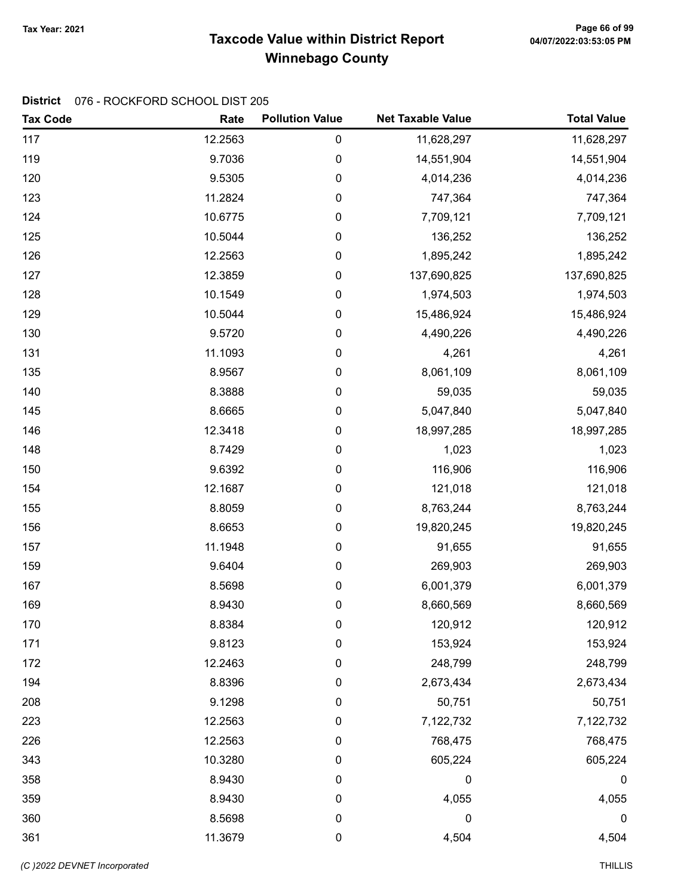# Taxcode Value within District Report Tax Year: 2021 Page 66 of 99 Winnebago County

| <b>Tax Code</b> | Rate    | <b>Pollution Value</b> | <b>Net Taxable Value</b> | <b>Total Value</b> |
|-----------------|---------|------------------------|--------------------------|--------------------|
| 117             | 12.2563 | $\pmb{0}$              | 11,628,297               | 11,628,297         |
| 119             | 9.7036  | 0                      | 14,551,904               | 14,551,904         |
| 120             | 9.5305  | $\pmb{0}$              | 4,014,236                | 4,014,236          |
| 123             | 11.2824 | $\pmb{0}$              | 747,364                  | 747,364            |
| 124             | 10.6775 | $\pmb{0}$              | 7,709,121                | 7,709,121          |
| 125             | 10.5044 | $\pmb{0}$              | 136,252                  | 136,252            |
| 126             | 12.2563 | $\pmb{0}$              | 1,895,242                | 1,895,242          |
| 127             | 12.3859 | $\pmb{0}$              | 137,690,825              | 137,690,825        |
| 128             | 10.1549 | $\pmb{0}$              | 1,974,503                | 1,974,503          |
| 129             | 10.5044 | $\pmb{0}$              | 15,486,924               | 15,486,924         |
| 130             | 9.5720  | $\pmb{0}$              | 4,490,226                | 4,490,226          |
| 131             | 11.1093 | 0                      | 4,261                    | 4,261              |
| 135             | 8.9567  | $\pmb{0}$              | 8,061,109                | 8,061,109          |
| 140             | 8.3888  | $\pmb{0}$              | 59,035                   | 59,035             |
| 145             | 8.6665  | $\pmb{0}$              | 5,047,840                | 5,047,840          |
| 146             | 12.3418 | $\pmb{0}$              | 18,997,285               | 18,997,285         |
| 148             | 8.7429  | $\pmb{0}$              | 1,023                    | 1,023              |
| 150             | 9.6392  | $\pmb{0}$              | 116,906                  | 116,906            |
| 154             | 12.1687 | 0                      | 121,018                  | 121,018            |
| 155             | 8.8059  | $\pmb{0}$              | 8,763,244                | 8,763,244          |
| 156             | 8.6653  | $\pmb{0}$              | 19,820,245               | 19,820,245         |
| 157             | 11.1948 | $\pmb{0}$              | 91,655                   | 91,655             |
| 159             | 9.6404  | $\pmb{0}$              | 269,903                  | 269,903            |
| 167             | 8.5698  | $\pmb{0}$              | 6,001,379                | 6,001,379          |
| 169             | 8.9430  | $\pmb{0}$              | 8,660,569                | 8,660,569          |
| 170             | 8.8384  | 0                      | 120,912                  | 120,912            |
| 171             | 9.8123  | 0                      | 153,924                  | 153,924            |
| 172             | 12.2463 | $\pmb{0}$              | 248,799                  | 248,799            |
| 194             | 8.8396  | 0                      | 2,673,434                | 2,673,434          |
| 208             | 9.1298  | 0                      | 50,751                   | 50,751             |
| 223             | 12.2563 | 0                      | 7,122,732                | 7,122,732          |
| 226             | 12.2563 | 0                      | 768,475                  | 768,475            |
| 343             | 10.3280 | 0                      | 605,224                  | 605,224            |
| 358             | 8.9430  | 0                      | 0                        | 0                  |
| 359             | 8.9430  | 0                      | 4,055                    | 4,055              |
| 360             | 8.5698  | $\pmb{0}$              | 0                        | 0                  |
| 361             | 11.3679 | $\pmb{0}$              | 4,504                    | 4,504              |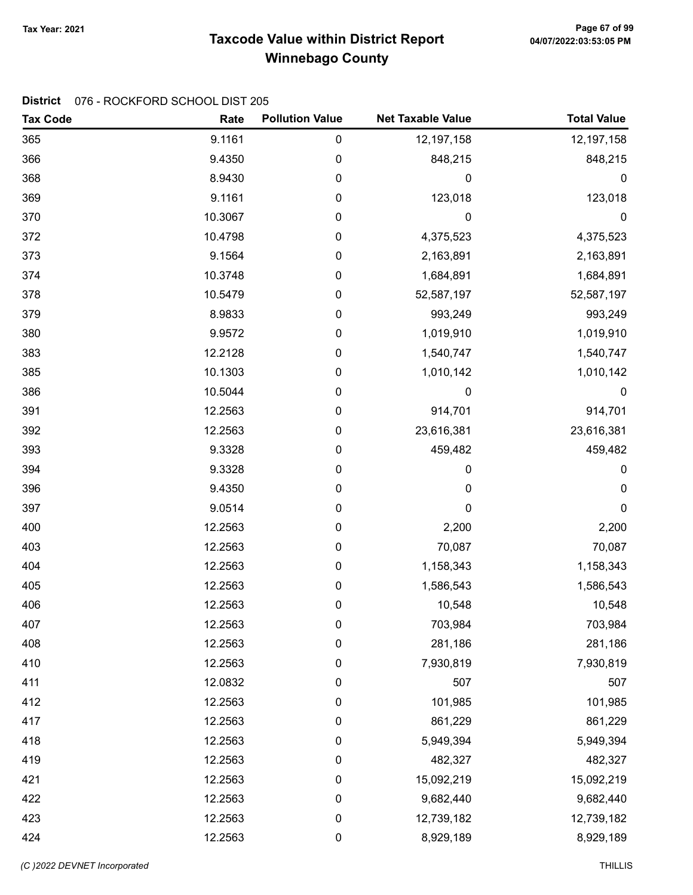# Taxcode Value within District Report Tax Year: 2021 Page 67 of 99 Winnebago County

| <b>Tax Code</b> | Rate    | <b>Pollution Value</b> | <b>Net Taxable Value</b> | <b>Total Value</b> |
|-----------------|---------|------------------------|--------------------------|--------------------|
| 365             | 9.1161  | 0                      | 12,197,158               | 12,197,158         |
| 366             | 9.4350  | 0                      | 848,215                  | 848,215            |
| 368             | 8.9430  | 0                      | 0                        | 0                  |
| 369             | 9.1161  | 0                      | 123,018                  | 123,018            |
| 370             | 10.3067 | 0                      | 0                        | $\mathbf 0$        |
| 372             | 10.4798 | 0                      | 4,375,523                | 4,375,523          |
| 373             | 9.1564  | 0                      | 2,163,891                | 2,163,891          |
| 374             | 10.3748 | 0                      | 1,684,891                | 1,684,891          |
| 378             | 10.5479 | 0                      | 52,587,197               | 52,587,197         |
| 379             | 8.9833  | 0                      | 993,249                  | 993,249            |
| 380             | 9.9572  | 0                      | 1,019,910                | 1,019,910          |
| 383             | 12.2128 | 0                      | 1,540,747                | 1,540,747          |
| 385             | 10.1303 | 0                      | 1,010,142                | 1,010,142          |
| 386             | 10.5044 | 0                      | 0                        | $\boldsymbol{0}$   |
| 391             | 12.2563 | 0                      | 914,701                  | 914,701            |
| 392             | 12.2563 | 0                      | 23,616,381               | 23,616,381         |
| 393             | 9.3328  | 0                      | 459,482                  | 459,482            |
| 394             | 9.3328  | 0                      | 0                        | 0                  |
| 396             | 9.4350  | 0                      | 0                        | 0                  |
| 397             | 9.0514  | 0                      | 0                        | 0                  |
| 400             | 12.2563 | 0                      | 2,200                    | 2,200              |
| 403             | 12.2563 | 0                      | 70,087                   | 70,087             |
| 404             | 12.2563 | 0                      | 1,158,343                | 1,158,343          |
| 405             | 12.2563 | 0                      | 1,586,543                | 1,586,543          |
| 406             | 12.2563 | 0                      | 10,548                   | 10,548             |
| 407             | 12.2563 | 0                      | 703,984                  | 703,984            |
| 408             | 12.2563 | 0                      | 281,186                  | 281,186            |
| 410             | 12.2563 | 0                      | 7,930,819                | 7,930,819          |
| 411             | 12.0832 | 0                      | 507                      | 507                |
| 412             | 12.2563 | 0                      | 101,985                  | 101,985            |
| 417             | 12.2563 | $\pmb{0}$              | 861,229                  | 861,229            |
| 418             | 12.2563 | 0                      | 5,949,394                | 5,949,394          |
| 419             | 12.2563 | 0                      | 482,327                  | 482,327            |
| 421             | 12.2563 | 0                      | 15,092,219               | 15,092,219         |
| 422             | 12.2563 | 0                      | 9,682,440                | 9,682,440          |
| 423             | 12.2563 | $\pmb{0}$              | 12,739,182               | 12,739,182         |
| 424             | 12.2563 | $\pmb{0}$              | 8,929,189                | 8,929,189          |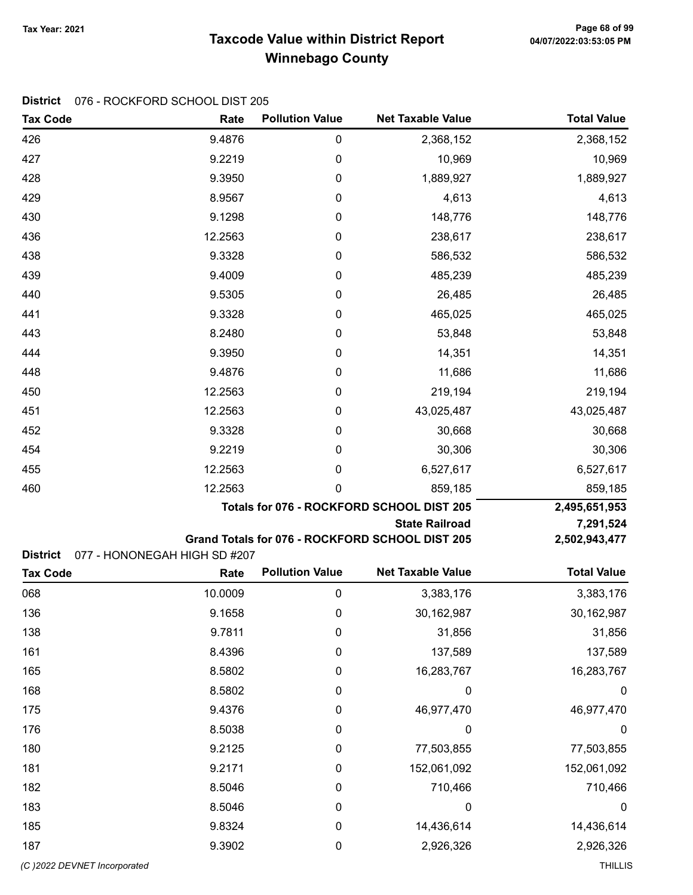# Taxcode Value within District Report Tax Year: 2021 Page 68 of 99 Winnebago County

| <b>Tax Code</b>              | Rate                         | <b>Pollution Value</b>                    | <b>Net Taxable Value</b>                        | <b>Total Value</b> |
|------------------------------|------------------------------|-------------------------------------------|-------------------------------------------------|--------------------|
| 426                          | 9.4876                       | $\pmb{0}$                                 | 2,368,152                                       | 2,368,152          |
| 427                          | 9.2219                       | 0                                         | 10,969                                          | 10,969             |
| 428                          | 9.3950                       | 0                                         | 1,889,927                                       | 1,889,927          |
| 429                          | 8.9567                       | 0                                         | 4,613                                           | 4,613              |
| 430                          | 9.1298                       | 0                                         | 148,776                                         | 148,776            |
| 436                          | 12.2563                      | 0                                         | 238,617                                         | 238,617            |
| 438                          | 9.3328                       | 0                                         | 586,532                                         | 586,532            |
| 439                          | 9.4009                       | 0                                         | 485,239                                         | 485,239            |
| 440                          | 9.5305                       | 0                                         | 26,485                                          | 26,485             |
| 441                          | 9.3328                       | 0                                         | 465,025                                         | 465,025            |
| 443                          | 8.2480                       | 0                                         | 53,848                                          | 53,848             |
| 444                          | 9.3950                       | 0                                         | 14,351                                          | 14,351             |
| 448                          | 9.4876                       | 0                                         | 11,686                                          | 11,686             |
| 450                          | 12.2563                      | 0                                         | 219,194                                         | 219,194            |
| 451                          | 12.2563                      | 0                                         | 43,025,487                                      | 43,025,487         |
| 452                          | 9.3328                       | 0                                         | 30,668                                          | 30,668             |
| 454                          | 9.2219                       | 0                                         | 30,306                                          | 30,306             |
| 455                          | 12.2563                      | 0                                         | 6,527,617                                       | 6,527,617          |
| 460                          | 12.2563                      | 0                                         | 859,185                                         | 859,185            |
|                              |                              | Totals for 076 - ROCKFORD SCHOOL DIST 205 | 2,495,651,953                                   |                    |
|                              |                              |                                           | <b>State Railroad</b>                           | 7,291,524          |
| <b>District</b>              | 077 - HONONEGAH HIGH SD #207 |                                           | Grand Totals for 076 - ROCKFORD SCHOOL DIST 205 | 2,502,943,477      |
| <b>Tax Code</b>              | Rate                         | <b>Pollution Value</b>                    | <b>Net Taxable Value</b>                        | <b>Total Value</b> |
| 068                          | 10.0009                      | $\pmb{0}$                                 | 3,383,176                                       | 3,383,176          |
| 136                          | 9.1658                       | 0                                         | 30,162,987                                      | 30,162,987         |
| 138                          | 9.7811                       | 0                                         | 31,856                                          | 31,856             |
| 161                          | 8.4396                       | 0                                         | 137,589                                         | 137,589            |
| 165                          | 8.5802                       | $\boldsymbol{0}$                          | 16,283,767                                      | 16,283,767         |
| 168                          | 8.5802                       | 0                                         | 0                                               | 0                  |
| 175                          | 9.4376                       | 0                                         | 46,977,470                                      | 46,977,470         |
| 176                          | 8.5038                       | 0                                         | 0                                               | 0                  |
| 180                          | 9.2125                       | 0                                         | 77,503,855                                      | 77,503,855         |
| 181                          | 9.2171                       | 0                                         | 152,061,092                                     | 152,061,092        |
| 182                          | 8.5046                       | 0                                         | 710,466                                         | 710,466            |
| 183                          | 8.5046                       | $\boldsymbol{0}$                          | 0                                               | $\boldsymbol{0}$   |
| 185                          | 9.8324                       | 0                                         | 14,436,614                                      | 14,436,614         |
| 187                          | 9.3902                       | 0                                         | 2,926,326                                       | 2,926,326          |
| (C) 2022 DEVNET Incorporated |                              |                                           |                                                 | <b>THILLIS</b>     |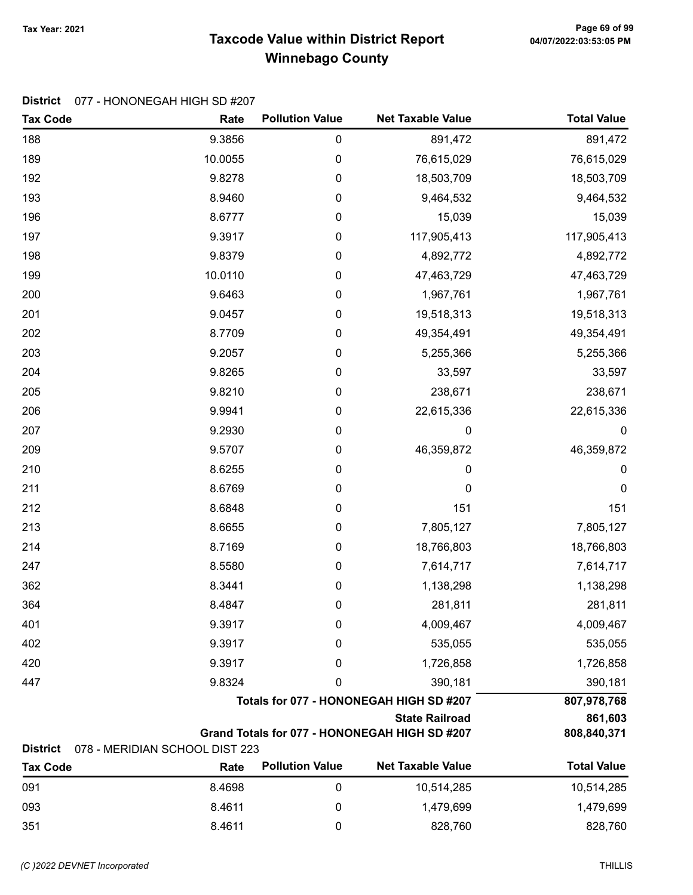# Taxcode Value within District Report Tax Year: 2021 Page 69 of 99 Winnebago County

#### District 077 - HONONEGAH HIGH SD #207

| <b>Tax Code</b>                                                        | Rate                           | <b>Pollution Value</b> | <b>Net Taxable Value</b>                | <b>Total Value</b> |
|------------------------------------------------------------------------|--------------------------------|------------------------|-----------------------------------------|--------------------|
| 188                                                                    | 9.3856                         | 0                      | 891,472                                 | 891,472            |
| 189                                                                    | 10.0055                        | 0                      | 76,615,029                              | 76,615,029         |
| 192                                                                    | 9.8278                         | 0                      | 18,503,709                              | 18,503,709         |
| 193                                                                    | 8.9460                         | 0                      | 9,464,532                               | 9,464,532          |
| 196                                                                    | 8.6777                         | 0                      | 15,039                                  | 15,039             |
| 197                                                                    | 9.3917                         | 0                      | 117,905,413                             | 117,905,413        |
| 198                                                                    | 9.8379                         | 0                      | 4,892,772                               | 4,892,772          |
| 199                                                                    | 10.0110                        | 0                      | 47,463,729                              | 47,463,729         |
| 200                                                                    | 9.6463                         | 0                      | 1,967,761                               | 1,967,761          |
| 201                                                                    | 9.0457                         | 0                      | 19,518,313                              | 19,518,313         |
| 202                                                                    | 8.7709                         | 0                      | 49,354,491                              | 49,354,491         |
| 203                                                                    | 9.2057                         | 0                      | 5,255,366                               | 5,255,366          |
| 204                                                                    | 9.8265                         | 0                      | 33,597                                  | 33,597             |
| 205                                                                    | 9.8210                         | 0                      | 238,671                                 | 238,671            |
| 206                                                                    | 9.9941                         | 0                      | 22,615,336                              | 22,615,336         |
| 207                                                                    | 9.2930                         | 0                      | 0                                       | 0                  |
| 209                                                                    | 9.5707                         | 0                      | 46,359,872                              | 46,359,872         |
| 210                                                                    | 8.6255                         | 0                      | 0                                       | 0                  |
| 211                                                                    | 8.6769                         | 0                      | 0                                       | 0                  |
| 212                                                                    | 8.6848                         | 0                      | 151                                     | 151                |
| 213                                                                    | 8.6655                         | 0                      | 7,805,127                               | 7,805,127          |
| 214                                                                    | 8.7169                         | 0                      | 18,766,803                              | 18,766,803         |
| 247                                                                    | 8.5580                         | 0                      | 7,614,717                               | 7,614,717          |
| 362                                                                    | 8.3441                         | 0                      | 1,138,298                               | 1,138,298          |
| 364                                                                    | 8.4847                         | 0                      | 281,811                                 | 281,811            |
| 401                                                                    | 9.3917                         | 0                      | 4,009,467                               | 4,009,467          |
| 402                                                                    | 9.3917                         | 0                      | 535,055                                 | 535,055            |
| 420                                                                    | 9.3917                         | 0                      | 1,726,858                               | 1,726,858          |
| 447                                                                    | 9.8324                         | 0                      | 390,181                                 | 390,181            |
|                                                                        |                                |                        | Totals for 077 - HONONEGAH HIGH SD #207 | 807,978,768        |
| <b>State Railroad</b><br>Grand Totals for 077 - HONONEGAH HIGH SD #207 |                                |                        |                                         | 861,603            |
| <b>District</b>                                                        | 078 - MERIDIAN SCHOOL DIST 223 |                        |                                         | 808,840,371        |
| <b>Tax Code</b>                                                        | Rate                           | <b>Pollution Value</b> | <b>Net Taxable Value</b>                | <b>Total Value</b> |
| 091                                                                    | 8.4698                         | 0                      | 10,514,285                              | 10,514,285         |
| 093                                                                    | 8.4611                         | 0                      | 1,479,699                               | 1,479,699          |
| 351                                                                    | 8.4611                         | 0                      | 828,760                                 | 828,760            |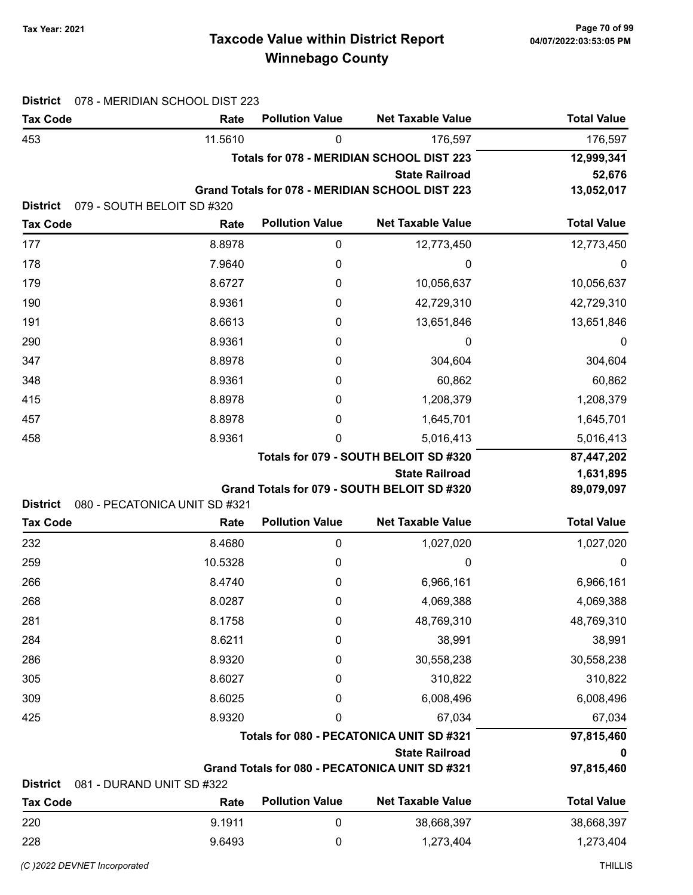# Taxcode Value within District Report Tax Year: 2021 Page 70 of 99 Winnebago County

| <b>Total Value</b> |
|--------------------|
| 176,597            |
| 12,999,341         |
| 52,676             |
| 13,052,017         |
|                    |
| <b>Total Value</b> |
| 12,773,450         |
| 0                  |
| 10,056,637         |
| 42,729,310         |
| 13,651,846         |
| 0                  |
| 304,604            |
| 60,862             |
| 1,208,379          |
| 1,645,701          |
| 5,016,413          |
| 87,447,202         |
| 1,631,895          |
| 89,079,097         |
| <b>Total Value</b> |
|                    |
| 1,027,020          |
| 0                  |
| 6,966,161          |
| 4,069,388          |
| 48,769,310         |
| 38,991             |
| 30,558,238         |
| 310,822            |
| 6,008,496          |
| 67,034             |
| 97,815,460         |
| 0<br>97,815,460    |
|                    |
| <b>Total Value</b> |
| 38,668,397         |
| 1,273,404          |
|                    |

(C)2022 DEVNET incorporated THILLIS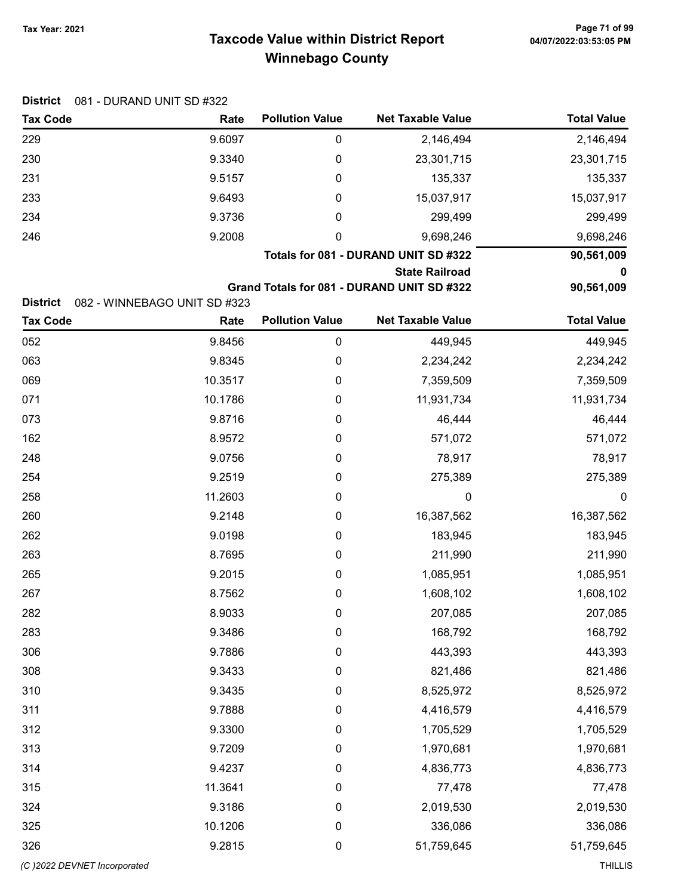Tax Code **Rate Pollution Value** Net Taxable Value Total Value

District 081 - DURAND UNIT SD #322

| 229                          | 9.6097                       | $\pmb{0}$              | 2,146,494                                  | 2,146,494          |
|------------------------------|------------------------------|------------------------|--------------------------------------------|--------------------|
| 230                          | 9.3340                       | $\boldsymbol{0}$       | 23,301,715                                 | 23,301,715         |
| 231                          | 9.5157                       | 0                      | 135,337                                    | 135,337            |
| 233                          | 9.6493                       | 0                      | 15,037,917                                 | 15,037,917         |
| 234                          | 9.3736                       | 0                      | 299,499                                    | 299,499            |
| 246                          | 9.2008                       | 0                      | 9,698,246                                  | 9,698,246          |
|                              |                              |                        | Totals for 081 - DURAND UNIT SD #322       | 90,561,009         |
|                              |                              |                        | <b>State Railroad</b>                      | o                  |
| <b>District</b>              | 082 - WINNEBAGO UNIT SD #323 |                        | Grand Totals for 081 - DURAND UNIT SD #322 | 90,561,009         |
| <b>Tax Code</b>              | Rate                         | <b>Pollution Value</b> | <b>Net Taxable Value</b>                   | <b>Total Value</b> |
| 052                          | 9.8456                       | $\boldsymbol{0}$       | 449,945                                    | 449,945            |
| 063                          | 9.8345                       | $\boldsymbol{0}$       | 2,234,242                                  | 2,234,242          |
| 069                          | 10.3517                      | 0                      | 7,359,509                                  | 7,359,509          |
| 071                          | 10.1786                      | 0                      | 11,931,734                                 | 11,931,734         |
| 073                          | 9.8716                       | 0                      | 46,444                                     | 46,444             |
| 162                          | 8.9572                       | $\boldsymbol{0}$       | 571,072                                    | 571,072            |
| 248                          | 9.0756                       | $\boldsymbol{0}$       | 78,917                                     | 78,917             |
| 254                          | 9.2519                       | $\boldsymbol{0}$       | 275,389                                    | 275,389            |
| 258                          | 11.2603                      | $\boldsymbol{0}$       | 0                                          | 0                  |
| 260                          | 9.2148                       | 0                      | 16,387,562                                 | 16,387,562         |
| 262                          | 9.0198                       | 0                      | 183,945                                    | 183,945            |
| 263                          | 8.7695                       | 0                      | 211,990                                    | 211,990            |
| 265                          | 9.2015                       | $\boldsymbol{0}$       | 1,085,951                                  | 1,085,951          |
| 267                          | 8.7562                       | $\boldsymbol{0}$       | 1,608,102                                  | 1,608,102          |
| 282                          | 8.9033                       | 0                      | 207,085                                    | 207,085            |
| 283                          | 9.3486                       | 0                      | 168,792                                    | 168,792            |
| 306                          | 9.7886                       | 0                      | 443,393                                    | 443,393            |
| 308                          | 9.3433                       | 0                      | 821,486                                    | 821,486            |
| 310                          | 9.3435                       | 0                      | 8,525,972                                  | 8,525,972          |
| 311                          | 9.7888                       | 0                      | 4,416,579                                  | 4,416,579          |
| 312                          | 9.3300                       | $\boldsymbol{0}$       | 1,705,529                                  | 1,705,529          |
| 313                          | 9.7209                       | $\boldsymbol{0}$       | 1,970,681                                  | 1,970,681          |
| 314                          | 9.4237                       | $\boldsymbol{0}$       | 4,836,773                                  | 4,836,773          |
| 315                          | 11.3641                      | $\boldsymbol{0}$       | 77,478                                     | 77,478             |
| 324                          | 9.3186                       | $\boldsymbol{0}$       | 2,019,530                                  | 2,019,530          |
| 325                          | 10.1206                      | 0                      | 336,086                                    | 336,086            |
| 326                          | 9.2815                       | $\boldsymbol{0}$       | 51,759,645                                 | 51,759,645         |
| (C) 2022 DEVNET Incorporated |                              |                        |                                            | <b>THILLIS</b>     |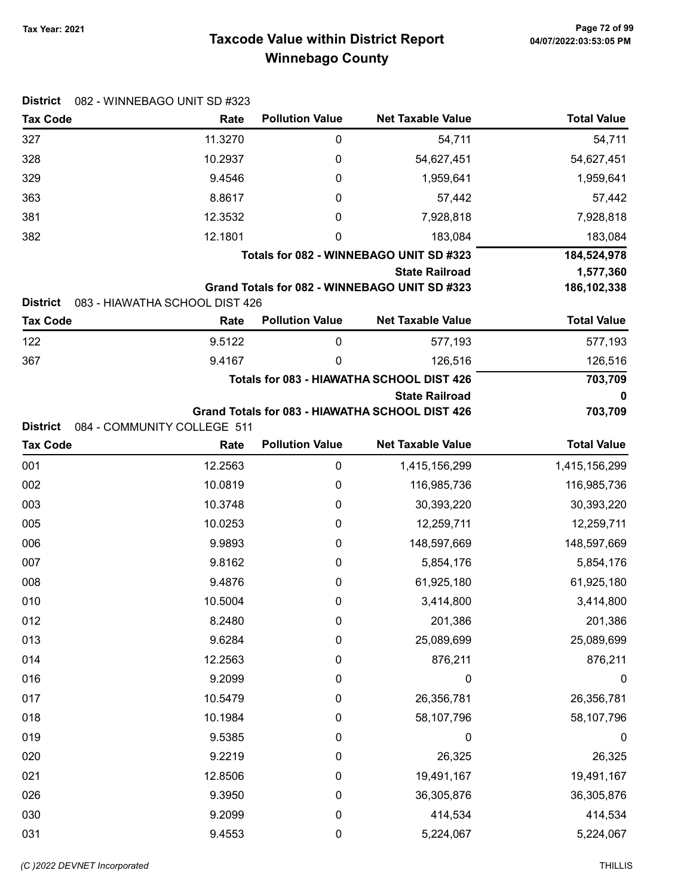# Taxcode Value within District Report Tax Year: 2021 Page 72 of 99 Winnebago County

| <b>District</b>                    | 082 - WINNEBAGO UNIT SD #323           |                        |                                                 |                    |
|------------------------------------|----------------------------------------|------------------------|-------------------------------------------------|--------------------|
| <b>Tax Code</b>                    | Rate                                   | <b>Pollution Value</b> | <b>Net Taxable Value</b>                        | <b>Total Value</b> |
| 327                                | 11.3270                                | $\pmb{0}$              | 54,711                                          | 54,711             |
| 328                                | 10.2937                                | 0                      | 54,627,451                                      | 54,627,451         |
| 329                                | 9.4546                                 | 0                      | 1,959,641                                       | 1,959,641          |
| 363                                | 8.8617                                 | 0                      | 57,442                                          | 57,442             |
| 381                                | 12.3532                                | 0                      | 7,928,818                                       | 7,928,818          |
| 382                                | 12.1801                                | 0                      | 183,084                                         | 183,084            |
|                                    |                                        |                        | Totals for 082 - WINNEBAGO UNIT SD #323         | 184,524,978        |
|                                    |                                        |                        | <b>State Railroad</b>                           | 1,577,360          |
|                                    |                                        |                        | Grand Totals for 082 - WINNEBAGO UNIT SD #323   | 186,102,338        |
| <b>District</b><br><b>Tax Code</b> | 083 - HIAWATHA SCHOOL DIST 426<br>Rate | <b>Pollution Value</b> | <b>Net Taxable Value</b>                        | <b>Total Value</b> |
| 122                                | 9.5122                                 | 0                      | 577,193                                         | 577,193            |
| 367                                | 9.4167                                 | 0                      | 126,516                                         | 126,516            |
|                                    |                                        |                        | Totals for 083 - HIAWATHA SCHOOL DIST 426       | 703,709            |
|                                    |                                        |                        | <b>State Railroad</b>                           | 0                  |
|                                    |                                        |                        | Grand Totals for 083 - HIAWATHA SCHOOL DIST 426 | 703,709            |
| <b>District</b>                    | 084 - COMMUNITY COLLEGE 511            |                        |                                                 |                    |
| <b>Tax Code</b>                    | Rate                                   | <b>Pollution Value</b> | <b>Net Taxable Value</b>                        | <b>Total Value</b> |
| 001                                | 12.2563                                | 0                      | 1,415,156,299                                   | 1,415,156,299      |
| 002                                | 10.0819                                | 0                      | 116,985,736                                     | 116,985,736        |
| 003                                | 10.3748                                | 0                      | 30,393,220                                      | 30,393,220         |
| 005                                | 10.0253                                | 0                      | 12,259,711                                      | 12,259,711         |
| 006                                | 9.9893                                 | 0                      | 148,597,669                                     | 148,597,669        |
| 007                                | 9.8162                                 | 0                      | 5,854,176                                       | 5,854,176          |
| 008                                | 9.4876                                 | 0                      | 61,925,180                                      | 61,925,180         |
| 010                                | 10.5004                                | 0                      | 3,414,800                                       | 3,414,800          |
| 012                                | 8.2480                                 | 0                      | 201,386                                         | 201,386            |
| 013                                | 9.6284                                 | 0                      | 25,089,699                                      | 25,089,699         |
| 014                                | 12.2563                                | $\boldsymbol{0}$       | 876,211                                         | 876,211            |
| 016                                | 9.2099                                 | 0                      | 0                                               | 0                  |
| 017                                | 10.5479                                | 0                      | 26,356,781                                      | 26,356,781         |
| 018                                | 10.1984                                | 0                      | 58,107,796                                      | 58,107,796         |
| 019                                | 9.5385                                 | 0                      | 0                                               | 0                  |
| 020                                | 9.2219                                 | 0                      | 26,325                                          | 26,325             |
| 021                                | 12.8506                                | 0                      | 19,491,167                                      | 19,491,167         |
| 026                                | 9.3950                                 | 0                      | 36,305,876                                      | 36,305,876         |
| 030                                | 9.2099                                 | 0                      | 414,534                                         | 414,534            |
| 031                                | 9.4553                                 | $\pmb{0}$              | 5,224,067                                       | 5,224,067          |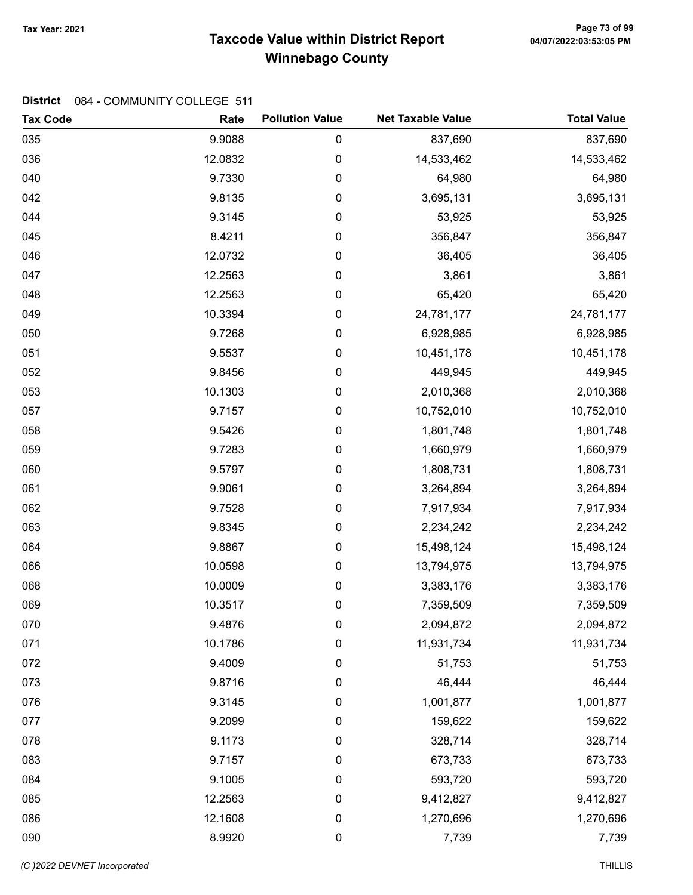# Taxcode Value within District Report Tax Year: 2021 Page 73 of 99 Winnebago County

| <b>Tax Code</b> | Rate    | <b>Pollution Value</b> | <b>Net Taxable Value</b> | <b>Total Value</b> |
|-----------------|---------|------------------------|--------------------------|--------------------|
| 035             | 9.9088  | 0                      | 837,690                  | 837,690            |
| 036             | 12.0832 | 0                      | 14,533,462               | 14,533,462         |
| 040             | 9.7330  | 0                      | 64,980                   | 64,980             |
| 042             | 9.8135  | 0                      | 3,695,131                | 3,695,131          |
| 044             | 9.3145  | 0                      | 53,925                   | 53,925             |
| 045             | 8.4211  | 0                      | 356,847                  | 356,847            |
| 046             | 12.0732 | 0                      | 36,405                   | 36,405             |
| 047             | 12.2563 | 0                      | 3,861                    | 3,861              |
| 048             | 12.2563 | 0                      | 65,420                   | 65,420             |
| 049             | 10.3394 | 0                      | 24,781,177               | 24,781,177         |
| 050             | 9.7268  | 0                      | 6,928,985                | 6,928,985          |
| 051             | 9.5537  | 0                      | 10,451,178               | 10,451,178         |
| 052             | 9.8456  | 0                      | 449,945                  | 449,945            |
| 053             | 10.1303 | 0                      | 2,010,368                | 2,010,368          |
| 057             | 9.7157  | 0                      | 10,752,010               | 10,752,010         |
| 058             | 9.5426  | 0                      | 1,801,748                | 1,801,748          |
| 059             | 9.7283  | 0                      | 1,660,979                | 1,660,979          |
| 060             | 9.5797  | 0                      | 1,808,731                | 1,808,731          |
| 061             | 9.9061  | 0                      | 3,264,894                | 3,264,894          |
| 062             | 9.7528  | 0                      | 7,917,934                | 7,917,934          |
| 063             | 9.8345  | 0                      | 2,234,242                | 2,234,242          |
| 064             | 9.8867  | 0                      | 15,498,124               | 15,498,124         |
| 066             | 10.0598 | 0                      | 13,794,975               | 13,794,975         |
| 068             | 10.0009 | 0                      | 3,383,176                | 3,383,176          |
| 069             | 10.3517 | 0                      | 7,359,509                | 7,359,509          |
| 070             | 9.4876  | 0                      | 2,094,872                | 2,094,872          |
| 071             | 10.1786 | 0                      | 11,931,734               | 11,931,734         |
| 072             | 9.4009  | 0                      | 51,753                   | 51,753             |
| 073             | 9.8716  | 0                      | 46,444                   | 46,444             |
| 076             | 9.3145  | 0                      | 1,001,877                | 1,001,877          |
| 077             | 9.2099  | $\pmb{0}$              | 159,622                  | 159,622            |
| 078             | 9.1173  | $\pmb{0}$              | 328,714                  | 328,714            |
| 083             | 9.7157  | 0                      | 673,733                  | 673,733            |
| 084             | 9.1005  | 0                      | 593,720                  | 593,720            |
| 085             | 12.2563 | $\pmb{0}$              | 9,412,827                | 9,412,827          |
| 086             | 12.1608 | $\pmb{0}$              | 1,270,696                | 1,270,696          |
| 090             | 8.9920  | $\pmb{0}$              | 7,739                    | 7,739              |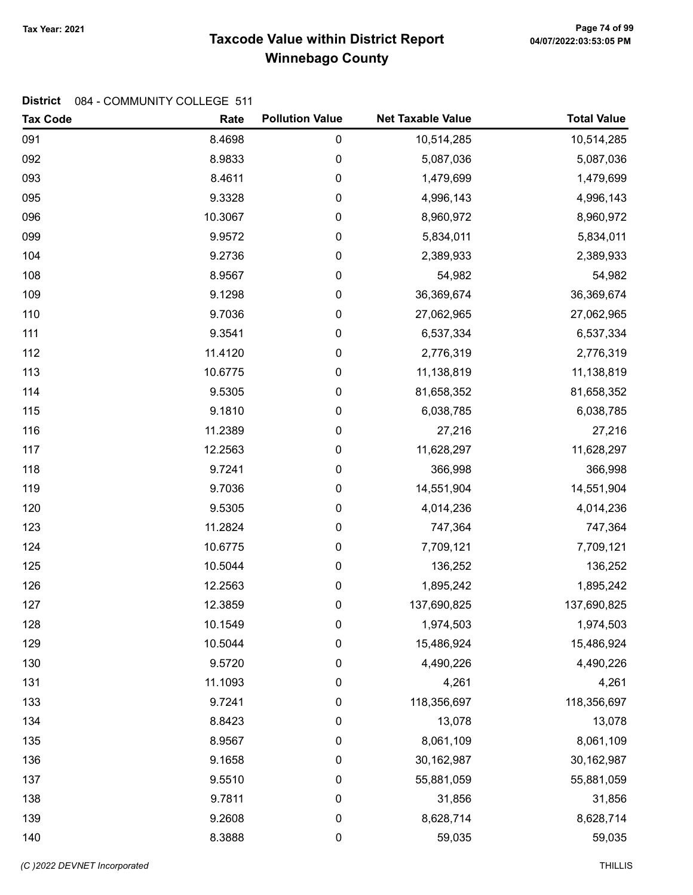# Taxcode Value within District Report Tax Year: 2021 Page 74 of 99 Winnebago County

| <b>Tax Code</b> | Rate    | <b>Pollution Value</b> | <b>Net Taxable Value</b> | <b>Total Value</b> |
|-----------------|---------|------------------------|--------------------------|--------------------|
| 091             | 8.4698  | 0                      | 10,514,285               | 10,514,285         |
| 092             | 8.9833  | 0                      | 5,087,036                | 5,087,036          |
| 093             | 8.4611  | 0                      | 1,479,699                | 1,479,699          |
| 095             | 9.3328  | 0                      | 4,996,143                | 4,996,143          |
| 096             | 10.3067 | 0                      | 8,960,972                | 8,960,972          |
| 099             | 9.9572  | 0                      | 5,834,011                | 5,834,011          |
| 104             | 9.2736  | 0                      | 2,389,933                | 2,389,933          |
| 108             | 8.9567  | 0                      | 54,982                   | 54,982             |
| 109             | 9.1298  | 0                      | 36,369,674               | 36,369,674         |
| 110             | 9.7036  | 0                      | 27,062,965               | 27,062,965         |
| 111             | 9.3541  | 0                      | 6,537,334                | 6,537,334          |
| 112             | 11.4120 | 0                      | 2,776,319                | 2,776,319          |
| 113             | 10.6775 | 0                      | 11,138,819               | 11,138,819         |
| 114             | 9.5305  | 0                      | 81,658,352               | 81,658,352         |
| 115             | 9.1810  | 0                      | 6,038,785                | 6,038,785          |
| 116             | 11.2389 | 0                      | 27,216                   | 27,216             |
| 117             | 12.2563 | 0                      | 11,628,297               | 11,628,297         |
| 118             | 9.7241  | 0                      | 366,998                  | 366,998            |
| 119             | 9.7036  | 0                      | 14,551,904               | 14,551,904         |
| 120             | 9.5305  | 0                      | 4,014,236                | 4,014,236          |
| 123             | 11.2824 | 0                      | 747,364                  | 747,364            |
| 124             | 10.6775 | 0                      | 7,709,121                | 7,709,121          |
| 125             | 10.5044 | 0                      | 136,252                  | 136,252            |
| 126             | 12.2563 | 0                      | 1,895,242                | 1,895,242          |
| 127             | 12.3859 | 0                      | 137,690,825              | 137,690,825        |
| 128             | 10.1549 | 0                      | 1,974,503                | 1,974,503          |
| 129             | 10.5044 | 0                      | 15,486,924               | 15,486,924         |
| 130             | 9.5720  | $\pmb{0}$              | 4,490,226                | 4,490,226          |
| 131             | 11.1093 | 0                      | 4,261                    | 4,261              |
| 133             | 9.7241  | 0                      | 118,356,697              | 118,356,697        |
| 134             | 8.8423  | $\pmb{0}$              | 13,078                   | 13,078             |
| 135             | 8.9567  | $\pmb{0}$              | 8,061,109                | 8,061,109          |
| 136             | 9.1658  | $\pmb{0}$              | 30,162,987               | 30,162,987         |
| 137             | 9.5510  | 0                      | 55,881,059               | 55,881,059         |
| 138             | 9.7811  | $\pmb{0}$              | 31,856                   | 31,856             |
| 139             | 9.2608  | 0                      | 8,628,714                | 8,628,714          |
| 140             | 8.3888  | $\pmb{0}$              | 59,035                   | 59,035             |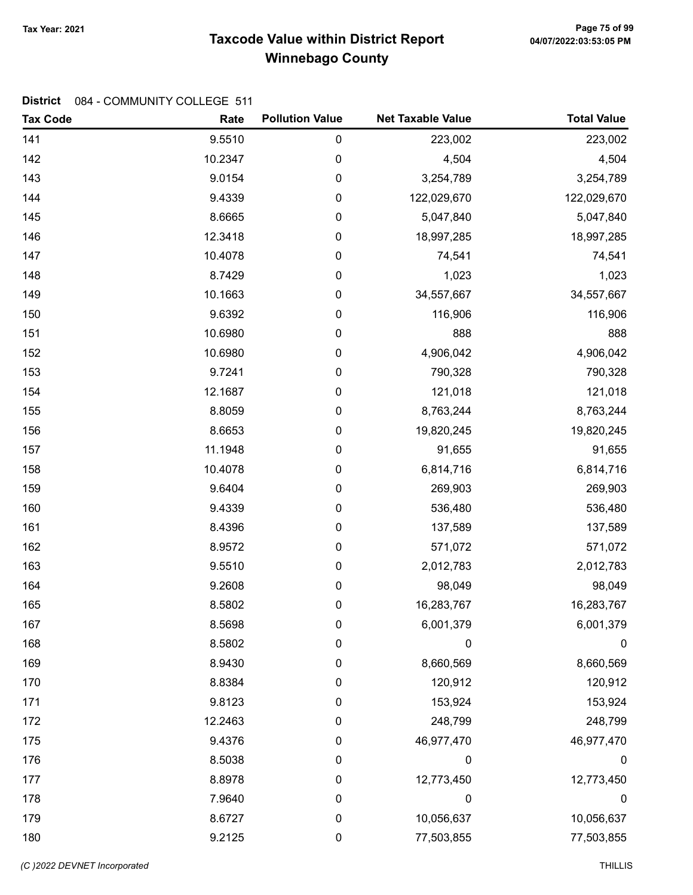# Taxcode Value within District Report Tax Year: 2021 Page 75 of 99 Winnebago County

| <b>Tax Code</b> | Rate    | <b>Pollution Value</b> | <b>Net Taxable Value</b> | <b>Total Value</b> |
|-----------------|---------|------------------------|--------------------------|--------------------|
| 141             | 9.5510  | $\pmb{0}$              | 223,002                  | 223,002            |
| 142             | 10.2347 | $\pmb{0}$              | 4,504                    | 4,504              |
| 143             | 9.0154  | $\pmb{0}$              | 3,254,789                | 3,254,789          |
| 144             | 9.4339  | $\mathbf 0$            | 122,029,670              | 122,029,670        |
| 145             | 8.6665  | 0                      | 5,047,840                | 5,047,840          |
| 146             | 12.3418 | $\mathbf 0$            | 18,997,285               | 18,997,285         |
| 147             | 10.4078 | $\pmb{0}$              | 74,541                   | 74,541             |
| 148             | 8.7429  | $\mathbf 0$            | 1,023                    | 1,023              |
| 149             | 10.1663 | 0                      | 34,557,667               | 34,557,667         |
| 150             | 9.6392  | 0                      | 116,906                  | 116,906            |
| 151             | 10.6980 | $\mathbf 0$            | 888                      | 888                |
| 152             | 10.6980 | 0                      | 4,906,042                | 4,906,042          |
| 153             | 9.7241  | $\boldsymbol{0}$       | 790,328                  | 790,328            |
| 154             | 12.1687 | $\boldsymbol{0}$       | 121,018                  | 121,018            |
| 155             | 8.8059  | $\mathbf 0$            | 8,763,244                | 8,763,244          |
| 156             | 8.6653  | $\mathbf 0$            | 19,820,245               | 19,820,245         |
| 157             | 11.1948 | $\pmb{0}$              | 91,655                   | 91,655             |
| 158             | 10.4078 | $\mathbf 0$            | 6,814,716                | 6,814,716          |
| 159             | 9.6404  | 0                      | 269,903                  | 269,903            |
| 160             | 9.4339  | $\boldsymbol{0}$       | 536,480                  | 536,480            |
| 161             | 8.4396  | $\boldsymbol{0}$       | 137,589                  | 137,589            |
| 162             | 8.9572  | $\boldsymbol{0}$       | 571,072                  | 571,072            |
| 163             | 9.5510  | $\mathbf 0$            | 2,012,783                | 2,012,783          |
| 164             | 9.2608  | $\pmb{0}$              | 98,049                   | 98,049             |
| 165             | 8.5802  | $\pmb{0}$              | 16,283,767               | 16,283,767         |
| 167             | 8.5698  | 0                      | 6,001,379                | 6,001,379          |
| 168             | 8.5802  | 0                      | 0                        | 0                  |
| 169             | 8.9430  | 0                      | 8,660,569                | 8,660,569          |
| 170             | 8.8384  | 0                      | 120,912                  | 120,912            |
| 171             | 9.8123  | 0                      | 153,924                  | 153,924            |
| 172             | 12.2463 | 0                      | 248,799                  | 248,799            |
| 175             | 9.4376  | 0                      | 46,977,470               | 46,977,470         |
| 176             | 8.5038  | 0                      | 0                        | 0                  |
| 177             | 8.8978  | 0                      | 12,773,450               | 12,773,450         |
| 178             | 7.9640  | 0                      | 0                        | $\boldsymbol{0}$   |
| 179             | 8.6727  | $\boldsymbol{0}$       | 10,056,637               | 10,056,637         |
| 180             | 9.2125  | $\pmb{0}$              | 77,503,855               | 77,503,855         |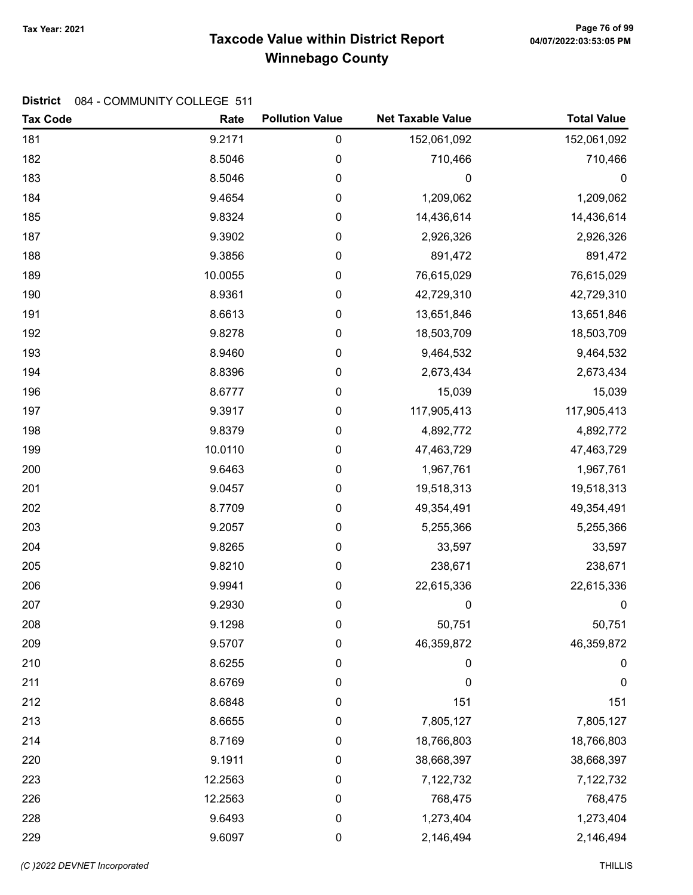# Taxcode Value within District Report Tax Year: 2021 Page 76 of 99 Winnebago County

| <b>Tax Code</b> | Rate    | <b>Pollution Value</b> | <b>Net Taxable Value</b> | <b>Total Value</b> |
|-----------------|---------|------------------------|--------------------------|--------------------|
| 181             | 9.2171  | $\pmb{0}$              | 152,061,092              | 152,061,092        |
| 182             | 8.5046  | 0                      | 710,466                  | 710,466            |
| 183             | 8.5046  | $\pmb{0}$              | 0                        | $\boldsymbol{0}$   |
| 184             | 9.4654  | $\pmb{0}$              | 1,209,062                | 1,209,062          |
| 185             | 9.8324  | $\pmb{0}$              | 14,436,614               | 14,436,614         |
| 187             | 9.3902  | $\boldsymbol{0}$       | 2,926,326                | 2,926,326          |
| 188             | 9.3856  | $\pmb{0}$              | 891,472                  | 891,472            |
| 189             | 10.0055 | $\boldsymbol{0}$       | 76,615,029               | 76,615,029         |
| 190             | 8.9361  | 0                      | 42,729,310               | 42,729,310         |
| 191             | 8.6613  | $\pmb{0}$              | 13,651,846               | 13,651,846         |
| 192             | 9.8278  | $\pmb{0}$              | 18,503,709               | 18,503,709         |
| 193             | 8.9460  | $\pmb{0}$              | 9,464,532                | 9,464,532          |
| 194             | 8.8396  | $\boldsymbol{0}$       | 2,673,434                | 2,673,434          |
| 196             | 8.6777  | $\pmb{0}$              | 15,039                   | 15,039             |
| 197             | 9.3917  | $\boldsymbol{0}$       | 117,905,413              | 117,905,413        |
| 198             | 9.8379  | $\pmb{0}$              | 4,892,772                | 4,892,772          |
| 199             | 10.0110 | $\pmb{0}$              | 47,463,729               | 47,463,729         |
| 200             | 9.6463  | $\pmb{0}$              | 1,967,761                | 1,967,761          |
| 201             | 9.0457  | $\pmb{0}$              | 19,518,313               | 19,518,313         |
| 202             | 8.7709  | 0                      | 49,354,491               | 49,354,491         |
| 203             | 9.2057  | $\pmb{0}$              | 5,255,366                | 5,255,366          |
| 204             | 9.8265  | $\boldsymbol{0}$       | 33,597                   | 33,597             |
| 205             | 9.8210  | $\pmb{0}$              | 238,671                  | 238,671            |
| 206             | 9.9941  | $\boldsymbol{0}$       | 22,615,336               | 22,615,336         |
| 207             | 9.2930  | $\pmb{0}$              | 0                        | 0                  |
| 208             | 9.1298  | 0                      | 50,751                   | 50,751             |
| 209             | 9.5707  | 0                      | 46,359,872               | 46,359,872         |
| 210             | 8.6255  | $\pmb{0}$              | 0                        | $\pmb{0}$          |
| 211             | 8.6769  | $\boldsymbol{0}$       | 0                        | 0                  |
| 212             | 8.6848  | $\pmb{0}$              | 151                      | 151                |
| 213             | 8.6655  | 0                      | 7,805,127                | 7,805,127          |
| 214             | 8.7169  | $\pmb{0}$              | 18,766,803               | 18,766,803         |
| 220             | 9.1911  | $\boldsymbol{0}$       | 38,668,397               | 38,668,397         |
| 223             | 12.2563 | 0                      | 7,122,732                | 7,122,732          |
| 226             | 12.2563 | $\boldsymbol{0}$       | 768,475                  | 768,475            |
| 228             | 9.6493  | $\boldsymbol{0}$       | 1,273,404                | 1,273,404          |
| 229             | 9.6097  | $\pmb{0}$              | 2,146,494                | 2,146,494          |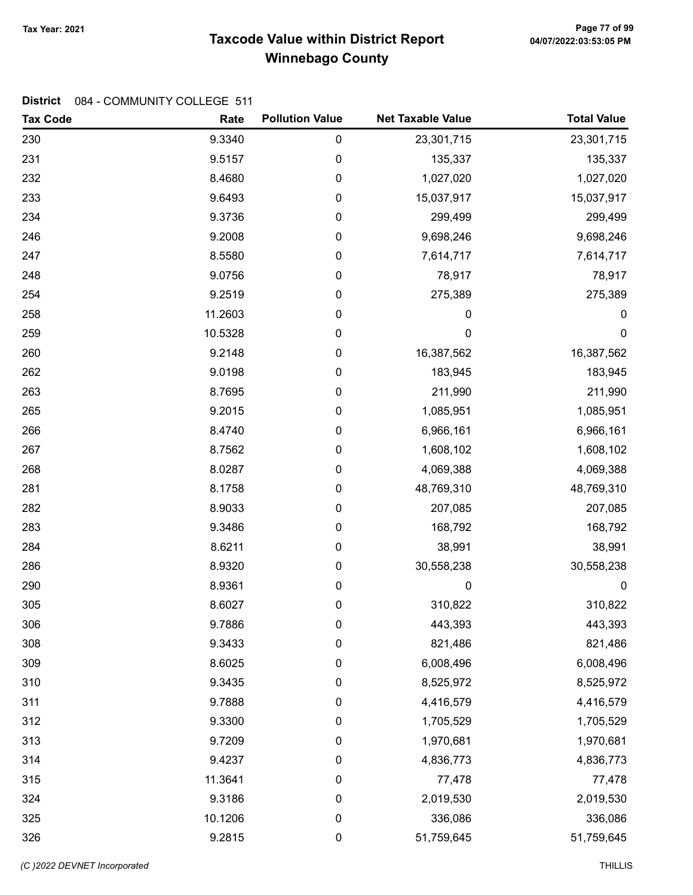# Taxcode Value within District Report Tax Year: 2021 Page 77 of 99 Winnebago County

| <b>Tax Code</b> | Rate    | <b>Pollution Value</b> | <b>Net Taxable Value</b> | <b>Total Value</b> |
|-----------------|---------|------------------------|--------------------------|--------------------|
| 230             | 9.3340  | $\pmb{0}$              | 23,301,715               | 23,301,715         |
| 231             | 9.5157  | $\mathbf 0$            | 135,337                  | 135,337            |
| 232             | 8.4680  | $\mathbf 0$            | 1,027,020                | 1,027,020          |
| 233             | 9.6493  | $\mathbf 0$            | 15,037,917               | 15,037,917         |
| 234             | 9.3736  | $\boldsymbol{0}$       | 299,499                  | 299,499            |
| 246             | 9.2008  | 0                      | 9,698,246                | 9,698,246          |
| 247             | 8.5580  | $\pmb{0}$              | 7,614,717                | 7,614,717          |
| 248             | 9.0756  | 0                      | 78,917                   | 78,917             |
| 254             | 9.2519  | 0                      | 275,389                  | 275,389            |
| 258             | 11.2603 | $\pmb{0}$              | 0                        | $\pmb{0}$          |
| 259             | 10.5328 | $\mathbf 0$            | $\mathbf 0$              | $\mathbf 0$        |
| 260             | 9.2148  | $\boldsymbol{0}$       | 16,387,562               | 16,387,562         |
| 262             | 9.0198  | 0                      | 183,945                  | 183,945            |
| 263             | 8.7695  | $\pmb{0}$              | 211,990                  | 211,990            |
| 265             | 9.2015  | $\mathbf 0$            | 1,085,951                | 1,085,951          |
| 266             | 8.4740  | $\mathbf 0$            | 6,966,161                | 6,966,161          |
| 267             | 8.7562  | $\mathbf 0$            | 1,608,102                | 1,608,102          |
| 268             | 8.0287  | $\mathbf 0$            | 4,069,388                | 4,069,388          |
| 281             | 8.1758  | $\boldsymbol{0}$       | 48,769,310               | 48,769,310         |
| 282             | 8.9033  | 0                      | 207,085                  | 207,085            |
| 283             | 9.3486  | $\pmb{0}$              | 168,792                  | 168,792            |
| 284             | 8.6211  | $\mathbf 0$            | 38,991                   | 38,991             |
| 286             | 8.9320  | $\mathbf 0$            | 30,558,238               | 30,558,238         |
| 290             | 8.9361  | $\boldsymbol{0}$       | 0                        | $\boldsymbol{0}$   |
| 305             | 8.6027  | $\boldsymbol{0}$       | 310,822                  | 310,822            |
| 306             | 9.7886  | $\boldsymbol{0}$       | 443,393                  | 443,393            |
| 308             | 9.3433  | $\boldsymbol{0}$       | 821,486                  | 821,486            |
| 309             | 8.6025  | $\mathbf 0$            | 6,008,496                | 6,008,496          |
| 310             | 9.3435  | 0                      | 8,525,972                | 8,525,972          |
| 311             | 9.7888  | $\boldsymbol{0}$       | 4,416,579                | 4,416,579          |
| 312             | 9.3300  | 0                      | 1,705,529                | 1,705,529          |
| 313             | 9.7209  | $\mathbf 0$            | 1,970,681                | 1,970,681          |
| 314             | 9.4237  | $\mathbf 0$            | 4,836,773                | 4,836,773          |
| 315             | 11.3641 | 0                      | 77,478                   | 77,478             |
| 324             | 9.3186  | $\mathbf 0$            | 2,019,530                | 2,019,530          |
| 325             | 10.1206 | $\mathbf 0$            | 336,086                  | 336,086            |
| 326             | 9.2815  | $\pmb{0}$              | 51,759,645               | 51,759,645         |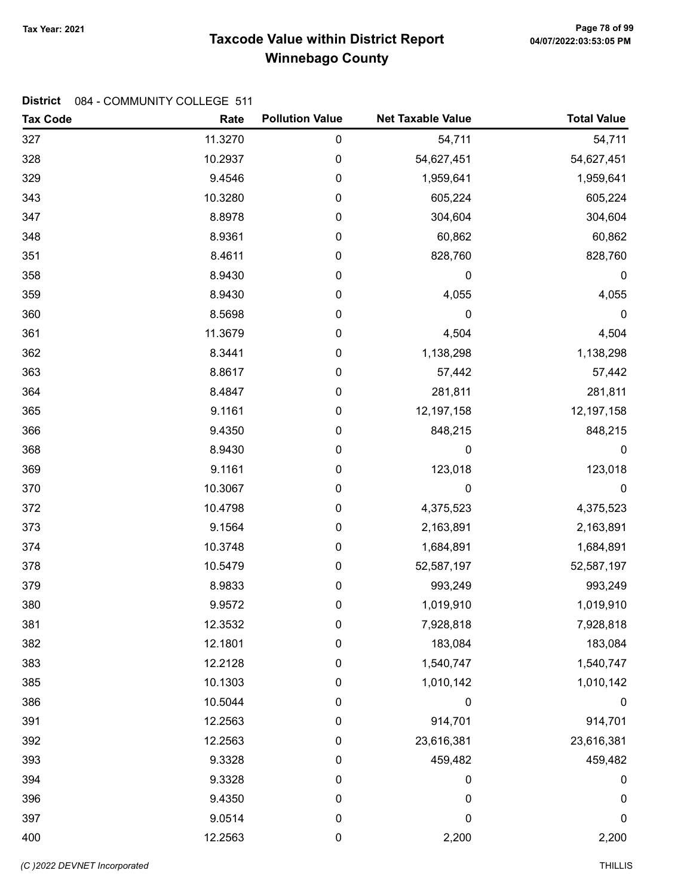# Taxcode Value within District Report Tax Year: 2021 Page 78 of 99 Winnebago County

| <b>Tax Code</b> | Rate    | <b>Pollution Value</b> | <b>Net Taxable Value</b> | <b>Total Value</b> |
|-----------------|---------|------------------------|--------------------------|--------------------|
| 327             | 11.3270 | 0                      | 54,711                   | 54,711             |
| 328             | 10.2937 | 0                      | 54,627,451               | 54,627,451         |
| 329             | 9.4546  | 0                      | 1,959,641                | 1,959,641          |
| 343             | 10.3280 | 0                      | 605,224                  | 605,224            |
| 347             | 8.8978  | 0                      | 304,604                  | 304,604            |
| 348             | 8.9361  | 0                      | 60,862                   | 60,862             |
| 351             | 8.4611  | 0                      | 828,760                  | 828,760            |
| 358             | 8.9430  | 0                      | 0                        | $\boldsymbol{0}$   |
| 359             | 8.9430  | 0                      | 4,055                    | 4,055              |
| 360             | 8.5698  | 0                      | $\mathbf 0$              | $\pmb{0}$          |
| 361             | 11.3679 | 0                      | 4,504                    | 4,504              |
| 362             | 8.3441  | 0                      | 1,138,298                | 1,138,298          |
| 363             | 8.8617  | 0                      | 57,442                   | 57,442             |
| 364             | 8.4847  | 0                      | 281,811                  | 281,811            |
| 365             | 9.1161  | 0                      | 12,197,158               | 12,197,158         |
| 366             | 9.4350  | 0                      | 848,215                  | 848,215            |
| 368             | 8.9430  | 0                      | 0                        | $\pmb{0}$          |
| 369             | 9.1161  | 0                      | 123,018                  | 123,018            |
| 370             | 10.3067 | 0                      | $\mathbf 0$              | $\mathbf 0$        |
| 372             | 10.4798 | 0                      | 4,375,523                | 4,375,523          |
| 373             | 9.1564  | 0                      | 2,163,891                | 2,163,891          |
| 374             | 10.3748 | 0                      | 1,684,891                | 1,684,891          |
| 378             | 10.5479 | 0                      | 52,587,197               | 52,587,197         |
| 379             | 8.9833  | 0                      | 993,249                  | 993,249            |
| 380             | 9.9572  | 0                      | 1,019,910                | 1,019,910          |
| 381             | 12.3532 | 0                      | 7,928,818                | 7,928,818          |
| 382             | 12.1801 | 0                      | 183,084                  | 183,084            |
| 383             | 12.2128 | 0                      | 1,540,747                | 1,540,747          |
| 385             | 10.1303 | 0                      | 1,010,142                | 1,010,142          |
| 386             | 10.5044 | 0                      | 0                        | $\boldsymbol{0}$   |
| 391             | 12.2563 | 0                      | 914,701                  | 914,701            |
| 392             | 12.2563 | 0                      | 23,616,381               | 23,616,381         |
| 393             | 9.3328  | 0                      | 459,482                  | 459,482            |
| 394             | 9.3328  | 0                      | 0                        | 0                  |
| 396             | 9.4350  | 0                      | 0                        | $\pmb{0}$          |
| 397             | 9.0514  | 0                      | 0                        | 0                  |
| 400             | 12.2563 | 0                      | 2,200                    | 2,200              |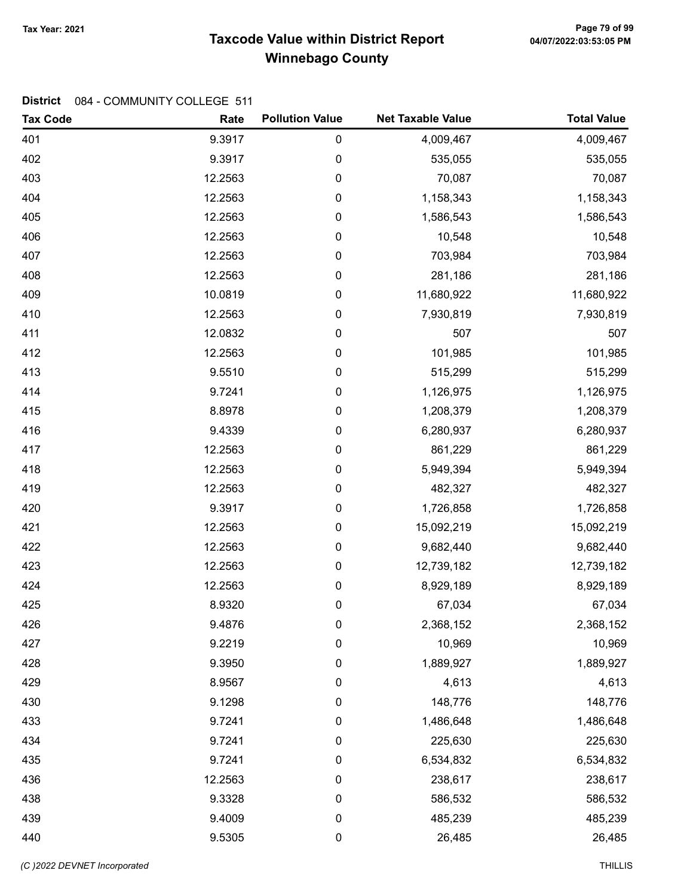# Taxcode Value within District Report Tax Year: 2021 Page 79 of 99 Winnebago County

| <b>Tax Code</b> | Rate    | <b>Pollution Value</b> | <b>Net Taxable Value</b> | <b>Total Value</b> |
|-----------------|---------|------------------------|--------------------------|--------------------|
| 401             | 9.3917  | 0                      | 4,009,467                | 4,009,467          |
| 402             | 9.3917  | 0                      | 535,055                  | 535,055            |
| 403             | 12.2563 | 0                      | 70,087                   | 70,087             |
| 404             | 12.2563 | 0                      | 1,158,343                | 1,158,343          |
| 405             | 12.2563 | 0                      | 1,586,543                | 1,586,543          |
| 406             | 12.2563 | 0                      | 10,548                   | 10,548             |
| 407             | 12.2563 | 0                      | 703,984                  | 703,984            |
| 408             | 12.2563 | 0                      | 281,186                  | 281,186            |
| 409             | 10.0819 | 0                      | 11,680,922               | 11,680,922         |
| 410             | 12.2563 | 0                      | 7,930,819                | 7,930,819          |
| 411             | 12.0832 | 0                      | 507                      | 507                |
| 412             | 12.2563 | 0                      | 101,985                  | 101,985            |
| 413             | 9.5510  | 0                      | 515,299                  | 515,299            |
| 414             | 9.7241  | 0                      | 1,126,975                | 1,126,975          |
| 415             | 8.8978  | 0                      | 1,208,379                | 1,208,379          |
| 416             | 9.4339  | 0                      | 6,280,937                | 6,280,937          |
| 417             | 12.2563 | 0                      | 861,229                  | 861,229            |
| 418             | 12.2563 | 0                      | 5,949,394                | 5,949,394          |
| 419             | 12.2563 | 0                      | 482,327                  | 482,327            |
| 420             | 9.3917  | 0                      | 1,726,858                | 1,726,858          |
| 421             | 12.2563 | 0                      | 15,092,219               | 15,092,219         |
| 422             | 12.2563 | 0                      | 9,682,440                | 9,682,440          |
| 423             | 12.2563 | 0                      | 12,739,182               | 12,739,182         |
| 424             | 12.2563 | 0                      | 8,929,189                | 8,929,189          |
| 425             | 8.9320  | 0                      | 67,034                   | 67,034             |
| 426             | 9.4876  | 0                      | 2,368,152                | 2,368,152          |
| 427             | 9.2219  | 0                      | 10,969                   | 10,969             |
| 428             | 9.3950  | 0                      | 1,889,927                | 1,889,927          |
| 429             | 8.9567  | 0                      | 4,613                    | 4,613              |
| 430             | 9.1298  | 0                      | 148,776                  | 148,776            |
| 433             | 9.7241  | 0                      | 1,486,648                | 1,486,648          |
| 434             | 9.7241  | 0                      | 225,630                  | 225,630            |
| 435             | 9.7241  | 0                      | 6,534,832                | 6,534,832          |
| 436             | 12.2563 | 0                      | 238,617                  | 238,617            |
| 438             | 9.3328  | $\pmb{0}$              | 586,532                  | 586,532            |
| 439             | 9.4009  | 0                      | 485,239                  | 485,239            |
| 440             | 9.5305  | $\pmb{0}$              | 26,485                   | 26,485             |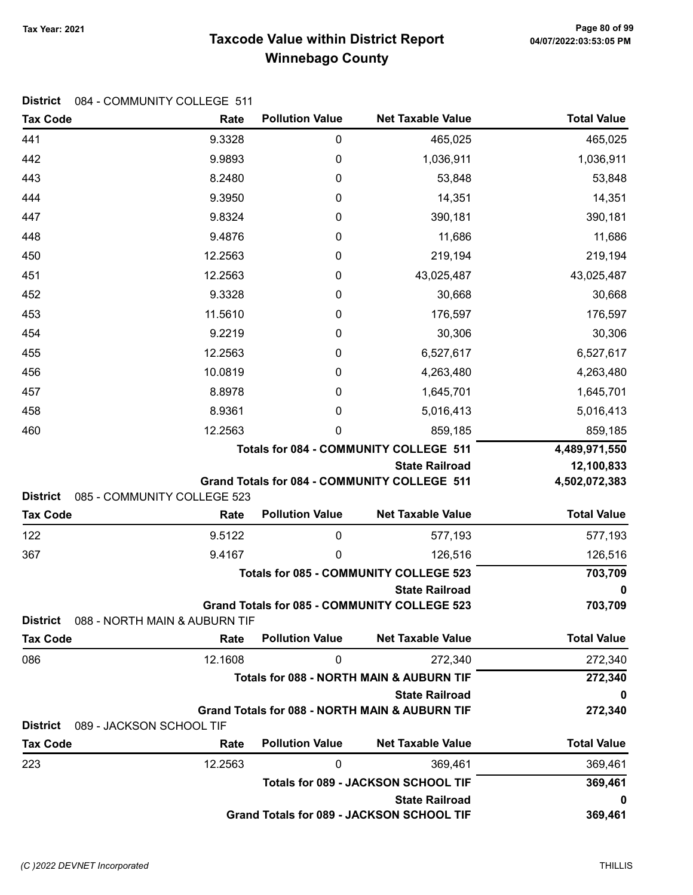# Taxcode Value within District Report Tax Year: 2021 Page 80 of 99 Winnebago County

|  | District 084 - COMMUNITY COLLEGE 511 |  |
|--|--------------------------------------|--|
|--|--------------------------------------|--|

| <b>Tax Code</b> | Rate                          | <b>Pollution Value</b> | <b>Net Taxable Value</b>                                                           | <b>Total Value</b> |
|-----------------|-------------------------------|------------------------|------------------------------------------------------------------------------------|--------------------|
| 441             | 9.3328                        | $\mathbf 0$            | 465,025                                                                            | 465,025            |
| 442             | 9.9893                        | $\mathbf 0$            | 1,036,911                                                                          | 1,036,911          |
| 443             | 8.2480                        | 0                      | 53,848                                                                             | 53,848             |
| 444             | 9.3950                        | 0                      | 14,351                                                                             | 14,351             |
| 447             | 9.8324                        | 0                      | 390,181                                                                            | 390,181            |
| 448             | 9.4876                        | 0                      | 11,686                                                                             | 11,686             |
| 450             | 12.2563                       | 0                      | 219,194                                                                            | 219,194            |
| 451             | 12.2563                       | 0                      | 43,025,487                                                                         | 43,025,487         |
| 452             | 9.3328                        | 0                      | 30,668                                                                             | 30,668             |
| 453             | 11.5610                       | 0                      | 176,597                                                                            | 176,597            |
| 454             | 9.2219                        | 0                      | 30,306                                                                             | 30,306             |
| 455             | 12.2563                       | 0                      | 6,527,617                                                                          | 6,527,617          |
| 456             | 10.0819                       | 0                      | 4,263,480                                                                          | 4,263,480          |
| 457             | 8.8978                        | 0                      | 1,645,701                                                                          | 1,645,701          |
| 458             | 8.9361                        | 0                      | 5,016,413                                                                          | 5,016,413          |
| 460             | 12.2563                       | 0                      | 859,185                                                                            | 859,185            |
|                 |                               |                        | Totals for 084 - COMMUNITY COLLEGE 511                                             | 4,489,971,550      |
|                 |                               |                        | <b>State Railroad</b>                                                              | 12,100,833         |
| <b>District</b> | 085 - COMMUNITY COLLEGE 523   |                        | Grand Totals for 084 - COMMUNITY COLLEGE 511                                       | 4,502,072,383      |
| <b>Tax Code</b> | Rate                          | <b>Pollution Value</b> | <b>Net Taxable Value</b>                                                           | <b>Total Value</b> |
| 122             | 9.5122                        | 0                      | 577,193                                                                            | 577,193            |
| 367             | 9.4167                        | 0                      | 126,516                                                                            | 126,516            |
|                 |                               |                        | <b>Totals for 085 - COMMUNITY COLLEGE 523</b>                                      | 703,709            |
|                 |                               |                        | <b>State Railroad</b>                                                              | 0                  |
|                 |                               |                        | <b>Grand Totals for 085 - COMMUNITY COLLEGE 523</b>                                | 703,709            |
| District        | 088 - NORTH MAIN & AUBURN TIF |                        |                                                                                    |                    |
| <b>Tax Code</b> | Rate                          | <b>Pollution Value</b> | <b>Net Taxable Value</b>                                                           | <b>Total Value</b> |
| 086             | 12.1608                       | $\mathbf 0$            | 272,340                                                                            | 272,340            |
|                 |                               |                        | Totals for 088 - NORTH MAIN & AUBURN TIF                                           | 272,340            |
|                 |                               |                        | <b>State Railroad</b><br><b>Grand Totals for 088 - NORTH MAIN &amp; AUBURN TIF</b> | 0<br>272,340       |
| <b>District</b> | 089 - JACKSON SCHOOL TIF      |                        |                                                                                    |                    |
| <b>Tax Code</b> | Rate                          | <b>Pollution Value</b> | <b>Net Taxable Value</b>                                                           | <b>Total Value</b> |
| 223             | 12.2563                       | 0                      | 369,461                                                                            | 369,461            |
|                 |                               |                        | <b>Totals for 089 - JACKSON SCHOOL TIF</b>                                         | 369,461            |
|                 |                               |                        | <b>State Railroad</b>                                                              | 0                  |
|                 |                               |                        | Grand Totals for 089 - JACKSON SCHOOL TIF                                          | 369,461            |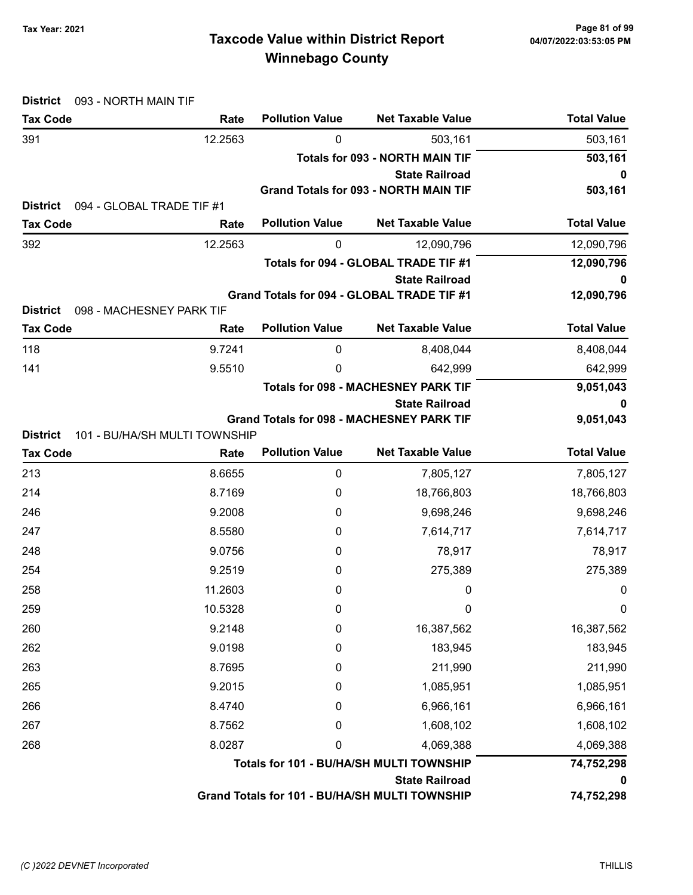| Tax Year: 2021 |  |
|----------------|--|
|----------------|--|

| <b>District</b><br>093 - NORTH MAIN TIF      |                               |                        |                                                  |                    |
|----------------------------------------------|-------------------------------|------------------------|--------------------------------------------------|--------------------|
| <b>Tax Code</b>                              | Rate                          | <b>Pollution Value</b> | <b>Net Taxable Value</b>                         | <b>Total Value</b> |
| 391                                          | 12.2563                       | 0                      | 503,161                                          | 503,161            |
|                                              |                               |                        | <b>Totals for 093 - NORTH MAIN TIF</b>           | 503,161            |
|                                              |                               |                        | <b>State Railroad</b>                            | 0                  |
| <b>District</b><br>094 - GLOBAL TRADE TIF #1 |                               |                        | <b>Grand Totals for 093 - NORTH MAIN TIF</b>     | 503,161            |
| <b>Tax Code</b>                              | Rate                          | <b>Pollution Value</b> | <b>Net Taxable Value</b>                         | <b>Total Value</b> |
| 392                                          | 12.2563                       | 0                      | 12,090,796                                       | 12,090,796         |
|                                              |                               |                        | Totals for 094 - GLOBAL TRADE TIF #1             | 12,090,796         |
|                                              |                               |                        | <b>State Railroad</b>                            | 0                  |
|                                              |                               |                        | Grand Totals for 094 - GLOBAL TRADE TIF #1       | 12,090,796         |
| <b>District</b><br>098 - MACHESNEY PARK TIF  |                               |                        |                                                  |                    |
| <b>Tax Code</b>                              | Rate                          | <b>Pollution Value</b> | <b>Net Taxable Value</b>                         | <b>Total Value</b> |
| 118                                          | 9.7241                        | 0                      | 8,408,044                                        | 8,408,044          |
| 141                                          | 9.5510                        | 0                      | 642,999                                          | 642,999            |
|                                              |                               |                        | <b>Totals for 098 - MACHESNEY PARK TIF</b>       | 9,051,043          |
|                                              |                               |                        | <b>State Railroad</b>                            |                    |
| <b>District</b>                              | 101 - BU/HA/SH MULTI TOWNSHIP |                        | <b>Grand Totals for 098 - MACHESNEY PARK TIF</b> | 9,051,043          |
| <b>Tax Code</b>                              | Rate                          | <b>Pollution Value</b> | <b>Net Taxable Value</b>                         | <b>Total Value</b> |
| 213                                          | 8.6655                        | $\boldsymbol{0}$       | 7,805,127                                        | 7,805,127          |
| 214                                          | 8.7169                        | 0                      | 18,766,803                                       | 18,766,803         |
| 246                                          | 9.2008                        | 0                      | 9,698,246                                        | 9,698,246          |
| 247                                          | 8.5580                        | 0                      | 7,614,717                                        | 7,614,717          |
| 248                                          | 9.0756                        | 0                      | 78,917                                           | 78,917             |
| 254                                          | 9.2519                        | 0                      | 275,389                                          | 275,389            |
| 258                                          | 11.2603                       | 0                      | $\mathbf 0$                                      | 0                  |
| 259                                          | 10.5328                       | 0                      | 0                                                | 0                  |
| 260                                          | 9.2148                        | 0                      | 16,387,562                                       | 16,387,562         |
| 262                                          | 9.0198                        | 0                      | 183,945                                          | 183,945            |
| 263                                          | 8.7695                        | 0                      | 211,990                                          | 211,990            |
| 265                                          | 9.2015                        | 0                      | 1,085,951                                        | 1,085,951          |
| 266                                          | 8.4740                        | 0                      | 6,966,161                                        | 6,966,161          |
| 267                                          | 8.7562                        | 0                      | 1,608,102                                        | 1,608,102          |
| 268                                          | 8.0287                        | 0                      | 4,069,388                                        | 4,069,388          |
|                                              |                               |                        | Totals for 101 - BU/HA/SH MULTI TOWNSHIP         | 74,752,298         |
|                                              |                               |                        | <b>State Railroad</b>                            | O                  |
|                                              |                               |                        | Grand Totals for 101 - BU/HA/SH MULTI TOWNSHIP   | 74,752,298         |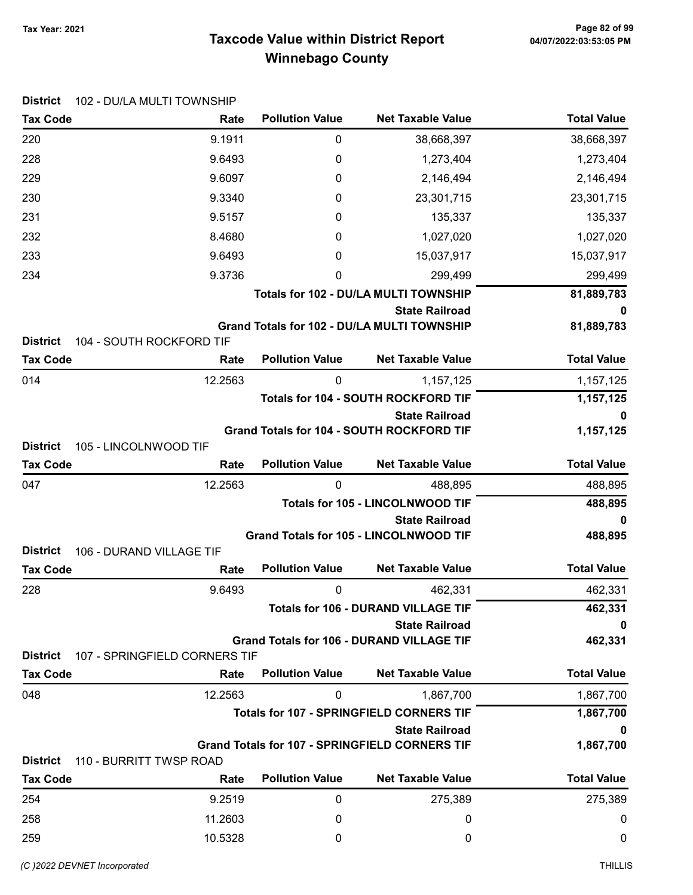# Taxcode Value within District Report Tax Year: 2021 Page 82 of 99 Winnebago County

| <b>District</b> | 102 - DU/LA MULTI TOWNSHIP    |                        |                                                                             |                    |
|-----------------|-------------------------------|------------------------|-----------------------------------------------------------------------------|--------------------|
| <b>Tax Code</b> | Rate                          | <b>Pollution Value</b> | <b>Net Taxable Value</b>                                                    | <b>Total Value</b> |
| 220             | 9.1911                        | 0                      | 38,668,397                                                                  | 38,668,397         |
| 228             | 9.6493                        | 0                      | 1,273,404                                                                   | 1,273,404          |
| 229             | 9.6097                        | 0                      | 2,146,494                                                                   | 2,146,494          |
| 230             | 9.3340                        | 0                      | 23,301,715                                                                  | 23,301,715         |
| 231             | 9.5157                        | 0                      | 135,337                                                                     | 135,337            |
| 232             | 8.4680                        | 0                      | 1,027,020                                                                   | 1,027,020          |
| 233             | 9.6493                        | 0                      | 15,037,917                                                                  | 15,037,917         |
| 234             | 9.3736                        | 0                      | 299,499                                                                     | 299,499            |
|                 |                               |                        | Totals for 102 - DU/LA MULTI TOWNSHIP                                       | 81,889,783         |
| <b>District</b> | 104 - SOUTH ROCKFORD TIF      |                        | <b>State Railroad</b><br><b>Grand Totals for 102 - DU/LA MULTI TOWNSHIP</b> | 0<br>81,889,783    |
| <b>Tax Code</b> | Rate                          | <b>Pollution Value</b> | <b>Net Taxable Value</b>                                                    | <b>Total Value</b> |
| 014             | 12.2563                       | 0                      | 1,157,125                                                                   | 1,157,125          |
|                 |                               |                        | Totals for 104 - SOUTH ROCKFORD TIF                                         | 1,157,125          |
|                 |                               |                        | <b>State Railroad</b>                                                       | 0                  |
| <b>District</b> | 105 - LINCOLNWOOD TIF         |                        | Grand Totals for 104 - SOUTH ROCKFORD TIF                                   | 1,157,125          |
| <b>Tax Code</b> | Rate                          | <b>Pollution Value</b> | <b>Net Taxable Value</b>                                                    | <b>Total Value</b> |
| 047             | 12.2563                       | 0                      | 488,895                                                                     | 488,895            |
|                 |                               |                        | <b>Totals for 105 - LINCOLNWOOD TIF</b>                                     | 488,895            |
|                 |                               |                        | <b>State Railroad</b><br><b>Grand Totals for 105 - LINCOLNWOOD TIF</b>      | 0<br>488,895       |
| <b>District</b> | 106 - DURAND VILLAGE TIF      |                        |                                                                             |                    |
| <b>Tax Code</b> | Rate                          | <b>Pollution Value</b> | <b>Net Taxable Value</b>                                                    | <b>Total Value</b> |
| 228             | 9.6493                        | 0                      | 462,331                                                                     | 462,331            |
|                 |                               |                        | <b>Totals for 106 - DURAND VILLAGE TIF</b>                                  | 462,331            |
|                 |                               |                        | <b>State Railroad</b>                                                       | 0                  |
| <b>District</b> | 107 - SPRINGFIELD CORNERS TIF |                        | <b>Grand Totals for 106 - DURAND VILLAGE TIF</b>                            | 462,331            |
| <b>Tax Code</b> | Rate                          | <b>Pollution Value</b> | <b>Net Taxable Value</b>                                                    | <b>Total Value</b> |
| 048             | 12.2563                       | 0                      | 1,867,700                                                                   | 1,867,700          |
|                 |                               |                        | <b>Totals for 107 - SPRINGFIELD CORNERS TIF</b>                             | 1,867,700          |
|                 |                               |                        | <b>State Railroad</b>                                                       | 0                  |
|                 |                               |                        | <b>Grand Totals for 107 - SPRINGFIELD CORNERS TIF</b>                       | 1,867,700          |
| <b>District</b> | 110 - BURRITT TWSP ROAD       |                        |                                                                             |                    |
| <b>Tax Code</b> | Rate                          | <b>Pollution Value</b> | <b>Net Taxable Value</b>                                                    | <b>Total Value</b> |
| 254             | 9.2519                        | 0                      | 275,389                                                                     | 275,389            |
| 258             | 11.2603                       | 0                      | 0                                                                           | 0                  |
| 259             | 10.5328                       | 0                      | 0                                                                           | 0                  |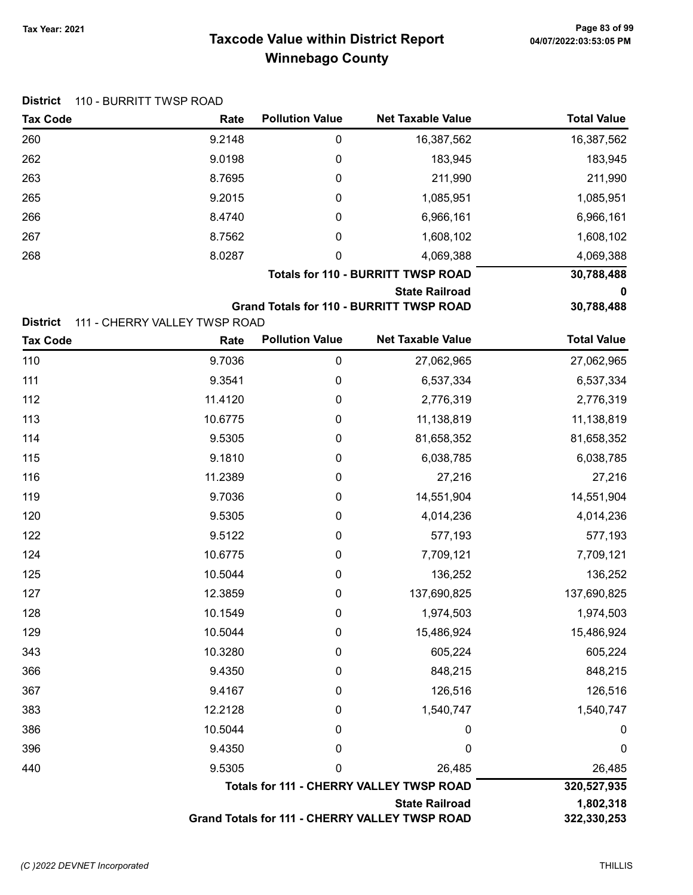| <b>District</b> | 110 - BURRITT TWSP ROAD       |                        |                                                 |                    |
|-----------------|-------------------------------|------------------------|-------------------------------------------------|--------------------|
| <b>Tax Code</b> | Rate                          | <b>Pollution Value</b> | <b>Net Taxable Value</b>                        | <b>Total Value</b> |
| 260             | 9.2148                        | 0                      | 16,387,562                                      | 16,387,562         |
| 262             | 9.0198                        | 0                      | 183,945                                         | 183,945            |
| 263             | 8.7695                        | 0                      | 211,990                                         | 211,990            |
| 265             | 9.2015                        | 0                      | 1,085,951                                       | 1,085,951          |
| 266             | 8.4740                        | $\mathbf 0$            | 6,966,161                                       | 6,966,161          |
| 267             | 8.7562                        | $\mathbf 0$            | 1,608,102                                       | 1,608,102          |
| 268             | 8.0287                        | 0                      | 4,069,388                                       | 4,069,388          |
|                 |                               |                        | <b>Totals for 110 - BURRITT TWSP ROAD</b>       | 30,788,488         |
|                 |                               |                        | <b>State Railroad</b>                           | 0                  |
|                 |                               |                        | <b>Grand Totals for 110 - BURRITT TWSP ROAD</b> | 30,788,488         |
| <b>District</b> | 111 - CHERRY VALLEY TWSP ROAD |                        |                                                 |                    |
| <b>Tax Code</b> | Rate                          | <b>Pollution Value</b> | <b>Net Taxable Value</b>                        | <b>Total Value</b> |
| $\overline{A}$  | $\sim$ 7000                   |                        | 07.000.00F                                      | 07.000.00F         |

| <b>Tax Code</b>                                                         | Rate    | <b>Pollution Value</b> | <b>Net Taxable Value</b>                        | <b>Total Value</b>       |
|-------------------------------------------------------------------------|---------|------------------------|-------------------------------------------------|--------------------------|
| 110                                                                     | 9.7036  | $\boldsymbol{0}$       | 27,062,965                                      | 27,062,965               |
| 111                                                                     | 9.3541  | 0                      | 6,537,334                                       | 6,537,334                |
| 112                                                                     | 11.4120 | 0                      | 2,776,319                                       | 2,776,319                |
| 113                                                                     | 10.6775 | 0                      | 11,138,819                                      | 11,138,819               |
| 114                                                                     | 9.5305  | 0                      | 81,658,352                                      | 81,658,352               |
| 115                                                                     | 9.1810  | 0                      | 6,038,785                                       | 6,038,785                |
| 116                                                                     | 11.2389 | 0                      | 27,216                                          | 27,216                   |
| 119                                                                     | 9.7036  | 0                      | 14,551,904                                      | 14,551,904               |
| 120                                                                     | 9.5305  | 0                      | 4,014,236                                       | 4,014,236                |
| 122                                                                     | 9.5122  | 0                      | 577,193                                         | 577,193                  |
| 124                                                                     | 10.6775 | 0                      | 7,709,121                                       | 7,709,121                |
| 125                                                                     | 10.5044 | 0                      | 136,252                                         | 136,252                  |
| 127                                                                     | 12.3859 | 0                      | 137,690,825                                     | 137,690,825              |
| 128                                                                     | 10.1549 | 0                      | 1,974,503                                       | 1,974,503                |
| 129                                                                     | 10.5044 | 0                      | 15,486,924                                      | 15,486,924               |
| 343                                                                     | 10.3280 | 0                      | 605,224                                         | 605,224                  |
| 366                                                                     | 9.4350  | 0                      | 848,215                                         | 848,215                  |
| 367                                                                     | 9.4167  | 0                      | 126,516                                         | 126,516                  |
| 383                                                                     | 12.2128 | 0                      | 1,540,747                                       | 1,540,747                |
| 386                                                                     | 10.5044 | 0                      | 0                                               | 0                        |
| 396                                                                     | 9.4350  | 0                      | 0                                               | 0                        |
| 440                                                                     | 9.5305  | 0                      | 26,485                                          | 26,485                   |
|                                                                         |         |                        | <b>Totals for 111 - CHERRY VALLEY TWSP ROAD</b> | 320,527,935              |
| <b>State Railroad</b><br>Grand Totals for 111 - CHERRY VALLEY TWSP ROAD |         |                        |                                                 | 1,802,318<br>322,330,253 |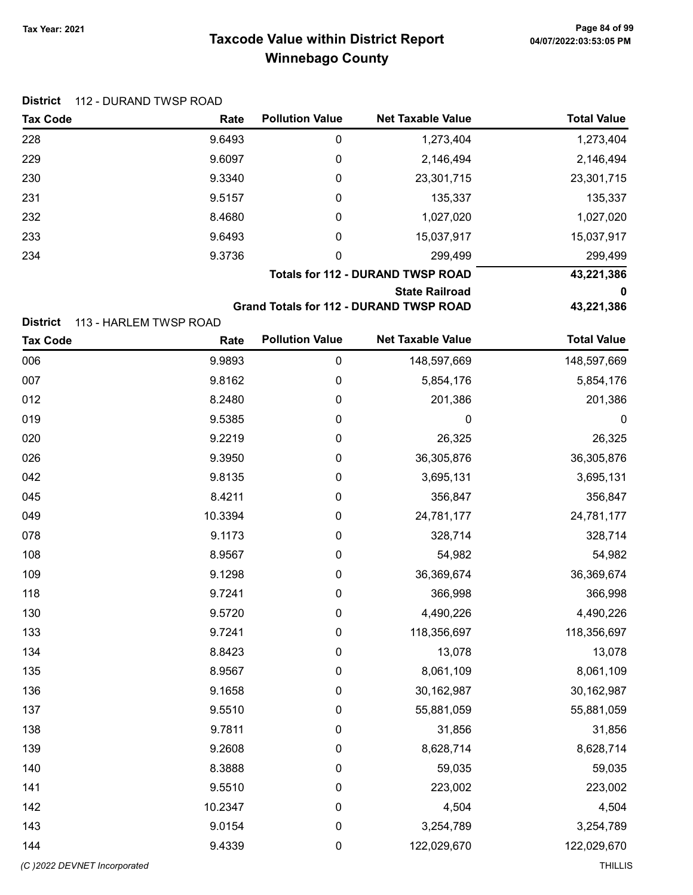| <b>Tax Code</b> | Rate   | <b>Pollution Value</b> | <b>Net Taxable Value</b>                 | <b>Total Value</b> |
|-----------------|--------|------------------------|------------------------------------------|--------------------|
| 228             | 9.6493 | 0                      | 1,273,404                                | 1,273,404          |
| 229             | 9.6097 | 0                      | 2,146,494                                | 2,146,494          |
| 230             | 9.3340 | 0                      | 23,301,715                               | 23,301,715         |
| 231             | 9.5157 | 0                      | 135,337                                  | 135,337            |
| 232             | 8.4680 | 0                      | 1,027,020                                | 1,027,020          |
| 233             | 9.6493 | 0                      | 15,037,917                               | 15,037,917         |
| 234             | 9.3736 | 0                      | 299,499                                  | 299,499            |
|                 |        |                        | <b>Totals for 112 - DURAND TWSP ROAD</b> | 43,221,386         |

#### State Railroad 0

Grand Totals for 112 - DURAND TWSP ROAD 43,221,386

District 113 - HARLEM TWSP ROAD

| <b>Tax Code</b>              | Rate    | <b>Pollution Value</b> | <b>Net Taxable Value</b> | <b>Total Value</b> |
|------------------------------|---------|------------------------|--------------------------|--------------------|
| 006                          | 9.9893  | $\pmb{0}$              | 148,597,669              | 148,597,669        |
| 007                          | 9.8162  | $\pmb{0}$              | 5,854,176                | 5,854,176          |
| 012                          | 8.2480  | 0                      | 201,386                  | 201,386            |
| 019                          | 9.5385  | 0                      | $\mathbf 0$              | $\boldsymbol{0}$   |
| 020                          | 9.2219  | $\pmb{0}$              | 26,325                   | 26,325             |
| 026                          | 9.3950  | $\pmb{0}$              | 36,305,876               | 36,305,876         |
| 042                          | 9.8135  | 0                      | 3,695,131                | 3,695,131          |
| 045                          | 8.4211  | 0                      | 356,847                  | 356,847            |
| 049                          | 10.3394 | 0                      | 24,781,177               | 24,781,177         |
| 078                          | 9.1173  | 0                      | 328,714                  | 328,714            |
| 108                          | 8.9567  | 0                      | 54,982                   | 54,982             |
| 109                          | 9.1298  | 0                      | 36,369,674               | 36,369,674         |
| 118                          | 9.7241  | 0                      | 366,998                  | 366,998            |
| 130                          | 9.5720  | 0                      | 4,490,226                | 4,490,226          |
| 133                          | 9.7241  | 0                      | 118,356,697              | 118,356,697        |
| 134                          | 8.8423  | 0                      | 13,078                   | 13,078             |
| 135                          | 8.9567  | 0                      | 8,061,109                | 8,061,109          |
| 136                          | 9.1658  | 0                      | 30,162,987               | 30,162,987         |
| 137                          | 9.5510  | 0                      | 55,881,059               | 55,881,059         |
| 138                          | 9.7811  | 0                      | 31,856                   | 31,856             |
| 139                          | 9.2608  | $\pmb{0}$              | 8,628,714                | 8,628,714          |
| 140                          | 8.3888  | 0                      | 59,035                   | 59,035             |
| 141                          | 9.5510  | 0                      | 223,002                  | 223,002            |
| 142                          | 10.2347 | $\pmb{0}$              | 4,504                    | 4,504              |
| 143                          | 9.0154  | 0                      | 3,254,789                | 3,254,789          |
| 144                          | 9.4339  | 0                      | 122,029,670              | 122,029,670        |
| (C) 2022 DEVNET Incorporated |         |                        |                          | <b>THILLIS</b>     |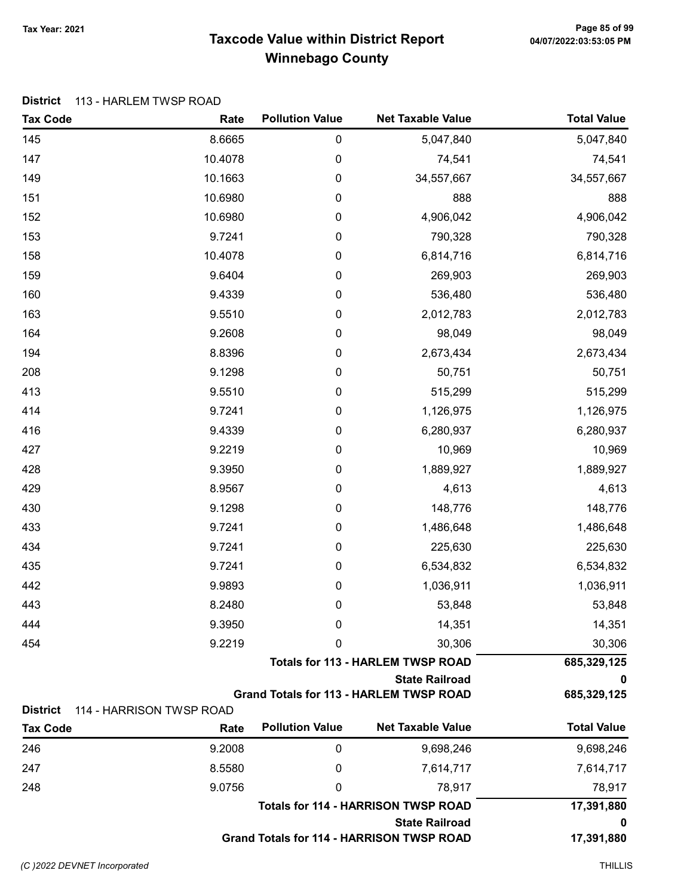# Taxcode Value within District Report Tax Year: 2021 Page 85 of 99 Winnebago County

### District 113 - HARLEM TWSP ROAD

| <b>Tax Code</b> | Rate                     | <b>Pollution Value</b> | <b>Net Taxable Value</b>                         | <b>Total Value</b> |
|-----------------|--------------------------|------------------------|--------------------------------------------------|--------------------|
| 145             | 8.6665                   | $\pmb{0}$              | 5,047,840                                        | 5,047,840          |
| 147             | 10.4078                  | 0                      | 74,541                                           | 74,541             |
| 149             | 10.1663                  | 0                      | 34,557,667                                       | 34,557,667         |
| 151             | 10.6980                  | 0                      | 888                                              | 888                |
| 152             | 10.6980                  | 0                      | 4,906,042                                        | 4,906,042          |
| 153             | 9.7241                   | $\pmb{0}$              | 790,328                                          | 790,328            |
| 158             | 10.4078                  | 0                      | 6,814,716                                        | 6,814,716          |
| 159             | 9.6404                   | 0                      | 269,903                                          | 269,903            |
| 160             | 9.4339                   | $\pmb{0}$              | 536,480                                          | 536,480            |
| 163             | 9.5510                   | $\pmb{0}$              | 2,012,783                                        | 2,012,783          |
| 164             | 9.2608                   | 0                      | 98,049                                           | 98,049             |
| 194             | 8.8396                   | 0                      | 2,673,434                                        | 2,673,434          |
| 208             | 9.1298                   | $\pmb{0}$              | 50,751                                           | 50,751             |
| 413             | 9.5510                   | 0                      | 515,299                                          | 515,299            |
| 414             | 9.7241                   | 0                      | 1,126,975                                        | 1,126,975          |
| 416             | 9.4339                   | 0                      | 6,280,937                                        | 6,280,937          |
| 427             | 9.2219                   | $\pmb{0}$              | 10,969                                           | 10,969             |
| 428             | 9.3950                   | 0                      | 1,889,927                                        | 1,889,927          |
| 429             | 8.9567                   | $\pmb{0}$              | 4,613                                            | 4,613              |
| 430             | 9.1298                   | $\pmb{0}$              | 148,776                                          | 148,776            |
| 433             | 9.7241                   | 0                      | 1,486,648                                        | 1,486,648          |
| 434             | 9.7241                   | 0                      | 225,630                                          | 225,630            |
| 435             | 9.7241                   | $\pmb{0}$              | 6,534,832                                        | 6,534,832          |
| 442             | 9.9893                   | $\pmb{0}$              | 1,036,911                                        | 1,036,911          |
| 443             | 8.2480                   | 0                      | 53,848                                           | 53,848             |
| 444             | 9.3950                   | 0                      | 14,351                                           | 14,351             |
| 454             | 9.2219                   | 0                      | 30,306                                           | 30,306             |
|                 |                          |                        | <b>Totals for 113 - HARLEM TWSP ROAD</b>         | 685,329,125        |
|                 |                          |                        | <b>State Railroad</b>                            | 0                  |
| <b>District</b> | 114 - HARRISON TWSP ROAD |                        | <b>Grand Totals for 113 - HARLEM TWSP ROAD</b>   | 685,329,125        |
| <b>Tax Code</b> | Rate                     | <b>Pollution Value</b> | <b>Net Taxable Value</b>                         | <b>Total Value</b> |
| 246             | 9.2008                   | 0                      | 9,698,246                                        | 9,698,246          |
| 247             | 8.5580                   | 0                      | 7,614,717                                        | 7,614,717          |
| 248             | 9.0756                   | 0                      | 78,917                                           | 78,917             |
|                 |                          |                        | <b>Totals for 114 - HARRISON TWSP ROAD</b>       | 17,391,880         |
|                 |                          |                        | <b>State Railroad</b>                            | 0                  |
|                 |                          |                        | <b>Grand Totals for 114 - HARRISON TWSP ROAD</b> | 17,391,880         |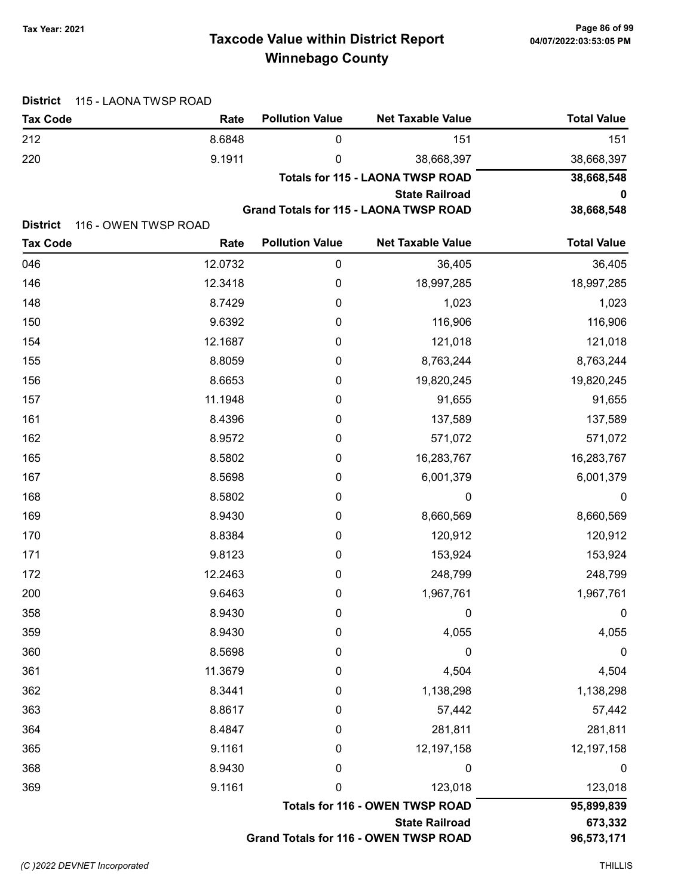# Taxcode Value within District Report Tax Year: 2021 Page 86 of 99 Winnebago County

| <b>District</b> | 115 - LAONA TWSP ROAD |                        |                                         |                    |
|-----------------|-----------------------|------------------------|-----------------------------------------|--------------------|
| <b>Tax Code</b> | Rate                  | <b>Pollution Value</b> | <b>Net Taxable Value</b>                | <b>Total Value</b> |
| 212             | 8.6848                | 0                      | 151                                     | 151                |
| 220             | 9.1911                | 0                      | 38,668,397                              | 38,668,397         |
|                 |                       |                        | <b>Totals for 115 - LAONA TWSP ROAD</b> | 38,668,548         |
|                 |                       |                        | <b>State Railroad</b>                   | 0                  |
| <b>District</b> | 116 - OWEN TWSP ROAD  |                        | Grand Totals for 115 - LAONA TWSP ROAD  | 38,668,548         |
| <b>Tax Code</b> | Rate                  | <b>Pollution Value</b> | <b>Net Taxable Value</b>                | <b>Total Value</b> |
| 046             | 12.0732               | 0                      | 36,405                                  | 36,405             |
| 146             | 12.3418               | 0                      | 18,997,285                              | 18,997,285         |
| 148             | 8.7429                | 0                      | 1,023                                   | 1,023              |
| 150             | 9.6392                | 0                      | 116,906                                 | 116,906            |
| 154             | 12.1687               | 0                      | 121,018                                 | 121,018            |
| 155             | 8.8059                | 0                      | 8,763,244                               | 8,763,244          |
| 156             | 8.6653                | 0                      | 19,820,245                              | 19,820,245         |
| 157             | 11.1948               | 0                      | 91,655                                  | 91,655             |
| 161             | 8.4396                | 0                      | 137,589                                 | 137,589            |
| 162             | 8.9572                | 0                      | 571,072                                 | 571,072            |
| 165             | 8.5802                | 0                      | 16,283,767                              | 16,283,767         |
| 167             | 8.5698                | 0                      | 6,001,379                               | 6,001,379          |
| 168             | 8.5802                | 0                      | 0                                       | 0                  |
| 169             | 8.9430                | 0                      | 8,660,569                               | 8,660,569          |
| 170             | 8.8384                | 0                      | 120,912                                 | 120,912            |
| 171             | 9.8123                | 0                      | 153,924                                 | 153,924            |
| 172             | 12.2463               | 0                      | 248,799                                 | 248,799            |
| 200             | 9.6463                | 0                      | 1,967,761                               | 1,967,761          |
| 358             | 8.9430                | $\boldsymbol{0}$       | 0                                       | $\boldsymbol{0}$   |
| 359             | 8.9430                | $\boldsymbol{0}$       | 4,055                                   | 4,055              |
| 360             | 8.5698                | $\boldsymbol{0}$       | 0                                       | 0                  |
| 361             | 11.3679               | 0                      | 4,504                                   | 4,504              |
| 362             | 8.3441                | 0                      | 1,138,298                               | 1,138,298          |
| 363             | 8.8617                | 0                      | 57,442                                  | 57,442             |
| 364             | 8.4847                | 0                      | 281,811                                 | 281,811            |
| 365             | 9.1161                | 0                      | 12,197,158                              | 12,197,158         |
| 368             | 8.9430                | 0                      | 0                                       | $\boldsymbol{0}$   |
| 369             | 9.1161                | 0                      | 123,018                                 | 123,018            |
|                 |                       |                        | <b>Totals for 116 - OWEN TWSP ROAD</b>  | 95,899,839         |
|                 |                       |                        | <b>State Railroad</b>                   | 673,332            |
|                 |                       |                        | Grand Totals for 116 - OWEN TWSP ROAD   | 96,573,171         |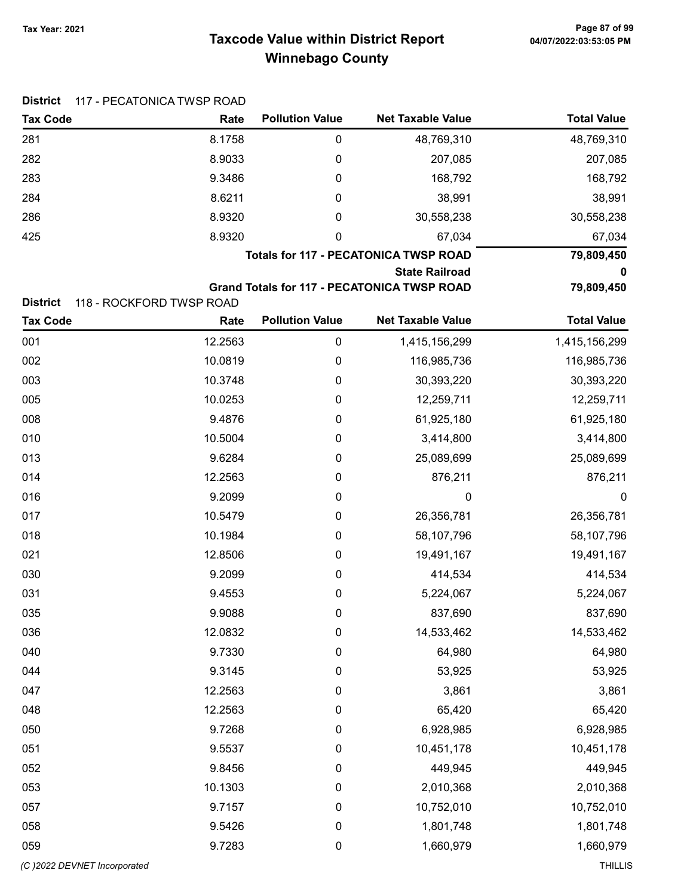# Taxcode Value within District Report Tax Year: 2021 Page 87 of 99 Winnebago County

| <b>District</b> | 117 - PECATONICA TWSP ROAD |                        |                                                    |                    |
|-----------------|----------------------------|------------------------|----------------------------------------------------|--------------------|
| <b>Tax Code</b> | Rate                       | <b>Pollution Value</b> | <b>Net Taxable Value</b>                           | <b>Total Value</b> |
| 281             | 8.1758                     | $\pmb{0}$              | 48,769,310                                         | 48,769,310         |
| 282             | 8.9033                     | 0                      | 207,085                                            | 207,085            |
| 283             | 9.3486                     | 0                      | 168,792                                            | 168,792            |
| 284             | 8.6211                     | 0                      | 38,991                                             | 38,991             |
| 286             | 8.9320                     | 0                      | 30,558,238                                         | 30,558,238         |
| 425             | 8.9320                     | 0                      | 67,034                                             | 67,034             |
|                 |                            |                        | <b>Totals for 117 - PECATONICA TWSP ROAD</b>       | 79,809,450         |
|                 |                            |                        | <b>State Railroad</b>                              | 0                  |
| <b>District</b> | 118 - ROCKFORD TWSP ROAD   |                        | <b>Grand Totals for 117 - PECATONICA TWSP ROAD</b> | 79,809,450         |
| <b>Tax Code</b> | Rate                       | <b>Pollution Value</b> | <b>Net Taxable Value</b>                           | <b>Total Value</b> |
| 001             | 12.2563                    | $\pmb{0}$              | 1,415,156,299                                      | 1,415,156,299      |
| 002             | 10.0819                    | 0                      | 116,985,736                                        | 116,985,736        |
| 003             | 10.3748                    | 0                      | 30,393,220                                         | 30,393,220         |
| 005             | 10.0253                    | 0                      | 12,259,711                                         | 12,259,711         |
| 008             | 9.4876                     | 0                      | 61,925,180                                         | 61,925,180         |
| 010             | 10.5004                    | 0                      | 3,414,800                                          | 3,414,800          |
| 013             | 9.6284                     | 0                      | 25,089,699                                         | 25,089,699         |
| 014             | 12.2563                    | 0                      | 876,211                                            | 876,211            |
| 016             | 9.2099                     | 0                      | 0                                                  | $\boldsymbol{0}$   |
| 017             | 10.5479                    | 0                      | 26,356,781                                         | 26,356,781         |
| 018             | 10.1984                    | 0                      | 58,107,796                                         | 58,107,796         |
| 021             | 12.8506                    | 0                      | 19,491,167                                         | 19,491,167         |
| 030             | 9.2099                     | $\boldsymbol{0}$       | 414,534                                            | 414,534            |
| 031             | 9.4553                     | 0                      | 5,224,067                                          | 5,224,067          |
| 035             | 9.9088                     | $\boldsymbol{0}$       | 837,690                                            | 837,690            |
| 036             | 12.0832                    | $\boldsymbol{0}$       | 14,533,462                                         | 14,533,462         |
| 040             | 9.7330                     | $\pmb{0}$              | 64,980                                             | 64,980             |
| 044             | 9.3145                     | $\pmb{0}$              | 53,925                                             | 53,925             |
| 047             | 12.2563                    | $\pmb{0}$              | 3,861                                              | 3,861              |
| 048             | 12.2563                    | $\pmb{0}$              | 65,420                                             | 65,420             |
| 050             | 9.7268                     | $\pmb{0}$              | 6,928,985                                          | 6,928,985          |
| 051             | 9.5537                     | $\boldsymbol{0}$       | 10,451,178                                         | 10,451,178         |
| 052             | 9.8456                     | $\mathbf 0$            | 449,945                                            | 449,945            |
| 053             | 10.1303                    | $\pmb{0}$              | 2,010,368                                          | 2,010,368          |
| 057             | 9.7157                     | $\pmb{0}$              | 10,752,010                                         | 10,752,010         |
| 058             | 9.5426                     | $\pmb{0}$              | 1,801,748                                          | 1,801,748          |
| 059             | 9.7283                     | 0                      | 1,660,979                                          | 1,660,979          |
|                 |                            |                        |                                                    |                    |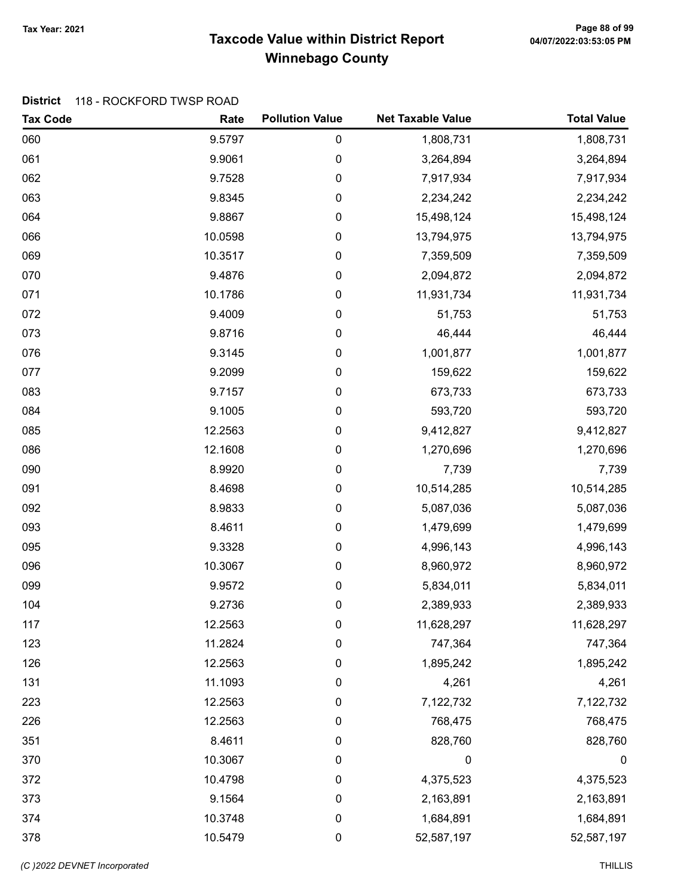# Taxcode Value within District Report Tax Year: 2021 Page 88 of 99 Winnebago County

### District 118 - ROCKFORD TWSP ROAD

| <b>Tax Code</b> | Rate    | <b>Pollution Value</b> | <b>Net Taxable Value</b> | <b>Total Value</b> |
|-----------------|---------|------------------------|--------------------------|--------------------|
| 060             | 9.5797  | $\pmb{0}$              | 1,808,731                | 1,808,731          |
| 061             | 9.9061  | $\mathbf 0$            | 3,264,894                | 3,264,894          |
| 062             | 9.7528  | 0                      | 7,917,934                | 7,917,934          |
| 063             | 9.8345  | 0                      | 2,234,242                | 2,234,242          |
| 064             | 9.8867  | 0                      | 15,498,124               | 15,498,124         |
| 066             | 10.0598 | 0                      | 13,794,975               | 13,794,975         |
| 069             | 10.3517 | 0                      | 7,359,509                | 7,359,509          |
| 070             | 9.4876  | 0                      | 2,094,872                | 2,094,872          |
| 071             | 10.1786 | 0                      | 11,931,734               | 11,931,734         |
| 072             | 9.4009  | 0                      | 51,753                   | 51,753             |
| 073             | 9.8716  | 0                      | 46,444                   | 46,444             |
| 076             | 9.3145  | 0                      | 1,001,877                | 1,001,877          |
| 077             | 9.2099  | 0                      | 159,622                  | 159,622            |
| 083             | 9.7157  | 0                      | 673,733                  | 673,733            |
| 084             | 9.1005  | 0                      | 593,720                  | 593,720            |
| 085             | 12.2563 | 0                      | 9,412,827                | 9,412,827          |
| 086             | 12.1608 | 0                      | 1,270,696                | 1,270,696          |
| 090             | 8.9920  | 0                      | 7,739                    | 7,739              |
| 091             | 8.4698  | 0                      | 10,514,285               | 10,514,285         |
| 092             | 8.9833  | 0                      | 5,087,036                | 5,087,036          |
| 093             | 8.4611  | 0                      | 1,479,699                | 1,479,699          |
| 095             | 9.3328  | 0                      | 4,996,143                | 4,996,143          |
| 096             | 10.3067 | 0                      | 8,960,972                | 8,960,972          |
| 099             | 9.9572  | 0                      | 5,834,011                | 5,834,011          |
| 104             | 9.2736  | 0                      | 2,389,933                | 2,389,933          |
| 117             | 12.2563 | 0                      | 11,628,297               | 11,628,297         |
| 123             | 11.2824 | 0                      | 747,364                  | 747,364            |
| 126             | 12.2563 | $\boldsymbol{0}$       | 1,895,242                | 1,895,242          |
| 131             | 11.1093 | 0                      | 4,261                    | 4,261              |
| 223             | 12.2563 | 0                      | 7,122,732                | 7,122,732          |
| 226             | 12.2563 | 0                      | 768,475                  | 768,475            |
| 351             | 8.4611  | 0                      | 828,760                  | 828,760            |
| 370             | 10.3067 | $\boldsymbol{0}$       | 0                        | $\boldsymbol{0}$   |
| 372             | 10.4798 | 0                      | 4,375,523                | 4,375,523          |
| 373             | 9.1564  | $\boldsymbol{0}$       | 2,163,891                | 2,163,891          |
| 374             | 10.3748 | $\boldsymbol{0}$       | 1,684,891                | 1,684,891          |
| 378             | 10.5479 | $\pmb{0}$              | 52,587,197               | 52,587,197         |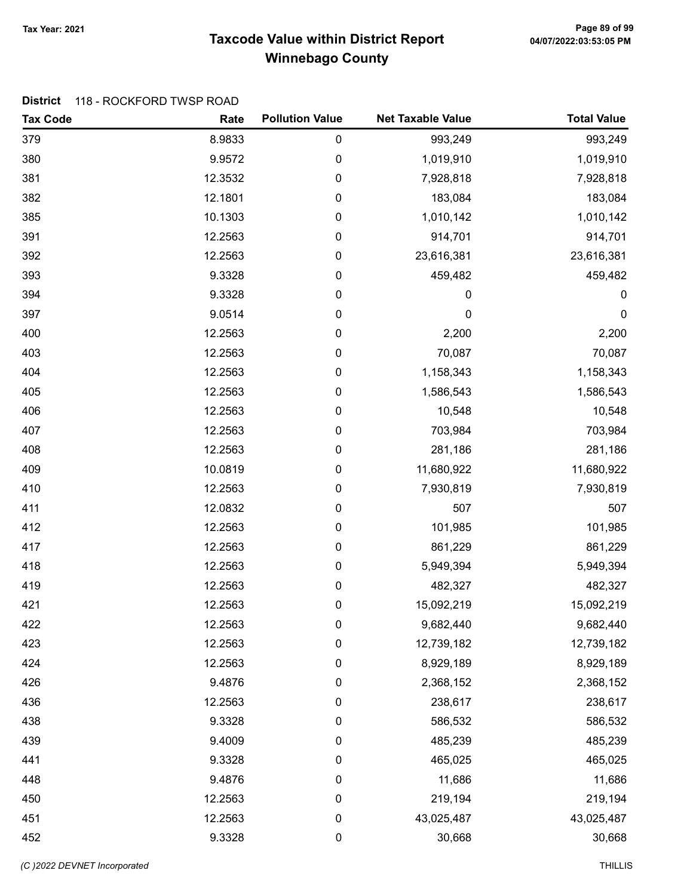# Taxcode Value within District Report Tax Year: 2021 Page 89 of 99 Winnebago County

### District 118 - ROCKFORD TWSP ROAD

| <b>Tax Code</b> | Rate    | <b>Pollution Value</b> | <b>Net Taxable Value</b> | <b>Total Value</b> |
|-----------------|---------|------------------------|--------------------------|--------------------|
| 379             | 8.9833  | $\boldsymbol{0}$       | 993,249                  | 993,249            |
| 380             | 9.9572  | $\boldsymbol{0}$       | 1,019,910                | 1,019,910          |
| 381             | 12.3532 | $\mathbf 0$            | 7,928,818                | 7,928,818          |
| 382             | 12.1801 | $\mathbf 0$            | 183,084                  | 183,084            |
| 385             | 10.1303 | $\mathbf 0$            | 1,010,142                | 1,010,142          |
| 391             | 12.2563 | $\pmb{0}$              | 914,701                  | 914,701            |
| 392             | 12.2563 | $\mathbf 0$            | 23,616,381               | 23,616,381         |
| 393             | 9.3328  | $\mathbf 0$            | 459,482                  | 459,482            |
| 394             | 9.3328  | $\mathbf 0$            | 0                        | 0                  |
| 397             | 9.0514  | $\pmb{0}$              | $\boldsymbol{0}$         | 0                  |
| 400             | 12.2563 | $\mathbf 0$            | 2,200                    | 2,200              |
| 403             | 12.2563 | $\mathbf 0$            | 70,087                   | 70,087             |
| 404             | 12.2563 | $\boldsymbol{0}$       | 1,158,343                | 1,158,343          |
| 405             | 12.2563 | $\mathbf 0$            | 1,586,543                | 1,586,543          |
| 406             | 12.2563 | $\mathbf 0$            | 10,548                   | 10,548             |
| 407             | 12.2563 | $\mathbf 0$            | 703,984                  | 703,984            |
| 408             | 12.2563 | $\mathbf 0$            | 281,186                  | 281,186            |
| 409             | 10.0819 | $\mathbf 0$            | 11,680,922               | 11,680,922         |
| 410             | 12.2563 | $\mathbf 0$            | 7,930,819                | 7,930,819          |
| 411             | 12.0832 | $\boldsymbol{0}$       | 507                      | 507                |
| 412             | 12.2563 | $\mathbf 0$            | 101,985                  | 101,985            |
| 417             | 12.2563 | $\mathbf 0$            | 861,229                  | 861,229            |
| 418             | 12.2563 | $\mathbf 0$            | 5,949,394                | 5,949,394          |
| 419             | 12.2563 | $\pmb{0}$              | 482,327                  | 482,327            |
| 421             | 12.2563 | $\boldsymbol{0}$       | 15,092,219               | 15,092,219         |
| 422             | 12.2563 | 0                      | 9,682,440                | 9,682,440          |
| 423             | 12.2563 | $\boldsymbol{0}$       | 12,739,182               | 12,739,182         |
| 424             | 12.2563 | $\mathbf 0$            | 8,929,189                | 8,929,189          |
| 426             | 9.4876  | 0                      | 2,368,152                | 2,368,152          |
| 436             | 12.2563 | $\boldsymbol{0}$       | 238,617                  | 238,617            |
| 438             | 9.3328  | $\mathbf 0$            | 586,532                  | 586,532            |
| 439             | 9.4009  | $\mathbf 0$            | 485,239                  | 485,239            |
| 441             | 9.3328  | $\mathbf 0$            | 465,025                  | 465,025            |
| 448             | 9.4876  | 0                      | 11,686                   | 11,686             |
| 450             | 12.2563 | 0                      | 219,194                  | 219,194            |
| 451             | 12.2563 | 0                      | 43,025,487               | 43,025,487         |
| 452             | 9.3328  | $\pmb{0}$              | 30,668                   | 30,668             |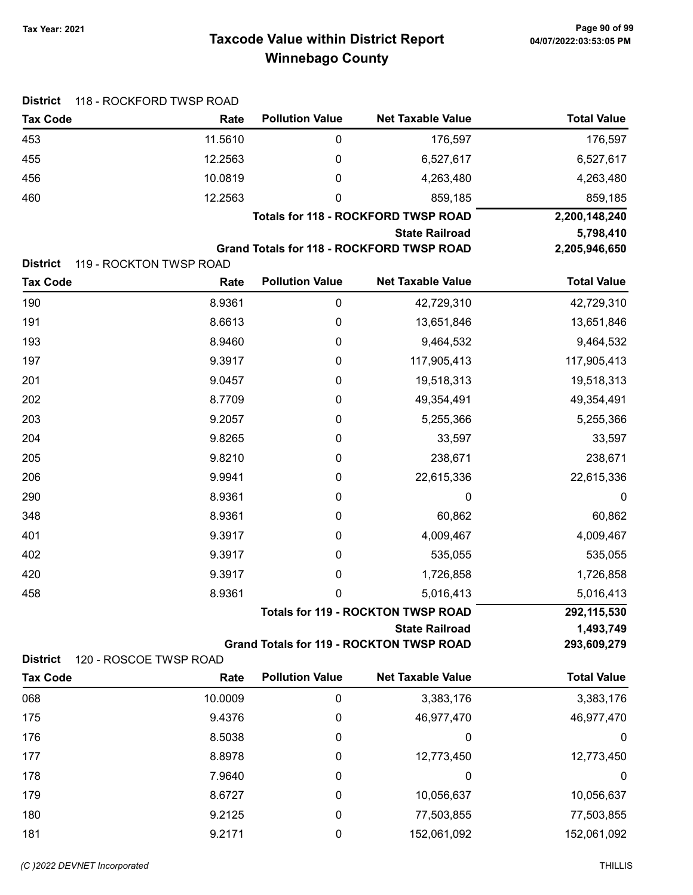# Taxcode Value within District Report Tax Year: 2021 Page 90 of 99 Winnebago County

| <b>District</b> | 118 - ROCKFORD TWSP ROAD |                        |                                                 |                    |
|-----------------|--------------------------|------------------------|-------------------------------------------------|--------------------|
| <b>Tax Code</b> | Rate                     | <b>Pollution Value</b> | <b>Net Taxable Value</b>                        | <b>Total Value</b> |
| 453             | 11.5610                  | 0                      | 176,597                                         | 176,597            |
| 455             | 12.2563                  | 0                      | 6,527,617                                       | 6,527,617          |
| 456             | 10.0819                  | 0                      | 4,263,480                                       | 4,263,480          |
| 460             | 12.2563                  | 0                      | 859,185                                         | 859,185            |
|                 |                          |                        | <b>Totals for 118 - ROCKFORD TWSP ROAD</b>      | 2,200,148,240      |
|                 |                          |                        | <b>State Railroad</b>                           | 5,798,410          |
| <b>District</b> | 119 - ROCKTON TWSP ROAD  |                        | Grand Totals for 118 - ROCKFORD TWSP ROAD       | 2,205,946,650      |
| <b>Tax Code</b> | Rate                     | <b>Pollution Value</b> | <b>Net Taxable Value</b>                        | <b>Total Value</b> |
| 190             | 8.9361                   | 0                      | 42,729,310                                      | 42,729,310         |
| 191             | 8.6613                   | 0                      | 13,651,846                                      | 13,651,846         |
| 193             | 8.9460                   | 0                      | 9,464,532                                       | 9,464,532          |
| 197             | 9.3917                   | 0                      | 117,905,413                                     | 117,905,413        |
| 201             | 9.0457                   | 0                      | 19,518,313                                      | 19,518,313         |
| 202             | 8.7709                   | 0                      | 49,354,491                                      | 49,354,491         |
| 203             | 9.2057                   | 0                      | 5,255,366                                       | 5,255,366          |
| 204             | 9.8265                   | 0                      | 33,597                                          | 33,597             |
| 205             | 9.8210                   | 0                      | 238,671                                         | 238,671            |
| 206             | 9.9941                   | 0                      | 22,615,336                                      | 22,615,336         |
| 290             | 8.9361                   | 0                      | 0                                               | 0                  |
| 348             | 8.9361                   | 0                      | 60,862                                          | 60,862             |
| 401             | 9.3917                   | 0                      | 4,009,467                                       | 4,009,467          |
| 402             | 9.3917                   | 0                      | 535,055                                         | 535,055            |
| 420             | 9.3917                   | $\boldsymbol{0}$       | 1,726,858                                       | 1,726,858          |
| 458             | 8.9361                   | 0                      | 5,016,413                                       | 5,016,413          |
|                 |                          |                        | <b>Totals for 119 - ROCKTON TWSP ROAD</b>       | 292,115,530        |
|                 |                          |                        | <b>State Railroad</b>                           | 1,493,749          |
|                 |                          |                        | <b>Grand Totals for 119 - ROCKTON TWSP ROAD</b> | 293,609,279        |
| <b>District</b> | 120 - ROSCOE TWSP ROAD   | <b>Pollution Value</b> | <b>Net Taxable Value</b>                        | <b>Total Value</b> |
| <b>Tax Code</b> | Rate                     |                        |                                                 |                    |
| 068             | 10.0009                  | 0                      | 3,383,176                                       | 3,383,176          |
| 175             | 9.4376                   | 0                      | 46,977,470                                      | 46,977,470         |
| 176             | 8.5038                   | 0                      | 0                                               | 0                  |
| 177             | 8.8978                   | 0                      | 12,773,450                                      | 12,773,450         |
| 178             | 7.9640                   | 0                      | 0                                               | 0                  |
| 179             | 8.6727                   | 0                      | 10,056,637                                      | 10,056,637         |
| 180             | 9.2125                   | 0                      | 77,503,855                                      | 77,503,855         |
| 181             | 9.2171                   | 0                      | 152,061,092                                     | 152,061,092        |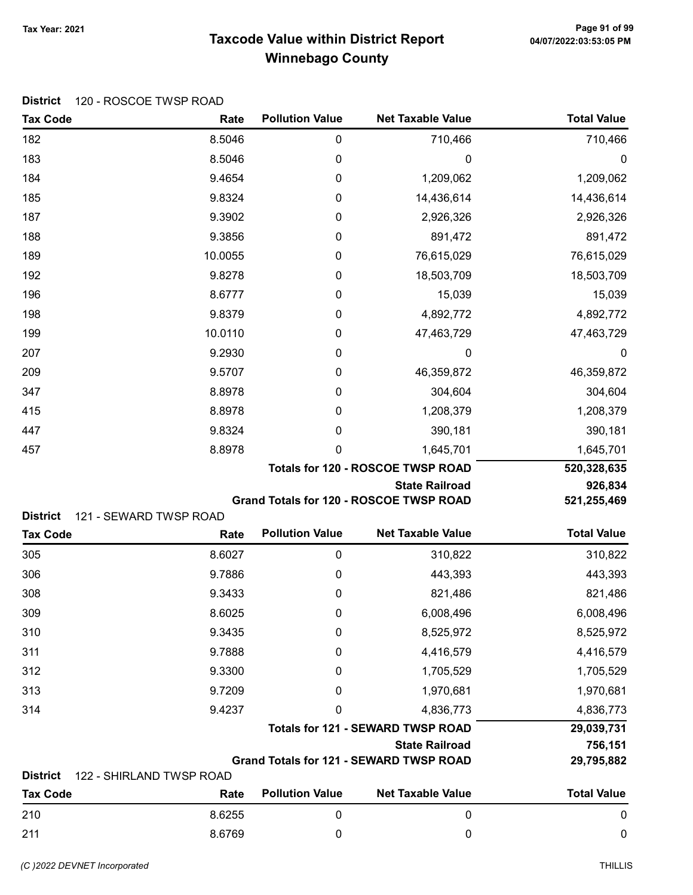# Taxcode Value within District Report Tax Year: 2021 Page 91 of 99 Winnebago County

| <b>Tax Code</b>                    | Rate                             | <b>Pollution Value</b> | <b>Net Taxable Value</b>                       | <b>Total Value</b> |
|------------------------------------|----------------------------------|------------------------|------------------------------------------------|--------------------|
| 182                                | 8.5046                           | $\boldsymbol{0}$       | 710,466                                        | 710,466            |
| 183                                | 8.5046                           | $\boldsymbol{0}$       | 0                                              | 0                  |
| 184                                | 9.4654                           | $\mathbf 0$            | 1,209,062                                      | 1,209,062          |
| 185                                | 9.8324                           | 0                      | 14,436,614                                     | 14,436,614         |
| 187                                | 9.3902                           | 0                      | 2,926,326                                      | 2,926,326          |
| 188                                | 9.3856                           | 0                      | 891,472                                        | 891,472            |
| 189                                | 10.0055                          | 0                      | 76,615,029                                     | 76,615,029         |
| 192                                | 9.8278                           | 0                      | 18,503,709                                     | 18,503,709         |
| 196                                | 8.6777                           | 0                      | 15,039                                         | 15,039             |
| 198                                | 9.8379                           | 0                      | 4,892,772                                      | 4,892,772          |
| 199                                | 10.0110                          | 0                      | 47,463,729                                     | 47,463,729         |
| 207                                | 9.2930                           | 0                      | $\mathbf 0$                                    | $\boldsymbol{0}$   |
| 209                                | 9.5707                           | 0                      | 46,359,872                                     | 46,359,872         |
| 347                                | 8.8978                           | 0                      | 304,604                                        | 304,604            |
| 415                                | 8.8978                           | 0                      | 1,208,379                                      | 1,208,379          |
| 447                                | 9.8324                           | 0                      | 390,181                                        | 390,181            |
| 457                                | 8.8978                           | 0                      | 1,645,701                                      | 1,645,701          |
|                                    |                                  |                        | <b>Totals for 120 - ROSCOE TWSP ROAD</b>       | 520,328,635        |
|                                    |                                  |                        | <b>State Railroad</b>                          | 926,834            |
| <b>District</b>                    | 121 - SEWARD TWSP ROAD           |                        | Grand Totals for 120 - ROSCOE TWSP ROAD        | 521,255,469        |
| <b>Tax Code</b>                    | Rate                             | <b>Pollution Value</b> | <b>Net Taxable Value</b>                       | <b>Total Value</b> |
| 305                                | 8.6027                           | $\pmb{0}$              | 310,822                                        | 310,822            |
| 306                                | 9.7886                           | 0                      | 443,393                                        | 443,393            |
| 308                                | 9.3433                           | 0                      | 821,486                                        | 821,486            |
| 309                                | 8.6025                           | 0                      | 6,008,496                                      | 6,008,496          |
| 310                                | 9.3435                           | 0                      | 8,525,972                                      | 8,525,972          |
| 311                                | 9.7888                           | 0                      | 4,416,579                                      | 4,416,579          |
| 312                                | 9.3300                           | 0                      | 1,705,529                                      | 1,705,529          |
| 313                                | 9.7209                           | 0                      | 1,970,681                                      | 1,970,681          |
| 314                                | 9.4237                           | 0                      | 4,836,773                                      | 4,836,773          |
|                                    |                                  |                        | <b>Totals for 121 - SEWARD TWSP ROAD</b>       | 29,039,731         |
|                                    |                                  |                        | <b>State Railroad</b>                          | 756,151            |
|                                    |                                  |                        | <b>Grand Totals for 121 - SEWARD TWSP ROAD</b> | 29,795,882         |
| <b>District</b><br><b>Tax Code</b> | 122 - SHIRLAND TWSP ROAD<br>Rate | <b>Pollution Value</b> | <b>Net Taxable Value</b>                       | <b>Total Value</b> |
| 210                                | 8.6255                           | $\boldsymbol{0}$       | $\mathbf 0$                                    | $\mathbf 0$        |
|                                    |                                  |                        |                                                |                    |

211 8.6769 0 0 0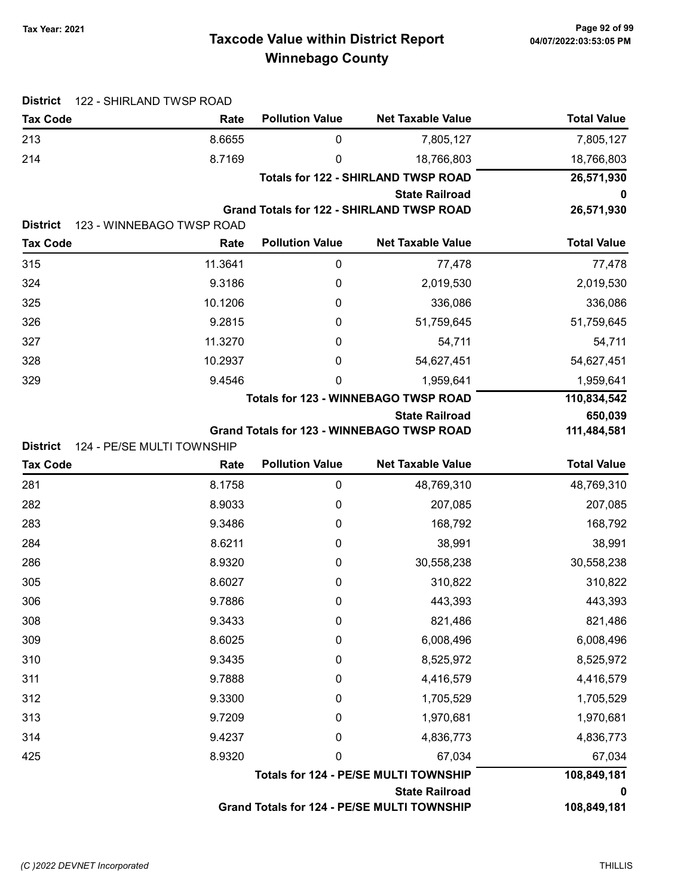# Taxcode Value within District Report Tax Year: 2021 Page 92 of 99 Winnebago County

| <b>Tax Code</b> | Rate                               | <b>Pollution Value</b> | <b>Net Taxable Value</b>                                       | <b>Total Value</b> |
|-----------------|------------------------------------|------------------------|----------------------------------------------------------------|--------------------|
| 213             | 8.6655                             | 0                      | 7,805,127                                                      | 7,805,127          |
| 214             | 8.7169                             | 0                      | 18,766,803                                                     | 18,766,803         |
|                 |                                    |                        | <b>Totals for 122 - SHIRLAND TWSP ROAD</b>                     | 26,571,930         |
|                 |                                    |                        | <b>State Railroad</b>                                          | 0                  |
|                 |                                    |                        | <b>Grand Totals for 122 - SHIRLAND TWSP ROAD</b>               | 26,571,930         |
| <b>District</b> | 123 - WINNEBAGO TWSP ROAD          |                        |                                                                |                    |
| <b>Tax Code</b> | Rate                               | <b>Pollution Value</b> | <b>Net Taxable Value</b>                                       | <b>Total Value</b> |
| 315             | 11.3641                            | 0                      | 77,478                                                         | 77,478             |
| 324             | 9.3186                             | 0                      | 2,019,530                                                      | 2,019,530          |
| 325             | 10.1206                            | 0                      | 336,086                                                        | 336,086            |
| 326             | 9.2815                             | 0                      | 51,759,645                                                     | 51,759,645         |
| 327             | 11.3270                            | 0                      | 54,711                                                         | 54,711             |
| 328             | 10.2937                            | 0                      | 54,627,451                                                     | 54,627,451         |
| 329             | 9.4546                             | 0                      | 1,959,641                                                      | 1,959,641          |
|                 |                                    |                        | <b>Totals for 123 - WINNEBAGO TWSP ROAD</b>                    | 110,834,542        |
|                 |                                    |                        | <b>State Railroad</b>                                          | 650,039            |
| <b>District</b> |                                    |                        | <b>Grand Totals for 123 - WINNEBAGO TWSP ROAD</b>              | 111,484,581        |
| <b>Tax Code</b> | 124 - PE/SE MULTI TOWNSHIP<br>Rate | <b>Pollution Value</b> | <b>Net Taxable Value</b>                                       | <b>Total Value</b> |
| 281             | 8.1758                             | 0                      | 48,769,310                                                     | 48,769,310         |
| 282             | 8.9033                             | 0                      | 207,085                                                        | 207,085            |
| 283             | 9.3486                             | 0                      | 168,792                                                        | 168,792            |
| 284             | 8.6211                             | 0                      | 38,991                                                         | 38,991             |
| 286             | 8.9320                             | 0                      | 30,558,238                                                     | 30,558,238         |
| 305             | 8.6027                             | 0                      | 310,822                                                        | 310,822            |
| 306             | 9.7886                             | 0                      | 443,393                                                        | 443,393            |
| 308             | 9.3433                             | 0                      | 821,486                                                        | 821,486            |
| 309             | 8.6025                             | 0                      | 6,008,496                                                      | 6,008,496          |
| 310             | 9.3435                             | 0                      | 8,525,972                                                      | 8,525,972          |
| 311             | 9.7888                             | 0                      | 4,416,579                                                      | 4,416,579          |
| 312             | 9.3300                             |                        |                                                                |                    |
|                 |                                    | 0                      | 1,705,529                                                      | 1,705,529          |
| 313             | 9.7209                             | 0                      | 1,970,681                                                      | 1,970,681          |
| 314             | 9.4237                             | 0                      | 4,836,773                                                      | 4,836,773          |
| 425             | 8.9320                             | 0                      | 67,034                                                         | 67,034             |
|                 |                                    |                        |                                                                |                    |
|                 |                                    |                        | Totals for 124 - PE/SE MULTI TOWNSHIP<br><b>State Railroad</b> | 108,849,181<br>o   |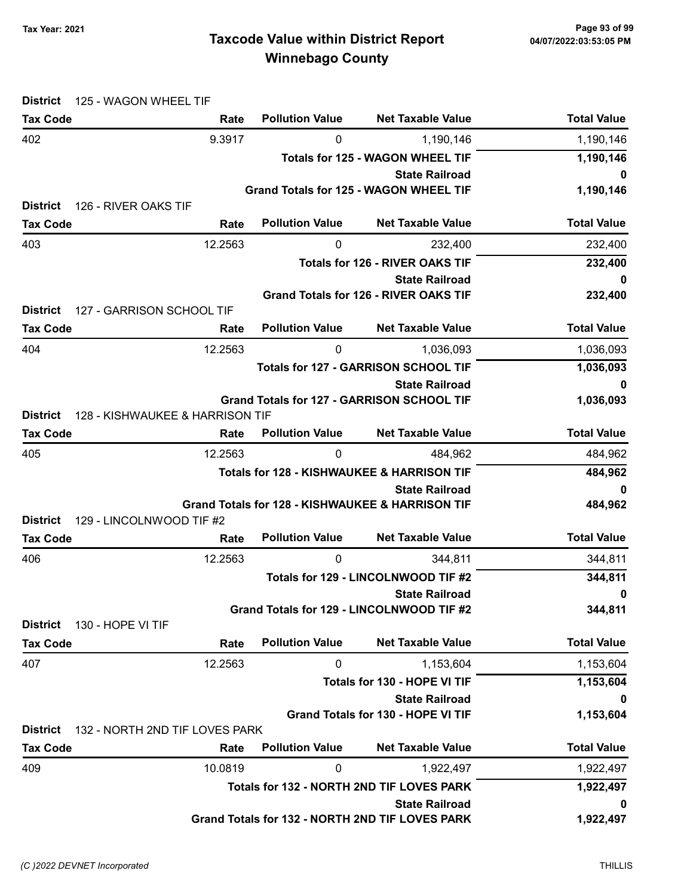# Taxcode Value within District Report Tax Year: 2021 Page 93 of 99 Winnebago County

| <b>District</b> | 125 - WAGON WHEEL TIF           |                        |                                                       |                    |
|-----------------|---------------------------------|------------------------|-------------------------------------------------------|--------------------|
| <b>Tax Code</b> | Rate                            | <b>Pollution Value</b> | <b>Net Taxable Value</b>                              | <b>Total Value</b> |
| 402             | 9.3917                          | 0                      | 1,190,146                                             | 1,190,146          |
|                 |                                 |                        | <b>Totals for 125 - WAGON WHEEL TIF</b>               | 1,190,146          |
|                 |                                 |                        | <b>State Railroad</b>                                 | 0                  |
|                 |                                 |                        | <b>Grand Totals for 125 - WAGON WHEEL TIF</b>         | 1,190,146          |
| <b>District</b> | 126 - RIVER OAKS TIF            |                        |                                                       |                    |
| <b>Tax Code</b> | Rate                            | <b>Pollution Value</b> | <b>Net Taxable Value</b>                              | <b>Total Value</b> |
| 403             | 12.2563                         | 0                      | 232,400                                               | 232,400            |
|                 |                                 |                        | <b>Totals for 126 - RIVER OAKS TIF</b>                | 232,400            |
|                 |                                 |                        | <b>State Railroad</b>                                 | 0                  |
| <b>District</b> | 127 - GARRISON SCHOOL TIF       |                        | <b>Grand Totals for 126 - RIVER OAKS TIF</b>          | 232,400            |
| <b>Tax Code</b> | Rate                            | <b>Pollution Value</b> | <b>Net Taxable Value</b>                              | <b>Total Value</b> |
| 404             | 12.2563                         | 0                      | 1,036,093                                             | 1,036,093          |
|                 |                                 |                        | <b>Totals for 127 - GARRISON SCHOOL TIF</b>           | 1,036,093          |
|                 |                                 |                        | <b>State Railroad</b>                                 | 0                  |
|                 |                                 |                        | <b>Grand Totals for 127 - GARRISON SCHOOL TIF</b>     | 1,036,093          |
| <b>District</b> | 128 - KISHWAUKEE & HARRISON TIF |                        |                                                       |                    |
| <b>Tax Code</b> | Rate                            | <b>Pollution Value</b> | <b>Net Taxable Value</b>                              | <b>Total Value</b> |
| 405             | 12.2563                         | 0                      | 484,962                                               | 484,962            |
|                 |                                 |                        | <b>Totals for 128 - KISHWAUKEE &amp; HARRISON TIF</b> | 484,962            |
|                 |                                 |                        | <b>State Railroad</b>                                 | $\mathbf 0$        |
|                 |                                 |                        | Grand Totals for 128 - KISHWAUKEE & HARRISON TIF      | 484,962            |
| <b>District</b> | 129 - LINCOLNWOOD TIF #2        |                        |                                                       |                    |
| <b>Tax Code</b> | Rate                            | <b>Pollution Value</b> | <b>Net Taxable Value</b>                              | <b>Total Value</b> |
| 406             | 12.2563                         | 0                      | 344,811                                               | 344,811            |
|                 |                                 |                        | Totals for 129 - LINCOLNWOOD TIF #2                   | 344,811            |
|                 |                                 |                        | <b>State Railroad</b>                                 | 0                  |
| <b>District</b> | 130 - HOPE VI TIF               |                        | Grand Totals for 129 - LINCOLNWOOD TIF #2             | 344,811            |
| <b>Tax Code</b> | Rate                            | <b>Pollution Value</b> | <b>Net Taxable Value</b>                              | <b>Total Value</b> |
| 407             | 12.2563                         | 0                      | 1,153,604                                             | 1,153,604          |
|                 |                                 |                        | Totals for 130 - HOPE VI TIF                          | 1,153,604          |
|                 |                                 |                        | <b>State Railroad</b>                                 | 0                  |
|                 |                                 |                        | <b>Grand Totals for 130 - HOPE VI TIF</b>             | 1,153,604          |
| <b>District</b> | 132 - NORTH 2ND TIF LOVES PARK  |                        |                                                       |                    |
| <b>Tax Code</b> | Rate                            | <b>Pollution Value</b> | <b>Net Taxable Value</b>                              | <b>Total Value</b> |
| 409             | 10.0819                         | 0                      | 1,922,497                                             | 1,922,497          |
|                 |                                 |                        | Totals for 132 - NORTH 2ND TIF LOVES PARK             | 1,922,497          |
|                 |                                 |                        | <b>State Railroad</b>                                 | 0                  |
|                 |                                 |                        | Grand Totals for 132 - NORTH 2ND TIF LOVES PARK       | 1,922,497          |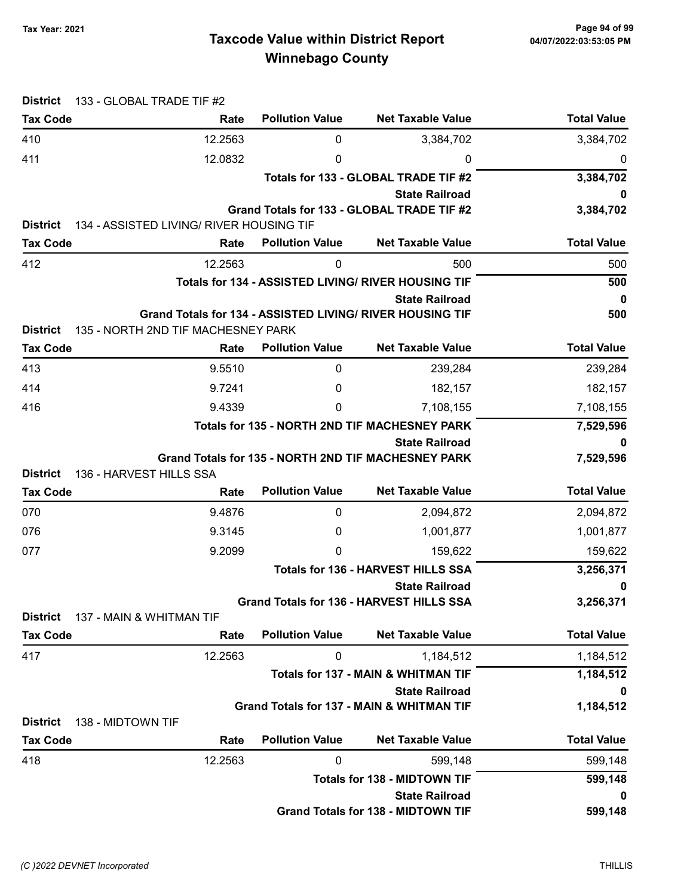# Taxcode Value within District Report Tax Year: 2021 Page 94 of 99 Winnebago County

| <b>District</b>                      | 133 - GLOBAL TRADE TIF #2                |                                               |                                                                                    |                    |
|--------------------------------------|------------------------------------------|-----------------------------------------------|------------------------------------------------------------------------------------|--------------------|
| <b>Tax Code</b>                      | Rate                                     | <b>Pollution Value</b>                        | <b>Net Taxable Value</b>                                                           | <b>Total Value</b> |
| 410                                  | 12.2563                                  | 0                                             | 3,384,702                                                                          | 3,384,702          |
| 411                                  | 12.0832                                  | 0                                             | 0                                                                                  | 0                  |
|                                      |                                          |                                               | Totals for 133 - GLOBAL TRADE TIF #2                                               | 3,384,702          |
|                                      |                                          |                                               | <b>State Railroad</b>                                                              |                    |
|                                      |                                          |                                               | Grand Totals for 133 - GLOBAL TRADE TIF #2                                         | 3,384,702          |
| <b>District</b>                      | 134 - ASSISTED LIVING/ RIVER HOUSING TIF |                                               |                                                                                    | <b>Total Value</b> |
| <b>Tax Code</b>                      | Rate                                     | <b>Pollution Value</b>                        | <b>Net Taxable Value</b>                                                           |                    |
| 412                                  | 12.2563                                  | 0                                             | 500                                                                                | 500                |
|                                      |                                          |                                               | Totals for 134 - ASSISTED LIVING/ RIVER HOUSING TIF                                | 500                |
|                                      |                                          |                                               | <b>State Railroad</b><br>Grand Totals for 134 - ASSISTED LIVING/ RIVER HOUSING TIF | $\mathbf 0$<br>500 |
| <b>District</b>                      | 135 - NORTH 2ND TIF MACHESNEY PARK       |                                               |                                                                                    |                    |
| <b>Tax Code</b>                      | Rate                                     | <b>Pollution Value</b>                        | <b>Net Taxable Value</b>                                                           | <b>Total Value</b> |
| 413                                  | 9.5510                                   | $\mathbf 0$                                   | 239,284                                                                            | 239,284            |
| 414                                  | 9.7241                                   | 0                                             | 182,157                                                                            | 182,157            |
| 416                                  | 9.4339                                   | 0                                             | 7,108,155                                                                          | 7,108,155          |
|                                      |                                          | Totals for 135 - NORTH 2ND TIF MACHESNEY PARK | 7,529,596                                                                          |                    |
|                                      |                                          |                                               | <b>State Railroad</b>                                                              | 0                  |
|                                      |                                          |                                               | Grand Totals for 135 - NORTH 2ND TIF MACHESNEY PARK                                | 7,529,596          |
| <b>District</b>                      | 136 - HARVEST HILLS SSA                  |                                               |                                                                                    |                    |
| <b>Tax Code</b>                      | Rate                                     | <b>Pollution Value</b>                        | <b>Net Taxable Value</b>                                                           | <b>Total Value</b> |
| 070                                  | 9.4876                                   | 0                                             | 2,094,872                                                                          | 2,094,872          |
| 076                                  | 9.3145                                   | 0                                             | 1,001,877                                                                          | 1,001,877          |
| 077                                  | 9.2099                                   | 0                                             | 159,622                                                                            | 159,622            |
|                                      |                                          |                                               | <b>Totals for 136 - HARVEST HILLS SSA</b>                                          | 3,256,371          |
|                                      |                                          |                                               | <b>State Railroad</b>                                                              | 0                  |
| <b>District</b>                      | 137 - MAIN & WHITMAN TIF                 |                                               | Grand Totals for 136 - HARVEST HILLS SSA                                           | 3,256,371          |
| <b>Tax Code</b>                      | Rate                                     | <b>Pollution Value</b>                        | <b>Net Taxable Value</b>                                                           | <b>Total Value</b> |
| 417                                  | 12.2563                                  | 0                                             | 1,184,512                                                                          | 1,184,512          |
|                                      |                                          |                                               | <b>Totals for 137 - MAIN &amp; WHITMAN TIF</b>                                     | 1,184,512          |
|                                      |                                          |                                               | <b>State Railroad</b>                                                              | 0                  |
|                                      |                                          |                                               | <b>Grand Totals for 137 - MAIN &amp; WHITMAN TIF</b>                               | 1,184,512          |
| <b>District</b><br>138 - MIDTOWN TIF |                                          |                                               |                                                                                    |                    |
| <b>Tax Code</b>                      | Rate                                     | <b>Pollution Value</b>                        | <b>Net Taxable Value</b>                                                           | <b>Total Value</b> |
| 418                                  | 12.2563                                  | 0                                             | 599,148                                                                            | 599,148            |
|                                      |                                          |                                               | <b>Totals for 138 - MIDTOWN TIF</b>                                                | 599,148            |
|                                      |                                          |                                               | <b>State Railroad</b>                                                              | 0                  |
|                                      |                                          |                                               | <b>Grand Totals for 138 - MIDTOWN TIF</b>                                          | 599,148            |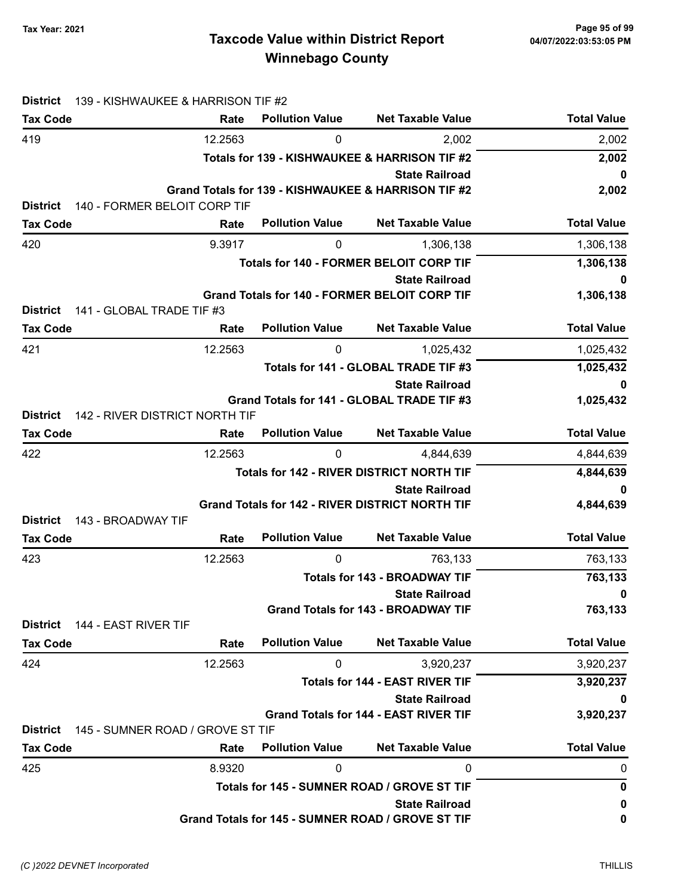# Taxcode Value within District Report Tax Year: 2021 Page 95 of 99 Winnebago County

| <b>District</b> | 139 - KISHWAUKEE & HARRISON TIF #2 |                        |                                                                       |                    |
|-----------------|------------------------------------|------------------------|-----------------------------------------------------------------------|--------------------|
| <b>Tax Code</b> | Rate                               | <b>Pollution Value</b> | <b>Net Taxable Value</b>                                              | <b>Total Value</b> |
| 419             | 12.2563                            | 0                      | 2,002                                                                 | 2,002              |
|                 |                                    |                        | Totals for 139 - KISHWAUKEE & HARRISON TIF #2                         | 2,002              |
|                 |                                    |                        | <b>State Railroad</b>                                                 | 0                  |
|                 |                                    |                        | Grand Totals for 139 - KISHWAUKEE & HARRISON TIF #2                   | 2,002              |
| <b>District</b> | 140 - FORMER BELOIT CORP TIF       |                        |                                                                       |                    |
| <b>Tax Code</b> | Rate                               | <b>Pollution Value</b> | <b>Net Taxable Value</b>                                              | <b>Total Value</b> |
| 420             | 9.3917                             | 0                      | 1,306,138                                                             | 1,306,138          |
|                 |                                    |                        | <b>Totals for 140 - FORMER BELOIT CORP TIF</b>                        | 1,306,138          |
|                 |                                    |                        | <b>State Railroad</b>                                                 | 0                  |
| <b>District</b> | 141 - GLOBAL TRADE TIF #3          |                        | Grand Totals for 140 - FORMER BELOIT CORP TIF                         | 1,306,138          |
| <b>Tax Code</b> | Rate                               | <b>Pollution Value</b> | <b>Net Taxable Value</b>                                              | <b>Total Value</b> |
|                 |                                    |                        |                                                                       |                    |
| 421             | 12.2563                            | 0                      | 1,025,432                                                             | 1,025,432          |
|                 |                                    |                        | Totals for 141 - GLOBAL TRADE TIF #3                                  | 1,025,432          |
|                 |                                    |                        | <b>State Railroad</b><br>Grand Totals for 141 - GLOBAL TRADE TIF #3   | 0<br>1,025,432     |
| <b>District</b> | 142 - RIVER DISTRICT NORTH TIF     |                        |                                                                       |                    |
| <b>Tax Code</b> | Rate                               | <b>Pollution Value</b> | <b>Net Taxable Value</b>                                              | <b>Total Value</b> |
| 422             | 12.2563                            | $\mathbf{0}$           | 4,844,639                                                             | 4,844,639          |
|                 |                                    |                        | <b>Totals for 142 - RIVER DISTRICT NORTH TIF</b>                      | 4,844,639          |
|                 |                                    |                        | <b>State Railroad</b>                                                 | 0                  |
|                 |                                    |                        | <b>Grand Totals for 142 - RIVER DISTRICT NORTH TIF</b>                | 4,844,639          |
| <b>District</b> | 143 - BROADWAY TIF                 |                        |                                                                       |                    |
| <b>Tax Code</b> | Rate                               | <b>Pollution Value</b> | <b>Net Taxable Value</b>                                              | <b>Total Value</b> |
| 423             | 12.2563                            | 0                      | 763,133                                                               | 763,133            |
|                 |                                    | 763,133                |                                                                       |                    |
|                 |                                    |                        | <b>State Railroad</b>                                                 | 0                  |
|                 |                                    |                        | <b>Grand Totals for 143 - BROADWAY TIF</b>                            | 763,133            |
| <b>District</b> | 144 - EAST RIVER TIF               |                        | <b>Net Taxable Value</b>                                              |                    |
| <b>Tax Code</b> | Rate                               | <b>Pollution Value</b> |                                                                       | <b>Total Value</b> |
| 424             | 12.2563                            | 0                      | 3,920,237                                                             | 3,920,237          |
|                 |                                    |                        | <b>Totals for 144 - EAST RIVER TIF</b>                                | 3,920,237          |
|                 |                                    |                        | <b>State Railroad</b><br><b>Grand Totals for 144 - EAST RIVER TIF</b> | 0                  |
| <b>District</b> | 145 - SUMNER ROAD / GROVE ST TIF   |                        |                                                                       | 3,920,237          |
| <b>Tax Code</b> | Rate                               | <b>Pollution Value</b> | <b>Net Taxable Value</b>                                              | <b>Total Value</b> |
| 425             | 8.9320                             | 0                      | 0                                                                     | 0                  |
|                 |                                    |                        | Totals for 145 - SUMNER ROAD / GROVE ST TIF                           | 0                  |
|                 |                                    |                        | <b>State Railroad</b>                                                 | 0                  |
|                 |                                    |                        | Grand Totals for 145 - SUMNER ROAD / GROVE ST TIF                     | 0                  |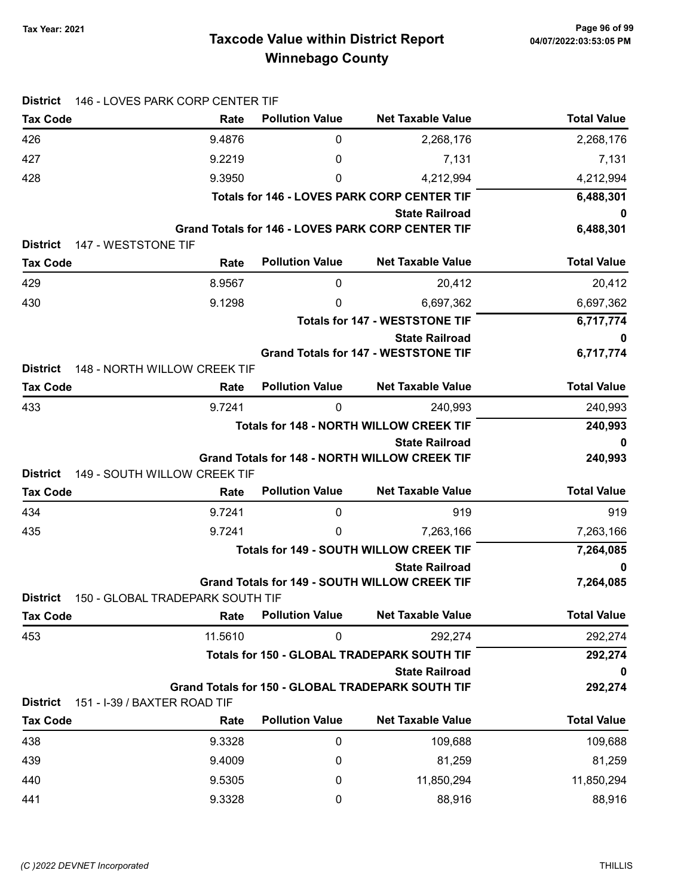# Taxcode Value within District Report Tax Year: 2021 Page 96 of 99 Winnebago County

| <b>District</b>                        | 146 - LOVES PARK CORP CENTER TIF            |                                                    |                                                                               |                    |
|----------------------------------------|---------------------------------------------|----------------------------------------------------|-------------------------------------------------------------------------------|--------------------|
| <b>Tax Code</b>                        | Rate                                        | <b>Pollution Value</b>                             | <b>Net Taxable Value</b>                                                      | <b>Total Value</b> |
| 426                                    | 9.4876                                      | 0                                                  | 2,268,176                                                                     | 2,268,176          |
| 427                                    | 9.2219                                      | 0                                                  | 7,131                                                                         | 7,131              |
| 428                                    | 9.3950                                      | 0                                                  | 4,212,994                                                                     | 4,212,994          |
|                                        |                                             | <b>Totals for 146 - LOVES PARK CORP CENTER TIF</b> | 6,488,301                                                                     |                    |
|                                        |                                             |                                                    | <b>State Railroad</b>                                                         | 0                  |
|                                        |                                             |                                                    | <b>Grand Totals for 146 - LOVES PARK CORP CENTER TIF</b>                      | 6,488,301          |
| <b>District</b><br>147 - WESTSTONE TIF |                                             |                                                    |                                                                               |                    |
| <b>Tax Code</b>                        | Rate                                        | <b>Pollution Value</b>                             | <b>Net Taxable Value</b>                                                      | <b>Total Value</b> |
| 429                                    | 8.9567                                      | $\mathbf 0$                                        | 20,412                                                                        | 20,412             |
| 430                                    | 9.1298                                      | 0                                                  | 6,697,362                                                                     | 6,697,362          |
|                                        |                                             |                                                    | <b>Totals for 147 - WESTSTONE TIF</b>                                         | 6,717,774          |
|                                        |                                             |                                                    | <b>State Railroad</b><br><b>Grand Totals for 147 - WESTSTONE TIF</b>          | 0<br>6,717,774     |
| <b>District</b>                        | 148 - NORTH WILLOW CREEK TIF                |                                                    |                                                                               |                    |
| <b>Tax Code</b>                        | Rate                                        | <b>Pollution Value</b>                             | <b>Net Taxable Value</b>                                                      | <b>Total Value</b> |
| 433                                    | 9.7241                                      | 0                                                  | 240,993                                                                       | 240,993            |
|                                        |                                             |                                                    | <b>Totals for 148 - NORTH WILLOW CREEK TIF</b>                                | 240,993            |
|                                        |                                             |                                                    | <b>State Railroad</b>                                                         | 0                  |
|                                        |                                             |                                                    | <b>Grand Totals for 148 - NORTH WILLOW CREEK TIF</b>                          | 240,993            |
| <b>District</b>                        | 149 - SOUTH WILLOW CREEK TIF                |                                                    |                                                                               |                    |
| <b>Tax Code</b>                        | Rate                                        | <b>Pollution Value</b>                             | <b>Net Taxable Value</b>                                                      | <b>Total Value</b> |
| 434                                    | 9.7241                                      | 0                                                  | 919                                                                           | 919                |
| 435                                    | 9.7241                                      | 0                                                  | 7,263,166                                                                     | 7,263,166          |
|                                        |                                             |                                                    | <b>Totals for 149 - SOUTH WILLOW CREEK TIF</b>                                | 7,264,085          |
|                                        |                                             |                                                    | <b>State Railroad</b><br><b>Grand Totals for 149 - SOUTH WILLOW CREEK TIF</b> | $\mathbf 0$        |
| District                               | 150 - GLOBAL TRADEPARK SOUTH TIF            |                                                    |                                                                               | 7,264,085          |
| <b>Tax Code</b>                        | Rate                                        | <b>Pollution Value</b>                             | <b>Net Taxable Value</b>                                                      | <b>Total Value</b> |
| 453                                    | 11.5610                                     | 0                                                  | 292,274                                                                       | 292,274            |
|                                        | Totals for 150 - GLOBAL TRADEPARK SOUTH TIF |                                                    |                                                                               | 292,274            |
|                                        |                                             |                                                    | <b>State Railroad</b>                                                         | 0                  |
|                                        |                                             |                                                    | Grand Totals for 150 - GLOBAL TRADEPARK SOUTH TIF                             | 292,274            |
| <b>District</b>                        | 151 - I-39 / BAXTER ROAD TIF                |                                                    |                                                                               |                    |
| <b>Tax Code</b>                        | Rate                                        | <b>Pollution Value</b>                             | <b>Net Taxable Value</b>                                                      | <b>Total Value</b> |
| 438                                    | 9.3328                                      | 0                                                  | 109,688                                                                       | 109,688            |
| 439                                    | 9.4009                                      | 0                                                  | 81,259                                                                        | 81,259             |
| 440                                    | 9.5305                                      | 0                                                  | 11,850,294                                                                    | 11,850,294         |
| 441                                    | 9.3328                                      | 0                                                  | 88,916                                                                        | 88,916             |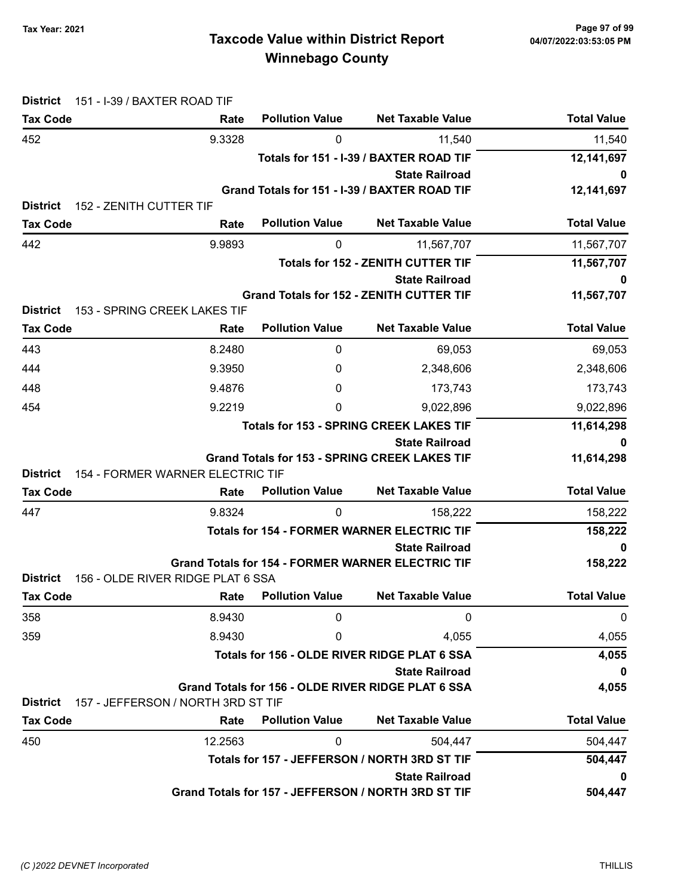# Taxcode Value within District Report Tax Year: 2021 Page 97 of 99 Winnebago County

| <b>District</b>                                               | 151 - I-39 / BAXTER ROAD TIF       |                             |                                                          |                    |
|---------------------------------------------------------------|------------------------------------|-----------------------------|----------------------------------------------------------|--------------------|
| <b>Tax Code</b>                                               | Rate                               | <b>Pollution Value</b>      | <b>Net Taxable Value</b>                                 | <b>Total Value</b> |
| 452                                                           | 9.3328                             | 0                           | 11,540                                                   | 11,540             |
|                                                               |                                    |                             | Totals for 151 - I-39 / BAXTER ROAD TIF                  | 12,141,697         |
|                                                               |                                    |                             | <b>State Railroad</b>                                    | 0                  |
|                                                               |                                    |                             | Grand Totals for 151 - I-39 / BAXTER ROAD TIF            | 12,141,697         |
| <b>District</b><br>152 - ZENITH CUTTER TIF<br><b>Tax Code</b> | Rate                               | <b>Pollution Value</b>      | <b>Net Taxable Value</b>                                 | <b>Total Value</b> |
| 442                                                           | 9.9893                             | 0                           | 11,567,707                                               | 11,567,707         |
|                                                               |                                    |                             | <b>Totals for 152 - ZENITH CUTTER TIF</b>                |                    |
|                                                               |                                    |                             | <b>State Railroad</b>                                    | 11,567,707<br>0    |
|                                                               |                                    |                             | <b>Grand Totals for 152 - ZENITH CUTTER TIF</b>          | 11,567,707         |
| <b>District</b>                                               | 153 - SPRING CREEK LAKES TIF       |                             |                                                          |                    |
| <b>Tax Code</b>                                               | Rate                               | <b>Pollution Value</b>      | <b>Net Taxable Value</b>                                 | <b>Total Value</b> |
| 443                                                           | 8.2480                             | 0                           | 69,053                                                   | 69,053             |
| 444                                                           | 9.3950                             | 0                           | 2,348,606                                                | 2,348,606          |
| 448                                                           | 9.4876                             | 0                           | 173,743                                                  | 173,743            |
| 454                                                           | 9.2219                             | 0                           | 9,022,896                                                | 9,022,896          |
|                                                               |                                    |                             | <b>Totals for 153 - SPRING CREEK LAKES TIF</b>           | 11,614,298         |
|                                                               |                                    |                             | <b>State Railroad</b>                                    | 0                  |
|                                                               |                                    |                             | <b>Grand Totals for 153 - SPRING CREEK LAKES TIF</b>     | 11,614,298         |
| <b>District</b>                                               | 154 - FORMER WARNER ELECTRIC TIF   |                             |                                                          |                    |
| <b>Tax Code</b>                                               | Rate                               | <b>Pollution Value</b>      | <b>Net Taxable Value</b>                                 | <b>Total Value</b> |
| 447                                                           | 9.8324                             | 0                           | 158,222                                                  | 158,222            |
|                                                               |                                    |                             | <b>Totals for 154 - FORMER WARNER ELECTRIC TIF</b>       | 158,222            |
|                                                               |                                    |                             | <b>State Railroad</b>                                    | 0                  |
| <b>District</b>                                               | 156 - OLDE RIVER RIDGE PLAT 6 SSA  |                             | <b>Grand Totals for 154 - FORMER WARNER ELECTRIC TIF</b> | 158,222            |
| <b>Tax Code</b>                                               |                                    | <b>Rate</b> Pollution Value | <b>Net Taxable Value</b>                                 | <b>Total Value</b> |
| 358                                                           | 8.9430                             | $\mathbf{0}$                | 0                                                        | 0                  |
| 359                                                           | 8.9430                             | 0                           | 4,055                                                    | 4,055              |
|                                                               |                                    |                             | Totals for 156 - OLDE RIVER RIDGE PLAT 6 SSA             | 4,055              |
|                                                               |                                    |                             | <b>State Railroad</b>                                    | 0                  |
|                                                               |                                    |                             | Grand Totals for 156 - OLDE RIVER RIDGE PLAT 6 SSA       | 4,055              |
| <b>District</b>                                               | 157 - JEFFERSON / NORTH 3RD ST TIF |                             |                                                          |                    |
| <b>Tax Code</b>                                               | Rate                               | <b>Pollution Value</b>      | <b>Net Taxable Value</b>                                 | <b>Total Value</b> |
| 450                                                           | 12.2563                            | $\mathbf 0$                 | 504,447                                                  | 504,447            |
|                                                               |                                    |                             | Totals for 157 - JEFFERSON / NORTH 3RD ST TIF            | 504,447            |
|                                                               |                                    |                             | <b>State Railroad</b>                                    | 0                  |
|                                                               |                                    |                             | Grand Totals for 157 - JEFFERSON / NORTH 3RD ST TIF      | 504,447            |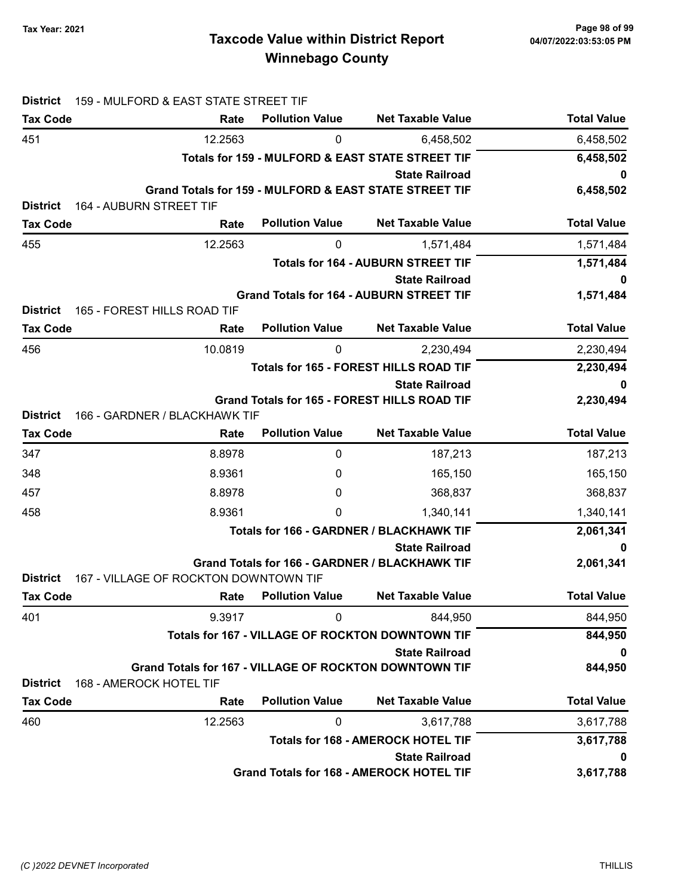| <b>District</b> | 159 - MULFORD & EAST STATE STREET TIF                         |                                                         |                                                        |                    |
|-----------------|---------------------------------------------------------------|---------------------------------------------------------|--------------------------------------------------------|--------------------|
| <b>Tax Code</b> | Rate                                                          | <b>Pollution Value</b>                                  | <b>Net Taxable Value</b>                               | <b>Total Value</b> |
| 451             | 12.2563                                                       | 0                                                       | 6,458,502                                              | 6,458,502          |
|                 |                                                               |                                                         | Totals for 159 - MULFORD & EAST STATE STREET TIF       | 6,458,502          |
|                 |                                                               |                                                         | <b>State Railroad</b>                                  | 0                  |
|                 |                                                               |                                                         | Grand Totals for 159 - MULFORD & EAST STATE STREET TIF | 6,458,502          |
| <b>District</b> | 164 - AUBURN STREET TIF                                       |                                                         |                                                        |                    |
| <b>Tax Code</b> | Rate                                                          | <b>Pollution Value</b>                                  | <b>Net Taxable Value</b>                               | <b>Total Value</b> |
| 455             | 12.2563                                                       | 0                                                       | 1,571,484                                              | 1,571,484          |
|                 |                                                               |                                                         | <b>Totals for 164 - AUBURN STREET TIF</b>              | 1,571,484          |
|                 |                                                               |                                                         | <b>State Railroad</b>                                  | 0                  |
| <b>District</b> | 165 - FOREST HILLS ROAD TIF                                   |                                                         | <b>Grand Totals for 164 - AUBURN STREET TIF</b>        | 1,571,484          |
| <b>Tax Code</b> | Rate                                                          | <b>Pollution Value</b>                                  | <b>Net Taxable Value</b>                               | <b>Total Value</b> |
| 456             | 10.0819                                                       | 0                                                       | 2,230,494                                              | 2,230,494          |
|                 |                                                               |                                                         | Totals for 165 - FOREST HILLS ROAD TIF                 | 2,230,494          |
|                 |                                                               |                                                         | <b>State Railroad</b>                                  | 0                  |
|                 |                                                               |                                                         | Grand Totals for 165 - FOREST HILLS ROAD TIF           | 2,230,494          |
| <b>District</b> | 166 - GARDNER / BLACKHAWK TIF                                 |                                                         |                                                        |                    |
| <b>Tax Code</b> | Rate                                                          | <b>Pollution Value</b>                                  | <b>Net Taxable Value</b>                               | <b>Total Value</b> |
| 347             | 8.8978                                                        | 0                                                       | 187,213                                                | 187,213            |
| 348             | 8.9361                                                        | 0                                                       | 165,150                                                | 165,150            |
| 457             | 8.8978                                                        | 0                                                       | 368,837                                                | 368,837            |
| 458             | 8.9361                                                        | 0                                                       | 1,340,141                                              | 1,340,141          |
|                 |                                                               |                                                         | Totals for 166 - GARDNER / BLACKHAWK TIF               | 2,061,341          |
|                 |                                                               |                                                         | <b>State Railroad</b>                                  | 0                  |
| <b>District</b> | 167 - VILLAGE OF ROCKTON DOWNTOWN TIF                         |                                                         | Grand Totals for 166 - GARDNER / BLACKHAWK TIF         | 2,061,341          |
| <b>Tax Code</b> | Rate                                                          | <b>Pollution Value</b>                                  | <b>Net Taxable Value</b>                               | <b>Total Value</b> |
| 401             | 9.3917                                                        | 0                                                       | 844,950                                                | 844,950            |
|                 |                                                               | <b>Totals for 167 - VILLAGE OF ROCKTON DOWNTOWN TIF</b> | 844,950                                                |                    |
|                 |                                                               |                                                         | <b>State Railroad</b>                                  | 0                  |
|                 | <b>Grand Totals for 167 - VILLAGE OF ROCKTON DOWNTOWN TIF</b> |                                                         |                                                        | 844,950            |
| <b>District</b> | 168 - AMEROCK HOTEL TIF                                       |                                                         |                                                        |                    |
| <b>Tax Code</b> | Rate                                                          | <b>Pollution Value</b>                                  | <b>Net Taxable Value</b>                               | <b>Total Value</b> |
| 460             | 12.2563                                                       | 0                                                       | 3,617,788                                              | 3,617,788          |
|                 |                                                               |                                                         | <b>Totals for 168 - AMEROCK HOTEL TIF</b>              | 3,617,788          |
|                 |                                                               |                                                         | <b>State Railroad</b>                                  | 0                  |
|                 |                                                               |                                                         | Grand Totals for 168 - AMEROCK HOTEL TIF               | 3,617,788          |